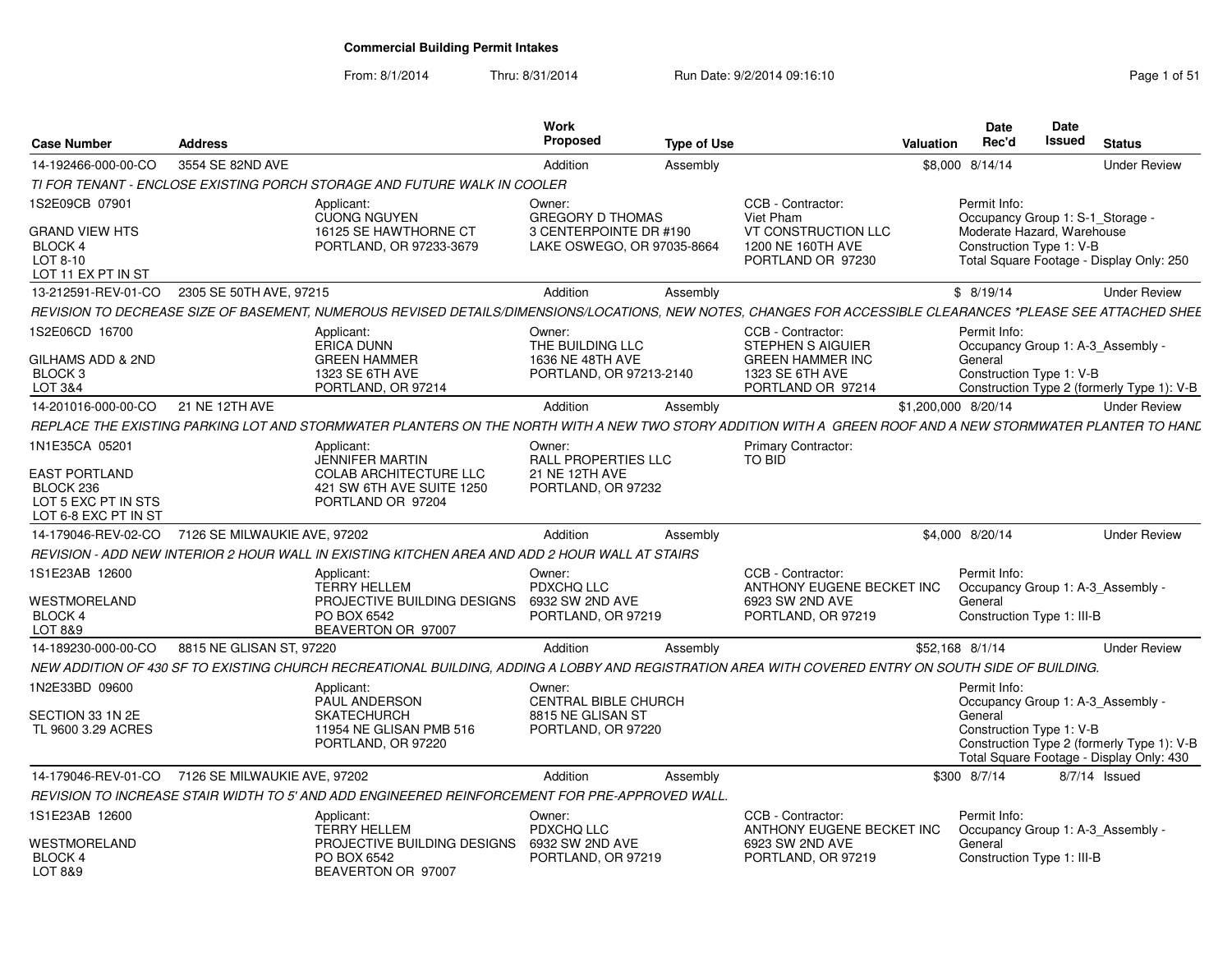| <b>Case Number</b>                                                                                 | <b>Address</b>               |                                                                                                                                                              | <b>Work</b><br><b>Proposed</b>                                                            | <b>Type of Use</b> |                                                                                                                  | <b>Valuation</b>    | <b>Date</b><br>Rec'd                                                                                       | <b>Date</b><br><b>Issued</b> | <b>Status</b>                                                                                                               |
|----------------------------------------------------------------------------------------------------|------------------------------|--------------------------------------------------------------------------------------------------------------------------------------------------------------|-------------------------------------------------------------------------------------------|--------------------|------------------------------------------------------------------------------------------------------------------|---------------------|------------------------------------------------------------------------------------------------------------|------------------------------|-----------------------------------------------------------------------------------------------------------------------------|
| 14-192466-000-00-CO                                                                                | 3554 SE 82ND AVE             |                                                                                                                                                              | Addition                                                                                  | Assembly           |                                                                                                                  |                     | \$8,000 8/14/14                                                                                            |                              | <b>Under Review</b>                                                                                                         |
|                                                                                                    |                              | TI FOR TENANT - ENCLOSE EXISTING PORCH STORAGE AND FUTURE WALK IN COOLER                                                                                     |                                                                                           |                    |                                                                                                                  |                     |                                                                                                            |                              |                                                                                                                             |
| 1S2E09CB 07901<br>GRAND VIEW HTS<br>BLOCK 4<br>LOT 8-10<br>LOT 11 EX PT IN ST                      |                              | Applicant:<br><b>CUONG NGUYEN</b><br>16125 SE HAWTHORNE CT<br>PORTLAND, OR 97233-3679                                                                        | Owner:<br><b>GREGORY D THOMAS</b><br>3 CENTERPOINTE DR #190<br>LAKE OSWEGO, OR 97035-8664 |                    | CCB - Contractor:<br>Viet Pham<br>VT CONSTRUCTION LLC<br>1200 NE 160TH AVE<br>PORTLAND OR 97230                  |                     | Permit Info:<br>Occupancy Group 1: S-1_Storage -<br>Moderate Hazard, Warehouse<br>Construction Type 1: V-B |                              | Total Square Footage - Display Only: 250                                                                                    |
| 13-212591-REV-01-CO                                                                                | 2305 SE 50TH AVE, 97215      |                                                                                                                                                              | Addition                                                                                  | Assembly           |                                                                                                                  |                     | \$8/19/14                                                                                                  |                              | <b>Under Review</b>                                                                                                         |
|                                                                                                    |                              | REVISION TO DECREASE SIZE OF BASEMENT, NUMEROUS REVISED DETAILS/DIMENSIONS/LOCATIONS, NEW NOTES, CHANGES FOR ACCESSIBLE CLEARANCES *PLEASE SEE ATTACHED SHEE |                                                                                           |                    |                                                                                                                  |                     |                                                                                                            |                              |                                                                                                                             |
| 1S2E06CD 16700<br>GILHAMS ADD & 2ND<br>BLOCK <sub>3</sub><br>LOT 3&4                               |                              | Applicant:<br><b>ERICA DUNN</b><br><b>GREEN HAMMER</b><br>1323 SE 6TH AVE<br>PORTLAND, OR 97214                                                              | Owner:<br>THE BUILDING LLC<br>1636 NE 48TH AVE<br>PORTLAND, OR 97213-2140                 |                    | CCB - Contractor:<br><b>STEPHEN S AIGUIER</b><br><b>GREEN HAMMER INC</b><br>1323 SE 6TH AVE<br>PORTLAND OR 97214 |                     | Permit Info:<br>General<br>Construction Type 1: V-B                                                        |                              | Occupancy Group 1: A-3 Assembly -<br>Construction Type 2 (formerly Type 1): V-B                                             |
| 14-201016-000-00-CO                                                                                | 21 NE 12TH AVE               |                                                                                                                                                              | Addition                                                                                  | Assembly           |                                                                                                                  | \$1,200,000 8/20/14 |                                                                                                            |                              | <b>Under Review</b>                                                                                                         |
|                                                                                                    |                              | REPLACE THE EXISTING PARKING LOT AND STORMWATER PLANTERS ON THE NORTH WITH A NEW TWO STORY ADDITION WITH A  GREEN ROOF AND A NEW STORMWATER PLANTER TO HANL  |                                                                                           |                    |                                                                                                                  |                     |                                                                                                            |                              |                                                                                                                             |
| 1N1E35CA 05201<br><b>EAST PORTLAND</b><br>BLOCK 236<br>LOT 5 EXC PT IN STS<br>LOT 6-8 EXC PT IN ST |                              | Applicant:<br><b>JENNIFER MARTIN</b><br><b>COLAB ARCHITECTURE LLC</b><br>421 SW 6TH AVE SUITE 1250<br>PORTLAND OR 97204                                      | Owner:<br><b>RALL PROPERTIES LLC</b><br>21 NE 12TH AVE<br>PORTLAND, OR 97232              |                    | Primary Contractor:<br><b>TO BID</b>                                                                             |                     |                                                                                                            |                              |                                                                                                                             |
| 14-179046-REV-02-CO                                                                                | 7126 SE MILWAUKIE AVE, 97202 |                                                                                                                                                              | Addition                                                                                  | Assembly           |                                                                                                                  |                     | \$4.000 8/20/14                                                                                            |                              | <b>Under Review</b>                                                                                                         |
|                                                                                                    |                              | REVISION - ADD NEW INTERIOR 2 HOUR WALL IN EXISTING KITCHEN AREA AND ADD 2 HOUR WALL AT STAIRS                                                               |                                                                                           |                    |                                                                                                                  |                     |                                                                                                            |                              |                                                                                                                             |
| 1S1E23AB 12600<br>WESTMORELAND<br>BLOCK 4<br>LOT 8&9                                               |                              | Applicant:<br><b>TERRY HELLEM</b><br>PROJECTIVE BUILDING DESIGNS<br>PO BOX 6542<br>BEAVERTON OR 97007                                                        | Owner:<br>PDXCHQ LLC<br>6932 SW 2ND AVE<br>PORTLAND, OR 97219                             |                    | CCB - Contractor:<br>ANTHONY EUGENE BECKET INC<br>6923 SW 2ND AVE<br>PORTLAND, OR 97219                          |                     | Permit Info:<br>General<br>Construction Type 1: III-B                                                      |                              | Occupancy Group 1: A-3_Assembly -                                                                                           |
| 14-189230-000-00-CO                                                                                | 8815 NE GLISAN ST, 97220     |                                                                                                                                                              | Addition                                                                                  | Assembly           |                                                                                                                  |                     | \$52,168 8/1/14                                                                                            |                              | <b>Under Review</b>                                                                                                         |
|                                                                                                    |                              | NEW ADDITION OF 430 SF TO EXISTING CHURCH RECREATIONAL BUILDING, ADDING A LOBBY AND REGISTRATION AREA WITH COVERED ENTRY ON SOUTH SIDE OF BUILDING.          |                                                                                           |                    |                                                                                                                  |                     |                                                                                                            |                              |                                                                                                                             |
| 1N2E33BD 09600<br>SECTION 33 1N 2E<br>TL 9600 3.29 ACRES                                           |                              | Applicant:<br>PAUL ANDERSON<br><b>SKATECHURCH</b><br>11954 NE GLISAN PMB 516<br>PORTLAND, OR 97220                                                           | Owner:<br><b>CENTRAL BIBLE CHURCH</b><br>8815 NE GLISAN ST<br>PORTLAND, OR 97220          |                    |                                                                                                                  |                     | Permit Info:<br>General<br>Construction Type 1: V-B                                                        |                              | Occupancy Group 1: A-3 Assembly -<br>Construction Type 2 (formerly Type 1): V-B<br>Total Square Footage - Display Only: 430 |
| 14-179046-REV-01-CO                                                                                | 7126 SE MILWAUKIE AVE, 97202 |                                                                                                                                                              | Addition                                                                                  | Assembly           |                                                                                                                  |                     | \$300 8/7/14                                                                                               |                              | 8/7/14 Issued                                                                                                               |
|                                                                                                    |                              | REVISION TO INCREASE STAIR WIDTH TO 5' AND ADD ENGINEERED REINFORCEMENT FOR PRE-APPROVED WALL.                                                               |                                                                                           |                    |                                                                                                                  |                     |                                                                                                            |                              |                                                                                                                             |
| 1S1E23AB 12600<br><b>WESTMORELAND</b>                                                              |                              | Applicant:<br><b>TERRY HELLEM</b><br>PROJECTIVE BUILDING DESIGNS                                                                                             | Owner:<br>PDXCHQ LLC<br>6932 SW 2ND AVE                                                   |                    | CCB - Contractor:<br>ANTHONY EUGENE BECKET INC<br>6923 SW 2ND AVE                                                |                     | Permit Info:<br>General                                                                                    |                              | Occupancy Group 1: A-3 Assembly -                                                                                           |
| BLOCK 4<br>LOT 8&9                                                                                 |                              | PO BOX 6542<br>BEAVERTON OR 97007                                                                                                                            | PORTLAND, OR 97219                                                                        |                    | PORTLAND, OR 97219                                                                                               |                     | Construction Type 1: III-B                                                                                 |                              |                                                                                                                             |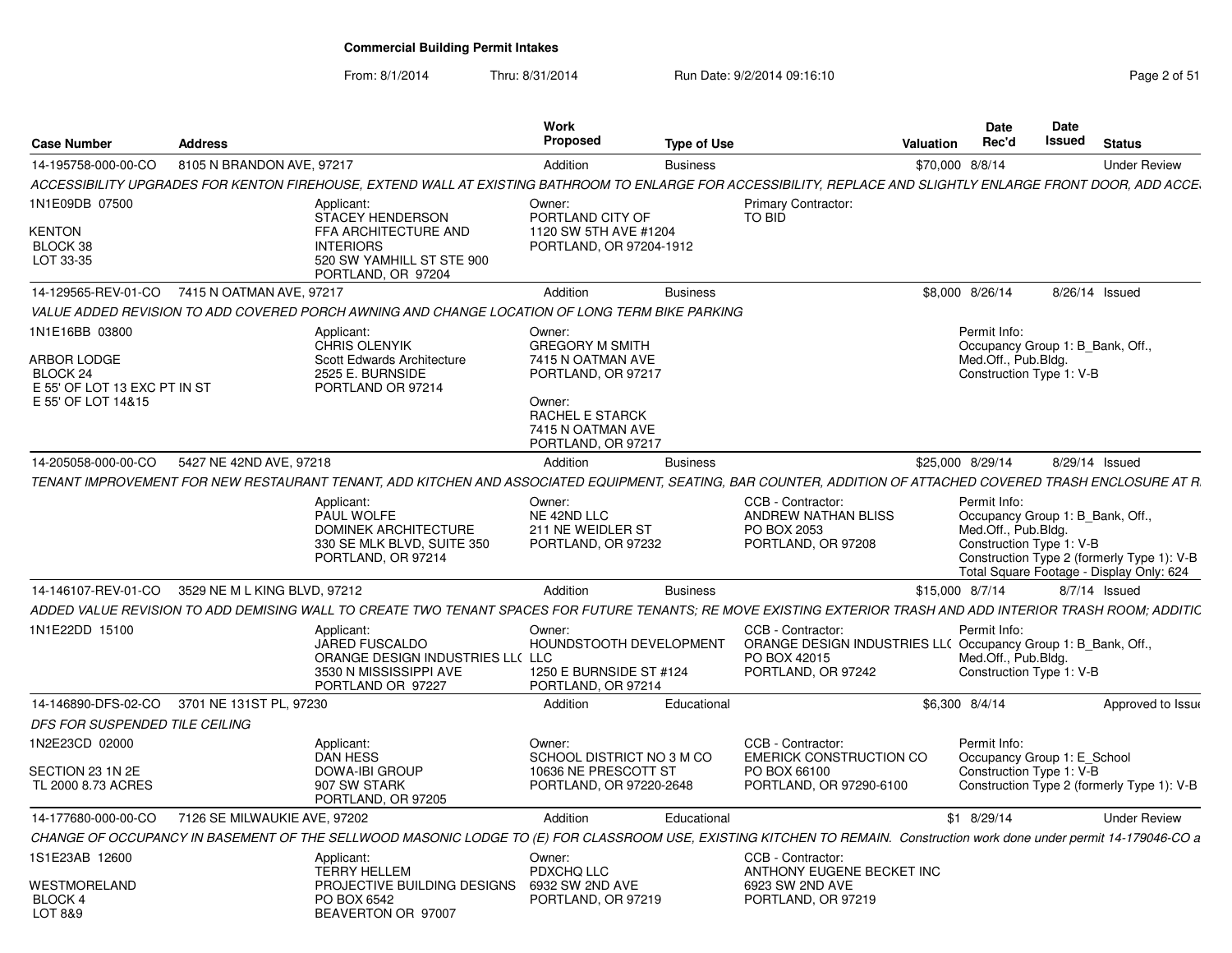From: 8/1/2014

| <b>Case Number</b>                                                                                     | <b>Address</b>               |                                                                                                                                                                        | Work<br>Proposed                                                                                                                                           | <b>Type of Use</b> |                                                                                                                          | Valuation        | Date<br>Rec'd                                                                                       | Date<br>Issued | <b>Status</b>                                                                          |
|--------------------------------------------------------------------------------------------------------|------------------------------|------------------------------------------------------------------------------------------------------------------------------------------------------------------------|------------------------------------------------------------------------------------------------------------------------------------------------------------|--------------------|--------------------------------------------------------------------------------------------------------------------------|------------------|-----------------------------------------------------------------------------------------------------|----------------|----------------------------------------------------------------------------------------|
| 14-195758-000-00-CO                                                                                    | 8105 N BRANDON AVE, 97217    |                                                                                                                                                                        | Addition                                                                                                                                                   | <b>Business</b>    |                                                                                                                          | \$70,000 8/8/14  |                                                                                                     |                | <b>Under Review</b>                                                                    |
|                                                                                                        |                              | ACCESSIBILITY UPGRADES FOR KENTON FIREHOUSE, EXTEND WALL AT EXISTING BATHROOM TO ENLARGE FOR ACCESSIBILITY, REPLACE AND SLIGHTLY ENLARGE FRONT DOOR, ADD ACCE,         |                                                                                                                                                            |                    |                                                                                                                          |                  |                                                                                                     |                |                                                                                        |
| 1N1E09DB 07500                                                                                         |                              | Applicant:<br><b>STACEY HENDERSON</b>                                                                                                                                  | Owner:<br>PORTLAND CITY OF                                                                                                                                 |                    | <b>Primary Contractor:</b><br>TO BID                                                                                     |                  |                                                                                                     |                |                                                                                        |
| KENTON<br>BLOCK 38<br>LOT 33-35                                                                        |                              | FFA ARCHITECTURE AND<br><b>INTERIORS</b><br>520 SW YAMHILL ST STE 900<br>PORTLAND, OR 97204                                                                            | 1120 SW 5TH AVE #1204<br>PORTLAND, OR 97204-1912                                                                                                           |                    |                                                                                                                          |                  |                                                                                                     |                |                                                                                        |
| 14-129565-REV-01-CO                                                                                    | 7415 N OATMAN AVE, 97217     |                                                                                                                                                                        | Addition                                                                                                                                                   | <b>Business</b>    |                                                                                                                          |                  | \$8,000 8/26/14                                                                                     |                | 8/26/14 Issued                                                                         |
|                                                                                                        |                              | VALUE ADDED REVISION TO ADD COVERED PORCH AWNING AND CHANGE LOCATION OF LONG TERM BIKE PARKING                                                                         |                                                                                                                                                            |                    |                                                                                                                          |                  |                                                                                                     |                |                                                                                        |
| 1N1E16BB 03800<br><b>ARBOR LODGE</b><br>BLOCK 24<br>E 55' OF LOT 13 EXC PT IN ST<br>E 55' OF LOT 14&15 |                              | Applicant:<br><b>CHRIS OLENYIK</b><br>Scott Edwards Architecture<br>2525 E. BURNSIDE<br>PORTLAND OR 97214                                                              | Owner:<br><b>GREGORY M SMITH</b><br>7415 N OATMAN AVE<br>PORTLAND, OR 97217<br>Owner:<br><b>RACHEL E STARCK</b><br>7415 N OATMAN AVE<br>PORTLAND, OR 97217 |                    |                                                                                                                          |                  | Permit Info:<br>Occupancy Group 1: B Bank, Off.,<br>Med.Off., Pub.Bldg.<br>Construction Type 1: V-B |                |                                                                                        |
| 14-205058-000-00-CO                                                                                    | 5427 NE 42ND AVE, 97218      |                                                                                                                                                                        | Addition                                                                                                                                                   | <b>Business</b>    |                                                                                                                          | \$25,000 8/29/14 |                                                                                                     |                | 8/29/14 Issued                                                                         |
|                                                                                                        |                              | TENANT IMPROVEMENT FOR NEW RESTAURANT TENANT. ADD KITCHEN AND ASSOCIATED EQUIPMENT. SEATING. BAR COUNTER. ADDITION OF ATTACHED COVERED TRASH ENCLOSURE AT R.           |                                                                                                                                                            |                    |                                                                                                                          |                  |                                                                                                     |                |                                                                                        |
|                                                                                                        |                              | Applicant:<br>PAUL WOLFE<br>DOMINEK ARCHITECTURE<br>330 SE MLK BLVD, SUITE 350<br>PORTLAND, OR 97214                                                                   | Owner:<br>NE 42ND LLC<br>211 NE WEIDLER ST<br>PORTLAND, OR 97232                                                                                           |                    | CCB - Contractor:<br>ANDREW NATHAN BLISS<br>PO BOX 2053<br>PORTLAND, OR 97208                                            |                  | Permit Info:<br>Occupancy Group 1: B_Bank, Off.,<br>Med.Off., Pub.Bldg.<br>Construction Type 1: V-B |                | Construction Type 2 (formerly Type 1): V-B<br>Total Square Footage - Display Only: 624 |
| 14-146107-REV-01-CO                                                                                    | 3529 NE M L KING BLVD, 97212 |                                                                                                                                                                        | Addition                                                                                                                                                   | <b>Business</b>    |                                                                                                                          | \$15,000 8/7/14  |                                                                                                     |                | 8/7/14 Issued                                                                          |
|                                                                                                        |                              | ADDED VALUE REVISION TO ADD DEMISING WALL TO CREATE TWO TENANT SPACES FOR FUTURE TENANTS: RE MOVE EXISTING EXTERIOR TRASH AND ADD INTERIOR TRASH ROOM: ADDITIC         |                                                                                                                                                            |                    |                                                                                                                          |                  |                                                                                                     |                |                                                                                        |
| 1N1E22DD 15100                                                                                         |                              | Applicant:<br><b>JARED FUSCALDO</b><br>ORANGE DESIGN INDUSTRIES LL( LLC<br>3530 N MISSISSIPPI AVE<br>PORTLAND OR 97227                                                 | Owner:<br>HOUNDSTOOTH DEVELOPMENT<br>1250 E BURNSIDE ST #124<br>PORTLAND, OR 97214                                                                         |                    | CCB - Contractor:<br>ORANGE DESIGN INDUSTRIES LL( Occupancy Group 1: B_Bank, Off.,<br>PO BOX 42015<br>PORTLAND, OR 97242 |                  | Permit Info:<br>Med.Off., Pub.Bldg.<br>Construction Type 1: V-B                                     |                |                                                                                        |
| 14-146890-DFS-02-CO                                                                                    | 3701 NE 131ST PL, 97230      |                                                                                                                                                                        | Addition                                                                                                                                                   | Educational        |                                                                                                                          | \$6,300 8/4/14   |                                                                                                     |                | Approved to Issue                                                                      |
| DFS FOR SUSPENDED TILE CEILING                                                                         |                              |                                                                                                                                                                        |                                                                                                                                                            |                    |                                                                                                                          |                  |                                                                                                     |                |                                                                                        |
| 1N2E23CD 02000                                                                                         |                              | Applicant:<br><b>DAN HESS</b>                                                                                                                                          | Owner:<br>SCHOOL DISTRICT NO 3 M CO                                                                                                                        |                    | CCB - Contractor:<br><b>EMERICK CONSTRUCTION CO</b>                                                                      |                  | Permit Info:<br>Occupancy Group 1: E School                                                         |                |                                                                                        |
| SECTION 23 1N 2E<br>TL 2000 8.73 ACRES                                                                 |                              | <b>DOWA-IBI GROUP</b><br>907 SW STARK<br>PORTLAND, OR 97205                                                                                                            | 10636 NE PRESCOTT ST<br>PORTLAND, OR 97220-2648                                                                                                            |                    | PO BOX 66100<br>PORTLAND, OR 97290-6100                                                                                  |                  | Construction Type 1: V-B                                                                            |                | Construction Type 2 (formerly Type 1): V-B                                             |
| 14-177680-000-00-CO                                                                                    | 7126 SE MILWAUKIE AVE, 97202 |                                                                                                                                                                        | Addition                                                                                                                                                   | Educational        |                                                                                                                          |                  | \$1 8/29/14                                                                                         |                | <b>Under Review</b>                                                                    |
|                                                                                                        |                              | CHANGE OF OCCUPANCY IN BASEMENT OF THE SELLWOOD MASONIC LODGE TO (E) FOR CLASSROOM USE, EXISTING KITCHEN TO REMAIN. Construction work done under permit 14-179046-CO a |                                                                                                                                                            |                    |                                                                                                                          |                  |                                                                                                     |                |                                                                                        |
| 1S1E23AB 12600                                                                                         |                              | Applicant:<br><b>TERRY HELLEM</b>                                                                                                                                      | Owner:<br>PDXCHQ LLC                                                                                                                                       |                    | CCB - Contractor:<br>ANTHONY EUGENE BECKET INC                                                                           |                  |                                                                                                     |                |                                                                                        |
| WESTMORELAND<br>BLOCK 4<br>LOT 8&9                                                                     |                              | PROJECTIVE BUILDING DESIGNS<br>PO BOX 6542<br>BEAVERTON OR 97007                                                                                                       | 6932 SW 2ND AVE<br>PORTLAND, OR 97219                                                                                                                      |                    | 6923 SW 2ND AVE<br>PORTLAND, OR 97219                                                                                    |                  |                                                                                                     |                |                                                                                        |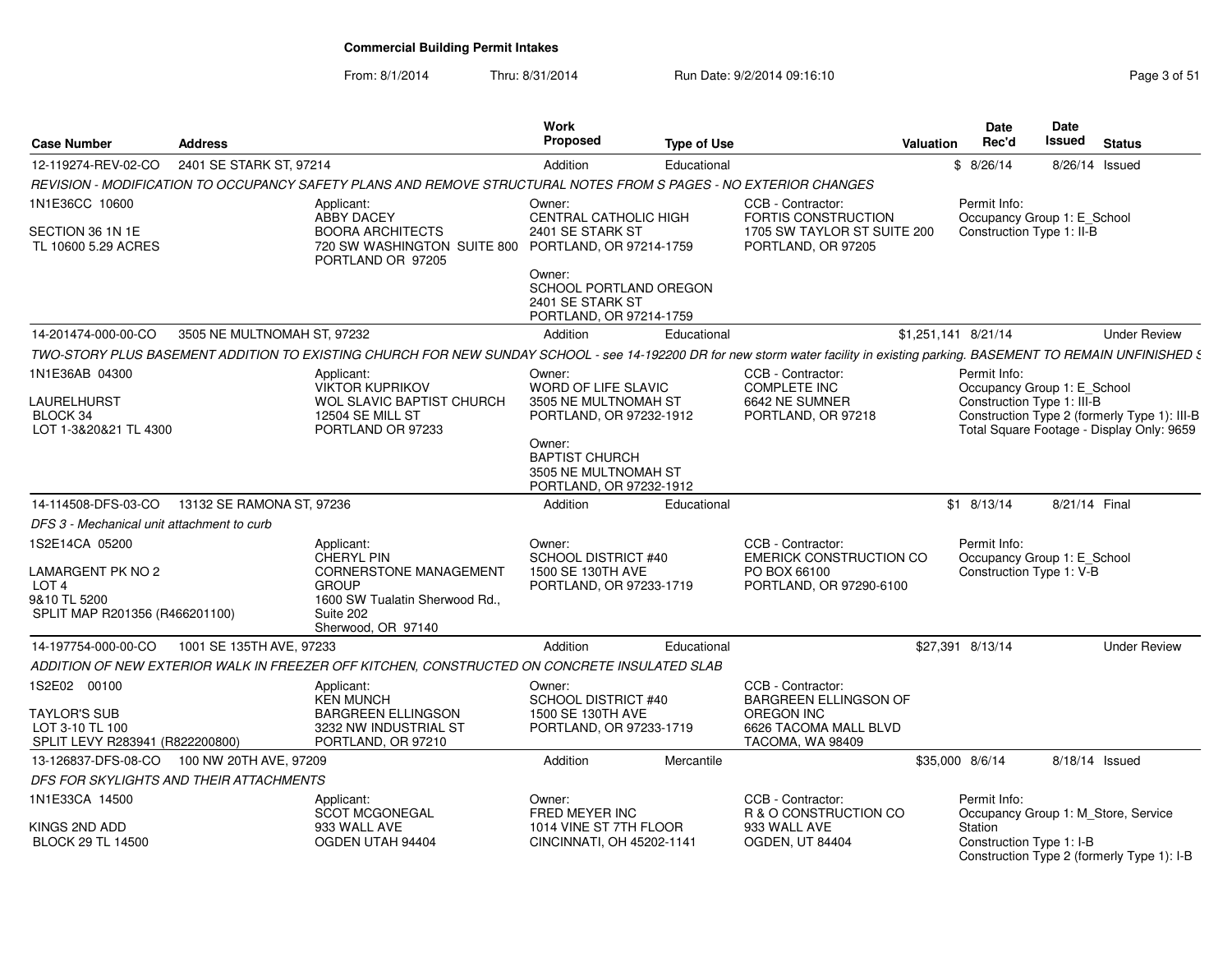From: 8/1/2014

| <b>Case Number</b>                                                                                               | <b>Address</b>                          |                                                                                                                                                                                | Work<br><b>Proposed</b>                                                              | <b>Type of Use</b> |                                                                                                | <b>Valuation</b>    | <b>Date</b><br>Rec'd | Date<br>Issued                                            | <b>Status</b>                                                                             |
|------------------------------------------------------------------------------------------------------------------|-----------------------------------------|--------------------------------------------------------------------------------------------------------------------------------------------------------------------------------|--------------------------------------------------------------------------------------|--------------------|------------------------------------------------------------------------------------------------|---------------------|----------------------|-----------------------------------------------------------|-------------------------------------------------------------------------------------------|
| 12-119274-REV-02-CO                                                                                              | 2401 SE STARK ST, 97214                 |                                                                                                                                                                                | Addition                                                                             | Educational        |                                                                                                | \$8/26/14           |                      |                                                           | 8/26/14 Issued                                                                            |
|                                                                                                                  |                                         | REVISION - MODIFICATION TO OCCUPANCY SAFETY PLANS AND REMOVE STRUCTURAL NOTES FROM S PAGES - NO EXTERIOR CHANGES                                                               |                                                                                      |                    |                                                                                                |                     |                      |                                                           |                                                                                           |
| 1N1E36CC 10600                                                                                                   |                                         | Applicant:<br><b>ABBY DACEY</b>                                                                                                                                                | Owner:<br><b>CENTRAL CATHOLIC HIGH</b>                                               |                    | CCB - Contractor:<br>FORTIS CONSTRUCTION                                                       |                     | Permit Info:         | Occupancy Group 1: E_School                               |                                                                                           |
| SECTION 36 1N 1E<br>TL 10600 5.29 ACRES                                                                          |                                         | <b>BOORA ARCHITECTS</b><br>720 SW WASHINGTON SUITE 800 PORTLAND, OR 97214-1759<br>PORTLAND OR 97205                                                                            | 2401 SE STARK ST                                                                     |                    | 1705 SW TAYLOR ST SUITE 200<br>PORTLAND, OR 97205                                              |                     |                      | Construction Type 1: II-B                                 |                                                                                           |
|                                                                                                                  |                                         |                                                                                                                                                                                | Owner:<br>SCHOOL PORTLAND OREGON<br>2401 SE STARK ST<br>PORTLAND, OR 97214-1759      |                    |                                                                                                |                     |                      |                                                           |                                                                                           |
| 14-201474-000-00-CO                                                                                              | 3505 NE MULTNOMAH ST, 97232             |                                                                                                                                                                                | Addition                                                                             | Educational        |                                                                                                | \$1,251,141 8/21/14 |                      |                                                           | <b>Under Review</b>                                                                       |
|                                                                                                                  |                                         | TWO-STORY PLUS BASEMENT ADDITION TO EXISTING CHURCH FOR NEW SUNDAY SCHOOL - see 14-192200 DR for new storm water facility in existing parking. BASEMENT TO REMAIN UNFINISHED 5 |                                                                                      |                    |                                                                                                |                     |                      |                                                           |                                                                                           |
| 1N1E36AB 04300<br>LAURELHURST<br>BLOCK 34<br>LOT 1-3&20&21 TL 4300                                               |                                         | Applicant:<br><b>VIKTOR KUPRIKOV</b><br><b>WOL SLAVIC BAPTIST CHURCH</b><br><b>12504 SE MILL ST</b><br>PORTLAND OR 97233                                                       | Owner:<br>WORD OF LIFE SLAVIC<br>3505 NE MULTNOMAH ST<br>PORTLAND, OR 97232-1912     |                    | CCB - Contractor:<br><b>COMPLETE INC</b><br>6642 NE SUMNER<br>PORTLAND, OR 97218               |                     | Permit Info:         | Occupancy Group 1: E_School<br>Construction Type 1: III-B | Construction Type 2 (formerly Type 1): III-B<br>Total Square Footage - Display Only: 9659 |
|                                                                                                                  |                                         |                                                                                                                                                                                | Owner:<br><b>BAPTIST CHURCH</b><br>3505 NE MULTNOMAH ST<br>PORTLAND, OR 97232-1912   |                    |                                                                                                |                     |                      |                                                           |                                                                                           |
| 14-114508-DFS-03-CO                                                                                              | 13132 SE RAMONA ST. 97236               |                                                                                                                                                                                | Addition                                                                             | Educational        |                                                                                                | $$1$ 8/13/14        |                      | 8/21/14 Final                                             |                                                                                           |
| DFS 3 - Mechanical unit attachment to curb                                                                       |                                         |                                                                                                                                                                                |                                                                                      |                    |                                                                                                |                     |                      |                                                           |                                                                                           |
| 1S2E14CA 05200<br><b>LAMARGENT PK NO 2</b><br>LOT <sub>4</sub><br>9&10 TL 5200<br>SPLIT MAP R201356 (R466201100) |                                         | Applicant:<br><b>CHERYL PIN</b><br>CORNERSTONE MANAGEMENT<br><b>GROUP</b><br>1600 SW Tualatin Sherwood Rd.,<br>Suite 202<br>Sherwood, OR 97140                                 | Owner:<br><b>SCHOOL DISTRICT #40</b><br>1500 SE 130TH AVE<br>PORTLAND, OR 97233-1719 |                    | CCB - Contractor:<br><b>EMERICK CONSTRUCTION CO</b><br>PO BOX 66100<br>PORTLAND, OR 97290-6100 |                     | Permit Info:         | Occupancy Group 1: E_School<br>Construction Type 1: V-B   |                                                                                           |
| 14-197754-000-00-CO                                                                                              | 1001 SE 135TH AVE, 97233                |                                                                                                                                                                                | Addition                                                                             | Educational        |                                                                                                | \$27,391 8/13/14    |                      |                                                           | <b>Under Review</b>                                                                       |
|                                                                                                                  |                                         | ADDITION OF NEW EXTERIOR WALK IN FREEZER OFF KITCHEN, CONSTRUCTED ON CONCRETE INSULATED SLAB                                                                                   |                                                                                      |                    |                                                                                                |                     |                      |                                                           |                                                                                           |
| 1S2E02 00100                                                                                                     |                                         | Applicant:<br><b>KEN MUNCH</b>                                                                                                                                                 | Owner:<br><b>SCHOOL DISTRICT #40</b>                                                 |                    | CCB - Contractor:<br><b>BARGREEN ELLINGSON OF</b>                                              |                     |                      |                                                           |                                                                                           |
| <b>TAYLOR'S SUB</b><br>LOT 3-10 TL 100<br>SPLIT LEVY R283941 (R822200800)                                        |                                         | <b>BARGREEN ELLINGSON</b><br>3232 NW INDUSTRIAL ST<br>PORTLAND, OR 97210                                                                                                       | 1500 SE 130TH AVE<br>PORTLAND, OR 97233-1719                                         |                    | OREGON INC<br>6626 TACOMA MALL BLVD<br>TACOMA, WA 98409                                        |                     |                      |                                                           |                                                                                           |
| 13-126837-DFS-08-CO                                                                                              | 100 NW 20TH AVE, 97209                  |                                                                                                                                                                                | Addition                                                                             | Mercantile         |                                                                                                | \$35,000 8/6/14     |                      |                                                           | 8/18/14 Issued                                                                            |
|                                                                                                                  | DFS FOR SKYLIGHTS AND THEIR ATTACHMENTS |                                                                                                                                                                                |                                                                                      |                    |                                                                                                |                     |                      |                                                           |                                                                                           |
| 1N1E33CA 14500                                                                                                   |                                         | Applicant:<br><b>SCOT MCGONEGAL</b>                                                                                                                                            | Owner:<br>FRED MEYER INC                                                             |                    | CCB - Contractor:<br>R & O CONSTRUCTION CO                                                     |                     | Permit Info:         |                                                           | Occupancy Group 1: M_Store, Service                                                       |
| KINGS 2ND ADD<br><b>BLOCK 29 TL 14500</b>                                                                        |                                         | 933 WALL AVE<br>OGDEN UTAH 94404                                                                                                                                               | 1014 VINE ST 7TH FLOOR<br>CINCINNATI, OH 45202-1141                                  |                    | 933 WALL AVE<br>OGDEN, UT 84404                                                                | Station             |                      | Construction Type 1: I-B                                  | Construction Type 2 (formerly Type 1): I-B                                                |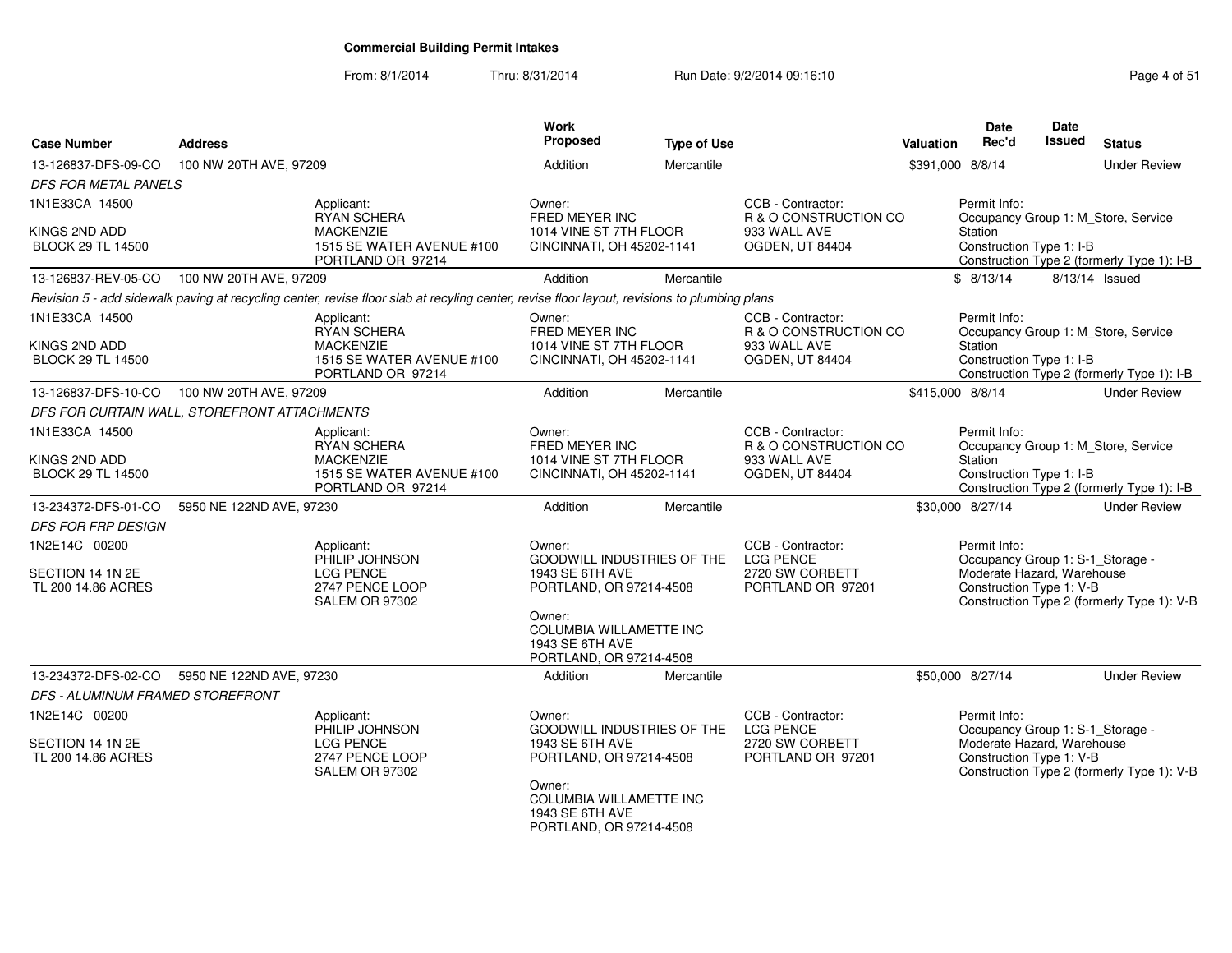| <b>Case Number</b>                           | <b>Address</b>                                        |                                                                                                                                              | Work<br>Proposed                                                                              | <b>Type of Use</b> |                                            | Valuation                                                                         | <b>Date</b><br>Rec'd                                                              | <b>Date</b><br>Issued | <b>Status</b>                              |  |
|----------------------------------------------|-------------------------------------------------------|----------------------------------------------------------------------------------------------------------------------------------------------|-----------------------------------------------------------------------------------------------|--------------------|--------------------------------------------|-----------------------------------------------------------------------------------|-----------------------------------------------------------------------------------|-----------------------|--------------------------------------------|--|
| 13-126837-DFS-09-CO                          | 100 NW 20TH AVE, 97209                                |                                                                                                                                              | Addition                                                                                      | Mercantile         |                                            | \$391,000 8/8/14                                                                  |                                                                                   |                       | <b>Under Review</b>                        |  |
| <b>DFS FOR METAL PANELS</b>                  |                                                       |                                                                                                                                              |                                                                                               |                    |                                            |                                                                                   |                                                                                   |                       |                                            |  |
| 1N1E33CA 14500                               |                                                       | Applicant:<br><b>RYAN SCHERA</b>                                                                                                             | Owner:<br>FRED MEYER INC                                                                      |                    | CCB - Contractor:<br>R & O CONSTRUCTION CO |                                                                                   | Permit Info:                                                                      |                       | Occupancy Group 1: M_Store, Service        |  |
| KINGS 2ND ADD<br><b>BLOCK 29 TL 14500</b>    |                                                       | <b>MACKENZIE</b><br>1515 SE WATER AVENUE #100<br>PORTLAND OR 97214                                                                           | 1014 VINE ST 7TH FLOOR<br>CINCINNATI, OH 45202-1141                                           |                    | 933 WALL AVE<br>OGDEN, UT 84404            |                                                                                   | Station<br>Construction Type 1: I-B<br>Construction Type 2 (formerly Type 1): I-B |                       |                                            |  |
| 13-126837-REV-05-CO                          | 100 NW 20TH AVE, 97209                                |                                                                                                                                              | Addition                                                                                      | Mercantile         |                                            |                                                                                   | \$8/13/14                                                                         |                       | 8/13/14 Issued                             |  |
|                                              |                                                       | Revision 5 - add sidewalk paving at recycling center, revise floor slab at recyling center, revise floor layout, revisions to plumbing plans |                                                                                               |                    |                                            |                                                                                   |                                                                                   |                       |                                            |  |
| 1N1E33CA 14500                               |                                                       | Applicant:<br>RYAN SCHERA                                                                                                                    | Owner:<br>FRED MEYER INC                                                                      |                    | CCB - Contractor:<br>R & O CONSTRUCTION CO |                                                                                   | Permit Info:                                                                      |                       | Occupancy Group 1: M Store, Service        |  |
| KINGS 2ND ADD<br><b>BLOCK 29 TL 14500</b>    |                                                       | <b>MACKENZIE</b><br>1515 SE WATER AVENUE #100<br>PORTLAND OR 97214                                                                           | 1014 VINE ST 7TH FLOOR<br>CINCINNATI, OH 45202-1141                                           |                    | 933 WALL AVE<br>OGDEN, UT 84404            | Station<br>Construction Type 1: I-B<br>Construction Type 2 (formerly Type 1): I-B |                                                                                   |                       |                                            |  |
| 13-126837-DFS-10-CO                          | 100 NW 20TH AVE, 97209                                |                                                                                                                                              | Addition                                                                                      | Mercantile         |                                            | \$415,000 8/8/14                                                                  |                                                                                   |                       | <b>Under Review</b>                        |  |
| DFS FOR CURTAIN WALL, STOREFRONT ATTACHMENTS |                                                       |                                                                                                                                              |                                                                                               |                    |                                            |                                                                                   |                                                                                   |                       |                                            |  |
| 1N1E33CA 14500                               |                                                       | Applicant:<br><b>RYAN SCHERA</b>                                                                                                             | Owner:<br>FRED MEYER INC                                                                      |                    | CCB - Contractor:<br>R & O CONSTRUCTION CO |                                                                                   | Permit Info:                                                                      |                       | Occupancy Group 1: M_Store, Service        |  |
| KINGS 2ND ADD<br><b>BLOCK 29 TL 14500</b>    |                                                       | <b>MACKENZIE</b><br>1515 SE WATER AVENUE #100<br>PORTLAND OR 97214                                                                           | 1014 VINE ST 7TH FLOOR<br>CINCINNATI, OH 45202-1141                                           |                    | 933 WALL AVE<br>OGDEN, UT 84404            |                                                                                   | Station<br>Construction Type 1: I-B<br>Construction Type 2 (formerly Type 1): I-B |                       |                                            |  |
| 13-234372-DFS-01-CO                          | 5950 NE 122ND AVE, 97230                              |                                                                                                                                              | Addition                                                                                      | Mercantile         |                                            |                                                                                   | \$30,000 8/27/14                                                                  |                       | <b>Under Review</b>                        |  |
| <b>DFS FOR FRP DESIGN</b>                    |                                                       |                                                                                                                                              |                                                                                               |                    |                                            |                                                                                   |                                                                                   |                       |                                            |  |
| 1N2E14C 00200                                |                                                       | Applicant:<br>PHILIP JOHNSON                                                                                                                 | Owner:<br><b>GOODWILL INDUSTRIES OF THE</b>                                                   |                    | CCB - Contractor:<br><b>LCG PENCE</b>      |                                                                                   | Permit Info:<br>Occupancy Group 1: S-1_Storage -                                  |                       |                                            |  |
| SECTION 14 1N 2E<br>TL 200 14.86 ACRES       |                                                       | <b>LCG PENCE</b><br>2747 PENCE LOOP<br><b>SALEM OR 97302</b>                                                                                 | 1943 SE 6TH AVE<br>PORTLAND, OR 97214-4508                                                    |                    | 2720 SW CORBETT<br>PORTLAND OR 97201       |                                                                                   | Moderate Hazard, Warehouse<br>Construction Type 1: V-B                            |                       | Construction Type 2 (formerly Type 1): V-B |  |
|                                              |                                                       |                                                                                                                                              | Owner:<br><b>COLUMBIA WILLAMETTE INC</b><br>1943 SE 6TH AVE<br>PORTLAND, OR 97214-4508        |                    |                                            |                                                                                   |                                                                                   |                       |                                            |  |
| 13-234372-DFS-02-CO                          | 5950 NE 122ND AVE, 97230                              |                                                                                                                                              | Addition                                                                                      | Mercantile         |                                            |                                                                                   | \$50,000 8/27/14                                                                  |                       | <b>Under Review</b>                        |  |
| DFS - ALUMINUM FRAMED STOREFRONT             |                                                       |                                                                                                                                              |                                                                                               |                    |                                            |                                                                                   |                                                                                   |                       |                                            |  |
| 1N2E14C 00200                                |                                                       | Applicant:<br>PHILIP JOHNSON                                                                                                                 | Owner:<br>GOODWILL INDUSTRIES OF THE                                                          |                    | CCB - Contractor:<br><b>LCG PENCE</b>      |                                                                                   | Permit Info:<br>Occupancy Group 1: S-1_Storage -                                  |                       |                                            |  |
| SECTION 14 1N 2E<br>TL 200 14.86 ACRES       | <b>LCG PENCE</b><br>2747 PENCE LOOP<br>SALEM OR 97302 |                                                                                                                                              | 1943 SE 6TH AVE<br>PORTLAND, OR 97214-4508                                                    |                    | 2720 SW CORBETT<br>PORTLAND OR 97201       |                                                                                   | Moderate Hazard, Warehouse<br>Construction Type 1: V-B                            |                       | Construction Type 2 (formerly Type 1): V-B |  |
|                                              |                                                       |                                                                                                                                              | Owner:<br><b>COLUMBIA WILLAMETTE INC</b><br><b>1943 SE 6TH AVE</b><br>PORTLAND, OR 97214-4508 |                    |                                            |                                                                                   |                                                                                   |                       |                                            |  |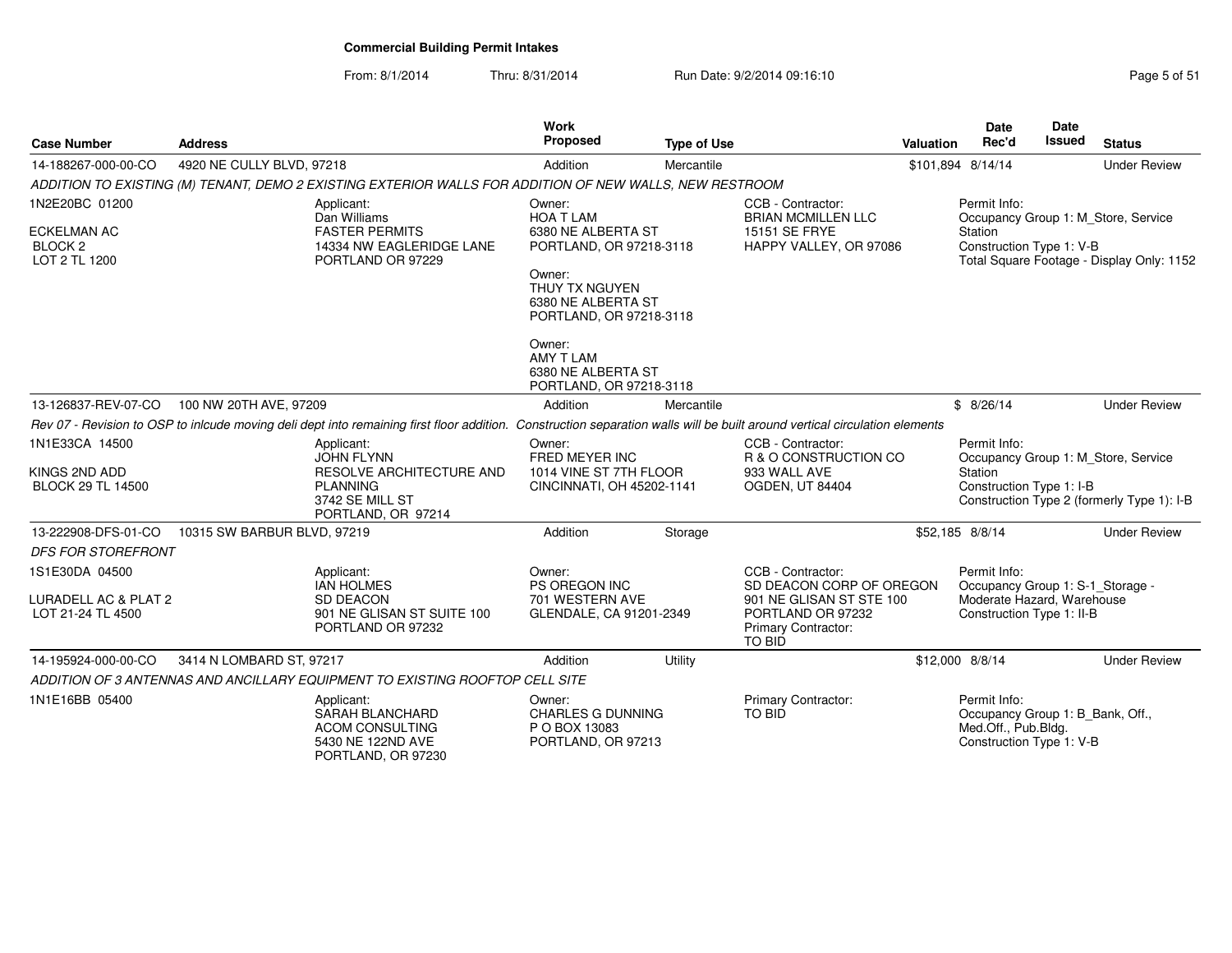| <b>Case Number</b>                                                          | <b>Address</b>              |                                                                                                                                                                            | <b>Work</b><br><b>Proposed</b>                                                                                                                           | <b>Type of Use</b> |                                                                                                                                        | <b>Valuation</b> | Date<br>Rec'd                                                                                               | <b>Date</b><br><b>Issued</b> | <b>Status</b>                                                                     |
|-----------------------------------------------------------------------------|-----------------------------|----------------------------------------------------------------------------------------------------------------------------------------------------------------------------|----------------------------------------------------------------------------------------------------------------------------------------------------------|--------------------|----------------------------------------------------------------------------------------------------------------------------------------|------------------|-------------------------------------------------------------------------------------------------------------|------------------------------|-----------------------------------------------------------------------------------|
| 14-188267-000-00-CO                                                         | 4920 NE CULLY BLVD, 97218   |                                                                                                                                                                            | Addition                                                                                                                                                 | Mercantile         |                                                                                                                                        |                  | \$101,894 8/14/14                                                                                           |                              | <b>Under Review</b>                                                               |
|                                                                             |                             | ADDITION TO EXISTING (M) TENANT, DEMO 2 EXISTING EXTERIOR WALLS FOR ADDITION OF NEW WALLS, NEW RESTROOM                                                                    |                                                                                                                                                          |                    |                                                                                                                                        |                  |                                                                                                             |                              |                                                                                   |
| 1N2E20BC 01200<br><b>ECKELMAN AC</b><br>BLOCK <sub>2</sub><br>LOT 2 TL 1200 |                             | Applicant:<br>Dan Williams<br><b>FASTER PERMITS</b><br>14334 NW EAGLERIDGE LANE<br>PORTLAND OR 97229                                                                       | Owner:<br><b>HOA T LAM</b><br>6380 NE ALBERTA ST<br>PORTLAND, OR 97218-3118<br>Owner:<br>THUY TX NGUYEN<br>6380 NE ALBERTA ST<br>PORTLAND, OR 97218-3118 |                    | CCB - Contractor:<br><b>BRIAN MCMILLEN LLC</b><br>15151 SE FRYE<br>HAPPY VALLEY, OR 97086                                              |                  | Permit Info:<br>Station<br>Construction Type 1: V-B                                                         |                              | Occupancy Group 1: M_Store, Service<br>Total Square Footage - Display Only: 1152  |
|                                                                             |                             |                                                                                                                                                                            | Owner:<br>AMY T LAM<br>6380 NE ALBERTA ST<br>PORTLAND, OR 97218-3118                                                                                     |                    |                                                                                                                                        |                  |                                                                                                             |                              |                                                                                   |
| 13-126837-REV-07-CO                                                         | 100 NW 20TH AVE, 97209      |                                                                                                                                                                            | Addition                                                                                                                                                 | Mercantile         |                                                                                                                                        |                  | \$8/26/14                                                                                                   |                              | <b>Under Review</b>                                                               |
|                                                                             |                             | Rev 07 - Revision to OSP to inlcude moving deli dept into remaining first floor addition. Construction separation walls will be built around vertical circulation elements |                                                                                                                                                          |                    |                                                                                                                                        |                  |                                                                                                             |                              |                                                                                   |
| 1N1E33CA 14500<br>KINGS 2ND ADD<br><b>BLOCK 29 TL 14500</b>                 |                             | Applicant:<br><b>JOHN FLYNN</b><br>RESOLVE ARCHITECTURE AND<br><b>PLANNING</b><br>3742 SE MILL ST<br>PORTLAND, OR 97214                                                    | Owner:<br>FRED MEYER INC<br>1014 VINE ST 7TH FLOOR<br>CINCINNATI, OH 45202-1141                                                                          |                    | CCB - Contractor:<br>R & O CONSTRUCTION CO<br>933 WALL AVE<br>OGDEN, UT 84404                                                          |                  | Permit Info:<br>Station<br>Construction Type 1: I-B                                                         |                              | Occupancy Group 1: M_Store, Service<br>Construction Type 2 (formerly Type 1): I-B |
| 13-222908-DFS-01-CO                                                         | 10315 SW BARBUR BLVD, 97219 |                                                                                                                                                                            | Addition                                                                                                                                                 | Storage            |                                                                                                                                        |                  | \$52,185 8/8/14                                                                                             |                              | <b>Under Review</b>                                                               |
| <b>DFS FOR STOREFRONT</b>                                                   |                             |                                                                                                                                                                            |                                                                                                                                                          |                    |                                                                                                                                        |                  |                                                                                                             |                              |                                                                                   |
| 1S1E30DA 04500<br><b>LURADELL AC &amp; PLAT 2</b><br>LOT 21-24 TL 4500      |                             | Applicant:<br><b>IAN HOLMES</b><br><b>SD DEACON</b><br>901 NE GLISAN ST SUITE 100<br>PORTLAND OR 97232                                                                     | Owner:<br>PS OREGON INC<br>701 WESTERN AVE<br>GLENDALE, CA 91201-2349                                                                                    |                    | CCB - Contractor:<br>SD DEACON CORP OF OREGON<br>901 NE GLISAN ST STE 100<br>PORTLAND OR 97232<br>Primary Contractor:<br><b>TO BID</b> |                  | Permit Info:<br>Occupancy Group 1: S-1 Storage -<br>Moderate Hazard, Warehouse<br>Construction Type 1: II-B |                              |                                                                                   |
| 14-195924-000-00-CO                                                         | 3414 N LOMBARD ST, 97217    |                                                                                                                                                                            | Addition                                                                                                                                                 | Utility            |                                                                                                                                        |                  | \$12,000 8/8/14                                                                                             |                              | <b>Under Review</b>                                                               |
|                                                                             |                             | ADDITION OF 3 ANTENNAS AND ANCILLARY EQUIPMENT TO EXISTING ROOFTOP CELL SITE                                                                                               |                                                                                                                                                          |                    |                                                                                                                                        |                  |                                                                                                             |                              |                                                                                   |
| 1N1E16BB 05400                                                              |                             | Applicant:<br>SARAH BLANCHARD<br><b>ACOM CONSULTING</b><br>5430 NE 122ND AVE<br>PORTLAND, OR 97230                                                                         | Owner:<br><b>CHARLES G DUNNING</b><br>P O BOX 13083<br>PORTLAND, OR 97213                                                                                |                    | <b>Primary Contractor:</b><br><b>TO BID</b>                                                                                            |                  | Permit Info:<br>Occupancy Group 1: B_Bank, Off.,<br>Med.Off., Pub.Bldg.<br>Construction Type 1: V-B         |                              |                                                                                   |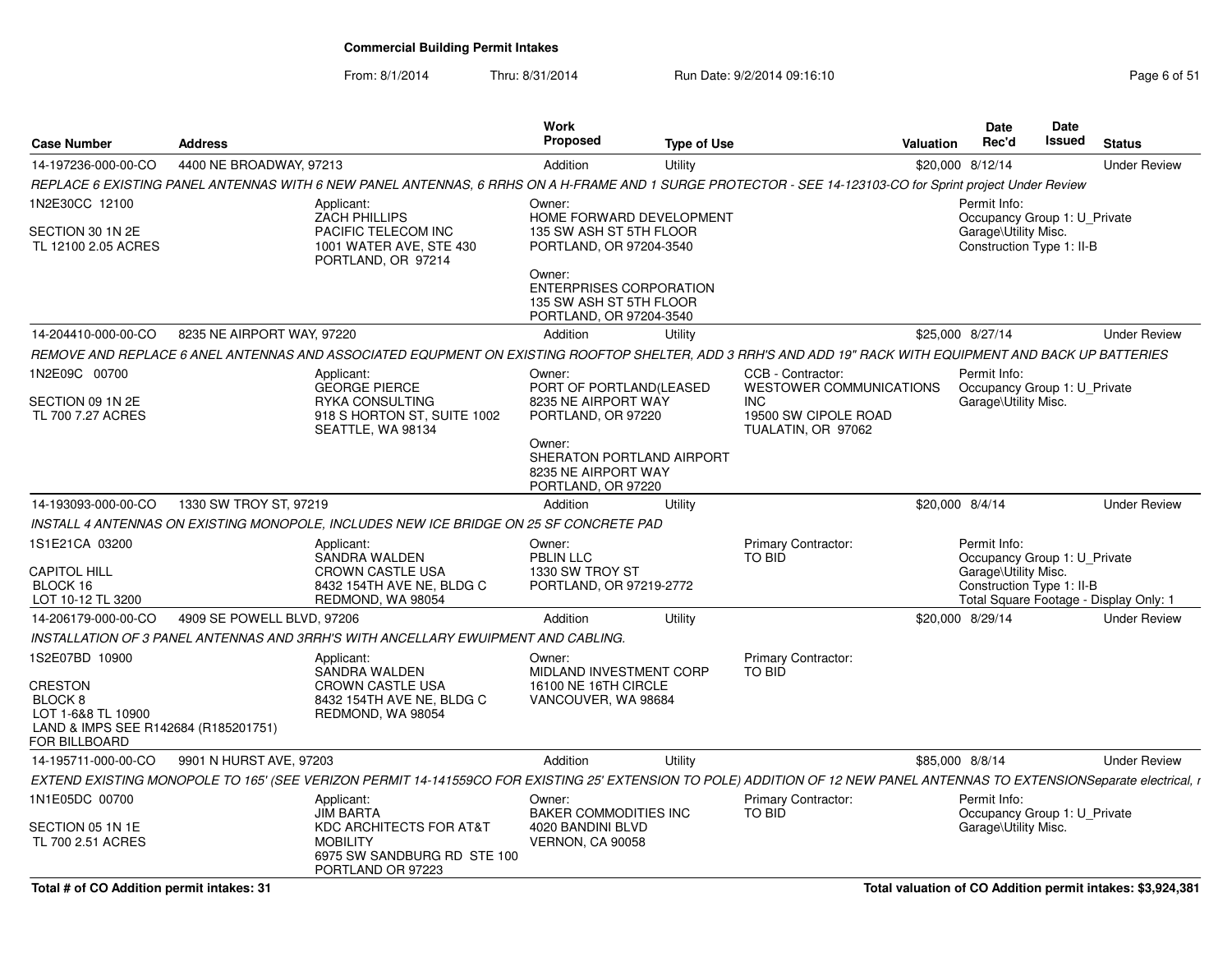| <b>Case Number</b>                                                                                       | <b>Address</b>             |                                                                                                                                                                           | Work<br><b>Proposed</b>                                                                        | <b>Type of Use</b> |                                                                                    | <b>Valuation</b> | <b>Date</b><br>Rec'd                                                                              | Date<br><b>Issued</b> | <b>Status</b>                          |
|----------------------------------------------------------------------------------------------------------|----------------------------|---------------------------------------------------------------------------------------------------------------------------------------------------------------------------|------------------------------------------------------------------------------------------------|--------------------|------------------------------------------------------------------------------------|------------------|---------------------------------------------------------------------------------------------------|-----------------------|----------------------------------------|
| 14-197236-000-00-CO                                                                                      | 4400 NE BROADWAY, 97213    |                                                                                                                                                                           | Addition                                                                                       | Utility            |                                                                                    |                  | \$20,000 8/12/14                                                                                  |                       | <b>Under Review</b>                    |
|                                                                                                          |                            | REPLACE 6 EXISTING PANEL ANTENNAS WITH 6 NEW PANEL ANTENNAS, 6 RRHS ON A H-FRAME AND 1 SURGE PROTECTOR - SEE 14-123103-CO for Sprint project Under Review                 |                                                                                                |                    |                                                                                    |                  |                                                                                                   |                       |                                        |
| 1N2E30CC 12100                                                                                           |                            | Applicant:<br><b>ZACH PHILLIPS</b>                                                                                                                                        | Owner:<br>HOME FORWARD DEVELOPMENT                                                             |                    |                                                                                    |                  | Permit Info:<br>Occupancy Group 1: U_Private                                                      |                       |                                        |
| SECTION 30 1N 2E<br>TL 12100 2.05 ACRES                                                                  |                            | PACIFIC TELECOM INC<br>1001 WATER AVE, STE 430<br>PORTLAND, OR 97214                                                                                                      | 135 SW ASH ST 5TH FLOOR<br>PORTLAND, OR 97204-3540                                             |                    |                                                                                    |                  | Garage\Utility Misc.<br>Construction Type 1: II-B                                                 |                       |                                        |
|                                                                                                          |                            |                                                                                                                                                                           | Owner:<br><b>ENTERPRISES CORPORATION</b><br>135 SW ASH ST 5TH FLOOR<br>PORTLAND, OR 97204-3540 |                    |                                                                                    |                  |                                                                                                   |                       |                                        |
| 14-204410-000-00-CO                                                                                      | 8235 NE AIRPORT WAY, 97220 |                                                                                                                                                                           | Addition                                                                                       | Utility            |                                                                                    |                  | \$25,000 8/27/14                                                                                  |                       | <b>Under Review</b>                    |
|                                                                                                          |                            | REMOVE AND REPLACE 6 ANEL ANTENNAS AND ASSOCIATED EQUPMENT ON EXISTING ROOFTOP SHELTER, ADD 3 RRH'S AND ADD 19" RACK WITH EQUIPMENT AND BACK UP BATTERIES                 |                                                                                                |                    |                                                                                    |                  |                                                                                                   |                       |                                        |
| 1N2E09C 00700<br>SECTION 09 1N 2E<br>TL 700 7.27 ACRES                                                   |                            | Applicant:<br><b>GEORGE PIERCE</b><br><b>RYKA CONSULTING</b><br>918 S HORTON ST, SUITE 1002                                                                               | Owner:<br>PORT OF PORTLAND(LEASED<br>8235 NE AIRPORT WAY<br>PORTLAND, OR 97220                 |                    | CCB - Contractor:<br>WESTOWER COMMUNICATIONS<br><b>INC</b><br>19500 SW CIPOLE ROAD |                  | Permit Info:<br>Occupancy Group 1: U Private<br>Garage\Utility Misc.                              |                       |                                        |
|                                                                                                          |                            | SEATTLE, WA 98134                                                                                                                                                         | Owner:<br>SHERATON PORTLAND AIRPORT<br>8235 NE AIRPORT WAY<br>PORTLAND, OR 97220               |                    | TUALATIN, OR 97062                                                                 |                  |                                                                                                   |                       |                                        |
| 14-193093-000-00-CO                                                                                      | 1330 SW TROY ST, 97219     |                                                                                                                                                                           | Addition                                                                                       | Utility            |                                                                                    | \$20,000 8/4/14  |                                                                                                   |                       | <b>Under Review</b>                    |
|                                                                                                          |                            | INSTALL 4 ANTENNAS ON EXISTING MONOPOLE, INCLUDES NEW ICE BRIDGE ON 25 SF CONCRETE PAD                                                                                    |                                                                                                |                    |                                                                                    |                  |                                                                                                   |                       |                                        |
| 1S1E21CA 03200<br><b>CAPITOL HILL</b><br>BLOCK 16<br>LOT 10-12 TL 3200                                   |                            | Applicant:<br>SANDRA WALDEN<br><b>CROWN CASTLE USA</b><br>8432 154TH AVE NE, BLDG C<br>REDMOND, WA 98054                                                                  | Owner:<br>PBLIN LLC<br>1330 SW TROY ST<br>PORTLAND, OR 97219-2772                              |                    | Primary Contractor:<br>TO BID                                                      |                  | Permit Info:<br>Occupancy Group 1: U_Private<br>Garage\Utility Misc.<br>Construction Type 1: II-B |                       | Total Square Footage - Display Only: 1 |
| 14-206179-000-00-CO                                                                                      | 4909 SE POWELL BLVD, 97206 |                                                                                                                                                                           | Addition                                                                                       | Utility            |                                                                                    |                  | \$20,000 8/29/14                                                                                  |                       | <b>Under Review</b>                    |
|                                                                                                          |                            | INSTALLATION OF 3 PANEL ANTENNAS AND 3RRH'S WITH ANCELLARY EWUIPMENT AND CABLING.                                                                                         |                                                                                                |                    |                                                                                    |                  |                                                                                                   |                       |                                        |
| 1S2E07BD 10900                                                                                           |                            | Applicant:                                                                                                                                                                | Owner:                                                                                         |                    | Primary Contractor:                                                                |                  |                                                                                                   |                       |                                        |
| <b>CRESTON</b><br>BLOCK 8<br>LOT 1-6&8 TL 10900<br>LAND & IMPS SEE R142684 (R185201751)<br>FOR BILLBOARD |                            | SANDRA WALDEN<br><b>CROWN CASTLE USA</b><br>8432 154TH AVE NE, BLDG C<br>REDMOND, WA 98054                                                                                | MIDLAND INVESTMENT CORP<br>16100 NE 16TH CIRCLE<br>VANCOUVER, WA 98684                         |                    | <b>TO BID</b>                                                                      |                  |                                                                                                   |                       |                                        |
| 14-195711-000-00-CO                                                                                      | 9901 N HURST AVE, 97203    |                                                                                                                                                                           | Addition                                                                                       | Utility            |                                                                                    | \$85,000 8/8/14  |                                                                                                   |                       | <b>Under Review</b>                    |
|                                                                                                          |                            | EXTEND EXISTING MONOPOLE TO 165' (SEE VERIZON PERMIT 14-141559CO FOR EXISTING 25' EXTENSION TO POLE) ADDITION OF 12 NEW PANEL ANTENNAS TO EXTENSIONSeparate electrical, r |                                                                                                |                    |                                                                                    |                  |                                                                                                   |                       |                                        |
| 1N1E05DC 00700                                                                                           |                            | Applicant:                                                                                                                                                                | Owner:                                                                                         |                    | Primary Contractor:                                                                |                  | Permit Info:                                                                                      |                       |                                        |
| SECTION 05 1N 1E<br>TL 700 2.51 ACRES                                                                    |                            | <b>JIM BARTA</b><br><b>KDC ARCHITECTS FOR AT&amp;T</b><br><b>MOBILITY</b><br>6975 SW SANDBURG RD STE 100<br>PORTLAND OR 97223                                             | <b>BAKER COMMODITIES INC</b><br>4020 BANDINI BLVD<br><b>VERNON, CA 90058</b>                   |                    | TO BID                                                                             |                  | Occupancy Group 1: U Private<br>Garage\Utility Misc.                                              |                       |                                        |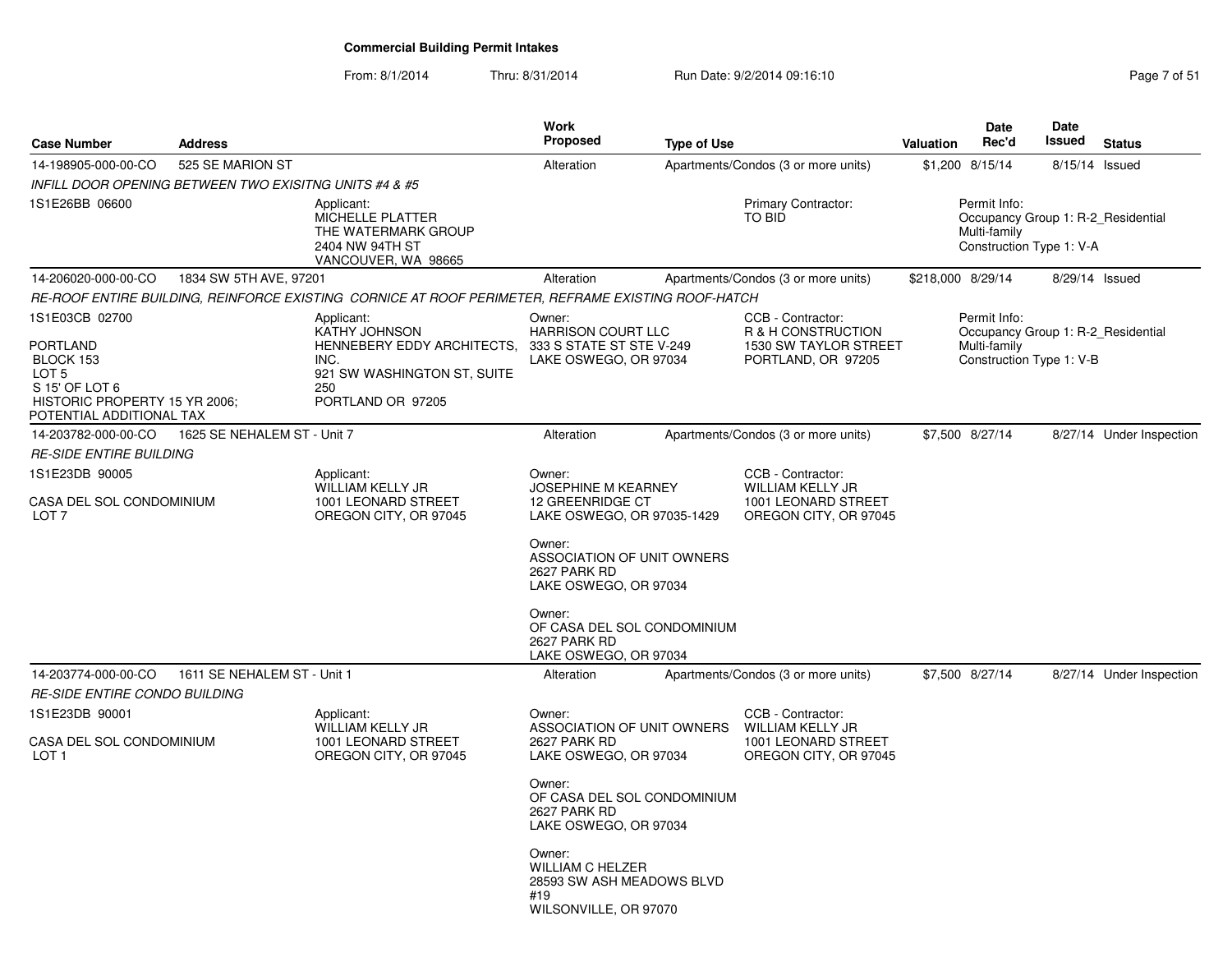| <b>Case Number</b>                                                 | <b>Address</b>              |                                                                                                         | <b>Work</b><br><b>Proposed</b>                                                                 | <b>Type of Use</b> |                                                                                        | <b>Valuation</b>                                                                               | <b>Date</b><br>Rec'd | <b>Date</b><br><b>Issued</b> | <b>Status</b>            |  |
|--------------------------------------------------------------------|-----------------------------|---------------------------------------------------------------------------------------------------------|------------------------------------------------------------------------------------------------|--------------------|----------------------------------------------------------------------------------------|------------------------------------------------------------------------------------------------|----------------------|------------------------------|--------------------------|--|
| 14-198905-000-00-CO                                                | 525 SE MARION ST            |                                                                                                         | Alteration                                                                                     |                    | Apartments/Condos (3 or more units)                                                    |                                                                                                | \$1,200 8/15/14      | 8/15/14 Issued               |                          |  |
| INFILL DOOR OPENING BETWEEN TWO EXISITNG UNITS #4 & #5             |                             |                                                                                                         |                                                                                                |                    |                                                                                        |                                                                                                |                      |                              |                          |  |
| 1S1E26BB 06600                                                     |                             | Applicant:<br>MICHELLE PLATTER<br>THE WATERMARK GROUP<br>2404 NW 94TH ST<br>VANCOUVER, WA 98665         |                                                                                                |                    | Primary Contractor:<br>TO BID                                                          | Permit Info:<br>Occupancy Group 1: R-2_Residential<br>Multi-family<br>Construction Type 1: V-A |                      |                              |                          |  |
| 14-206020-000-00-CO                                                | 1834 SW 5TH AVE, 97201      |                                                                                                         | Alteration                                                                                     |                    | Apartments/Condos (3 or more units)                                                    | \$218,000 8/29/14                                                                              |                      | 8/29/14 Issued               |                          |  |
|                                                                    |                             | RE-ROOF ENTIRE BUILDING, REINFORCE EXISTING  CORNICE AT ROOF PERIMETER, REFRAME EXISTING ROOF-HATCH     |                                                                                                |                    |                                                                                        |                                                                                                |                      |                              |                          |  |
| 1S1E03CB 02700<br>PORTLAND<br>BLOCK 153<br>LOT 5<br>S 15' OF LOT 6 |                             | Applicant:<br>KATHY JOHNSON<br>HENNEBERY EDDY ARCHITECTS,<br>INC.<br>921 SW WASHINGTON ST, SUITE<br>250 | Owner:<br><b>HARRISON COURT LLC</b><br>333 S STATE ST STE V-249<br>LAKE OSWEGO, OR 97034       |                    | CCB - Contractor:<br>R & H CONSTRUCTION<br>1530 SW TAYLOR STREET<br>PORTLAND, OR 97205 | Permit Info:<br>Occupancy Group 1: R-2 Residential<br>Multi-family<br>Construction Type 1: V-B |                      |                              |                          |  |
| HISTORIC PROPERTY 15 YR 2006;<br>POTENTIAL ADDITIONAL TAX          |                             | PORTLAND OR 97205                                                                                       |                                                                                                |                    |                                                                                        |                                                                                                |                      |                              |                          |  |
| 14-203782-000-00-CO                                                | 1625 SE NEHALEM ST - Unit 7 |                                                                                                         | Alteration                                                                                     |                    | Apartments/Condos (3 or more units)                                                    |                                                                                                | \$7,500 8/27/14      |                              | 8/27/14 Under Inspection |  |
| RE-SIDE ENTIRE BUILDING                                            |                             |                                                                                                         |                                                                                                |                    |                                                                                        |                                                                                                |                      |                              |                          |  |
| 1S1E23DB 90005                                                     |                             | Applicant:                                                                                              | Owner:                                                                                         |                    | CCB - Contractor:                                                                      |                                                                                                |                      |                              |                          |  |
| CASA DEL SOL CONDOMINIUM<br>LOT <sub>7</sub>                       |                             | WILLIAM KELLY JR<br>1001 LEONARD STREET<br>OREGON CITY, OR 97045                                        | <b>JOSEPHINE M KEARNEY</b><br>12 GREENRIDGE CT<br>LAKE OSWEGO, OR 97035-1429                   |                    | <b>WILLIAM KELLY JR</b><br>1001 LEONARD STREET<br>OREGON CITY, OR 97045                |                                                                                                |                      |                              |                          |  |
|                                                                    |                             |                                                                                                         | Owner:<br>ASSOCIATION OF UNIT OWNERS<br>2627 PARK RD<br>LAKE OSWEGO, OR 97034                  |                    |                                                                                        |                                                                                                |                      |                              |                          |  |
|                                                                    |                             |                                                                                                         | Owner:<br>OF CASA DEL SOL CONDOMINIUM<br>2627 PARK RD<br>LAKE OSWEGO, OR 97034                 |                    |                                                                                        |                                                                                                |                      |                              |                          |  |
| 14-203774-000-00-CO                                                | 1611 SE NEHALEM ST - Unit 1 |                                                                                                         | Alteration                                                                                     |                    | Apartments/Condos (3 or more units)                                                    |                                                                                                | \$7,500 8/27/14      |                              | 8/27/14 Under Inspection |  |
| <i>RE-SIDE ENTIRE CONDO BUILDING</i>                               |                             |                                                                                                         |                                                                                                |                    |                                                                                        |                                                                                                |                      |                              |                          |  |
| 1S1E23DB 90001<br>CASA DEL SOL CONDOMINIUM<br>LOT 1                |                             | Applicant:<br>WILLIAM KELLY JR<br>1001 LEONARD STREET<br>OREGON CITY, OR 97045                          | Owner:<br>ASSOCIATION OF UNIT OWNERS<br>2627 PARK RD<br>LAKE OSWEGO, OR 97034                  |                    | CCB - Contractor:<br>WILLIAM KELLY JR<br>1001 LEONARD STREET<br>OREGON CITY, OR 97045  |                                                                                                |                      |                              |                          |  |
|                                                                    |                             |                                                                                                         | Owner:<br>OF CASA DEL SOL CONDOMINIUM<br>2627 PARK RD<br>LAKE OSWEGO, OR 97034                 |                    |                                                                                        |                                                                                                |                      |                              |                          |  |
|                                                                    |                             |                                                                                                         | Owner:<br><b>WILLIAM C HELZER</b><br>28593 SW ASH MEADOWS BLVD<br>#19<br>WILSONVILLE, OR 97070 |                    |                                                                                        |                                                                                                |                      |                              |                          |  |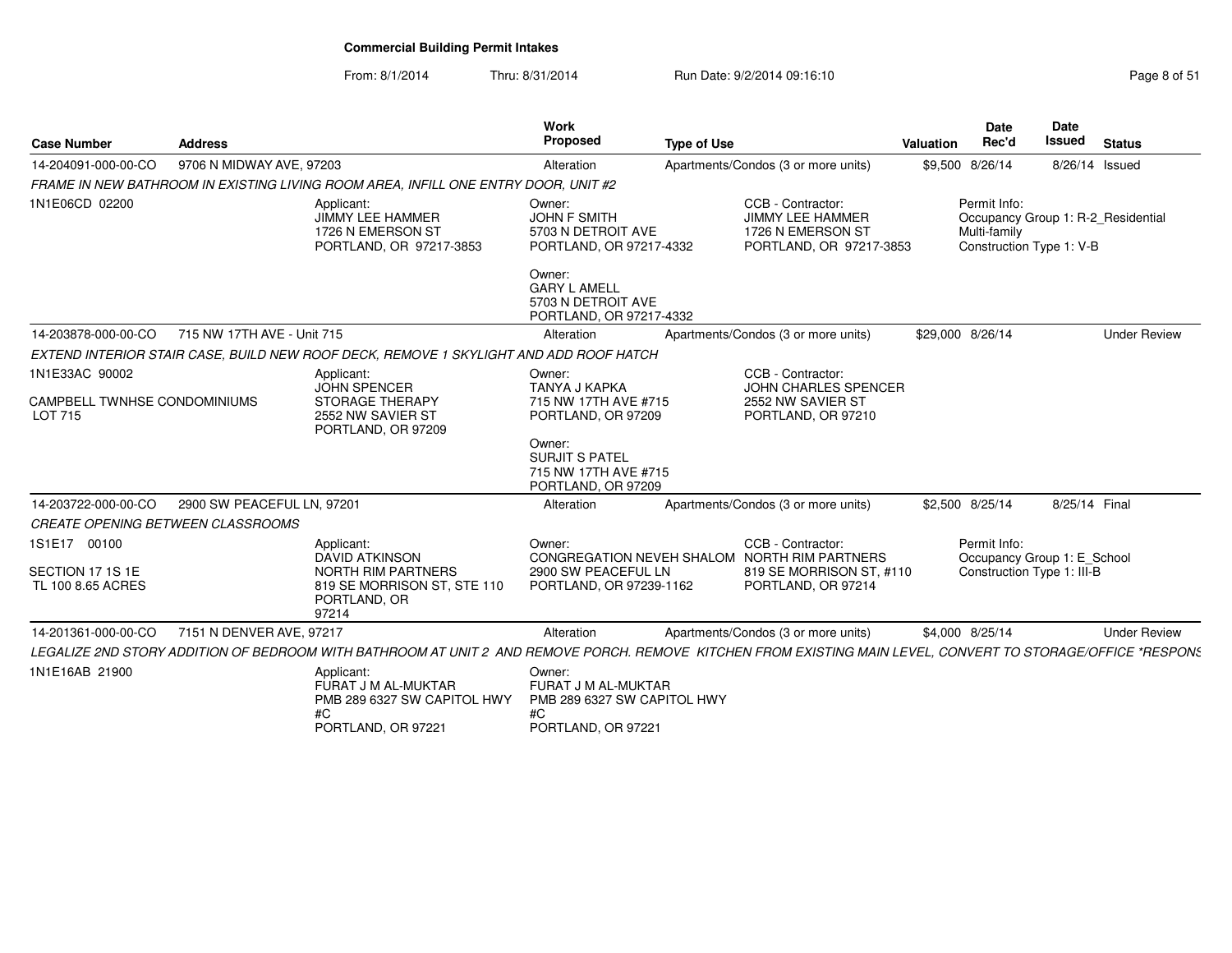From: 8/1/2014Thru: 8/31/2014 Run Date: 9/2/2014 09:16:10

| <b>Case Number</b>                             | <b>Address</b>             |                                                                                                                                                              | Work<br>Proposed                                                               | <b>Type of Use</b> |                                                                                              | Valuation        | <b>Date</b><br>Rec'd                                                                           | Date<br><b>Issued</b> | <b>Status</b>       |
|------------------------------------------------|----------------------------|--------------------------------------------------------------------------------------------------------------------------------------------------------------|--------------------------------------------------------------------------------|--------------------|----------------------------------------------------------------------------------------------|------------------|------------------------------------------------------------------------------------------------|-----------------------|---------------------|
| 14-204091-000-00-CO                            | 9706 N MIDWAY AVE, 97203   |                                                                                                                                                              | Alteration                                                                     |                    | Apartments/Condos (3 or more units)                                                          |                  | \$9,500 8/26/14                                                                                | 8/26/14 Issued        |                     |
|                                                |                            | FRAME IN NEW BATHROOM IN EXISTING LIVING ROOM AREA, INFILL ONE ENTRY DOOR, UNIT #2                                                                           |                                                                                |                    |                                                                                              |                  |                                                                                                |                       |                     |
| 1N1E06CD 02200                                 |                            | Applicant:<br><b>JIMMY LEE HAMMER</b><br>1726 N EMERSON ST<br>PORTLAND, OR 97217-3853                                                                        | Owner:<br><b>JOHN F SMITH</b><br>5703 N DETROIT AVE<br>PORTLAND, OR 97217-4332 |                    | CCB - Contractor:<br><b>JIMMY LEE HAMMER</b><br>1726 N EMERSON ST<br>PORTLAND, OR 97217-3853 |                  | Permit Info:<br>Occupancy Group 1: R-2 Residential<br>Multi-family<br>Construction Type 1: V-B |                       |                     |
|                                                |                            |                                                                                                                                                              | Owner:<br><b>GARY L AMELL</b><br>5703 N DETROIT AVE<br>PORTLAND, OR 97217-4332 |                    |                                                                                              |                  |                                                                                                |                       |                     |
| 14-203878-000-00-CO                            | 715 NW 17TH AVE - Unit 715 |                                                                                                                                                              | Alteration                                                                     |                    | Apartments/Condos (3 or more units)                                                          | \$29,000 8/26/14 |                                                                                                |                       | <b>Under Review</b> |
|                                                |                            | EXTEND INTERIOR STAIR CASE, BUILD NEW ROOF DECK, REMOVE 1 SKYLIGHT AND ADD ROOF HATCH                                                                        |                                                                                |                    |                                                                                              |                  |                                                                                                |                       |                     |
| 1N1E33AC 90002                                 |                            | Applicant:<br><b>JOHN SPENCER</b>                                                                                                                            | Owner:<br>TANYA J KAPKA                                                        |                    | CCB - Contractor:<br><b>JOHN CHARLES SPENCER</b>                                             |                  |                                                                                                |                       |                     |
| CAMPBELL TWNHSE CONDOMINIUMS<br><b>LOT 715</b> |                            | <b>STORAGE THERAPY</b><br>2552 NW SAVIER ST<br>PORTLAND, OR 97209                                                                                            | 715 NW 17TH AVE #715<br>PORTLAND, OR 97209                                     |                    | 2552 NW SAVIER ST<br>PORTLAND, OR 97210                                                      |                  |                                                                                                |                       |                     |
|                                                |                            |                                                                                                                                                              | Owner:<br>SURJIT S PATEL<br>715 NW 17TH AVE #715<br>PORTLAND, OR 97209         |                    |                                                                                              |                  |                                                                                                |                       |                     |
| 14-203722-000-00-CO                            | 2900 SW PEACEFUL LN, 97201 |                                                                                                                                                              | Alteration                                                                     |                    | Apartments/Condos (3 or more units)                                                          |                  | \$2,500 8/25/14                                                                                | 8/25/14 Final         |                     |
| <b>CREATE OPENING BETWEEN CLASSROOMS</b>       |                            |                                                                                                                                                              |                                                                                |                    |                                                                                              |                  |                                                                                                |                       |                     |
| 1S1E17 00100                                   |                            | Applicant:<br><b>DAVID ATKINSON</b>                                                                                                                          | Owner:                                                                         |                    | CCB - Contractor:<br>CONGREGATION NEVEH SHALOM NORTH RIM PARTNERS                            |                  | Permit Info:<br>Occupancy Group 1: E School                                                    |                       |                     |
| SECTION 17 1S 1E<br>TL 100 8.65 ACRES          |                            | NORTH RIM PARTNERS<br>819 SE MORRISON ST, STE 110<br>PORTLAND, OR<br>97214                                                                                   | 2900 SW PEACEFUL LN<br>PORTLAND, OR 97239-1162                                 |                    | 819 SE MORRISON ST, #110<br>PORTLAND, OR 97214                                               |                  | Construction Type 1: III-B                                                                     |                       |                     |
| 14-201361-000-00-CO                            | 7151 N DENVER AVE, 97217   |                                                                                                                                                              | Alteration                                                                     |                    | Apartments/Condos (3 or more units)                                                          |                  | \$4,000 8/25/14                                                                                |                       | <b>Under Review</b> |
|                                                |                            | LEGALIZE 2ND STORY ADDITION OF BEDROOM WITH BATHROOM AT UNIT 2 AND REMOVE PORCH. REMOVE KITCHEN FROM EXISTING MAIN LEVEL, CONVERT TO STORAGE/OFFICE *RESPONS |                                                                                |                    |                                                                                              |                  |                                                                                                |                       |                     |
| 1N1E16AB 21900                                 |                            | Applicant:<br>FURAT J M AL-MUKTAR<br>PMB 289 6327 SW CAPITOL HWY<br>#C                                                                                       | Owner:<br>FURAT J M AL-MUKTAR<br>PMB 289 6327 SW CAPITOL HWY<br>#C             |                    |                                                                                              |                  |                                                                                                |                       |                     |

PORTLAND, OR 97221

PORTLAND, OR 97221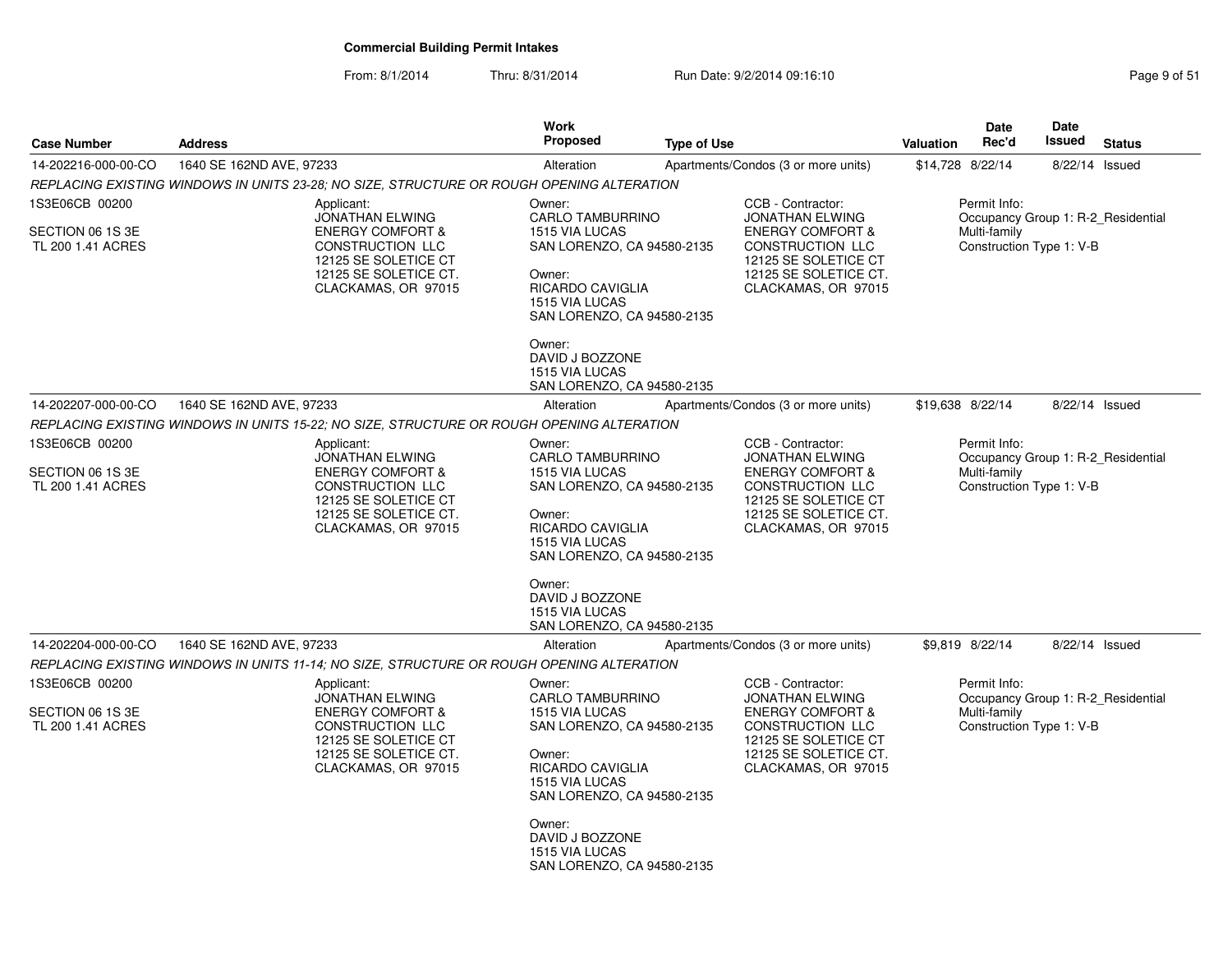From: 8/1/2014

| <b>Case Number</b>                                      | <b>Address</b>                                                                                                                                                  | <b>Work</b><br>Proposed                                                                                                                                                                                                                                    | <b>Type of Use</b>                                                                                                                                                            | Date<br>Rec'd<br><b>Valuation</b>                        | Date<br><b>Issued</b><br><b>Status</b> |  |  |  |
|---------------------------------------------------------|-----------------------------------------------------------------------------------------------------------------------------------------------------------------|------------------------------------------------------------------------------------------------------------------------------------------------------------------------------------------------------------------------------------------------------------|-------------------------------------------------------------------------------------------------------------------------------------------------------------------------------|----------------------------------------------------------|----------------------------------------|--|--|--|
| 14-202216-000-00-CO                                     | 1640 SE 162ND AVE, 97233                                                                                                                                        | Alteration                                                                                                                                                                                                                                                 | Apartments/Condos (3 or more units)                                                                                                                                           | \$14,728 8/22/14                                         | 8/22/14 Issued                         |  |  |  |
|                                                         | REPLACING EXISTING WINDOWS IN UNITS 23-28; NO SIZE, STRUCTURE OR ROUGH OPENING ALTERATION                                                                       |                                                                                                                                                                                                                                                            |                                                                                                                                                                               |                                                          |                                        |  |  |  |
| 1S3E06CB 00200                                          | Applicant:<br><b>JONATHAN ELWING</b>                                                                                                                            | Owner:<br><b>CARLO TAMBURRINO</b>                                                                                                                                                                                                                          | CCB - Contractor:<br><b>JONATHAN ELWING</b>                                                                                                                                   | Permit Info:<br>Occupancy Group 1: R-2 Residential       |                                        |  |  |  |
| SECTION 06 1S 3E<br>TL 200 1.41 ACRES                   | <b>ENERGY COMFORT &amp;</b><br><b>CONSTRUCTION LLC</b><br>12125 SE SOLETICE CT<br>12125 SE SOLETICE CT.<br>CLACKAMAS, OR 97015                                  | 1515 VIA LUCAS<br>SAN LORENZO, CA 94580-2135<br>Owner:<br>RICARDO CAVIGLIA<br>1515 VIA LUCAS<br>SAN LORENZO, CA 94580-2135                                                                                                                                 | <b>ENERGY COMFORT &amp;</b><br>CONSTRUCTION LLC<br>12125 SE SOLETICE CT<br>12125 SE SOLETICE CT.<br>CLACKAMAS, OR 97015                                                       | Multi-family<br>Construction Type 1: V-B                 |                                        |  |  |  |
|                                                         |                                                                                                                                                                 | Owner:<br>DAVID J BOZZONE<br>1515 VIA LUCAS<br>SAN LORENZO, CA 94580-2135                                                                                                                                                                                  |                                                                                                                                                                               |                                                          |                                        |  |  |  |
| 14-202207-000-00-CO                                     | 1640 SE 162ND AVE, 97233                                                                                                                                        | Alteration                                                                                                                                                                                                                                                 | Apartments/Condos (3 or more units)                                                                                                                                           | \$19,638 8/22/14                                         | 8/22/14 Issued                         |  |  |  |
|                                                         | REPLACING EXISTING WINDOWS IN UNITS 15-22; NO SIZE, STRUCTURE OR ROUGH OPENING ALTERATION                                                                       |                                                                                                                                                                                                                                                            |                                                                                                                                                                               |                                                          |                                        |  |  |  |
| 1S3E06CB 00200<br>SECTION 06 1S 3E<br>TL 200 1.41 ACRES | Applicant:<br><b>JONATHAN ELWING</b><br><b>ENERGY COMFORT &amp;</b><br>CONSTRUCTION LLC<br>12125 SE SOLETICE CT<br>12125 SE SOLETICE CT.<br>CLACKAMAS, OR 97015 | Owner:<br><b>CARLO TAMBURRINO</b><br>1515 VIA LUCAS<br>SAN LORENZO, CA 94580-2135<br>Owner:<br>RICARDO CAVIGLIA<br>1515 VIA LUCAS<br>SAN LORENZO, CA 94580-2135<br>Owner:<br>DAVID J BOZZONE<br>1515 VIA LUCAS<br>SAN LORENZO, CA 94580-2135               | CCB - Contractor:<br><b>JONATHAN ELWING</b><br><b>ENERGY COMFORT &amp;</b><br>CONSTRUCTION LLC<br>12125 SE SOLETICE CT<br>12125 SE SOLETICE CT.<br>CLACKAMAS, OR 97015        | Permit Info:<br>Multi-family<br>Construction Type 1: V-B | Occupancy Group 1: R-2_Residential     |  |  |  |
| 14-202204-000-00-CO                                     | 1640 SE 162ND AVE, 97233                                                                                                                                        | Alteration                                                                                                                                                                                                                                                 | Apartments/Condos (3 or more units)                                                                                                                                           | \$9,819 8/22/14                                          | 8/22/14 Issued                         |  |  |  |
|                                                         | REPLACING EXISTING WINDOWS IN UNITS 11-14; NO SIZE, STRUCTURE OR ROUGH OPENING ALTERATION                                                                       |                                                                                                                                                                                                                                                            |                                                                                                                                                                               |                                                          |                                        |  |  |  |
| 1S3E06CB 00200<br>SECTION 06 1S 3E<br>TL 200 1.41 ACRES | Applicant:<br><b>JONATHAN ELWING</b><br><b>ENERGY COMFORT &amp;</b><br>CONSTRUCTION LLC<br>12125 SE SOLETICE CT<br>12125 SE SOLETICE CT.<br>CLACKAMAS, OR 97015 | Owner:<br><b>CARLO TAMBURRINO</b><br><b>1515 VIA LUCAS</b><br>SAN LORENZO, CA 94580-2135<br>Owner:<br>RICARDO CAVIGLIA<br>1515 VIA LUCAS<br>SAN LORENZO, CA 94580-2135<br>Owner:<br>DAVID J BOZZONE<br><b>1515 VIA LUCAS</b><br>SAN LORENZO, CA 94580-2135 | CCB - Contractor:<br><b>JONATHAN ELWING</b><br><b>ENERGY COMFORT &amp;</b><br><b>CONSTRUCTION LLC</b><br>12125 SE SOLETICE CT<br>12125 SE SOLETICE CT.<br>CLACKAMAS, OR 97015 | Permit Info:<br>Multi-family<br>Construction Type 1: V-B | Occupancy Group 1: R-2 Residential     |  |  |  |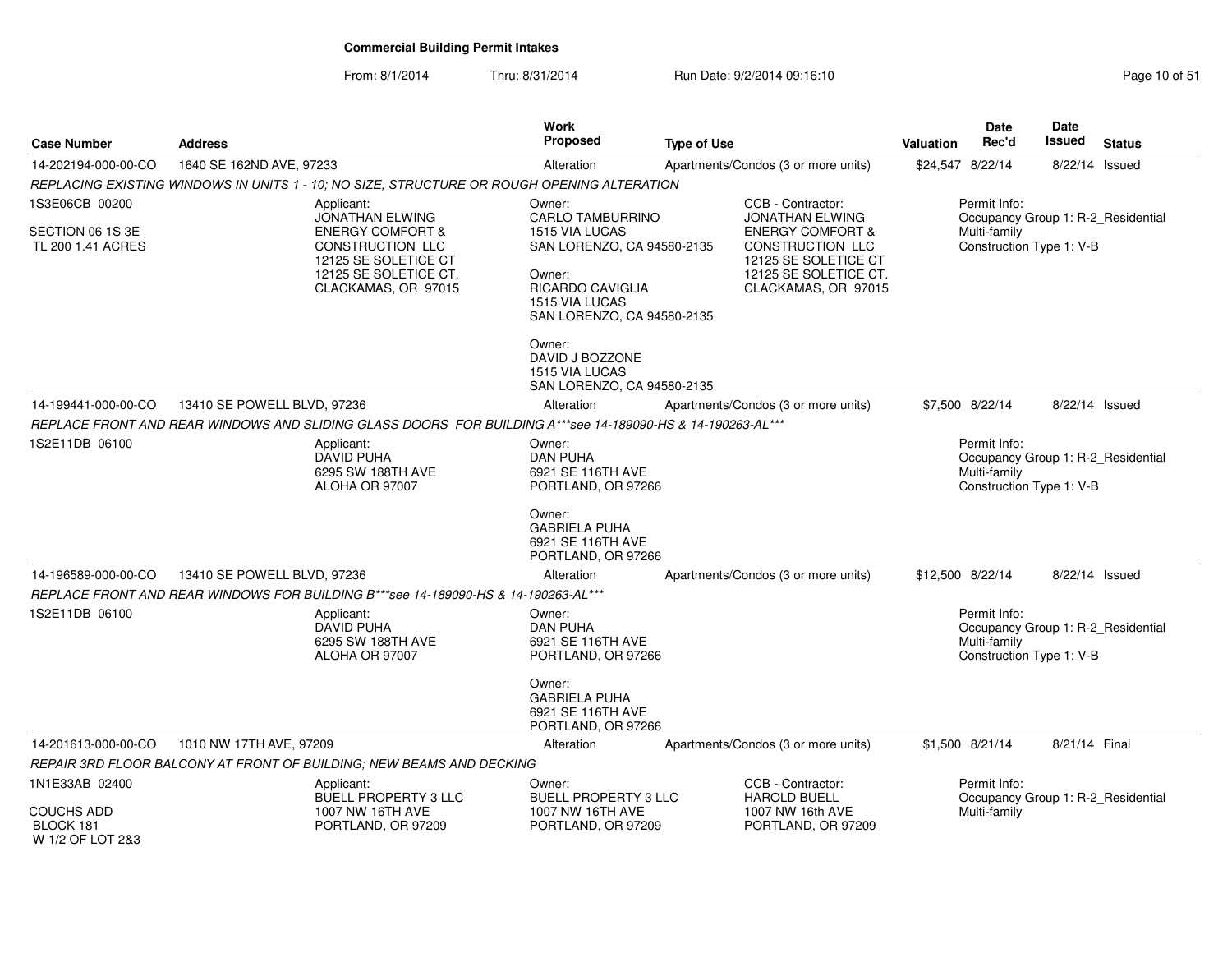| <b>Case Number</b>                          | <b>Address</b>              |                                                                                                                         | Work<br><b>Proposed</b>                                                                                                           | <b>Type of Use</b>                                                                             |                                                                                                                         |                                                    | <b>Date</b><br>Rec'd                                                                           | Date<br>Issued | <b>Status</b>                      |  |
|---------------------------------------------|-----------------------------|-------------------------------------------------------------------------------------------------------------------------|-----------------------------------------------------------------------------------------------------------------------------------|------------------------------------------------------------------------------------------------|-------------------------------------------------------------------------------------------------------------------------|----------------------------------------------------|------------------------------------------------------------------------------------------------|----------------|------------------------------------|--|
| 14-202194-000-00-CO                         | 1640 SE 162ND AVE, 97233    |                                                                                                                         | Alteration                                                                                                                        |                                                                                                | Apartments/Condos (3 or more units)                                                                                     | \$24,547 8/22/14                                   |                                                                                                | 8/22/14 Issued |                                    |  |
|                                             |                             | REPLACING EXISTING WINDOWS IN UNITS 1 - 10; NO SIZE, STRUCTURE OR ROUGH OPENING ALTERATION                              |                                                                                                                                   |                                                                                                |                                                                                                                         |                                                    |                                                                                                |                |                                    |  |
| 1S3E06CB 00200                              |                             | Applicant:<br><b>JONATHAN ELWING</b>                                                                                    | Owner:<br><b>CARLO TAMBURRINO</b>                                                                                                 |                                                                                                | CCB - Contractor:<br><b>JONATHAN ELWING</b>                                                                             | Permit Info:<br>Occupancy Group 1: R-2_Residential |                                                                                                |                |                                    |  |
| SECTION 06 1S 3E<br>TL 200 1.41 ACRES       |                             | <b>ENERGY COMFORT &amp;</b><br>CONSTRUCTION LLC<br>12125 SE SOLETICE CT<br>12125 SE SOLETICE CT.<br>CLACKAMAS, OR 97015 | 1515 VIA LUCAS<br>SAN LORENZO, CA 94580-2135<br>Owner:<br><b>RICARDO CAVIGLIA</b><br>1515 VIA LUCAS<br>SAN LORENZO, CA 94580-2135 |                                                                                                | <b>ENERGY COMFORT &amp;</b><br>CONSTRUCTION LLC<br>12125 SE SOLETICE CT<br>12125 SE SOLETICE CT.<br>CLACKAMAS, OR 97015 |                                                    | Multi-family<br>Construction Type 1: V-B                                                       |                |                                    |  |
|                                             |                             |                                                                                                                         | Owner:<br>DAVID J BOZZONE<br>1515 VIA LUCAS<br>SAN LORENZO, CA 94580-2135                                                         |                                                                                                |                                                                                                                         |                                                    |                                                                                                |                |                                    |  |
| 14-199441-000-00-CO                         | 13410 SE POWELL BLVD, 97236 |                                                                                                                         | Alteration                                                                                                                        |                                                                                                | Apartments/Condos (3 or more units)                                                                                     |                                                    | \$7,500 8/22/14                                                                                | 8/22/14 Issued |                                    |  |
|                                             |                             | REPLACE FRONT AND REAR WINDOWS AND SLIDING GLASS DOORS FOR BUILDING A***see 14-189090-HS & 14-190263-AL***              |                                                                                                                                   |                                                                                                |                                                                                                                         |                                                    |                                                                                                |                |                                    |  |
| 1S2E11DB 06100                              |                             | Applicant:<br><b>DAVID PUHA</b><br>6295 SW 188TH AVE<br>ALOHA OR 97007                                                  | Owner:<br><b>DAN PUHA</b><br>6921 SE 116TH AVE<br>PORTLAND, OR 97266                                                              | Permit Info:<br>Occupancy Group 1: R-2_Residential<br>Multi-family<br>Construction Type 1: V-B |                                                                                                                         |                                                    |                                                                                                |                |                                    |  |
|                                             |                             |                                                                                                                         | Owner:<br><b>GABRIELA PUHA</b><br>6921 SE 116TH AVE<br>PORTLAND, OR 97266                                                         |                                                                                                |                                                                                                                         |                                                    |                                                                                                |                |                                    |  |
| 14-196589-000-00-CO                         | 13410 SE POWELL BLVD, 97236 |                                                                                                                         | Alteration                                                                                                                        |                                                                                                | Apartments/Condos (3 or more units)                                                                                     |                                                    | \$12,500 8/22/14                                                                               | 8/22/14 Issued |                                    |  |
|                                             |                             | REPLACE FRONT AND REAR WINDOWS FOR BUILDING B***see 14-189090-HS & 14-190263-AL***                                      |                                                                                                                                   |                                                                                                |                                                                                                                         |                                                    |                                                                                                |                |                                    |  |
| 1S2E11DB 06100                              |                             | Applicant:<br>DAVID PUHA<br>6295 SW 188TH AVE<br>ALOHA OR 97007                                                         | Owner:<br><b>DAN PUHA</b><br>6921 SE 116TH AVE<br>PORTLAND, OR 97266                                                              |                                                                                                |                                                                                                                         |                                                    | Permit Info:<br>Occupancy Group 1: R-2 Residential<br>Multi-family<br>Construction Type 1: V-B |                |                                    |  |
|                                             |                             |                                                                                                                         | Owner:<br><b>GABRIELA PUHA</b><br>6921 SE 116TH AVE<br>PORTLAND, OR 97266                                                         |                                                                                                |                                                                                                                         |                                                    |                                                                                                |                |                                    |  |
| 14-201613-000-00-CO                         | 1010 NW 17TH AVE, 97209     |                                                                                                                         | Alteration                                                                                                                        |                                                                                                | Apartments/Condos (3 or more units)                                                                                     |                                                    | \$1,500 8/21/14                                                                                | 8/21/14 Final  |                                    |  |
|                                             |                             | REPAIR 3RD FLOOR BALCONY AT FRONT OF BUILDING: NEW BEAMS AND DECKING                                                    |                                                                                                                                   |                                                                                                |                                                                                                                         |                                                    |                                                                                                |                |                                    |  |
| 1N1E33AB 02400                              |                             | Applicant:<br><b>BUELL PROPERTY 3 LLC</b>                                                                               | Owner:<br><b>BUELL PROPERTY 3 LLC</b>                                                                                             |                                                                                                | CCB - Contractor:<br><b>HAROLD BUELL</b>                                                                                |                                                    | Permit Info:                                                                                   |                | Occupancy Group 1: R-2_Residential |  |
| COUCHS ADD<br>BLOCK 181<br>W 1/2 OF LOT 2&3 |                             | 1007 NW 16TH AVE<br>PORTLAND, OR 97209                                                                                  | 1007 NW 16TH AVE<br>PORTLAND, OR 97209                                                                                            |                                                                                                | 1007 NW 16th AVE<br>PORTLAND, OR 97209                                                                                  |                                                    | Multi-family                                                                                   |                |                                    |  |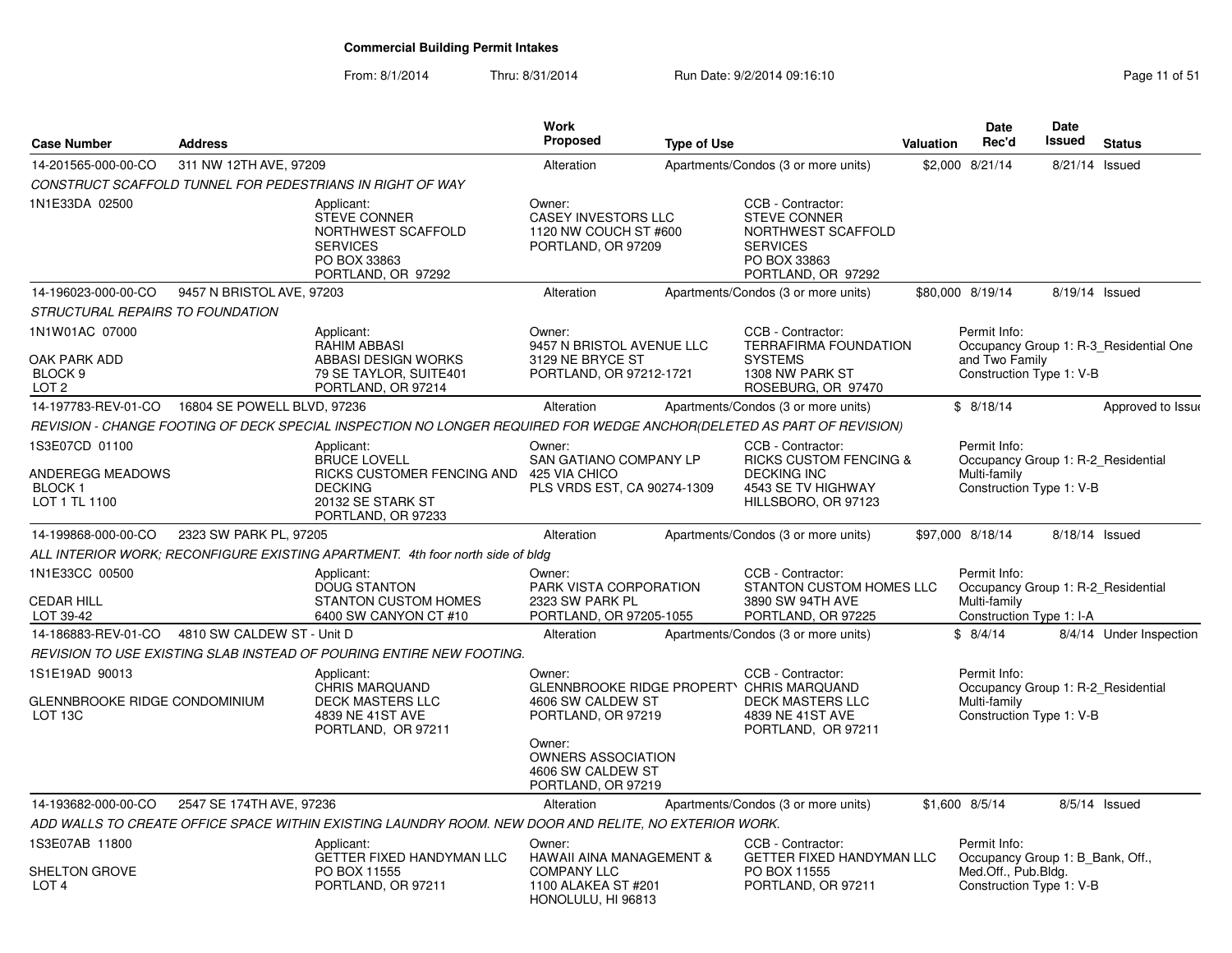| <b>Case Number</b>                                                       | <b>Address</b>             |                                                                                                                              | <b>Work</b><br>Proposed                                                                                          | <b>Type of Use</b> |                                                                                                                           | <b>Valuation</b> | Date<br>Rec'd                                                                                       | <b>Date</b><br><b>Issued</b> | <b>Status</b>                          |
|--------------------------------------------------------------------------|----------------------------|------------------------------------------------------------------------------------------------------------------------------|------------------------------------------------------------------------------------------------------------------|--------------------|---------------------------------------------------------------------------------------------------------------------------|------------------|-----------------------------------------------------------------------------------------------------|------------------------------|----------------------------------------|
| 14-201565-000-00-CO                                                      | 311 NW 12TH AVE, 97209     |                                                                                                                              | Alteration                                                                                                       |                    | Apartments/Condos (3 or more units)                                                                                       |                  | \$2,000 8/21/14                                                                                     | 8/21/14 Issued               |                                        |
|                                                                          |                            | CONSTRUCT SCAFFOLD TUNNEL FOR PEDESTRIANS IN RIGHT OF WAY                                                                    |                                                                                                                  |                    |                                                                                                                           |                  |                                                                                                     |                              |                                        |
| 1N1E33DA 02500                                                           |                            | Applicant:<br><b>STEVE CONNER</b><br>NORTHWEST SCAFFOLD<br><b>SERVICES</b><br>PO BOX 33863<br>PORTLAND, OR 97292             | Owner:<br><b>CASEY INVESTORS LLC</b><br>1120 NW COUCH ST #600<br>PORTLAND, OR 97209                              |                    | CCB - Contractor:<br><b>STEVE CONNER</b><br>NORTHWEST SCAFFOLD<br><b>SERVICES</b><br>PO BOX 33863<br>PORTLAND, OR 97292   |                  |                                                                                                     |                              |                                        |
| 14-196023-000-00-CO                                                      | 9457 N BRISTOL AVE, 97203  |                                                                                                                              | Alteration                                                                                                       |                    | Apartments/Condos (3 or more units)                                                                                       |                  | \$80,000 8/19/14                                                                                    | 8/19/14 Issued               |                                        |
| STRUCTURAL REPAIRS TO FOUNDATION                                         |                            |                                                                                                                              |                                                                                                                  |                    |                                                                                                                           |                  |                                                                                                     |                              |                                        |
| 1N1W01AC 07000<br>OAK PARK ADD<br>BLOCK <sub>9</sub><br>LOT <sub>2</sub> |                            | Applicant:<br>RAHIM ABBASI<br>ABBASI DESIGN WORKS<br>79 SE TAYLOR, SUITE401<br>PORTLAND, OR 97214                            | Owner:<br>9457 N BRISTOL AVENUE LLC<br>3129 NE BRYCE ST<br>PORTLAND, OR 97212-1721                               |                    | CCB - Contractor:<br><b>TERRAFIRMA FOUNDATION</b><br><b>SYSTEMS</b><br>1308 NW PARK ST<br>ROSEBURG, OR 97470              |                  | Permit Info:<br>and Two Family<br>Construction Type 1: V-B                                          |                              | Occupancy Group 1: R-3 Residential One |
|                                                                          |                            |                                                                                                                              | Alteration                                                                                                       |                    | Apartments/Condos (3 or more units)                                                                                       |                  | \$8/18/14                                                                                           |                              | Approved to Issue                      |
|                                                                          |                            | REVISION - CHANGE FOOTING OF DECK SPECIAL INSPECTION NO LONGER REQUIRED FOR WEDGE ANCHOR(DELETED AS PART OF REVISION)        |                                                                                                                  |                    |                                                                                                                           |                  |                                                                                                     |                              |                                        |
| 1S3E07CD 01100<br>ANDEREGG MEADOWS<br><b>BLOCK1</b><br>LOT 1 TL 1100     |                            | Applicant:<br><b>BRUCE LOVELL</b><br>RICKS CUSTOMER FENCING AND<br><b>DECKING</b><br>20132 SE STARK ST<br>PORTLAND, OR 97233 | Owner:<br>SAN GATIANO COMPANY LP<br>425 VIA CHICO<br>PLS VRDS EST, CA 90274-1309                                 |                    | CCB - Contractor:<br><b>RICKS CUSTOM FENCING &amp;</b><br><b>DECKING INC</b><br>4543 SE TV HIGHWAY<br>HILLSBORO, OR 97123 |                  | Permit Info:<br>Occupancy Group 1: R-2 Residential<br>Multi-family<br>Construction Type 1: V-B      |                              |                                        |
| 14-199868-000-00-CO                                                      | 2323 SW PARK PL, 97205     |                                                                                                                              | Alteration                                                                                                       |                    | Apartments/Condos (3 or more units)                                                                                       |                  | \$97,000 8/18/14                                                                                    | 8/18/14 Issued               |                                        |
|                                                                          |                            | ALL INTERIOR WORK; RECONFIGURE EXISTING APARTMENT. 4th foor north side of bldg                                               |                                                                                                                  |                    |                                                                                                                           |                  |                                                                                                     |                              |                                        |
| 1N1E33CC 00500<br><b>CEDAR HILL</b><br>LOT 39-42                         |                            | Applicant:<br>DOUG STANTON<br><b>STANTON CUSTOM HOMES</b><br>6400 SW CANYON CT #10                                           | Owner:<br>PARK VISTA CORPORATION<br>2323 SW PARK PL<br>PORTLAND, OR 97205-1055                                   |                    | CCB - Contractor:<br><b>STANTON CUSTOM HOMES LLC</b><br>3890 SW 94TH AVE<br>PORTLAND, OR 97225                            |                  | Permit Info:<br>Occupancy Group 1: R-2_Residential<br>Multi-family<br>Construction Type 1: I-A      |                              |                                        |
| 14-186883-REV-01-CO                                                      | 4810 SW CALDEW ST - Unit D |                                                                                                                              | Alteration                                                                                                       |                    | Apartments/Condos (3 or more units)                                                                                       |                  | \$8/4/14                                                                                            |                              | 8/4/14 Under Inspection                |
|                                                                          |                            | REVISION TO USE EXISTING SLAB INSTEAD OF POURING ENTIRE NEW FOOTING.                                                         |                                                                                                                  |                    |                                                                                                                           |                  |                                                                                                     |                              |                                        |
| 1S1E19AD 90013<br>GLENNBROOKE RIDGE CONDOMINIUM<br>LOT <sub>13C</sub>    |                            | Applicant:<br>CHRIS MARQUAND<br><b>DECK MASTERS LLC</b><br>4839 NE 41ST AVE<br>PORTLAND, OR 97211                            | Owner:<br>GLENNBROOKE RIDGE PROPERTY CHRIS MARQUAND<br>4606 SW CALDEW ST<br>PORTLAND, OR 97219                   |                    | CCB - Contractor:<br><b>DECK MASTERS LLC</b><br>4839 NE 41ST AVE<br>PORTLAND, OR 97211                                    |                  | Permit Info:<br>Occupancy Group 1: R-2 Residential<br>Multi-family<br>Construction Type 1: V-B      |                              |                                        |
|                                                                          |                            |                                                                                                                              | Owner:<br><b>OWNERS ASSOCIATION</b><br>4606 SW CALDEW ST<br>PORTLAND, OR 97219                                   |                    |                                                                                                                           |                  |                                                                                                     |                              |                                        |
| 14-193682-000-00-CO                                                      | 2547 SE 174TH AVE, 97236   |                                                                                                                              | Alteration                                                                                                       |                    | Apartments/Condos (3 or more units)                                                                                       |                  | \$1,600 8/5/14                                                                                      |                              | 8/5/14 Issued                          |
|                                                                          |                            | ADD WALLS TO CREATE OFFICE SPACE WITHIN EXISTING LAUNDRY ROOM. NEW DOOR AND RELITE, NO EXTERIOR WORK.                        |                                                                                                                  |                    |                                                                                                                           |                  |                                                                                                     |                              |                                        |
| 1S3E07AB 11800<br><b>SHELTON GROVE</b><br>LOT <sub>4</sub>               |                            | Applicant:<br>GETTER FIXED HANDYMAN LLC<br>PO BOX 11555<br>PORTLAND, OR 97211                                                | Owner:<br><b>HAWAII AINA MANAGEMENT &amp;</b><br><b>COMPANY LLC</b><br>1100 ALAKEA ST #201<br>HONOLULU, HI 96813 |                    | CCB - Contractor:<br>GETTER FIXED HANDYMAN LLC<br>PO BOX 11555<br>PORTLAND, OR 97211                                      |                  | Permit Info:<br>Occupancy Group 1: B Bank, Off.,<br>Med.Off., Pub.Bldg.<br>Construction Type 1: V-B |                              |                                        |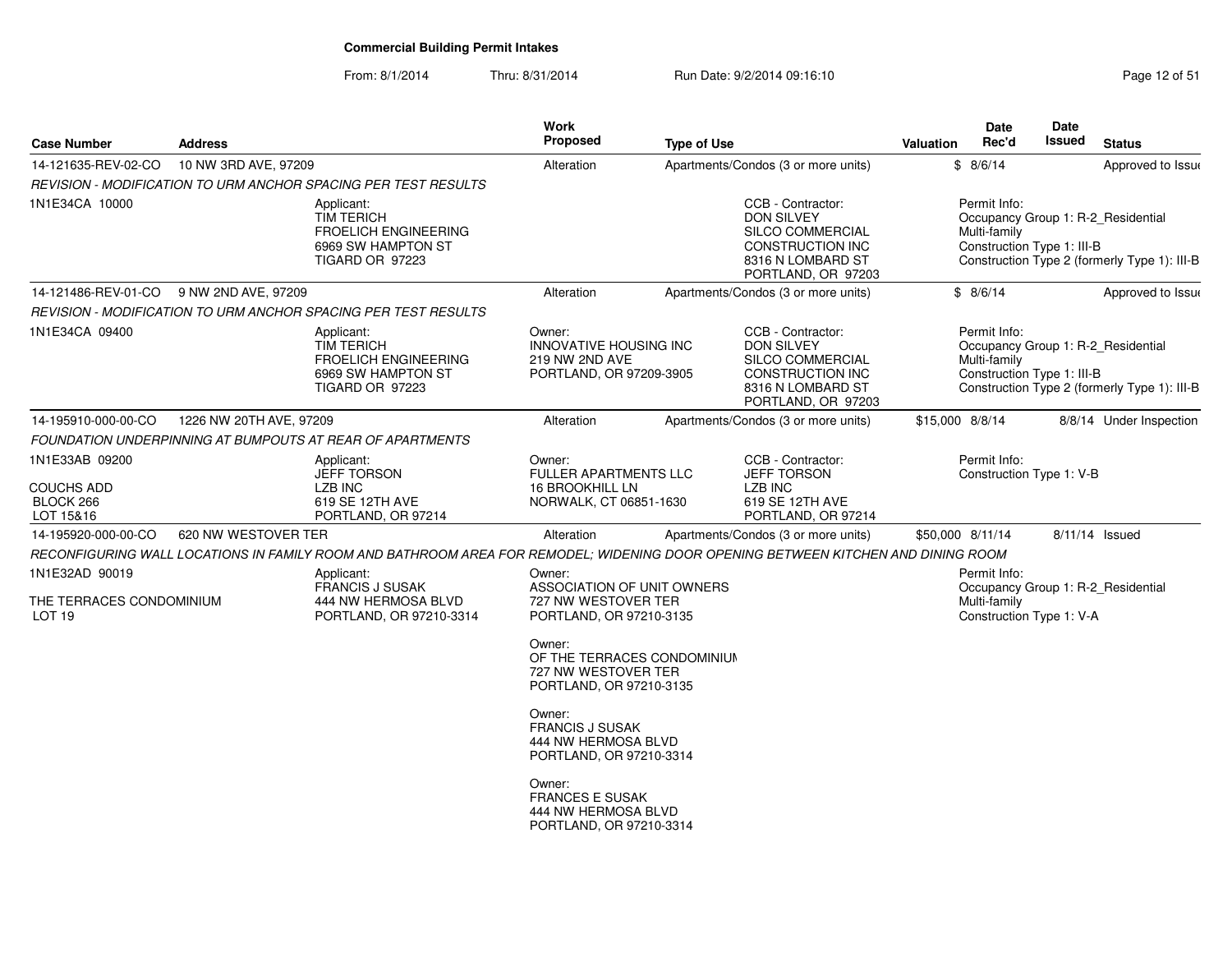### From: 8/1/2014Thru: 8/31/2014 **Run Date: 9/2/2014 09:16:10** Page 12 of 514 of 514 of 514 of 514 of 514 of 514 of 514 of 514 of 51

| <b>Case Number</b>                                              | <b>Address</b>          |                                                                                                                                  | Work<br><b>Proposed</b>                                                                                                                                                                                                                                                 | <b>Type of Use</b> |                                                                                                                           | Valuation        | Date<br>Rec'd                | <b>Date</b><br><b>Issued</b> | <b>Status</b>                                                                      |
|-----------------------------------------------------------------|-------------------------|----------------------------------------------------------------------------------------------------------------------------------|-------------------------------------------------------------------------------------------------------------------------------------------------------------------------------------------------------------------------------------------------------------------------|--------------------|---------------------------------------------------------------------------------------------------------------------------|------------------|------------------------------|------------------------------|------------------------------------------------------------------------------------|
| 14-121635-REV-02-CO                                             | 10 NW 3RD AVE, 97209    |                                                                                                                                  | Alteration                                                                                                                                                                                                                                                              |                    | Apartments/Condos (3 or more units)                                                                                       |                  | \$8/6/14                     |                              | Approved to Issue                                                                  |
|                                                                 |                         | REVISION - MODIFICATION TO URM ANCHOR SPACING PER TEST RESULTS                                                                   |                                                                                                                                                                                                                                                                         |                    |                                                                                                                           |                  |                              |                              |                                                                                    |
| 1N1E34CA 10000                                                  |                         | Applicant:<br><b>TIM TERICH</b><br><b>FROELICH ENGINEERING</b><br>6969 SW HAMPTON ST<br><b>TIGARD OR 97223</b>                   |                                                                                                                                                                                                                                                                         |                    | CCB - Contractor:<br><b>DON SILVEY</b><br>SILCO COMMERCIAL<br>CONSTRUCTION INC<br>8316 N LOMBARD ST<br>PORTLAND, OR 97203 |                  | Permit Info:<br>Multi-family | Construction Type 1: III-B   | Occupancy Group 1: R-2_Residential<br>Construction Type 2 (formerly Type 1): III-B |
| 14-121486-REV-01-CO 9 NW 2ND AVE, 97209                         |                         |                                                                                                                                  | Alteration                                                                                                                                                                                                                                                              |                    | Apartments/Condos (3 or more units)                                                                                       |                  | \$8/6/14                     |                              | Approved to Issue                                                                  |
|                                                                 |                         | REVISION - MODIFICATION TO URM ANCHOR SPACING PER TEST RESULTS                                                                   |                                                                                                                                                                                                                                                                         |                    |                                                                                                                           |                  |                              |                              |                                                                                    |
| 1N1E34CA 09400                                                  |                         | Applicant:<br><b>TIM TERICH</b><br><b>FROELICH ENGINEERING</b><br>6969 SW HAMPTON ST<br>TIGARD OR 97223                          | Owner:<br><b>INNOVATIVE HOUSING INC</b><br>219 NW 2ND AVE<br>PORTLAND, OR 97209-3905                                                                                                                                                                                    |                    | CCB - Contractor:<br><b>DON SILVEY</b><br>SILCO COMMERCIAL<br>CONSTRUCTION INC<br>8316 N LOMBARD ST<br>PORTLAND, OR 97203 |                  | Permit Info:<br>Multi-family | Construction Type 1: III-B   | Occupancy Group 1: R-2_Residential<br>Construction Type 2 (formerly Type 1): III-B |
| 14-195910-000-00-CO                                             | 1226 NW 20TH AVE, 97209 |                                                                                                                                  | Alteration                                                                                                                                                                                                                                                              |                    | Apartments/Condos (3 or more units)                                                                                       | \$15,000 8/8/14  |                              |                              | 8/8/14 Under Inspection                                                            |
|                                                                 |                         | FOUNDATION UNDERPINNING AT BUMPOUTS AT REAR OF APARTMENTS                                                                        |                                                                                                                                                                                                                                                                         |                    |                                                                                                                           |                  |                              |                              |                                                                                    |
| 1N1E33AB 09200<br><b>COUCHS ADD</b><br>BLOCK 266<br>LOT 15&16   |                         | Applicant:<br><b>JEFF TORSON</b><br><b>LZB INC</b><br>619 SE 12TH AVE<br>PORTLAND, OR 97214                                      | Owner:<br><b>FULLER APARTMENTS LLC</b><br><b>16 BROOKHILL LN</b><br>NORWALK, CT 06851-1630                                                                                                                                                                              |                    | CCB - Contractor:<br><b>JEFF TORSON</b><br><b>LZB INC</b><br>619 SE 12TH AVE<br>PORTLAND, OR 97214                        |                  | Permit Info:                 | Construction Type 1: V-B     |                                                                                    |
| 14-195920-000-00-CO                                             | 620 NW WESTOVER TER     |                                                                                                                                  | Alteration                                                                                                                                                                                                                                                              |                    | Apartments/Condos (3 or more units)                                                                                       | \$50,000 8/11/14 |                              |                              | 8/11/14 Issued                                                                     |
|                                                                 |                         | RECONFIGURING WALL LOCATIONS IN FAMILY ROOM AND BATHROOM AREA FOR REMODEL; WIDENING DOOR OPENING BETWEEN KITCHEN AND DINING ROOM |                                                                                                                                                                                                                                                                         |                    |                                                                                                                           |                  |                              |                              |                                                                                    |
| 1N1E32AD 90019<br>THE TERRACES CONDOMINIUM<br>LOT <sub>19</sub> |                         | Applicant:<br><b>FRANCIS J SUSAK</b><br>444 NW HERMOSA BLVD<br>PORTLAND, OR 97210-3314                                           | Owner:<br>ASSOCIATION OF UNIT OWNERS<br>727 NW WESTOVER TER<br>PORTLAND, OR 97210-3135<br>Owner:<br>OF THE TERRACES CONDOMINIUM<br>727 NW WESTOVER TER<br>PORTLAND, OR 97210-3135<br>Owner:<br><b>FRANCIS J SUSAK</b><br>444 NW HERMOSA BLVD<br>PORTLAND, OR 97210-3314 |                    |                                                                                                                           |                  | Permit Info:<br>Multi-family | Construction Type 1: V-A     | Occupancy Group 1: R-2 Residential                                                 |
|                                                                 |                         |                                                                                                                                  | Owner:<br><b>FRANCES E SUSAK</b><br>444 NW HERMOSA BLVD<br>PORTLAND, OR 97210-3314                                                                                                                                                                                      |                    |                                                                                                                           |                  |                              |                              |                                                                                    |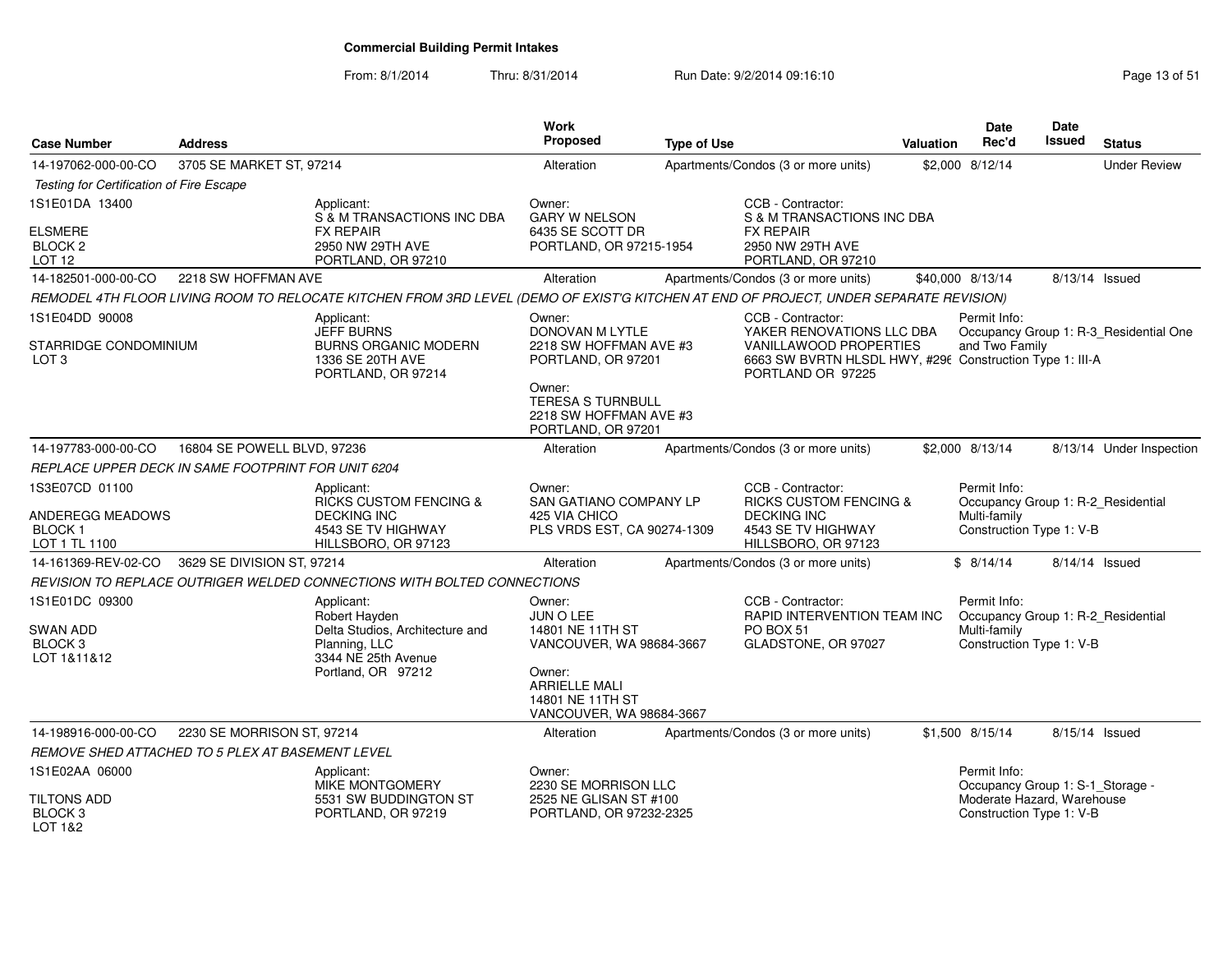| <b>Case Number</b>                                                   | <b>Address</b>              |                                                                                                                                       | Work<br>Proposed                                                                                           | <b>Type of Use</b> |                                                                                                                                      | <b>Valuation</b> | <b>Date</b><br>Rec'd                                                                           | <b>Date</b><br>Issued | <b>Status</b>                          |
|----------------------------------------------------------------------|-----------------------------|---------------------------------------------------------------------------------------------------------------------------------------|------------------------------------------------------------------------------------------------------------|--------------------|--------------------------------------------------------------------------------------------------------------------------------------|------------------|------------------------------------------------------------------------------------------------|-----------------------|----------------------------------------|
| 14-197062-000-00-CO                                                  | 3705 SE MARKET ST, 97214    |                                                                                                                                       | Alteration                                                                                                 |                    | Apartments/Condos (3 or more units)                                                                                                  |                  | \$2,000 8/12/14                                                                                |                       | <b>Under Review</b>                    |
| Testing for Certification of Fire Escape                             |                             |                                                                                                                                       |                                                                                                            |                    |                                                                                                                                      |                  |                                                                                                |                       |                                        |
| 1S1E01DA 13400                                                       |                             | Applicant:<br>S & M TRANSACTIONS INC DBA                                                                                              | Owner:<br><b>GARY W NELSON</b>                                                                             |                    | CCB - Contractor:<br>S & M TRANSACTIONS INC DBA                                                                                      |                  |                                                                                                |                       |                                        |
| <b>ELSMERE</b><br>BLOCK <sub>2</sub><br>LOT 12                       |                             | <b>FX REPAIR</b><br>2950 NW 29TH AVE<br>PORTLAND, OR 97210                                                                            | 6435 SE SCOTT DR<br>PORTLAND, OR 97215-1954                                                                |                    | <b>FX REPAIR</b><br>2950 NW 29TH AVE<br>PORTLAND, OR 97210                                                                           |                  |                                                                                                |                       |                                        |
| 14-182501-000-00-CO                                                  | 2218 SW HOFFMAN AVE         |                                                                                                                                       | Alteration                                                                                                 |                    | Apartments/Condos (3 or more units)                                                                                                  |                  | \$40,000 8/13/14                                                                               |                       | 8/13/14 Issued                         |
|                                                                      |                             | REMODEL 4TH FLOOR LIVING ROOM TO RELOCATE KITCHEN FROM 3RD LEVEL (DEMO OF EXIST'G KITCHEN AT END OF PROJECT, UNDER SEPARATE REVISION) |                                                                                                            |                    |                                                                                                                                      |                  |                                                                                                |                       |                                        |
| 1S1E04DD 90008<br>STARRIDGE CONDOMINIUM<br>LOT <sub>3</sub>          |                             | Applicant:<br>JEFF BURNS<br><b>BURNS ORGANIC MODERN</b><br>1336 SE 20TH AVE                                                           | Owner:<br>DONOVAN M LYTLE<br>2218 SW HOFFMAN AVE #3<br>PORTLAND, OR 97201                                  |                    | CCB - Contractor:<br>YAKER RENOVATIONS LLC DBA<br>VANILLAWOOD PROPERTIES<br>6663 SW BVRTN HLSDL HWY, #296 Construction Type 1: III-A |                  | Permit Info:<br>and Two Family                                                                 |                       | Occupancy Group 1: R-3_Residential One |
|                                                                      |                             | PORTLAND, OR 97214                                                                                                                    | Owner:<br><b>TERESA S TURNBULL</b><br>2218 SW HOFFMAN AVE #3<br>PORTLAND, OR 97201                         |                    | PORTLAND OR 97225                                                                                                                    |                  |                                                                                                |                       |                                        |
| 14-197783-000-00-CO                                                  | 16804 SE POWELL BLVD, 97236 |                                                                                                                                       | Alteration                                                                                                 |                    | Apartments/Condos (3 or more units)                                                                                                  |                  | \$2,000 8/13/14                                                                                |                       | 8/13/14 Under Inspection               |
| REPLACE UPPER DECK IN SAME FOOTPRINT FOR UNIT 6204                   |                             |                                                                                                                                       |                                                                                                            |                    |                                                                                                                                      |                  |                                                                                                |                       |                                        |
| 1S3E07CD 01100<br>ANDEREGG MEADOWS<br><b>BLOCK1</b><br>LOT 1 TL 1100 |                             | Applicant:<br><b>RICKS CUSTOM FENCING &amp;</b><br><b>DECKING INC</b><br>4543 SE TV HIGHWAY<br>HILLSBORO, OR 97123                    | Owner:<br><b>SAN GATIANO COMPANY LP</b><br>425 VIA CHICO<br>PLS VRDS EST, CA 90274-1309                    |                    | CCB - Contractor:<br><b>RICKS CUSTOM FENCING &amp;</b><br><b>DECKING INC</b><br>4543 SE TV HIGHWAY<br>HILLSBORO, OR 97123            |                  | Permit Info:<br>Occupancy Group 1: R-2_Residential<br>Multi-family<br>Construction Type 1: V-B |                       |                                        |
| 14-161369-REV-02-CO                                                  | 3629 SE DIVISION ST, 97214  |                                                                                                                                       | Alteration                                                                                                 |                    | Apartments/Condos (3 or more units)                                                                                                  |                  | \$8/14/14                                                                                      |                       | 8/14/14 Issued                         |
|                                                                      |                             | REVISION TO REPLACE OUTRIGER WELDED CONNECTIONS WITH BOLTED CONNECTIONS                                                               |                                                                                                            |                    |                                                                                                                                      |                  |                                                                                                |                       |                                        |
| 1S1E01DC 09300<br><b>SWAN ADD</b>                                    |                             | Applicant:<br>Robert Hayden<br>Delta Studios, Architecture and                                                                        | Owner:<br>JUN O LEE<br>14801 NE 11TH ST                                                                    |                    | CCB - Contractor:<br>RAPID INTERVENTION TEAM INC<br>PO BOX 51                                                                        |                  | Permit Info:<br>Occupancy Group 1: R-2_Residential<br>Multi-family                             |                       |                                        |
| BLOCK <sub>3</sub><br>LOT 1&11&12                                    |                             | Planning, LLC<br>3344 NE 25th Avenue<br>Portland, OR 97212                                                                            | VANCOUVER, WA 98684-3667<br>Owner:<br><b>ARRIELLE MALI</b><br>14801 NE 11TH ST<br>VANCOUVER, WA 98684-3667 |                    | GLADSTONE, OR 97027                                                                                                                  |                  | Construction Type 1: V-B                                                                       |                       |                                        |
| 14-198916-000-00-CO                                                  | 2230 SE MORRISON ST, 97214  |                                                                                                                                       | Alteration                                                                                                 |                    | Apartments/Condos (3 or more units)                                                                                                  |                  | \$1,500 8/15/14                                                                                | 8/15/14 Issued        |                                        |
| REMOVE SHED ATTACHED TO 5 PLEX AT BASEMENT LEVEL                     |                             |                                                                                                                                       |                                                                                                            |                    |                                                                                                                                      |                  |                                                                                                |                       |                                        |
| 1S1E02AA 06000                                                       |                             | Applicant:<br>MIKE MONTGOMERY                                                                                                         | Owner:<br>2230 SE MORRISON LLC                                                                             |                    |                                                                                                                                      |                  | Permit Info:<br>Occupancy Group 1: S-1_Storage -                                               |                       |                                        |
| <b>TILTONS ADD</b><br>BLOCK <sub>3</sub><br>LOT 1&2                  |                             | 5531 SW BUDDINGTON ST<br>PORTLAND, OR 97219                                                                                           | 2525 NE GLISAN ST #100<br>PORTLAND, OR 97232-2325                                                          |                    |                                                                                                                                      |                  | Moderate Hazard, Warehouse<br>Construction Type 1: V-B                                         |                       |                                        |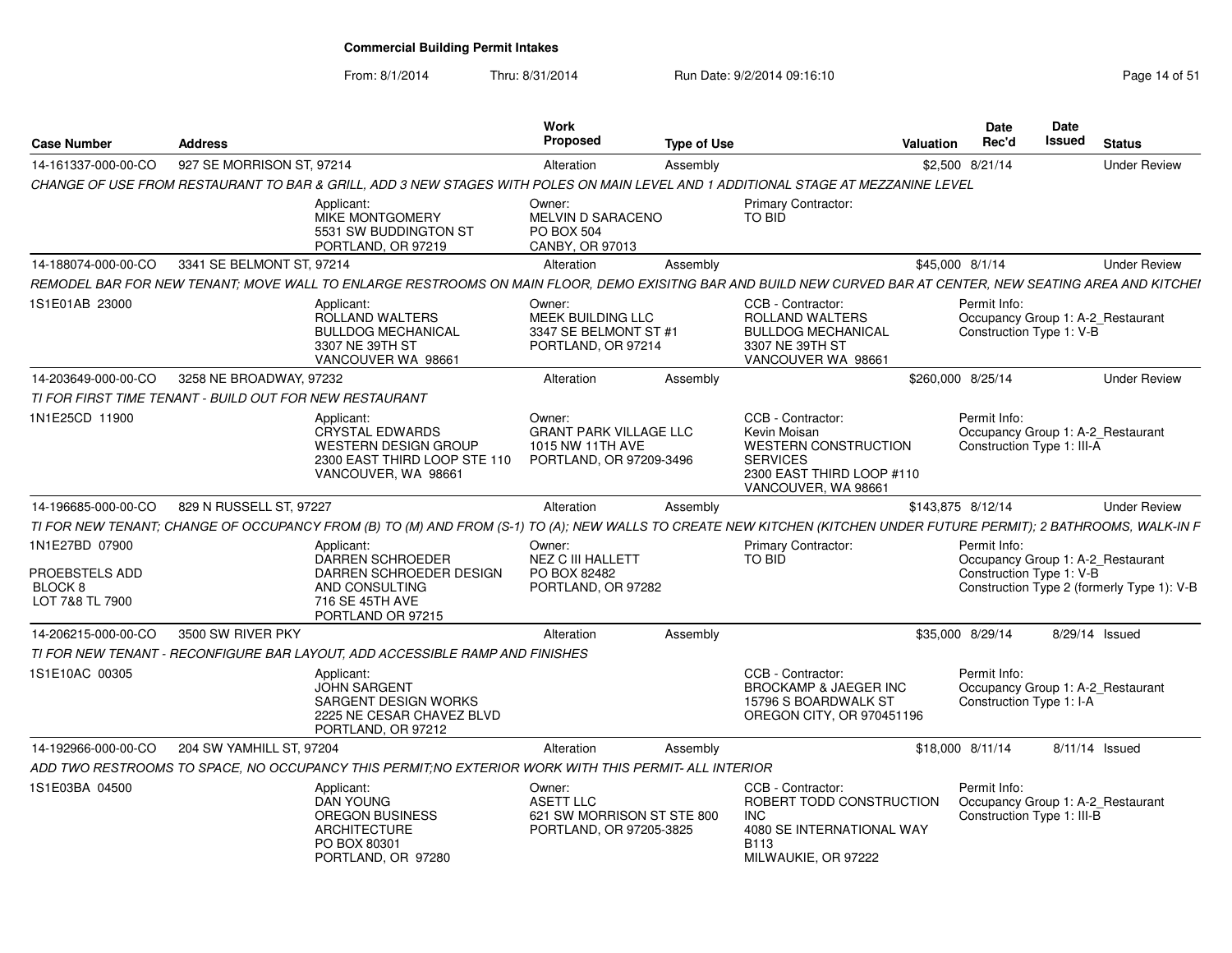From: 8/1/2014

| <b>Case Number</b>                                                        | <b>Address</b>                                          |                                                                                                                                                                     | Work<br>Proposed                                                                       | <b>Type of Use</b> |                                                                                                                                         | Valuation         | <b>Date</b><br>Rec'd                       | <b>Date</b><br><b>Issued</b> | <b>Status</b>                                                                   |
|---------------------------------------------------------------------------|---------------------------------------------------------|---------------------------------------------------------------------------------------------------------------------------------------------------------------------|----------------------------------------------------------------------------------------|--------------------|-----------------------------------------------------------------------------------------------------------------------------------------|-------------------|--------------------------------------------|------------------------------|---------------------------------------------------------------------------------|
| 14-161337-000-00-CO                                                       | 927 SE MORRISON ST, 97214                               |                                                                                                                                                                     | Alteration                                                                             | Assembly           |                                                                                                                                         | \$2,500 8/21/14   |                                            |                              | <b>Under Review</b>                                                             |
|                                                                           |                                                         | CHANGE OF USE FROM RESTAURANT TO BAR & GRILL, ADD 3 NEW STAGES WITH POLES ON MAIN LEVEL AND 1 ADDITIONAL STAGE AT MEZZANINE LEVEL                                   |                                                                                        |                    |                                                                                                                                         |                   |                                            |                              |                                                                                 |
|                                                                           |                                                         | Applicant:<br>MIKE MONTGOMERY<br>5531 SW BUDDINGTON ST<br>PORTLAND, OR 97219                                                                                        | Owner:<br>MELVIN D SARACENO<br>PO BOX 504<br>CANBY, OR 97013                           |                    | <b>Primary Contractor:</b><br>TO BID                                                                                                    |                   |                                            |                              |                                                                                 |
| 14-188074-000-00-CO                                                       | 3341 SE BELMONT ST, 97214                               |                                                                                                                                                                     | Alteration                                                                             | Assembly           |                                                                                                                                         | \$45,000 8/1/14   |                                            |                              | <b>Under Review</b>                                                             |
|                                                                           |                                                         | REMODEL BAR FOR NEW TENANT: MOVE WALL TO ENLARGE RESTROOMS ON MAIN FLOOR, DEMO EXISITNG BAR AND BUILD NEW CURVED BAR AT CENTER, NEW SEATING AREA AND KITCHEI        |                                                                                        |                    |                                                                                                                                         |                   |                                            |                              |                                                                                 |
| 1S1E01AB 23000                                                            |                                                         | Applicant:<br>ROLLAND WALTERS<br><b>BULLDOG MECHANICAL</b><br>3307 NE 39TH ST<br>VANCOUVER WA 98661                                                                 | Owner:<br>MEEK BUILDING LLC<br>3347 SE BELMONT ST #1<br>PORTLAND, OR 97214             |                    | CCB - Contractor:<br><b>ROLLAND WALTERS</b><br><b>BULLDOG MECHANICAL</b><br>3307 NE 39TH ST<br>VANCOUVER WA 98661                       |                   | Permit Info:<br>Construction Type 1: V-B   |                              | Occupancy Group 1: A-2_Restaurant                                               |
| 14-203649-000-00-CO                                                       | 3258 NE BROADWAY, 97232                                 |                                                                                                                                                                     | Alteration                                                                             | Assembly           |                                                                                                                                         | \$260,000 8/25/14 |                                            |                              | <b>Under Review</b>                                                             |
|                                                                           | TI FOR FIRST TIME TENANT - BUILD OUT FOR NEW RESTAURANT |                                                                                                                                                                     |                                                                                        |                    |                                                                                                                                         |                   |                                            |                              |                                                                                 |
| 1N1E25CD 11900                                                            |                                                         | Applicant:<br><b>CRYSTAL EDWARDS</b><br><b>WESTERN DESIGN GROUP</b><br>2300 EAST THIRD LOOP STE 110<br>VANCOUVER, WA 98661                                          | Owner:<br><b>GRANT PARK VILLAGE LLC</b><br>1015 NW 11TH AVE<br>PORTLAND, OR 97209-3496 |                    | CCB - Contractor:<br>Kevin Moisan<br><b>WESTERN CONSTRUCTION</b><br><b>SERVICES</b><br>2300 EAST THIRD LOOP #110<br>VANCOUVER, WA 98661 |                   | Permit Info:<br>Construction Type 1: III-A |                              | Occupancy Group 1: A-2_Restaurant                                               |
| 14-196685-000-00-CO                                                       | 829 N RUSSELL ST, 97227                                 |                                                                                                                                                                     | Alteration                                                                             | Assembly           |                                                                                                                                         | \$143,875 8/12/14 |                                            |                              | <b>Under Review</b>                                                             |
|                                                                           |                                                         | TI FOR NEW TENANT; CHANGE OF OCCUPANCY FROM (B) TO (M) AND FROM (S-1) TO (A); NEW WALLS TO CREATE NEW KITCHEN (KITCHEN UNDER FUTURE PERMIT); 2 BATHROOMS, WALK-IN F |                                                                                        |                    |                                                                                                                                         |                   |                                            |                              |                                                                                 |
| 1N1E27BD 07900<br>PROEBSTELS ADD<br>BLOCK <sub>8</sub><br>LOT 7&8 TL 7900 |                                                         | Applicant:<br>DARREN SCHROEDER<br>DARREN SCHROEDER DESIGN<br>AND CONSULTING<br>716 SE 45TH AVE<br>PORTLAND OR 97215                                                 | Owner:<br>NEZ C III HALLETT<br>PO BOX 82482<br>PORTLAND, OR 97282                      |                    | <b>Primary Contractor:</b><br>TO BID                                                                                                    |                   | Permit Info:<br>Construction Type 1: V-B   |                              | Occupancy Group 1: A-2_Restaurant<br>Construction Type 2 (formerly Type 1): V-B |
| 14-206215-000-00-CO                                                       | 3500 SW RIVER PKY                                       |                                                                                                                                                                     | Alteration                                                                             | Assembly           |                                                                                                                                         | \$35,000 8/29/14  |                                            |                              | 8/29/14 Issued                                                                  |
|                                                                           |                                                         | TI FOR NEW TENANT - RECONFIGURE BAR LAYOUT. ADD ACCESSIBLE RAMP AND FINISHES                                                                                        |                                                                                        |                    |                                                                                                                                         |                   |                                            |                              |                                                                                 |
| 1S1E10AC 00305                                                            |                                                         | Applicant:<br><b>JOHN SARGENT</b><br>SARGENT DESIGN WORKS<br>2225 NE CESAR CHAVEZ BLVD<br>PORTLAND, OR 97212                                                        |                                                                                        |                    | CCB - Contractor:<br><b>BROCKAMP &amp; JAEGER INC</b><br>15796 S BOARDWALK ST<br>OREGON CITY, OR 970451196                              |                   | Permit Info:<br>Construction Type 1: I-A   |                              | Occupancy Group 1: A-2_Restaurant                                               |
| 14-192966-000-00-CO                                                       | 204 SW YAMHILL ST, 97204                                |                                                                                                                                                                     | Alteration                                                                             | Assembly           |                                                                                                                                         | \$18,000 8/11/14  |                                            |                              | 8/11/14 Issued                                                                  |
|                                                                           |                                                         | ADD TWO RESTROOMS TO SPACE. NO OCCUPANCY THIS PERMIT:NO EXTERIOR WORK WITH THIS PERMIT- ALL INTERIOR                                                                |                                                                                        |                    |                                                                                                                                         |                   |                                            |                              |                                                                                 |
| 1S1E03BA 04500                                                            |                                                         | Applicant:<br>DAN YOUNG<br><b>OREGON BUSINESS</b><br>ARCHITECTURE<br>PO BOX 80301<br>PORTLAND, OR 97280                                                             | Owner:<br><b>ASETT LLC</b><br>621 SW MORRISON ST STE 800<br>PORTLAND, OR 97205-3825    |                    | CCB - Contractor:<br>ROBERT TODD CONSTRUCTION<br>INC<br>4080 SE INTERNATIONAL WAY<br>B <sub>113</sub><br>MILWAUKIE, OR 97222            |                   | Permit Info:<br>Construction Type 1: III-B |                              | Occupancy Group 1: A-2_Restaurant                                               |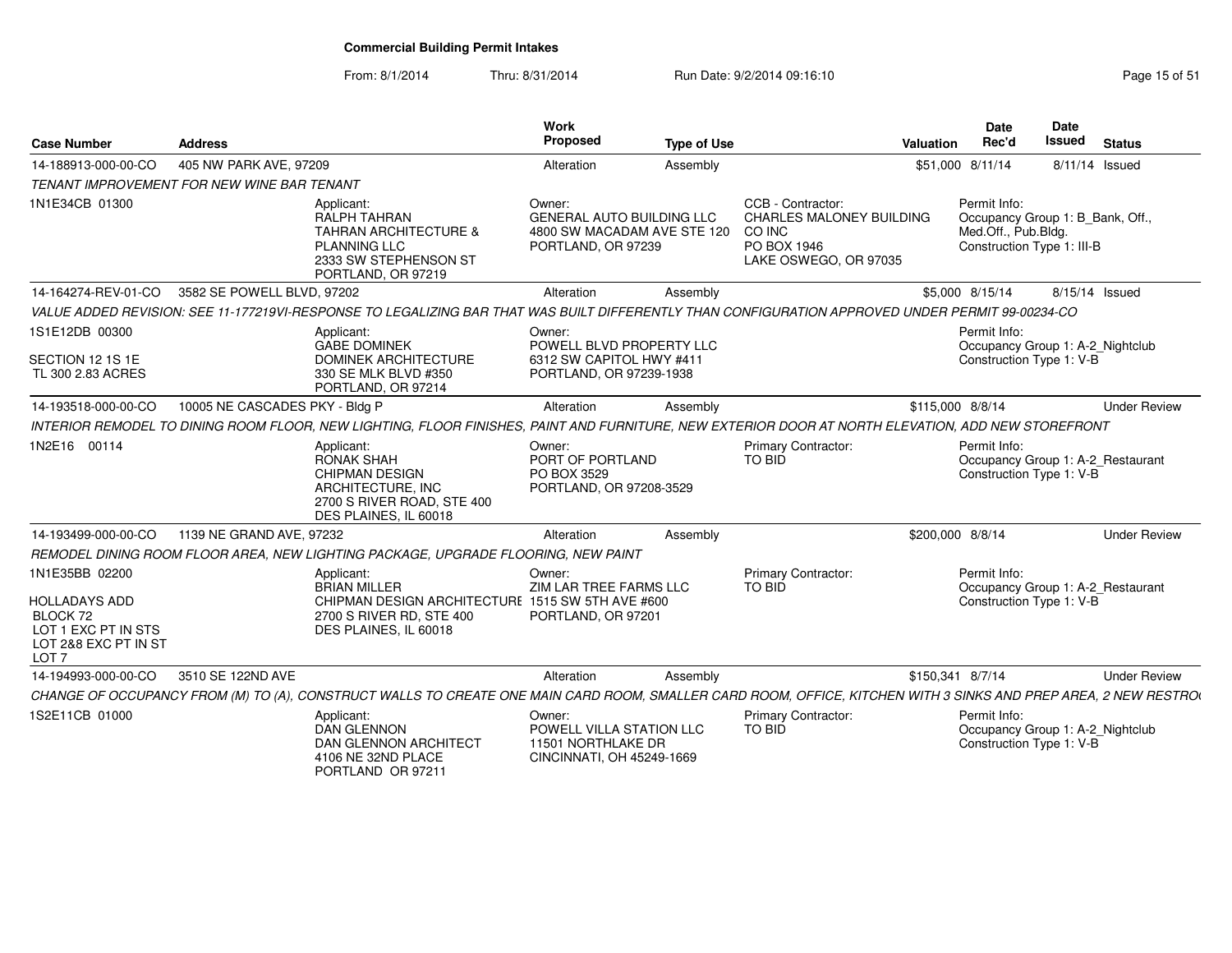| <b>Case Number</b>                                                                                                    | <b>Address</b>                                    |                                                                                                                                            | Work<br>Proposed                                                                                | <b>Type of Use</b> | Valuation                                                                                                                                                       | Date<br>Rec'd                                                                                         | Date<br><b>Issued</b> | <b>Status</b>       |
|-----------------------------------------------------------------------------------------------------------------------|---------------------------------------------------|--------------------------------------------------------------------------------------------------------------------------------------------|-------------------------------------------------------------------------------------------------|--------------------|-----------------------------------------------------------------------------------------------------------------------------------------------------------------|-------------------------------------------------------------------------------------------------------|-----------------------|---------------------|
| 14-188913-000-00-CO                                                                                                   | 405 NW PARK AVE, 97209                            |                                                                                                                                            | Alteration                                                                                      | Assembly           |                                                                                                                                                                 | \$51,000 8/11/14                                                                                      | 8/11/14 Issued        |                     |
|                                                                                                                       | <b>TENANT IMPROVEMENT FOR NEW WINE BAR TENANT</b> |                                                                                                                                            |                                                                                                 |                    |                                                                                                                                                                 |                                                                                                       |                       |                     |
| 1N1E34CB 01300                                                                                                        |                                                   | Applicant:<br>RALPH TAHRAN<br><b>TAHRAN ARCHITECTURE &amp;</b><br><b>PLANNING LLC</b><br>2333 SW STEPHENSON ST<br>PORTLAND, OR 97219       | Owner:<br><b>GENERAL AUTO BUILDING LLC</b><br>4800 SW MACADAM AVE STE 120<br>PORTLAND, OR 97239 |                    | CCB - Contractor:<br><b>CHARLES MALONEY BUILDING</b><br>CO INC<br>PO BOX 1946<br>LAKE OSWEGO, OR 97035                                                          | Permit Info:<br>Occupancy Group 1: B_Bank, Off.,<br>Med.Off., Pub.Bldg.<br>Construction Type 1: III-B |                       |                     |
| 14-164274-REV-01-CO                                                                                                   | 3582 SE POWELL BLVD, 97202                        |                                                                                                                                            | Alteration                                                                                      | Assembly           |                                                                                                                                                                 | \$5,000 8/15/14                                                                                       | 8/15/14 Issued        |                     |
|                                                                                                                       |                                                   |                                                                                                                                            |                                                                                                 |                    | VALUE ADDED REVISION: SEE 11-177219VI-RESPONSE TO LEGALIZING BAR THAT WAS BUILT DIFFERENTLY THAN CONFIGURATION APPROVED UNDER PERMIT 99-00234-CO                |                                                                                                       |                       |                     |
| 1S1E12DB 00300<br>SECTION 12 1S 1E<br>TL 300 2.83 ACRES                                                               |                                                   | Applicant:<br><b>GABE DOMINEK</b><br><b>DOMINEK ARCHITECTURE</b><br>330 SE MLK BLVD #350<br>PORTLAND, OR 97214                             | Owner:<br>POWELL BLVD PROPERTY LLC<br>6312 SW CAPITOL HWY #411<br>PORTLAND, OR 97239-1938       |                    |                                                                                                                                                                 | Permit Info:<br>Occupancy Group 1: A-2_Nightclub<br>Construction Type 1: V-B                          |                       |                     |
| 14-193518-000-00-CO                                                                                                   | 10005 NE CASCADES PKY - Bldg P                    |                                                                                                                                            | Alteration                                                                                      | Assembly           |                                                                                                                                                                 | \$115,000 8/8/14                                                                                      |                       | <b>Under Review</b> |
|                                                                                                                       |                                                   |                                                                                                                                            |                                                                                                 |                    | INTERIOR REMODEL TO DINING ROOM FLOOR, NEW LIGHTING, FLOOR FINISHES, PAINT AND FURNITURE, NEW EXTERIOR DOOR AT NORTH ELEVATION, ADD NEW STOREFRONT              |                                                                                                       |                       |                     |
| 1N2E16 00114                                                                                                          |                                                   | Applicant:<br><b>RONAK SHAH</b><br>CHIPMAN DESIGN<br>ARCHITECTURE, INC<br>2700 S RIVER ROAD, STE 400<br>DES PLAINES, IL 60018              | Owner:<br>PORT OF PORTLAND<br>PO BOX 3529<br>PORTLAND, OR 97208-3529                            |                    | Primary Contractor:<br><b>TO BID</b>                                                                                                                            | Permit Info:<br>Occupancy Group 1: A-2_Restaurant<br>Construction Type 1: V-B                         |                       |                     |
| 14-193499-000-00-CO                                                                                                   | 1139 NE GRAND AVE, 97232                          |                                                                                                                                            | Alteration                                                                                      | Assembly           |                                                                                                                                                                 | \$200,000 8/8/14                                                                                      |                       | <b>Under Review</b> |
|                                                                                                                       |                                                   | REMODEL DINING ROOM FLOOR AREA, NEW LIGHTING PACKAGE, UPGRADE FLOORING, NEW PAINT                                                          |                                                                                                 |                    |                                                                                                                                                                 |                                                                                                       |                       |                     |
| 1N1E35BB 02200<br><b>HOLLADAYS ADD</b><br>BLOCK 72<br>LOT 1 EXC PT IN STS<br>LOT 2&8 EXC PT IN ST<br>LOT <sub>7</sub> |                                                   | Applicant:<br><b>BRIAN MILLER</b><br>CHIPMAN DESIGN ARCHITECTURE 1515 SW 5TH AVE #600<br>2700 S RIVER RD, STE 400<br>DES PLAINES, IL 60018 | Owner:<br>ZIM LAR TREE FARMS LLC<br>PORTLAND, OR 97201                                          |                    | Primary Contractor:<br><b>TO BID</b>                                                                                                                            | Permit Info:<br>Occupancy Group 1: A-2 Restaurant<br>Construction Type 1: V-B                         |                       |                     |
| 14-194993-000-00-CO                                                                                                   | 3510 SE 122ND AVE                                 |                                                                                                                                            | Alteration                                                                                      | Assembly           |                                                                                                                                                                 | \$150,341 8/7/14                                                                                      |                       | <b>Under Review</b> |
|                                                                                                                       |                                                   |                                                                                                                                            |                                                                                                 |                    | CHANGE OF OCCUPANCY FROM (M) TO (A), CONSTRUCT WALLS TO CREATE ONE MAIN CARD ROOM, SMALLER CARD ROOM, OFFICE, KITCHEN WITH 3 SINKS AND PREP AREA, 2 NEW RESTROI |                                                                                                       |                       |                     |
| 1S2E11CB 01000                                                                                                        |                                                   | Applicant:<br><b>DAN GLENNON</b><br>DAN GLENNON ARCHITECT<br>4106 NE 32ND PLACE<br>PORTLAND OR 97211                                       | Owner:<br>POWELL VILLA STATION LLC<br>11501 NORTHLAKE DR<br>CINCINNATI, OH 45249-1669           |                    | <b>Primary Contractor:</b><br>TO BID                                                                                                                            | Permit Info:<br>Occupancy Group 1: A-2_Nightclub<br>Construction Type 1: V-B                          |                       |                     |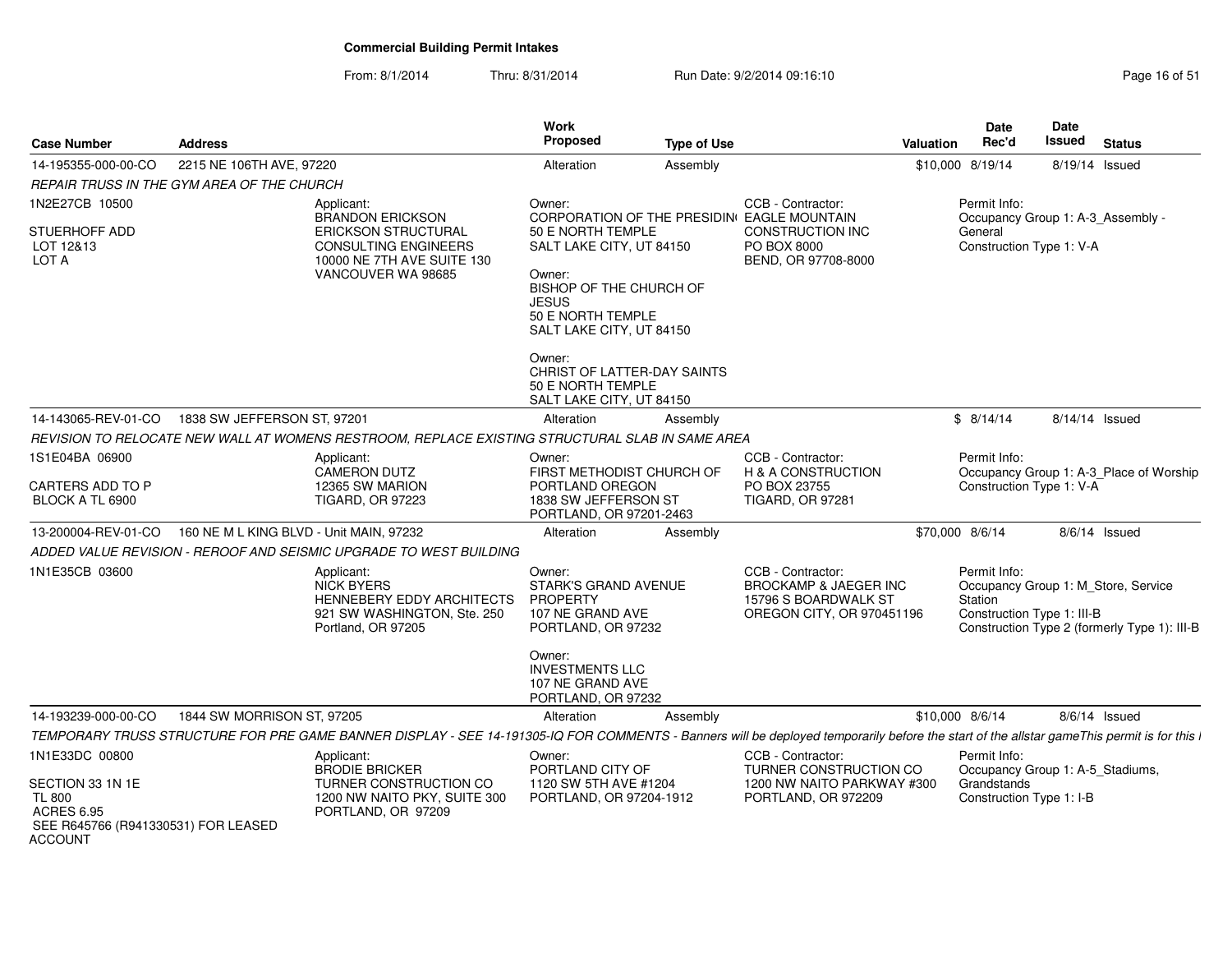| <b>Case Number</b>                                                                                              | <b>Address</b>                          |                                                                                                                                                                                            | Work<br>Proposed                                                                                                                                              | <b>Type of Use</b> |                                                                                                            | Valuation | Date<br>Rec'd                                                                               | Date<br>Issued | <b>Status</b>                                                                       |
|-----------------------------------------------------------------------------------------------------------------|-----------------------------------------|--------------------------------------------------------------------------------------------------------------------------------------------------------------------------------------------|---------------------------------------------------------------------------------------------------------------------------------------------------------------|--------------------|------------------------------------------------------------------------------------------------------------|-----------|---------------------------------------------------------------------------------------------|----------------|-------------------------------------------------------------------------------------|
| 14-195355-000-00-CO                                                                                             | 2215 NE 106TH AVE, 97220                |                                                                                                                                                                                            | Alteration                                                                                                                                                    | Assembly           |                                                                                                            |           | \$10,000 8/19/14                                                                            | 8/19/14 Issued |                                                                                     |
| REPAIR TRUSS IN THE GYM AREA OF THE CHURCH                                                                      |                                         |                                                                                                                                                                                            |                                                                                                                                                               |                    |                                                                                                            |           |                                                                                             |                |                                                                                     |
| 1N2E27CB 10500                                                                                                  |                                         | Applicant:<br><b>BRANDON ERICKSON</b>                                                                                                                                                      | Owner:                                                                                                                                                        |                    | CCB - Contractor:<br>CORPORATION OF THE PRESIDIN EAGLE MOUNTAIN                                            |           | Permit Info:<br>Occupancy Group 1: A-3 Assembly -                                           |                |                                                                                     |
| STUERHOFF ADD<br>LOT 12&13<br>LOT A                                                                             |                                         | <b>ERICKSON STRUCTURAL</b><br><b>CONSULTING ENGINEERS</b><br>10000 NE 7TH AVE SUITE 130<br>VANCOUVER WA 98685                                                                              | 50 E NORTH TEMPLE<br>SALT LAKE CITY, UT 84150<br>Owner:<br>BISHOP OF THE CHURCH OF<br><b>JESUS</b><br>50 E NORTH TEMPLE<br>SALT LAKE CITY, UT 84150<br>Owner: |                    | CONSTRUCTION INC<br>PO BOX 8000<br>BEND, OR 97708-8000                                                     |           | General<br>Construction Type 1: V-A                                                         |                |                                                                                     |
|                                                                                                                 |                                         |                                                                                                                                                                                            | CHRIST OF LATTER-DAY SAINTS<br>50 E NORTH TEMPLE<br>SALT LAKE CITY, UT 84150                                                                                  |                    |                                                                                                            |           |                                                                                             |                |                                                                                     |
| 14-143065-REV-01-CO                                                                                             | 1838 SW JEFFERSON ST, 97201             |                                                                                                                                                                                            | Alteration                                                                                                                                                    | Assembly           |                                                                                                            |           | \$8/14/14                                                                                   | 8/14/14 Issued |                                                                                     |
|                                                                                                                 |                                         | REVISION TO RELOCATE NEW WALL AT WOMENS RESTROOM, REPLACE EXISTING STRUCTURAL SLAB IN SAME AREA                                                                                            |                                                                                                                                                               |                    |                                                                                                            |           |                                                                                             |                |                                                                                     |
| 1S1E04BA 06900                                                                                                  |                                         | Applicant:<br><b>CAMERON DUTZ</b>                                                                                                                                                          | Owner:<br>FIRST METHODIST CHURCH OF                                                                                                                           |                    | CCB - Contractor:<br>H & A CONSTRUCTION                                                                    |           | Permit Info:                                                                                |                | Occupancy Group 1: A-3_Place of Worship                                             |
| <b>CARTERS ADD TO P</b><br>BLOCK A TL 6900                                                                      |                                         | 12365 SW MARION<br><b>TIGARD, OR 97223</b>                                                                                                                                                 | PORTLAND OREGON<br>1838 SW JEFFERSON ST<br>PORTLAND, OR 97201-2463                                                                                            |                    | PO BOX 23755<br><b>TIGARD, OR 97281</b>                                                                    |           | Construction Type 1: V-A                                                                    |                |                                                                                     |
| 13-200004-REV-01-CO                                                                                             | 160 NE M L KING BLVD - Unit MAIN, 97232 |                                                                                                                                                                                            | Alteration                                                                                                                                                    | Assembly           |                                                                                                            |           | \$70,000 8/6/14                                                                             |                | $8/6/14$ Issued                                                                     |
|                                                                                                                 |                                         | ADDED VALUE REVISION - REROOF AND SEISMIC UPGRADE TO WEST BUILDING                                                                                                                         |                                                                                                                                                               |                    |                                                                                                            |           |                                                                                             |                |                                                                                     |
| 1N1E35CB 03600                                                                                                  |                                         | Applicant:<br><b>NICK BYERS</b><br><b>HENNEBERY EDDY ARCHITECTS</b><br>921 SW WASHINGTON, Ste. 250<br>Portland, OR 97205                                                                   | Owner:<br><b>STARK'S GRAND AVENUE</b><br>PROPERTY<br>107 NE GRAND AVE<br>PORTLAND, OR 97232<br>Owner:                                                         |                    | CCB - Contractor:<br><b>BROCKAMP &amp; JAEGER INC</b><br>15796 S BOARDWALK ST<br>OREGON CITY, OR 970451196 |           | Permit Info:<br>Station<br>Construction Type 1: III-B                                       |                | Occupancy Group 1: M_Store, Service<br>Construction Type 2 (formerly Type 1): III-B |
|                                                                                                                 |                                         |                                                                                                                                                                                            | <b>INVESTMENTS LLC</b><br>107 NE GRAND AVE<br>PORTLAND, OR 97232                                                                                              |                    |                                                                                                            |           |                                                                                             |                |                                                                                     |
| 14-193239-000-00-CO                                                                                             | 1844 SW MORRISON ST, 97205              |                                                                                                                                                                                            | Alteration                                                                                                                                                    | Assembly           |                                                                                                            |           | \$10,000 8/6/14                                                                             |                | 8/6/14 Issued                                                                       |
|                                                                                                                 |                                         | TEMPORARY TRUSS STRUCTURE FOR PRE GAME BANNER DISPLAY - SEE 14-191305-IQ FOR COMMENTS - Banners will be deployed temporarily before the start of the allstar gameThis permit is for this i |                                                                                                                                                               |                    |                                                                                                            |           |                                                                                             |                |                                                                                     |
| 1N1E33DC 00800<br>SECTION 33 1N 1E<br><b>TL 800</b><br><b>ACRES 6.95</b><br>SEE R645766 (R941330531) FOR LEASED |                                         | Applicant:<br><b>BRODIE BRICKER</b><br>TURNER CONSTRUCTION CO<br>1200 NW NAITO PKY, SUITE 300<br>PORTLAND, OR 97209                                                                        | Owner:<br>PORTLAND CITY OF<br>1120 SW 5TH AVE #1204<br>PORTLAND, OR 97204-1912                                                                                |                    | CCB - Contractor:<br>TURNER CONSTRUCTION CO<br>1200 NW NAITO PARKWAY #300<br>PORTLAND, OR 972209           |           | Permit Info:<br>Occupancy Group 1: A-5_Stadiums,<br>Grandstands<br>Construction Type 1: I-B |                |                                                                                     |
| <b>ACCOUNT</b>                                                                                                  |                                         |                                                                                                                                                                                            |                                                                                                                                                               |                    |                                                                                                            |           |                                                                                             |                |                                                                                     |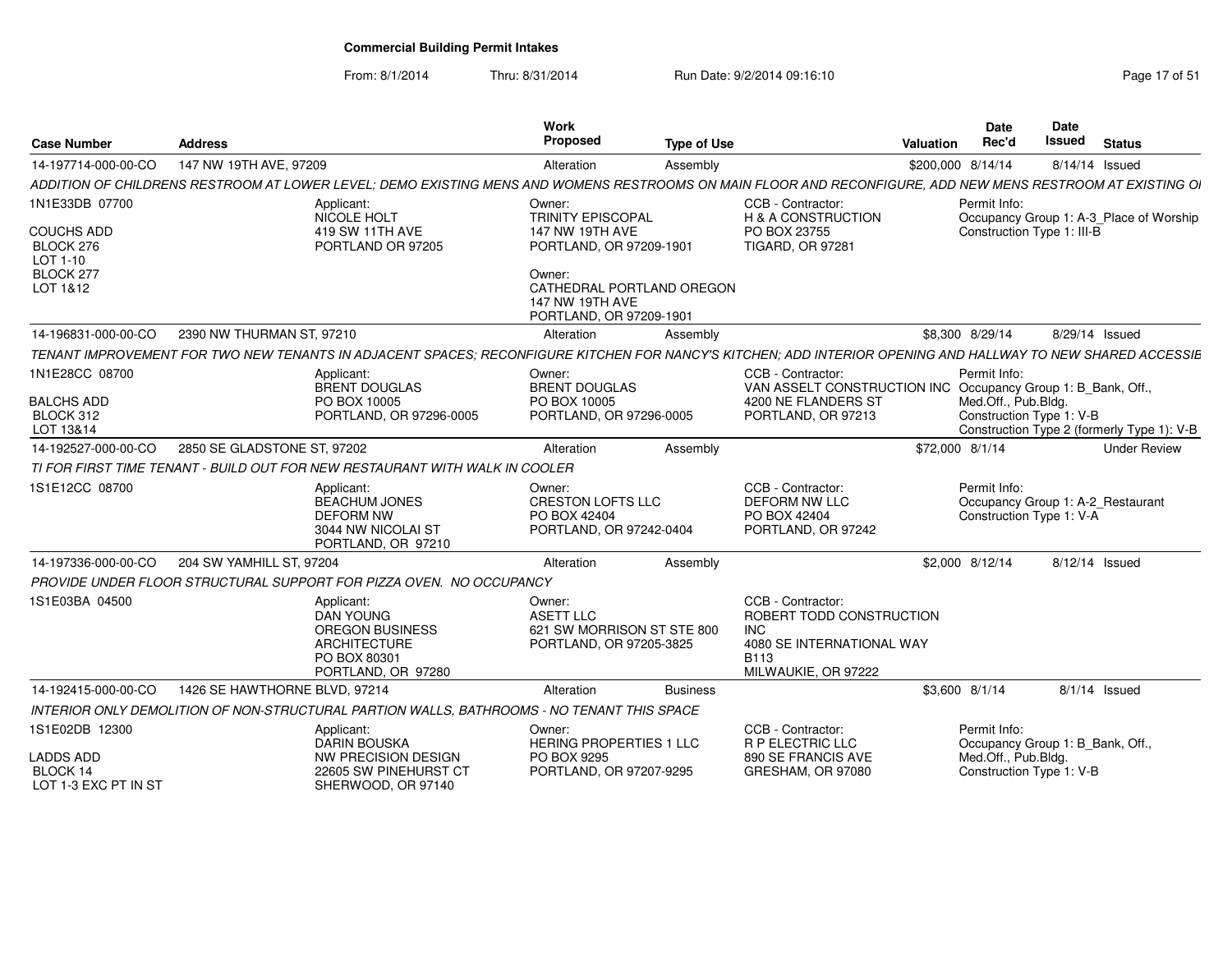| <b>Case Number</b>                                           | <b>Address</b>                |                                                                                                                                                             | Work<br>Proposed                                                                    | <b>Type of Use</b> |                                                                                                                   | Valuation         | Date<br>Rec'd                                   | <b>Date</b><br>Issued | <b>Status</b>                              |
|--------------------------------------------------------------|-------------------------------|-------------------------------------------------------------------------------------------------------------------------------------------------------------|-------------------------------------------------------------------------------------|--------------------|-------------------------------------------------------------------------------------------------------------------|-------------------|-------------------------------------------------|-----------------------|--------------------------------------------|
| 14-197714-000-00-CO                                          | 147 NW 19TH AVE, 97209        |                                                                                                                                                             | Alteration                                                                          | Assembly           |                                                                                                                   | \$200,000 8/14/14 |                                                 |                       | 8/14/14 Issued                             |
|                                                              |                               | ADDITION OF CHILDRENS RESTROOM AT LOWER LEVEL: DEMO EXISTING MENS AND WOMENS RESTROOMS ON MAIN FLOOR AND RECONFIGURE. ADD NEW MENS RESTROOM AT EXISTING OI  |                                                                                     |                    |                                                                                                                   |                   |                                                 |                       |                                            |
| 1N1E33DB 07700<br><b>COUCHS ADD</b><br>BLOCK 276<br>LOT 1-10 |                               | Applicant:<br>NICOLE HOLT<br>419 SW 11TH AVE<br>PORTLAND OR 97205                                                                                           | Owner:<br>TRINITY EPISCOPAL<br>147 NW 19TH AVE<br>PORTLAND, OR 97209-1901           |                    | CCB - Contractor:<br><b>H &amp; A CONSTRUCTION</b><br>PO BOX 23755<br><b>TIGARD, OR 97281</b>                     |                   | Permit Info:<br>Construction Type 1: III-B      |                       | Occupancy Group 1: A-3 Place of Worship    |
| BLOCK 277<br>LOT 1&12                                        |                               |                                                                                                                                                             | Owner:<br>CATHEDRAL PORTLAND OREGON<br>147 NW 19TH AVE<br>PORTLAND, OR 97209-1901   |                    |                                                                                                                   |                   |                                                 |                       |                                            |
| 14-196831-000-00-CO                                          | 2390 NW THURMAN ST, 97210     |                                                                                                                                                             | Alteration                                                                          | Assembly           |                                                                                                                   |                   | \$8,300 8/29/14                                 |                       | 8/29/14 Issued                             |
|                                                              |                               | TENANT IMPROVEMENT FOR TWO NEW TENANTS IN ADJACENT SPACES; RECONFIGURE KITCHEN FOR NANCY'S KITCHEN; ADD INTERIOR OPENING AND HALLWAY TO NEW SHARED ACCESSIE |                                                                                     |                    |                                                                                                                   |                   |                                                 |                       |                                            |
| 1N1E28CC 08700                                               |                               | Applicant:<br><b>BRENT DOUGLAS</b>                                                                                                                          | Owner:<br><b>BRENT DOUGLAS</b>                                                      |                    | CCB - Contractor:<br>VAN ASSELT CONSTRUCTION INC Occupancy Group 1: B_Bank, Off.,                                 |                   | Permit Info:                                    |                       |                                            |
| <b>BALCHS ADD</b><br>BLOCK 312<br>LOT 13&14                  |                               | PO BOX 10005<br>PORTLAND, OR 97296-0005                                                                                                                     | PO BOX 10005<br>PORTLAND, OR 97296-0005                                             |                    | 4200 NE FLANDERS ST<br>PORTLAND, OR 97213                                                                         |                   | Med.Off., Pub.Bldg.<br>Construction Type 1: V-B |                       | Construction Type 2 (formerly Type 1): V-B |
| 14-192527-000-00-CO                                          | 2850 SE GLADSTONE ST, 97202   |                                                                                                                                                             | Alteration                                                                          | Assembly           |                                                                                                                   | \$72,000 8/1/14   |                                                 |                       | <b>Under Review</b>                        |
|                                                              |                               | TI FOR FIRST TIME TENANT - BUILD OUT FOR NEW RESTAURANT WITH WALK IN COOLER                                                                                 |                                                                                     |                    |                                                                                                                   |                   |                                                 |                       |                                            |
| 1S1E12CC 08700                                               |                               | Applicant:<br><b>BEACHUM JONES</b><br><b>DEFORM NW</b><br>3044 NW NICOLAI ST<br>PORTLAND, OR 97210                                                          | Owner:<br><b>CRESTON LOFTS LLC</b><br>PO BOX 42404<br>PORTLAND, OR 97242-0404       |                    | CCB - Contractor:<br><b>DEFORM NW LLC</b><br>PO BOX 42404<br>PORTLAND, OR 97242                                   |                   | Permit Info:<br>Construction Type 1: V-A        |                       | Occupancy Group 1: A-2 Restaurant          |
| 14-197336-000-00-CO                                          | 204 SW YAMHILL ST, 97204      |                                                                                                                                                             | Alteration                                                                          | Assembly           |                                                                                                                   |                   | \$2,000 8/12/14                                 |                       | 8/12/14 Issued                             |
|                                                              |                               | PROVIDE UNDER FLOOR STRUCTURAL SUPPORT FOR PIZZA OVEN. NO OCCUPANCY                                                                                         |                                                                                     |                    |                                                                                                                   |                   |                                                 |                       |                                            |
| 1S1E03BA 04500                                               |                               | Applicant:<br>DAN YOUNG<br><b>OREGON BUSINESS</b><br><b>ARCHITECTURE</b><br>PO BOX 80301<br>PORTLAND, OR 97280                                              | Owner:<br><b>ASETT LLC</b><br>621 SW MORRISON ST STE 800<br>PORTLAND, OR 97205-3825 |                    | CCB - Contractor:<br>ROBERT TODD CONSTRUCTION<br>INC.<br>4080 SE INTERNATIONAL WAY<br>B113<br>MILWAUKIE, OR 97222 |                   |                                                 |                       |                                            |
| 14-192415-000-00-CO                                          | 1426 SE HAWTHORNE BLVD, 97214 |                                                                                                                                                             | Alteration                                                                          | <b>Business</b>    |                                                                                                                   | \$3,600 8/1/14    |                                                 |                       | $8/1/14$ Issued                            |
|                                                              |                               | INTERIOR ONLY DEMOLITION OF NON-STRUCTURAL PARTION WALLS. BATHROOMS - NO TENANT THIS SPACE                                                                  |                                                                                     |                    |                                                                                                                   |                   |                                                 |                       |                                            |
| 1S1E02DB 12300                                               |                               | Applicant:<br><b>DARIN BOUSKA</b>                                                                                                                           | Owner:<br><b>HERING PROPERTIES 1 LLC</b>                                            |                    | CCB - Contractor:<br><b>R P ELECTRIC LLC</b>                                                                      |                   | Permit Info:<br>Occupancy Group 1: B Bank, Off. |                       |                                            |
| <b>LADDS ADD</b><br>BLOCK 14<br>LOT 1-3 EXC PT IN ST         |                               | <b>NW PRECISION DESIGN</b><br>22605 SW PINEHURST CT<br>SHERWOOD, OR 97140                                                                                   | PO BOX 9295<br>PORTLAND, OR 97207-9295                                              |                    | 890 SE FRANCIS AVE<br>GRESHAM, OR 97080                                                                           |                   | Med.Off., Pub.Bldg.<br>Construction Type 1: V-B |                       |                                            |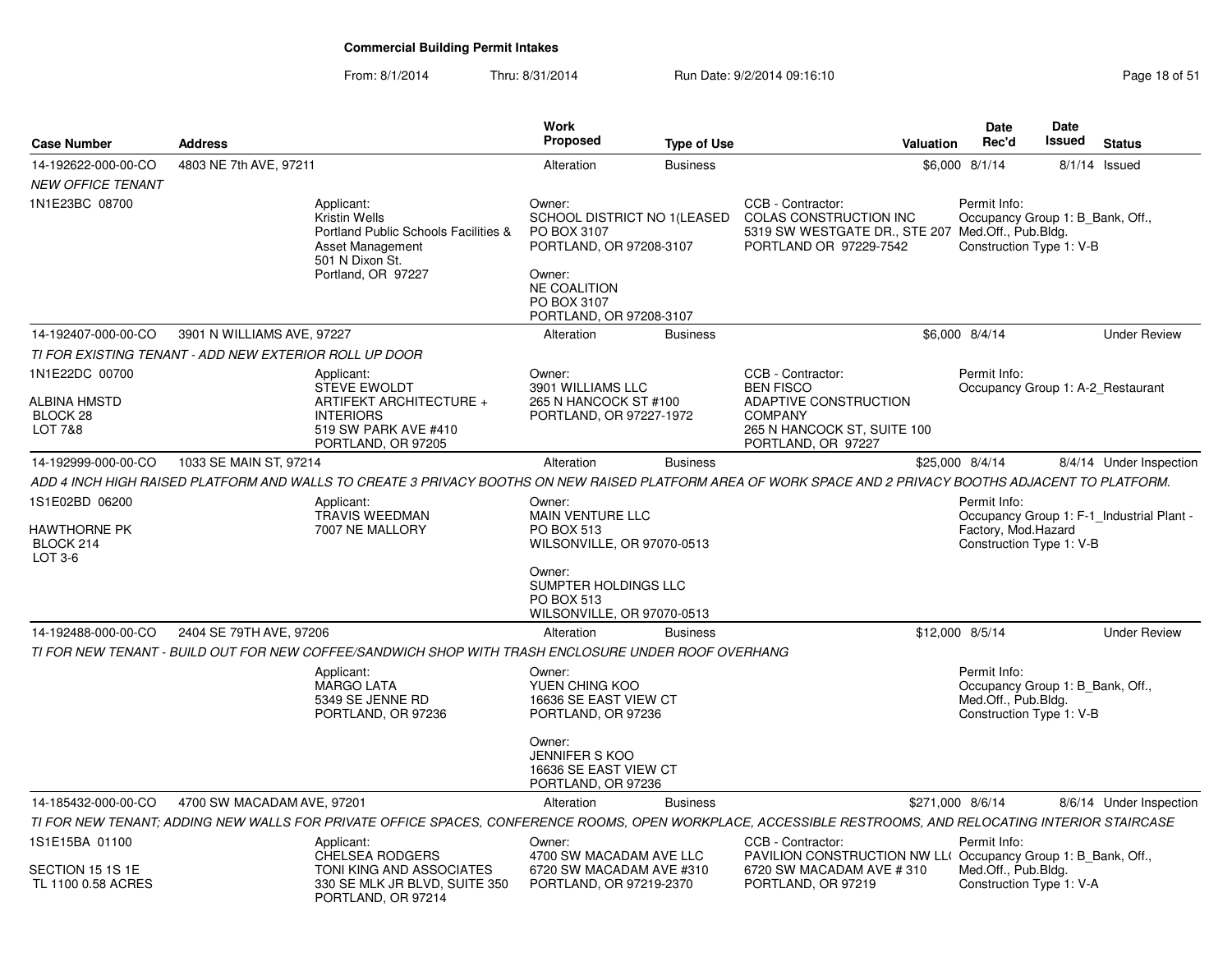| <b>Case Number</b>                                       | <b>Address</b>                                         |                                                                                                                                                           | <b>Work</b><br><b>Proposed</b>                                                                                                                             | <b>Type of Use</b> |                                                                                                                                       | Valuation | <b>Date</b><br>Rec'd                                                                                | <b>Date</b><br><b>Issued</b> | <b>Status</b>                             |
|----------------------------------------------------------|--------------------------------------------------------|-----------------------------------------------------------------------------------------------------------------------------------------------------------|------------------------------------------------------------------------------------------------------------------------------------------------------------|--------------------|---------------------------------------------------------------------------------------------------------------------------------------|-----------|-----------------------------------------------------------------------------------------------------|------------------------------|-------------------------------------------|
| 14-192622-000-00-CO                                      | 4803 NE 7th AVE, 97211                                 |                                                                                                                                                           | Alteration                                                                                                                                                 | <b>Business</b>    |                                                                                                                                       |           | \$6,000 8/1/14                                                                                      | 8/1/14                       | Issued                                    |
| <b>NEW OFFICE TENANT</b>                                 |                                                        |                                                                                                                                                           |                                                                                                                                                            |                    |                                                                                                                                       |           |                                                                                                     |                              |                                           |
| 1N1E23BC 08700                                           |                                                        | Applicant:<br>Kristin Wells<br>Portland Public Schools Facilities &<br>Asset Management<br>501 N Dixon St.<br>Portland, OR 97227                          | Owner:<br>SCHOOL DISTRICT NO 1(LEASED<br>PO BOX 3107<br>PORTLAND, OR 97208-3107<br>Owner:<br><b>NE COALITION</b><br>PO BOX 3107<br>PORTLAND, OR 97208-3107 |                    | CCB - Contractor:<br>COLAS CONSTRUCTION INC<br>5319 SW WESTGATE DR., STE 207<br>PORTLAND OR 97229-7542                                |           | Permit Info:<br>Occupancy Group 1: B_Bank, Off.,<br>Med.Off., Pub.Bldg.<br>Construction Type 1: V-B |                              |                                           |
| 14-192407-000-00-CO                                      | 3901 N WILLIAMS AVE, 97227                             |                                                                                                                                                           | Alteration                                                                                                                                                 | <b>Business</b>    |                                                                                                                                       |           | \$6,000 8/4/14                                                                                      |                              | <b>Under Review</b>                       |
|                                                          | TI FOR EXISTING TENANT - ADD NEW EXTERIOR ROLL UP DOOR |                                                                                                                                                           |                                                                                                                                                            |                    |                                                                                                                                       |           |                                                                                                     |                              |                                           |
| 1N1E22DC 00700<br>ALBINA HMSTD<br>BLOCK 28<br>LOT 7&8    |                                                        | Applicant:<br><b>STEVE EWOLDT</b><br>ARTIFEKT ARCHITECTURE +<br><b>INTERIORS</b><br>519 SW PARK AVE #410<br>PORTLAND, OR 97205                            | Owner:<br>3901 WILLIAMS LLC<br>265 N HANCOCK ST #100<br>PORTLAND, OR 97227-1972                                                                            |                    | CCB - Contractor:<br><b>BEN FISCO</b><br>ADAPTIVE CONSTRUCTION<br><b>COMPANY</b><br>265 N HANCOCK ST, SUITE 100<br>PORTLAND, OR 97227 |           | Permit Info:<br>Occupancy Group 1: A-2 Restaurant                                                   |                              |                                           |
| 14-192999-000-00-CO                                      | 1033 SE MAIN ST, 97214                                 |                                                                                                                                                           | Alteration                                                                                                                                                 | <b>Business</b>    |                                                                                                                                       |           | \$25,000 8/4/14                                                                                     |                              | 8/4/14 Under Inspection                   |
|                                                          |                                                        | ADD 4 INCH HIGH RAISED PLATFORM AND WALLS TO CREATE 3 PRIVACY BOOTHS ON NEW RAISED PLATFORM AREA OF WORK SPACE AND 2 PRIVACY BOOTHS ADJACENT TO PLATFORM. |                                                                                                                                                            |                    |                                                                                                                                       |           |                                                                                                     |                              |                                           |
| 1S1E02BD 06200<br>HAWTHORNE PK<br>BLOCK 214<br>LOT 3-6   |                                                        | Applicant:<br><b>TRAVIS WEEDMAN</b><br>7007 NE MALLORY                                                                                                    | Owner:<br><b>MAIN VENTURE LLC</b><br><b>PO BOX 513</b><br>WILSONVILLE, OR 97070-0513<br>Owner:<br>SUMPTER HOLDINGS LLC<br><b>PO BOX 513</b>                |                    |                                                                                                                                       |           | Permit Info:<br>Factory, Mod.Hazard<br>Construction Type 1: V-B                                     |                              | Occupancy Group 1: F-1_Industrial Plant - |
|                                                          |                                                        |                                                                                                                                                           | WILSONVILLE, OR 97070-0513                                                                                                                                 |                    |                                                                                                                                       |           |                                                                                                     |                              |                                           |
| 14-192488-000-00-CO                                      | 2404 SE 79TH AVE, 97206                                | TI FOR NEW TENANT - BUILD OUT FOR NEW COFFEE/SANDWICH SHOP WITH TRASH ENCLOSURE UNDER ROOF OVERHANG                                                       | Alteration                                                                                                                                                 | <b>Business</b>    |                                                                                                                                       |           | \$12,000 8/5/14                                                                                     |                              | <b>Under Review</b>                       |
|                                                          |                                                        | Applicant:<br><b>MARGO LATA</b><br>5349 SE JENNE RD<br>PORTLAND, OR 97236                                                                                 | Owner:<br>YUEN CHING KOO<br>16636 SE EAST VIEW CT<br>PORTLAND, OR 97236<br>Owner:<br>JENNIFER S KOO<br>16636 SE EAST VIEW CT                               |                    |                                                                                                                                       |           | Permit Info:<br>Occupancy Group 1: B_Bank, Off.,<br>Med.Off., Pub.Bldg.<br>Construction Type 1: V-B |                              |                                           |
|                                                          |                                                        |                                                                                                                                                           | PORTLAND, OR 97236                                                                                                                                         |                    |                                                                                                                                       |           |                                                                                                     |                              |                                           |
| 14-185432-000-00-CO                                      | 4700 SW MACADAM AVE, 97201                             |                                                                                                                                                           | Alteration                                                                                                                                                 | <b>Business</b>    |                                                                                                                                       |           | \$271,000 8/6/14                                                                                    |                              | 8/6/14 Under Inspection                   |
|                                                          |                                                        | TI FOR NEW TENANT: ADDING NEW WALLS FOR PRIVATE OFFICE SPACES. CONFERENCE ROOMS. OPEN WORKPLACE, ACCESSIBLE RESTROOMS, AND RELOCATING INTERIOR STAIRCASE  |                                                                                                                                                            |                    |                                                                                                                                       |           |                                                                                                     |                              |                                           |
| 1S1E15BA 01100<br>SECTION 15 1S 1E<br>TL 1100 0.58 ACRES |                                                        | Applicant:<br><b>CHELSEA RODGERS</b><br>TONI KING AND ASSOCIATES<br>330 SE MLK JR BLVD, SUITE 350<br>PORTLAND, OR 97214                                   | Owner:<br>4700 SW MACADAM AVE LLC<br>6720 SW MACADAM AVE #310<br>PORTLAND, OR 97219-2370                                                                   |                    | CCB - Contractor:<br>PAVILION CONSTRUCTION NW LL(Occupancy Group 1: B Bank, Off.,<br>6720 SW MACADAM AVE #310<br>PORTLAND, OR 97219   |           | Permit Info:<br>Med.Off., Pub.Bldg.<br>Construction Type 1: V-A                                     |                              |                                           |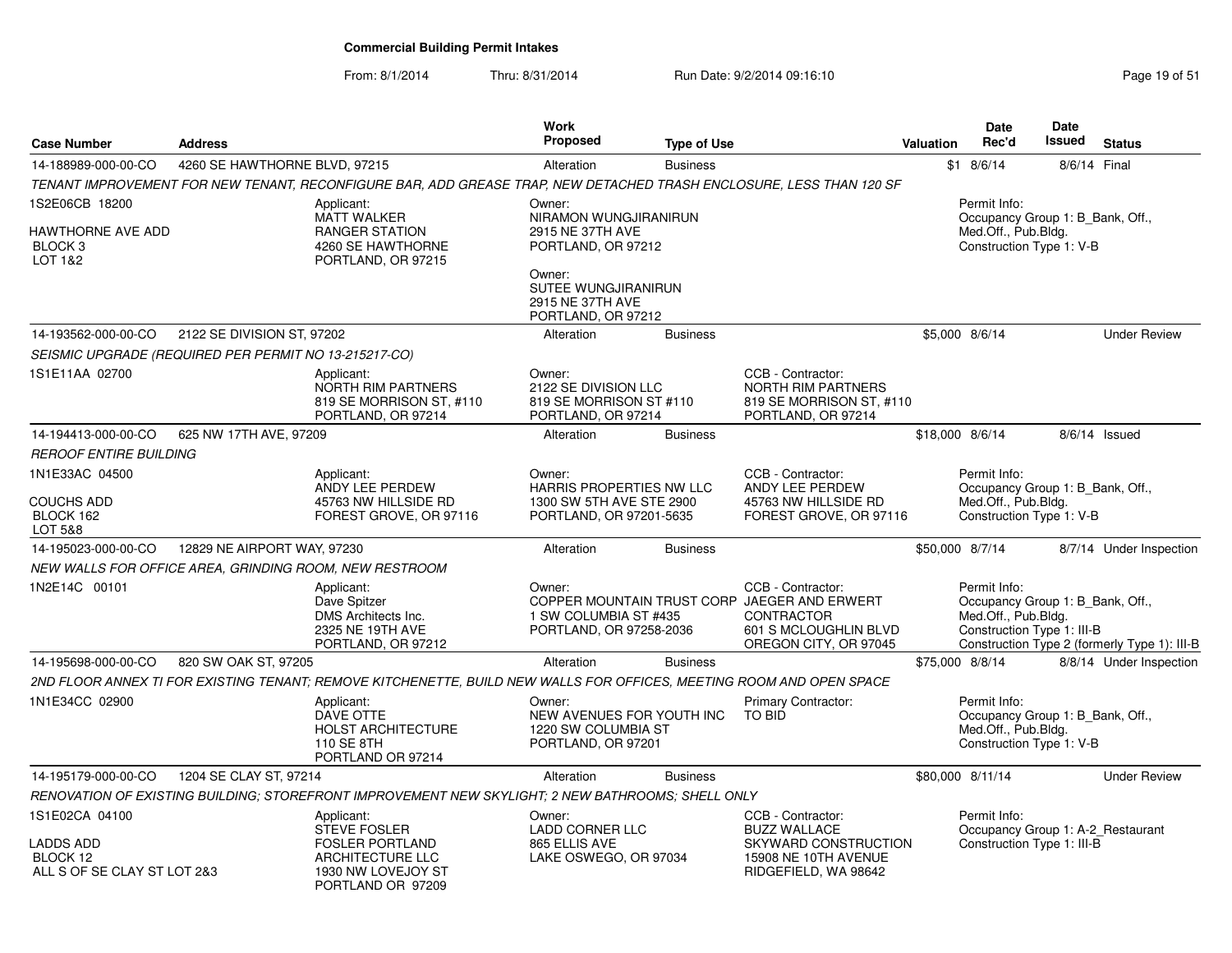| <b>Case Number</b>                                                     | <b>Address</b>                |                                                                                                                      | <b>Work</b><br><b>Proposed</b>                                                      | <b>Type of Use</b> |                                                                                                                                          | <b>Valuation</b> | <b>Date</b><br>Rec'd                                                                                  | Date<br><b>Issued</b> | <b>Status</b>                                |
|------------------------------------------------------------------------|-------------------------------|----------------------------------------------------------------------------------------------------------------------|-------------------------------------------------------------------------------------|--------------------|------------------------------------------------------------------------------------------------------------------------------------------|------------------|-------------------------------------------------------------------------------------------------------|-----------------------|----------------------------------------------|
| 14-188989-000-00-CO                                                    | 4260 SE HAWTHORNE BLVD, 97215 |                                                                                                                      | Alteration                                                                          | <b>Business</b>    |                                                                                                                                          |                  | $$1$ 8/6/14                                                                                           | 8/6/14 Final          |                                              |
|                                                                        |                               | TENANT IMPROVEMENT FOR NEW TENANT. RECONFIGURE BAR. ADD GREASE TRAP, NEW DETACHED TRASH ENCLOSURE. LESS THAN 120 SF  |                                                                                     |                    |                                                                                                                                          |                  |                                                                                                       |                       |                                              |
| 1S2E06CB 18200<br>HAWTHORNE AVE ADD<br>BLOCK <sub>3</sub><br>LOT 1&2   |                               | Applicant:<br><b>MATT WALKER</b><br><b>RANGER STATION</b><br>4260 SE HAWTHORNE<br>PORTLAND, OR 97215                 | Owner:<br>NIRAMON WUNGJIRANIRUN<br>2915 NE 37TH AVE<br>PORTLAND, OR 97212<br>Owner: |                    |                                                                                                                                          |                  | Permit Info:<br>Occupancy Group 1: B Bank, Off.,<br>Med.Off., Pub.Bldg.<br>Construction Type 1: V-B   |                       |                                              |
|                                                                        |                               |                                                                                                                      | <b>SUTEE WUNGJIRANIRUN</b><br>2915 NE 37TH AVE<br>PORTLAND, OR 97212                |                    |                                                                                                                                          |                  |                                                                                                       |                       |                                              |
| 14-193562-000-00-CO                                                    | 2122 SE DIVISION ST, 97202    |                                                                                                                      | Alteration                                                                          | <b>Business</b>    |                                                                                                                                          |                  | \$5,000 8/6/14                                                                                        |                       | <b>Under Review</b>                          |
| SEISMIC UPGRADE (REQUIRED PER PERMIT NO 13-215217-CO)                  |                               |                                                                                                                      |                                                                                     |                    |                                                                                                                                          |                  |                                                                                                       |                       |                                              |
| 1S1E11AA 02700                                                         |                               | Applicant:<br>NORTH RIM PARTNERS<br>819 SE MORRISON ST, #110<br>PORTLAND, OR 97214                                   | Owner:<br>2122 SE DIVISION LLC<br>819 SE MORRISON ST #110<br>PORTLAND, OR 97214     |                    | CCB - Contractor:<br><b>NORTH RIM PARTNERS</b><br>819 SE MORRISON ST, #110<br>PORTLAND, OR 97214                                         |                  |                                                                                                       |                       |                                              |
| 14-194413-000-00-CO                                                    | 625 NW 17TH AVE, 97209        |                                                                                                                      | Alteration                                                                          | <b>Business</b>    |                                                                                                                                          | \$18,000 8/6/14  |                                                                                                       |                       | 8/6/14 Issued                                |
| <i>REROOF ENTIRE BUILDING</i>                                          |                               |                                                                                                                      |                                                                                     |                    |                                                                                                                                          |                  |                                                                                                       |                       |                                              |
| 1N1E33AC 04500                                                         |                               | Applicant:<br>ANDY LEE PERDEW                                                                                        | Owner:<br>HARRIS PROPERTIES NW LLC                                                  |                    | CCB - Contractor:<br>ANDY LEE PERDEW                                                                                                     |                  | Permit Info:                                                                                          |                       |                                              |
| <b>COUCHS ADD</b><br>BLOCK 162<br>LOT 5&8                              |                               | 45763 NW HILLSIDE RD<br>FOREST GROVE, OR 97116                                                                       | 1300 SW 5TH AVE STE 2900<br>PORTLAND, OR 97201-5635                                 |                    | 45763 NW HILLSIDE RD<br>FOREST GROVE, OR 97116                                                                                           |                  | Occupancy Group 1: B Bank, Off.,<br>Med.Off., Pub.Bldg.<br>Construction Type 1: V-B                   |                       |                                              |
| 14-195023-000-00-CO                                                    | 12829 NE AIRPORT WAY, 97230   |                                                                                                                      | Alteration                                                                          | <b>Business</b>    |                                                                                                                                          | \$50,000 8/7/14  |                                                                                                       |                       | 8/7/14 Under Inspection                      |
| NEW WALLS FOR OFFICE AREA, GRINDING ROOM, NEW RESTROOM                 |                               |                                                                                                                      |                                                                                     |                    |                                                                                                                                          |                  |                                                                                                       |                       |                                              |
| 1N2E14C 00101                                                          |                               | Applicant:<br>Dave Spitzer<br>DMS Architects Inc.<br>2325 NE 19TH AVE<br>PORTLAND, OR 97212                          | Owner:<br>1 SW COLUMBIA ST #435<br>PORTLAND, OR 97258-2036                          |                    | CCB - Contractor:<br>COPPER MOUNTAIN TRUST CORP JAEGER AND ERWERT<br><b>CONTRACTOR</b><br>601 S MCLOUGHLIN BLVD<br>OREGON CITY, OR 97045 |                  | Permit Info:<br>Occupancy Group 1: B Bank, Off.,<br>Med.Off., Pub.Bldg.<br>Construction Type 1: III-B |                       | Construction Type 2 (formerly Type 1): III-B |
| 14-195698-000-00-CO                                                    | 820 SW OAK ST, 97205          |                                                                                                                      | Alteration                                                                          | <b>Business</b>    |                                                                                                                                          | \$75,000 8/8/14  |                                                                                                       |                       | 8/8/14 Under Inspection                      |
|                                                                        |                               | 2ND FLOOR ANNEX TI FOR EXISTING TENANT; REMOVE KITCHENETTE, BUILD NEW WALLS FOR OFFICES, MEETING ROOM AND OPEN SPACE |                                                                                     |                    |                                                                                                                                          |                  |                                                                                                       |                       |                                              |
| 1N1E34CC 02900                                                         |                               | Applicant:<br>DAVE OTTE<br><b>HOLST ARCHITECTURE</b><br>110 SE 8TH<br>PORTLAND OR 97214                              | Owner:<br>NEW AVENUES FOR YOUTH INC<br>1220 SW COLUMBIA ST<br>PORTLAND, OR 97201    |                    | <b>Primary Contractor:</b><br>TO BID                                                                                                     |                  | Permit Info:<br>Occupancy Group 1: B_Bank, Off.,<br>Med.Off., Pub.Blda.<br>Construction Type 1: V-B   |                       |                                              |
| 14-195179-000-00-CO                                                    | 1204 SE CLAY ST, 97214        |                                                                                                                      | Alteration                                                                          | <b>Business</b>    |                                                                                                                                          |                  | \$80,000 8/11/14                                                                                      |                       | <b>Under Review</b>                          |
|                                                                        |                               | RENOVATION OF EXISTING BUILDING; STOREFRONT IMPROVEMENT NEW SKYLIGHT; 2 NEW BATHROOMS; SHELL ONLY                    |                                                                                     |                    |                                                                                                                                          |                  |                                                                                                       |                       |                                              |
| 1S1E02CA 04100<br>LADDS ADD<br>BLOCK 12<br>ALL S OF SE CLAY ST LOT 2&3 |                               | Applicant:<br>STEVE FOSLER<br><b>FOSLER PORTLAND</b><br>ARCHITECTURE LLC<br>1930 NW LOVEJOY ST<br>PORTLAND OR 97209  | Owner:<br><b>LADD CORNER LLC</b><br>865 ELLIS AVE<br>LAKE OSWEGO, OR 97034          |                    | CCB - Contractor:<br><b>BUZZ WALLACE</b><br>SKYWARD CONSTRUCTION<br>15908 NE 10TH AVENUE<br>RIDGEFIELD, WA 98642                         |                  | Permit Info:<br>Construction Type 1: III-B                                                            |                       | Occupancy Group 1: A-2_Restaurant            |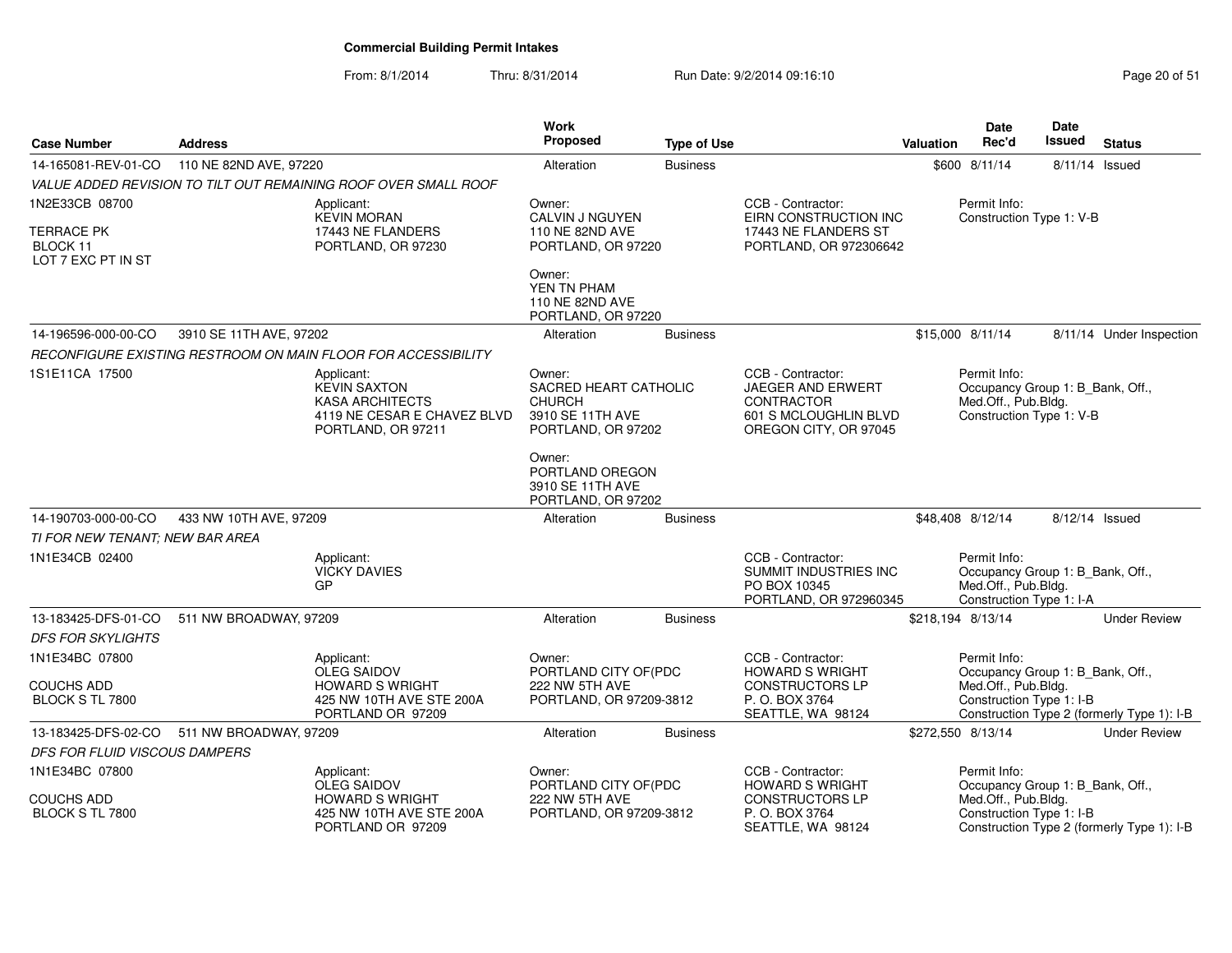| <b>Case Number</b>                           | <b>Address</b>          |                                                                                                                  | <b>Work</b><br>Proposed                                                                    | <b>Type of Use</b> |                                                                                                               | <b>Valuation</b>  | Date<br>Rec'd                                                                                       | Date<br><b>Issued</b> | <b>Status</b>                              |
|----------------------------------------------|-------------------------|------------------------------------------------------------------------------------------------------------------|--------------------------------------------------------------------------------------------|--------------------|---------------------------------------------------------------------------------------------------------------|-------------------|-----------------------------------------------------------------------------------------------------|-----------------------|--------------------------------------------|
| 14-165081-REV-01-CO                          | 110 NE 82ND AVE, 97220  |                                                                                                                  | Alteration                                                                                 | <b>Business</b>    |                                                                                                               |                   | \$600 8/11/14                                                                                       | 8/11/14 Issued        |                                            |
|                                              |                         | VALUE ADDED REVISION TO TILT OUT REMAINING ROOF OVER SMALL ROOF                                                  |                                                                                            |                    |                                                                                                               |                   |                                                                                                     |                       |                                            |
| 1N2E33CB 08700                               |                         | Applicant:<br><b>KEVIN MORAN</b>                                                                                 | Owner:<br>CALVIN J NGUYEN                                                                  |                    | CCB - Contractor:<br>EIRN CONSTRUCTION INC                                                                    |                   | Permit Info:<br>Construction Type 1: V-B                                                            |                       |                                            |
| TERRACE PK<br>BLOCK 11<br>LOT 7 EXC PT IN ST |                         | 17443 NE FLANDERS<br>PORTLAND, OR 97230                                                                          | 110 NE 82ND AVE<br>PORTLAND, OR 97220                                                      |                    | 17443 NE FLANDERS ST<br>PORTLAND, OR 972306642                                                                |                   |                                                                                                     |                       |                                            |
|                                              |                         |                                                                                                                  | Owner:<br>YEN TN PHAM<br>110 NE 82ND AVE<br>PORTLAND, OR 97220                             |                    |                                                                                                               |                   |                                                                                                     |                       |                                            |
| 14-196596-000-00-CO                          | 3910 SE 11TH AVE, 97202 |                                                                                                                  | Alteration                                                                                 | <b>Business</b>    |                                                                                                               |                   | \$15,000 8/11/14                                                                                    |                       | 8/11/14 Under Inspection                   |
|                                              |                         | RECONFIGURE EXISTING RESTROOM ON MAIN FLOOR FOR ACCESSIBILITY                                                    |                                                                                            |                    |                                                                                                               |                   |                                                                                                     |                       |                                            |
| 1S1E11CA 17500                               |                         | Applicant:<br><b>KEVIN SAXTON</b><br><b>KASA ARCHITECTS</b><br>4119 NE CESAR E CHAVEZ BLVD<br>PORTLAND, OR 97211 | Owner:<br>SACRED HEART CATHOLIC<br><b>CHURCH</b><br>3910 SE 11TH AVE<br>PORTLAND, OR 97202 |                    | CCB - Contractor:<br>JAEGER AND ERWERT<br><b>CONTRACTOR</b><br>601 S MCLOUGHLIN BLVD<br>OREGON CITY, OR 97045 |                   | Permit Info:<br>Occupancy Group 1: B_Bank, Off.,<br>Med.Off., Pub.Bldg.<br>Construction Type 1: V-B |                       |                                            |
|                                              |                         |                                                                                                                  | Owner:<br>PORTLAND OREGON<br>3910 SE 11TH AVE<br>PORTLAND, OR 97202                        |                    |                                                                                                               |                   |                                                                                                     |                       |                                            |
| 14-190703-000-00-CO                          | 433 NW 10TH AVE, 97209  |                                                                                                                  | Alteration                                                                                 | <b>Business</b>    |                                                                                                               |                   | \$48,408 8/12/14                                                                                    | 8/12/14 Issued        |                                            |
| TI FOR NEW TENANT; NEW BAR AREA              |                         |                                                                                                                  |                                                                                            |                    |                                                                                                               |                   |                                                                                                     |                       |                                            |
| 1N1E34CB 02400                               |                         | Applicant:<br><b>VICKY DAVIES</b><br><b>GP</b>                                                                   |                                                                                            |                    | CCB - Contractor:<br>SUMMIT INDUSTRIES INC<br>PO BOX 10345<br>PORTLAND, OR 972960345                          |                   | Permit Info:<br>Occupancy Group 1: B_Bank, Off.,<br>Med.Off., Pub.Bldg.<br>Construction Type 1: I-A |                       |                                            |
| 13-183425-DFS-01-CO                          | 511 NW BROADWAY, 97209  |                                                                                                                  | Alteration                                                                                 | <b>Business</b>    |                                                                                                               | \$218,194 8/13/14 |                                                                                                     |                       | <b>Under Review</b>                        |
| <b>DFS FOR SKYLIGHTS</b>                     |                         |                                                                                                                  |                                                                                            |                    |                                                                                                               |                   |                                                                                                     |                       |                                            |
| 1N1E34BC 07800                               |                         | Applicant:<br><b>OLEG SAIDOV</b>                                                                                 | Owner:<br>PORTLAND CITY OF(PDC                                                             |                    | CCB - Contractor:<br><b>HOWARD S WRIGHT</b>                                                                   |                   | Permit Info:<br>Occupancy Group 1: B Bank, Off.,                                                    |                       |                                            |
| COUCHS ADD<br>BLOCK S TL 7800                |                         | <b>HOWARD S WRIGHT</b><br>425 NW 10TH AVE STE 200A<br>PORTLAND OR 97209                                          | 222 NW 5TH AVE<br>PORTLAND, OR 97209-3812                                                  |                    | <b>CONSTRUCTORS LP</b><br>P.O. BOX 3764<br>SEATTLE, WA 98124                                                  |                   | Med.Off., Pub.Bldg.<br>Construction Type 1: I-B                                                     |                       | Construction Type 2 (formerly Type 1): I-B |
| 13-183425-DFS-02-CO                          | 511 NW BROADWAY, 97209  |                                                                                                                  | Alteration                                                                                 | <b>Business</b>    |                                                                                                               | \$272,550 8/13/14 |                                                                                                     |                       | <b>Under Review</b>                        |
| DFS FOR FLUID VISCOUS DAMPERS                |                         |                                                                                                                  |                                                                                            |                    |                                                                                                               |                   |                                                                                                     |                       |                                            |
| 1N1E34BC 07800                               |                         | Applicant:<br>OLEG SAIDOV                                                                                        | Owner:<br>PORTLAND CITY OF(PDC                                                             |                    | CCB - Contractor:<br><b>HOWARD S WRIGHT</b>                                                                   |                   | Permit Info:<br>Occupancy Group 1: B_Bank, Off.,                                                    |                       |                                            |
| COUCHS ADD<br>BLOCK S TL 7800                |                         | <b>HOWARD S WRIGHT</b><br>425 NW 10TH AVE STE 200A<br>PORTLAND OR 97209                                          | 222 NW 5TH AVE<br>PORTLAND, OR 97209-3812                                                  |                    | <b>CONSTRUCTORS LP</b><br>P. O. BOX 3764<br>SEATTLE, WA 98124                                                 |                   | Med.Off., Pub.Bldg.<br>Construction Type 1: I-B                                                     |                       | Construction Type 2 (formerly Type 1): I-B |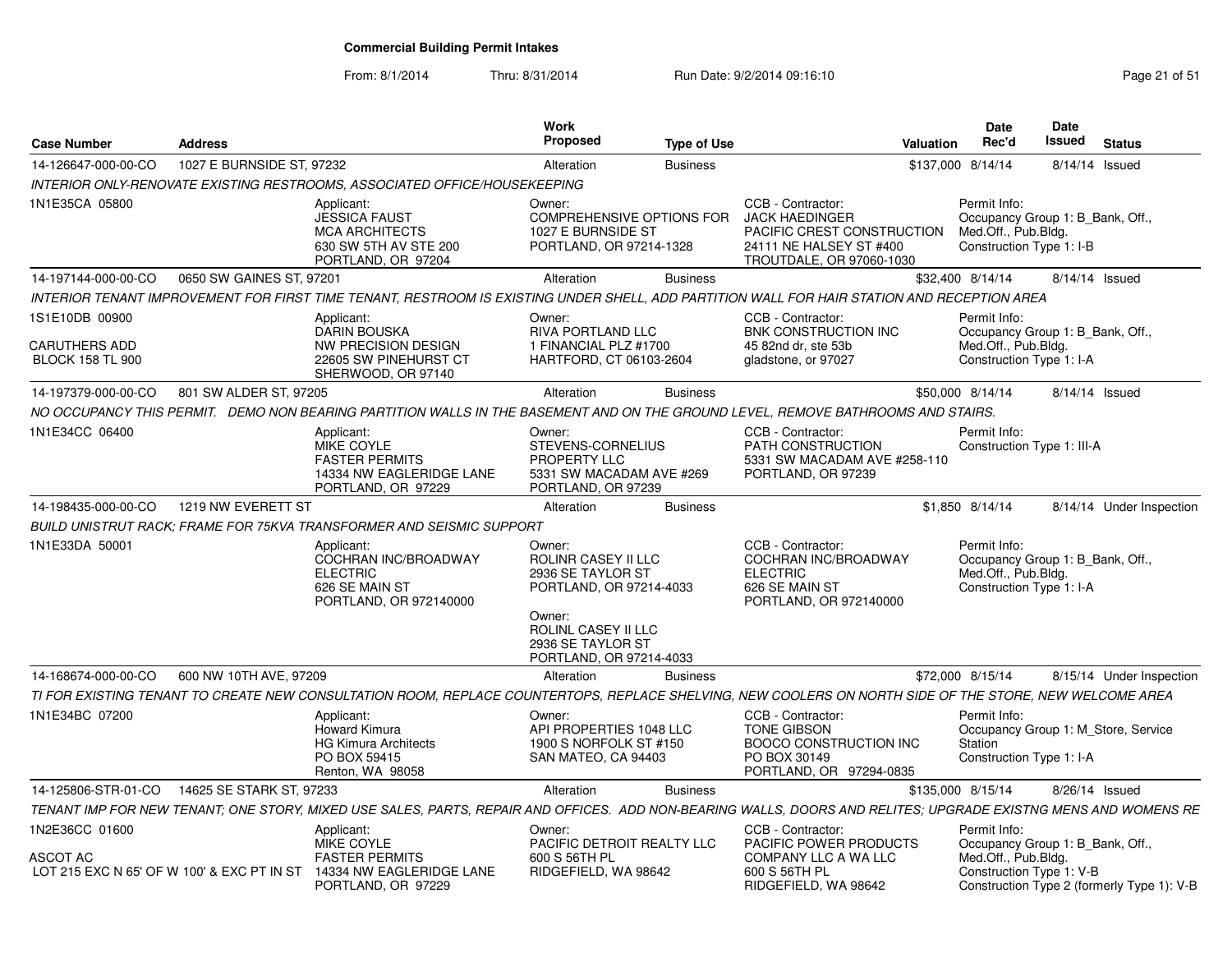| <b>Case Number</b>                                                              | <b>Address</b>            |                                                                                                                                                                | Work<br><b>Proposed</b>                                                                                                                                        | <b>Type of Use</b> |                                                                                                                                 | Valuation | <b>Date</b><br>Rec'd                                                                                | <b>Date</b><br>Issued | <b>Status</b>                              |
|---------------------------------------------------------------------------------|---------------------------|----------------------------------------------------------------------------------------------------------------------------------------------------------------|----------------------------------------------------------------------------------------------------------------------------------------------------------------|--------------------|---------------------------------------------------------------------------------------------------------------------------------|-----------|-----------------------------------------------------------------------------------------------------|-----------------------|--------------------------------------------|
| 14-126647-000-00-CO                                                             | 1027 E BURNSIDE ST, 97232 |                                                                                                                                                                | Alteration                                                                                                                                                     | <b>Business</b>    |                                                                                                                                 |           | \$137,000 8/14/14                                                                                   |                       | 8/14/14 Issued                             |
|                                                                                 |                           | INTERIOR ONLY-RENOVATE EXISTING RESTROOMS, ASSOCIATED OFFICE/HOUSEKEEPING                                                                                      |                                                                                                                                                                |                    |                                                                                                                                 |           |                                                                                                     |                       |                                            |
| 1N1E35CA 05800                                                                  |                           | Applicant:<br><b>JESSICA FAUST</b><br><b>MCA ARCHITECTS</b><br>630 SW 5TH AV STE 200<br>PORTLAND, OR 97204                                                     | Owner:<br><b>COMPREHENSIVE OPTIONS FOR</b><br>1027 E BURNSIDE ST<br>PORTLAND, OR 97214-1328                                                                    |                    | CCB - Contractor:<br><b>JACK HAEDINGER</b><br>PACIFIC CREST CONSTRUCTION<br>24111 NE HALSEY ST #400<br>TROUTDALE, OR 97060-1030 |           | Permit Info:<br>Occupancy Group 1: B Bank, Off.,<br>Med.Off., Pub.Bldg.<br>Construction Type 1: I-B |                       |                                            |
| 14-197144-000-00-CO                                                             | 0650 SW GAINES ST, 97201  |                                                                                                                                                                | Alteration                                                                                                                                                     | <b>Business</b>    |                                                                                                                                 |           | \$32,400 8/14/14                                                                                    |                       | 8/14/14 Issued                             |
|                                                                                 |                           | INTERIOR TENANT IMPROVEMENT FOR FIRST TIME TENANT. RESTROOM IS EXISTING UNDER SHELL. ADD PARTITION WALL FOR HAIR STATION AND RECEPTION AREA                    |                                                                                                                                                                |                    |                                                                                                                                 |           |                                                                                                     |                       |                                            |
| 1S1E10DB 00900<br>CARUTHERS ADD<br><b>BLOCK 158 TL 900</b>                      |                           | Applicant:<br><b>DARIN BOUSKA</b><br><b>NW PRECISION DESIGN</b><br>22605 SW PINEHURST CT<br>SHERWOOD, OR 97140                                                 | Owner:<br>RIVA PORTLAND LLC<br>1 FINANCIAL PLZ #1700<br>HARTFORD, CT 06103-2604                                                                                |                    | CCB - Contractor:<br><b>BNK CONSTRUCTION INC</b><br>45 82nd dr. ste 53b<br>gladstone, or 97027                                  |           | Permit Info:<br>Occupancy Group 1: B Bank, Off.,<br>Med.Off., Pub.Bldg.<br>Construction Type 1: I-A |                       |                                            |
| 14-197379-000-00-CO                                                             | 801 SW ALDER ST, 97205    |                                                                                                                                                                | Alteration                                                                                                                                                     | <b>Business</b>    |                                                                                                                                 |           | \$50,000 8/14/14                                                                                    |                       | 8/14/14 Issued                             |
|                                                                                 |                           | NO OCCUPANCY THIS PERMIT. DEMO NON BEARING PARTITION WALLS IN THE BASEMENT AND ON THE GROUND LEVEL, REMOVE BATHROOMS AND STAIRS.                               |                                                                                                                                                                |                    |                                                                                                                                 |           |                                                                                                     |                       |                                            |
| 1N1E34CC 06400                                                                  |                           | Applicant:<br>MIKE COYLE<br><b>FASTER PERMITS</b><br>14334 NW EAGLERIDGE LANE<br>PORTLAND, OR 97229                                                            | Owner:<br>STEVENS-CORNELIUS<br>PROPERTY LLC<br>5331 SW MACADAM AVE #269<br>PORTLAND, OR 97239                                                                  |                    | CCB - Contractor:<br>PATH CONSTRUCTION<br>5331 SW MACADAM AVE #258-110<br>PORTLAND, OR 97239                                    |           | Permit Info:<br>Construction Type 1: III-A                                                          |                       |                                            |
| 14-198435-000-00-CO                                                             | 1219 NW EVERETT ST        |                                                                                                                                                                | Alteration                                                                                                                                                     | <b>Business</b>    |                                                                                                                                 |           | \$1,850 8/14/14                                                                                     |                       | 8/14/14 Under Inspection                   |
|                                                                                 |                           | <b>BUILD UNISTRUT RACK: FRAME FOR 75KVA TRANSFORMER AND SEISMIC SUPPORT</b>                                                                                    |                                                                                                                                                                |                    |                                                                                                                                 |           |                                                                                                     |                       |                                            |
| 1N1E33DA 50001                                                                  |                           | Applicant:<br>COCHRAN INC/BROADWAY<br><b>ELECTRIC</b><br>626 SE MAIN ST<br>PORTLAND, OR 972140000                                                              | Owner:<br>ROLINR CASEY II LLC<br>2936 SE TAYLOR ST<br>PORTLAND, OR 97214-4033<br>Owner:<br>ROLINL CASEY II LLC<br>2936 SE TAYLOR ST<br>PORTLAND, OR 97214-4033 |                    | CCB - Contractor:<br><b>COCHRAN INC/BROADWAY</b><br><b>ELECTRIC</b><br>626 SE MAIN ST<br>PORTLAND, OR 972140000                 |           | Permit Info:<br>Occupancy Group 1: B Bank, Off.,<br>Med.Off., Pub.Bldg.<br>Construction Type 1: I-A |                       |                                            |
| 14-168674-000-00-CO                                                             | 600 NW 10TH AVE, 97209    |                                                                                                                                                                | Alteration                                                                                                                                                     | <b>Business</b>    |                                                                                                                                 |           | \$72,000 8/15/14                                                                                    |                       | 8/15/14 Under Inspection                   |
|                                                                                 |                           | TI FOR EXISTING TENANT TO CREATE NEW CONSULTATION ROOM. REPLACE COUNTERTOPS. REPLACE SHELVING. NEW COOLERS ON NORTH SIDE OF THE STORE. NEW WELCOME AREA        |                                                                                                                                                                |                    |                                                                                                                                 |           |                                                                                                     |                       |                                            |
| 1N1E34BC 07200                                                                  |                           | Applicant:<br>Howard Kimura<br><b>HG Kimura Architects</b><br>PO BOX 59415<br>Renton, WA 98058                                                                 | Owner:<br>API PROPERTIES 1048 LLC<br>1900 S NORFOLK ST #150<br>SAN MATEO, CA 94403                                                                             |                    | CCB - Contractor:<br><b>TONE GIBSON</b><br><b>BOOCO CONSTRUCTION INC</b><br>PO BOX 30149<br>PORTLAND, OR 97294-0835             |           | Permit Info:<br>Station<br>Construction Type 1: I-A                                                 |                       | Occupancy Group 1: M Store, Service        |
| 14-125806-STR-01-CO                                                             | 14625 SE STARK ST. 97233  |                                                                                                                                                                | Alteration                                                                                                                                                     | <b>Business</b>    |                                                                                                                                 |           | \$135,000 8/15/14                                                                                   |                       | 8/26/14 Issued                             |
|                                                                                 |                           | TENANT IMP FOR NEW TENANT; ONE STORY, MIXED USE SALES, PARTS, REPAIR AND OFFICES. ADD NON-BEARING WALLS, DOORS AND RELITES; UPGRADE EXISTNG MENS AND WOMENS RE |                                                                                                                                                                |                    |                                                                                                                                 |           |                                                                                                     |                       |                                            |
| IN2E36CC 01600<br><b>ASCOT AC</b><br>LOT 215 EXC N 65' OF W 100' & EXC PT IN ST |                           | Applicant:<br>MIKE COYLE<br><b>FASTER PERMITS</b><br>14334 NW EAGLERIDGE LANE<br>PORTLAND, OR 97229                                                            | Owner:<br>PACIFIC DETROIT REALTY LLC<br>600 S 56TH PL<br>RIDGEFIELD, WA 98642                                                                                  |                    | CCB - Contractor:<br>PACIFIC POWER PRODUCTS<br>COMPANY LLC A WA LLC<br>600 S 56TH PL<br>RIDGEFIELD, WA 98642                    |           | Permit Info:<br>Occupancy Group 1: B_Bank, Off.,<br>Med.Off., Pub.Bldg.<br>Construction Type 1: V-B |                       | Construction Type 2 (formerly Type 1): V-B |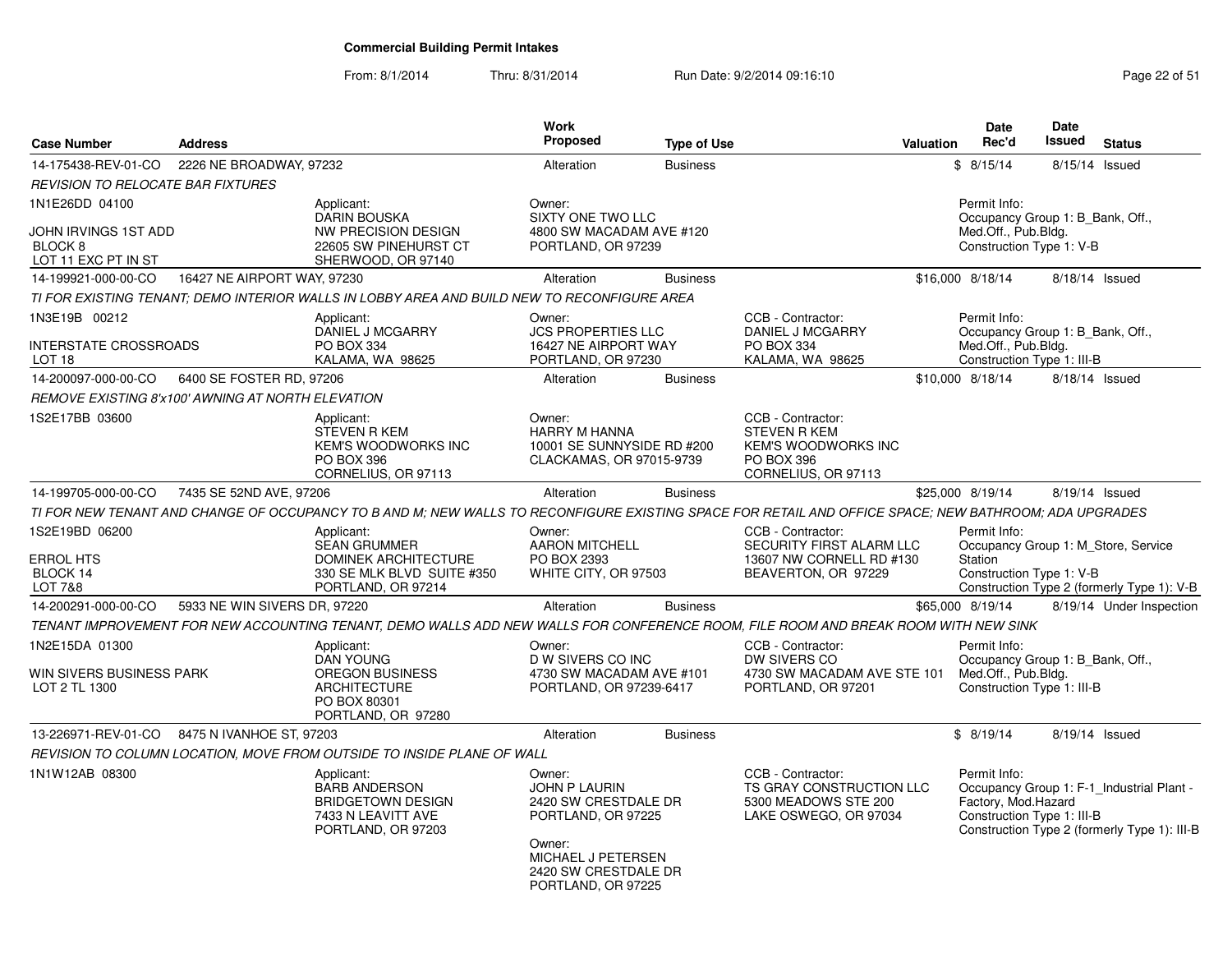| <b>Case Number</b>                                           | <b>Address</b>                                    |                                                                                                                                                       | Work<br><b>Proposed</b>                                                                                                                                    | <b>Type of Use</b> |                                                                                                             | <b>Valuation</b> | <b>Date</b><br>Rec'd                                                                                  | Date<br><b>Issued</b> | <b>Status</b>                                                                             |
|--------------------------------------------------------------|---------------------------------------------------|-------------------------------------------------------------------------------------------------------------------------------------------------------|------------------------------------------------------------------------------------------------------------------------------------------------------------|--------------------|-------------------------------------------------------------------------------------------------------------|------------------|-------------------------------------------------------------------------------------------------------|-----------------------|-------------------------------------------------------------------------------------------|
| 14-175438-REV-01-CO                                          | 2226 NE BROADWAY, 97232                           |                                                                                                                                                       | Alteration                                                                                                                                                 | <b>Business</b>    |                                                                                                             |                  | \$8/15/14                                                                                             |                       | 8/15/14 Issued                                                                            |
| REVISION TO RELOCATE BAR FIXTURES                            |                                                   |                                                                                                                                                       |                                                                                                                                                            |                    |                                                                                                             |                  |                                                                                                       |                       |                                                                                           |
| 1N1E26DD 04100<br>JOHN IRVINGS 1ST ADD<br>BLOCK <sub>8</sub> |                                                   | Applicant:<br><b>DARIN BOUSKA</b><br><b>NW PRECISION DESIGN</b><br>22605 SW PINEHURST CT                                                              | Owner:<br>SIXTY ONE TWO LLC<br>4800 SW MACADAM AVE #120<br>PORTLAND, OR 97239                                                                              |                    |                                                                                                             |                  | Permit Info:<br>Occupancy Group 1: B Bank, Off.,<br>Med.Off., Pub.Bldg.<br>Construction Type 1: V-B   |                       |                                                                                           |
| LOT 11 EXC PT IN ST<br>14-199921-000-00-CO                   | 16427 NE AIRPORT WAY, 97230                       | SHERWOOD, OR 97140                                                                                                                                    | Alteration                                                                                                                                                 | <b>Business</b>    |                                                                                                             |                  | \$16,000 8/18/14                                                                                      |                       |                                                                                           |
|                                                              |                                                   |                                                                                                                                                       |                                                                                                                                                            |                    |                                                                                                             |                  |                                                                                                       |                       | 8/18/14 Issued                                                                            |
|                                                              |                                                   | TI FOR EXISTING TENANT: DEMO INTERIOR WALLS IN LOBBY AREA AND BUILD NEW TO RECONFIGURE AREA                                                           |                                                                                                                                                            |                    |                                                                                                             |                  |                                                                                                       |                       |                                                                                           |
| 1N3E19B 00212<br>INTERSTATE CROSSROADS<br>LOT 18             |                                                   | Applicant:<br>DANIEL J MCGARRY<br>PO BOX 334<br>KALAMA, WA 98625                                                                                      | Owner:<br><b>JCS PROPERTIES LLC</b><br>16427 NE AIRPORT WAY<br>PORTLAND, OR 97230                                                                          |                    | CCB - Contractor:<br><b>DANIEL J MCGARRY</b><br>PO BOX 334<br>KALAMA, WA 98625                              |                  | Permit Info:<br>Occupancy Group 1: B_Bank, Off.,<br>Med.Off., Pub.Bldg.<br>Construction Type 1: III-B |                       |                                                                                           |
| 14-200097-000-00-CO                                          | 6400 SE FOSTER RD, 97206                          |                                                                                                                                                       | Alteration                                                                                                                                                 | <b>Business</b>    |                                                                                                             |                  | \$10,000 8/18/14                                                                                      |                       | 8/18/14 Issued                                                                            |
|                                                              | REMOVE EXISTING 8'x100' AWNING AT NORTH ELEVATION |                                                                                                                                                       |                                                                                                                                                            |                    |                                                                                                             |                  |                                                                                                       |                       |                                                                                           |
| 1S2E17BB 03600                                               |                                                   | Applicant:<br><b>STEVEN R KEM</b><br><b>KEM'S WOODWORKS INC</b><br>PO BOX 396<br>CORNELIUS, OR 97113                                                  | Owner:<br>HARRY M HANNA<br>10001 SE SUNNYSIDE RD #200<br>CLACKAMAS, OR 97015-9739                                                                          |                    | CCB - Contractor:<br><b>STEVEN R KEM</b><br><b>KEM'S WOODWORKS INC</b><br>PO BOX 396<br>CORNELIUS, OR 97113 |                  |                                                                                                       |                       |                                                                                           |
| 14-199705-000-00-CO                                          | 7435 SE 52ND AVE, 97206                           |                                                                                                                                                       | Alteration                                                                                                                                                 | <b>Business</b>    |                                                                                                             |                  | \$25,000 8/19/14                                                                                      |                       | 8/19/14 Issued                                                                            |
|                                                              |                                                   | TI FOR NEW TENANT AND CHANGE OF OCCUPANCY TO B AND M; NEW WALLS TO RECONFIGURE EXISTING SPACE FOR RETAIL AND OFFICE SPACE; NEW BATHROOM; ADA UPGRADES |                                                                                                                                                            |                    |                                                                                                             |                  |                                                                                                       |                       |                                                                                           |
| 1S2E19BD 06200<br><b>ERROL HTS</b><br>BLOCK 14<br>LOT 7&8    |                                                   | Applicant:<br><b>SEAN GRUMMER</b><br><b>DOMINEK ARCHITECTURE</b><br>330 SE MLK BLVD SUITE #350<br>PORTLAND, OR 97214                                  | Owner:<br><b>AARON MITCHELL</b><br>PO BOX 2393<br>WHITE CITY, OR 97503                                                                                     |                    | CCB - Contractor:<br>SECURITY FIRST ALARM LLC<br>13607 NW CORNELL RD #130<br>BEAVERTON, OR 97229            |                  | Permit Info:<br>Station<br>Construction Type 1: V-B                                                   |                       | Occupancy Group 1: M Store, Service<br>Construction Type 2 (formerly Type 1): V-B         |
| 14-200291-000-00-CO                                          | 5933 NE WIN SIVERS DR, 97220                      |                                                                                                                                                       | Alteration                                                                                                                                                 | <b>Business</b>    |                                                                                                             |                  | \$65,000 8/19/14                                                                                      |                       | 8/19/14 Under Inspection                                                                  |
|                                                              |                                                   | TENANT IMPROVEMENT FOR NEW ACCOUNTING TENANT. DEMO WALLS ADD NEW WALLS FOR CONFERENCE ROOM. FILE ROOM AND BREAK ROOM WITH NEW SINK                    |                                                                                                                                                            |                    |                                                                                                             |                  |                                                                                                       |                       |                                                                                           |
| 1N2E15DA 01300<br>WIN SIVERS BUSINESS PARK<br>LOT 2 TL 1300  |                                                   | Applicant:<br><b>DAN YOUNG</b><br>OREGON BUSINESS<br><b>ARCHITECTURE</b><br>PO BOX 80301<br>PORTLAND, OR 97280                                        | Owner:<br>D W SIVERS CO INC<br>4730 SW MACADAM AVE #101<br>PORTLAND, OR 97239-6417                                                                         |                    | CCB - Contractor:<br>DW SIVERS CO<br>4730 SW MACADAM AVE STE 101<br>PORTLAND, OR 97201                      |                  | Permit Info:<br>Occupancy Group 1: B_Bank, Off.,<br>Med.Off., Pub.Bldg.<br>Construction Type 1: III-B |                       |                                                                                           |
|                                                              | 13-226971-REV-01-CO 8475 N IVANHOE ST, 97203      |                                                                                                                                                       | Alteration                                                                                                                                                 | <b>Business</b>    |                                                                                                             |                  | \$8/19/14                                                                                             |                       | 8/19/14 Issued                                                                            |
|                                                              |                                                   | REVISION TO COLUMN LOCATION, MOVE FROM OUTSIDE TO INSIDE PLANE OF WALL                                                                                |                                                                                                                                                            |                    |                                                                                                             |                  |                                                                                                       |                       |                                                                                           |
| 1N1W12AB 08300                                               |                                                   | Applicant:<br><b>BARB ANDERSON</b><br><b>BRIDGETOWN DESIGN</b><br>7433 N LEAVITT AVE<br>PORTLAND, OR 97203                                            | Owner:<br><b>JOHN P LAURIN</b><br>2420 SW CRESTDALE DR<br>PORTLAND, OR 97225<br>Owner:<br>MICHAEL J PETERSEN<br>2420 SW CRESTDALE DR<br>PORTLAND, OR 97225 |                    | CCB - Contractor:<br>TS GRAY CONSTRUCTION LLC<br>5300 MEADOWS STE 200<br>LAKE OSWEGO, OR 97034              |                  | Permit Info:<br>Factory, Mod.Hazard<br>Construction Type 1: III-B                                     |                       | Occupancy Group 1: F-1_Industrial Plant -<br>Construction Type 2 (formerly Type 1): III-B |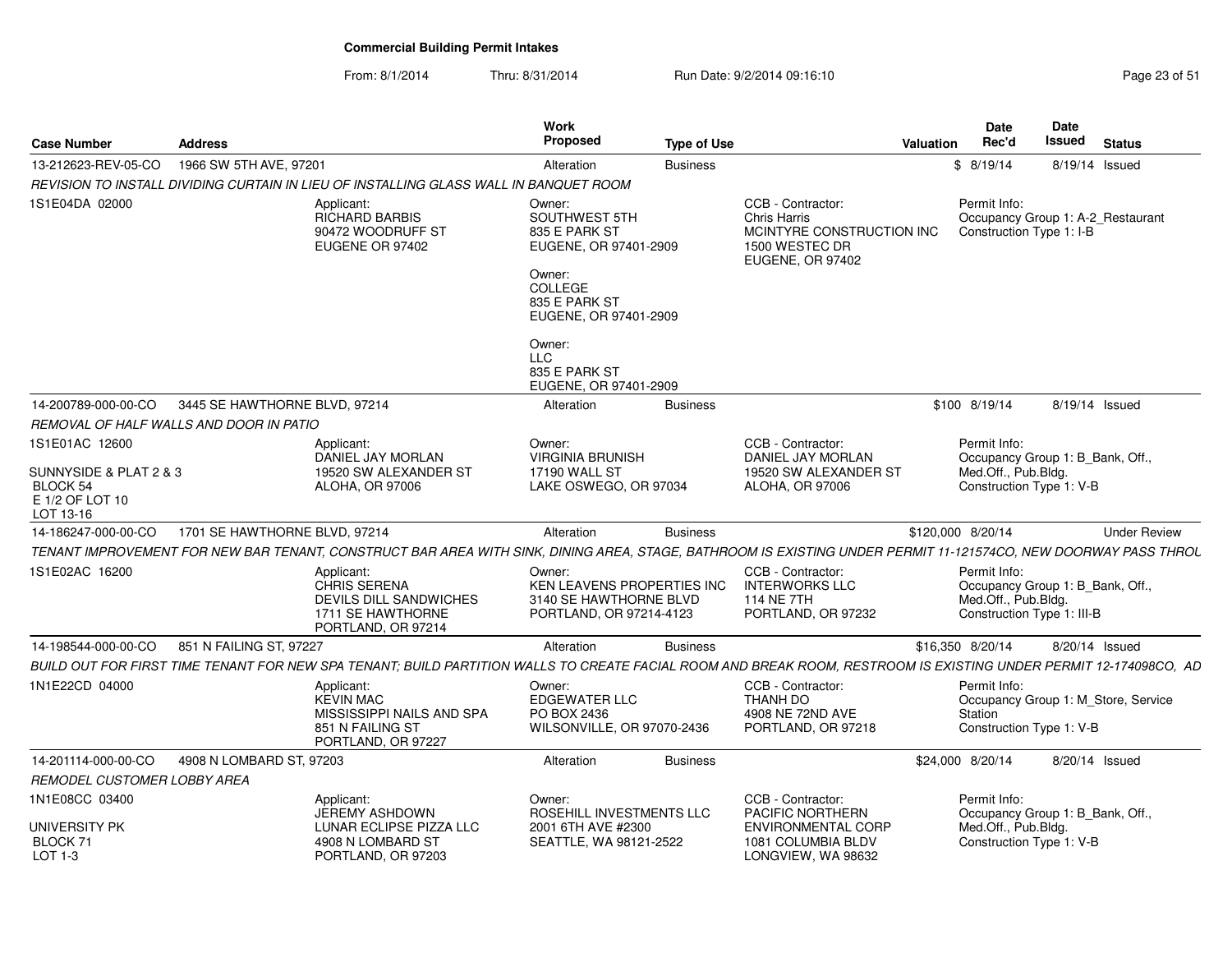| <b>Case Number</b>                                                        | <b>Address</b>                |                                                                                                                                                                   | Work<br><b>Proposed</b>                                                                   | <b>Type of Use</b> |                                                                                                      | Valuation | Date<br>Rec'd                                                                                         | Date<br>Issued | <b>Status</b>                       |
|---------------------------------------------------------------------------|-------------------------------|-------------------------------------------------------------------------------------------------------------------------------------------------------------------|-------------------------------------------------------------------------------------------|--------------------|------------------------------------------------------------------------------------------------------|-----------|-------------------------------------------------------------------------------------------------------|----------------|-------------------------------------|
| 13-212623-REV-05-CO                                                       | 1966 SW 5TH AVE, 97201        |                                                                                                                                                                   | Alteration                                                                                | <b>Business</b>    |                                                                                                      |           | \$8/19/14                                                                                             |                | 8/19/14 Issued                      |
|                                                                           |                               | REVISION TO INSTALL DIVIDING CURTAIN IN LIEU OF INSTALLING GLASS WALL IN BANQUET ROOM                                                                             |                                                                                           |                    |                                                                                                      |           |                                                                                                       |                |                                     |
| 1S1E04DA 02000                                                            |                               | Applicant:<br>RICHARD BARBIS<br>90472 WOODRUFF ST<br>EUGENE OR 97402                                                                                              | Owner:<br>SOUTHWEST 5TH<br>835 E PARK ST<br>EUGENE, OR 97401-2909<br>Owner:<br>COLLEGE    |                    | CCB - Contractor:<br>Chris Harris<br>MCINTYRE CONSTRUCTION INC<br>1500 WESTEC DR<br>EUGENE, OR 97402 |           | Permit Info:<br>Construction Type 1: I-B                                                              |                | Occupancy Group 1: A-2_Restaurant   |
|                                                                           |                               |                                                                                                                                                                   | 835 E PARK ST<br>EUGENE, OR 97401-2909                                                    |                    |                                                                                                      |           |                                                                                                       |                |                                     |
|                                                                           |                               |                                                                                                                                                                   | Owner:<br><b>LLC</b><br>835 E PARK ST<br>EUGENE, OR 97401-2909                            |                    |                                                                                                      |           |                                                                                                       |                |                                     |
| 14-200789-000-00-CO                                                       | 3445 SE HAWTHORNE BLVD, 97214 |                                                                                                                                                                   | Alteration                                                                                | <b>Business</b>    |                                                                                                      |           | \$100 8/19/14                                                                                         |                | 8/19/14 Issued                      |
| REMOVAL OF HALF WALLS AND DOOR IN PATIO                                   |                               |                                                                                                                                                                   |                                                                                           |                    |                                                                                                      |           |                                                                                                       |                |                                     |
| 1S1E01AC 12600                                                            |                               | Applicant:<br><b>DANIEL JAY MORLAN</b>                                                                                                                            | Owner:<br><b>VIRGINIA BRUNISH</b>                                                         |                    | CCB - Contractor:<br>DANIEL JAY MORLAN                                                               |           | Permit Info:<br>Occupancy Group 1: B_Bank, Off.,                                                      |                |                                     |
| SUNNYSIDE & PLAT 2 & 3<br><b>BLOCK 54</b><br>E 1/2 OF LOT 10<br>LOT 13-16 |                               | 19520 SW ALEXANDER ST<br><b>ALOHA, OR 97006</b>                                                                                                                   | <b>17190 WALL ST</b><br>LAKE OSWEGO, OR 97034                                             |                    | 19520 SW ALEXANDER ST<br>ALOHA, OR 97006                                                             |           | Med.Off., Pub.Bldg.<br>Construction Type 1: V-B                                                       |                |                                     |
| 14-186247-000-00-CO                                                       | 1701 SE HAWTHORNE BLVD, 97214 |                                                                                                                                                                   | Alteration                                                                                | <b>Business</b>    |                                                                                                      |           | \$120,000 8/20/14                                                                                     |                | <b>Under Review</b>                 |
|                                                                           |                               | TENANT IMPROVEMENT FOR NEW BAR TENANT, CONSTRUCT BAR AREA WITH SINK, DINING AREA, STAGE, BATHROOM IS EXISTING UNDER PERMIT 11-121574CO, NEW DOORWAY PASS THROL    |                                                                                           |                    |                                                                                                      |           |                                                                                                       |                |                                     |
| 1S1E02AC 16200                                                            |                               | Applicant:<br><b>CHRIS SERENA</b><br><b>DEVILS DILL SANDWICHES</b><br>1711 SE HAWTHORNE<br>PORTLAND, OR 97214                                                     | Owner:<br>KEN LEAVENS PROPERTIES INC<br>3140 SE HAWTHORNE BLVD<br>PORTLAND, OR 97214-4123 |                    | CCB - Contractor:<br><b>INTERWORKS LLC</b><br><b>114 NE 7TH</b><br>PORTLAND, OR 97232                |           | Permit Info:<br>Occupancy Group 1: B_Bank, Off.,<br>Med.Off., Pub.Bldg.<br>Construction Type 1: III-B |                |                                     |
| 14-198544-000-00-CO                                                       | 851 N FAILING ST, 97227       |                                                                                                                                                                   | Alteration                                                                                | <b>Business</b>    |                                                                                                      |           | \$16,350 8/20/14                                                                                      |                | 8/20/14 Issued                      |
|                                                                           |                               | BUILD OUT FOR FIRST TIME TENANT FOR NEW SPA TENANT; BUILD PARTITION WALLS TO CREATE FACIAL ROOM AND BREAK ROOM, RESTROOM IS EXISTING UNDER PERMIT 12-174098CO, AD |                                                                                           |                    |                                                                                                      |           |                                                                                                       |                |                                     |
| 1N1E22CD 04000                                                            |                               | Applicant:<br><b>KEVIN MAC</b><br>MISSISSIPPI NAILS AND SPA<br>851 N FAILING ST<br>PORTLAND, OR 97227                                                             | Owner:<br><b>EDGEWATER LLC</b><br>PO BOX 2436<br>WILSONVILLE, OR 97070-2436               |                    | CCB - Contractor:<br>THANH DO<br>4908 NE 72ND AVE<br>PORTLAND, OR 97218                              |           | Permit Info:<br>Station<br>Construction Type 1: V-B                                                   |                | Occupancy Group 1: M_Store, Service |
| 14-201114-000-00-CO                                                       | 4908 N LOMBARD ST, 97203      |                                                                                                                                                                   | Alteration                                                                                | <b>Business</b>    |                                                                                                      |           | \$24,000 8/20/14                                                                                      |                | 8/20/14 Issued                      |
| REMODEL CUSTOMER LOBBY AREA                                               |                               |                                                                                                                                                                   |                                                                                           |                    |                                                                                                      |           |                                                                                                       |                |                                     |
| 1N1E08CC 03400                                                            |                               | Applicant:<br><b>JEREMY ASHDOWN</b>                                                                                                                               | Owner:<br>ROSEHILL INVESTMENTS LLC                                                        |                    | CCB - Contractor:<br>PACIFIC NORTHERN                                                                |           | Permit Info:<br>Occupancy Group 1: B Bank, Off.,                                                      |                |                                     |
| <b>UNIVERSITY PK</b><br>BLOCK 71<br>LOT 1-3                               |                               | LUNAR ECLIPSE PIZZA LLC<br>4908 N LOMBARD ST<br>PORTLAND, OR 97203                                                                                                | 2001 6TH AVE #2300<br>SEATTLE, WA 98121-2522                                              |                    | ENVIRONMENTAL CORP<br>1081 COLUMBIA BLDV<br>LONGVIEW, WA 98632                                       |           | Med.Off., Pub.Bldg.<br>Construction Type 1: V-B                                                       |                |                                     |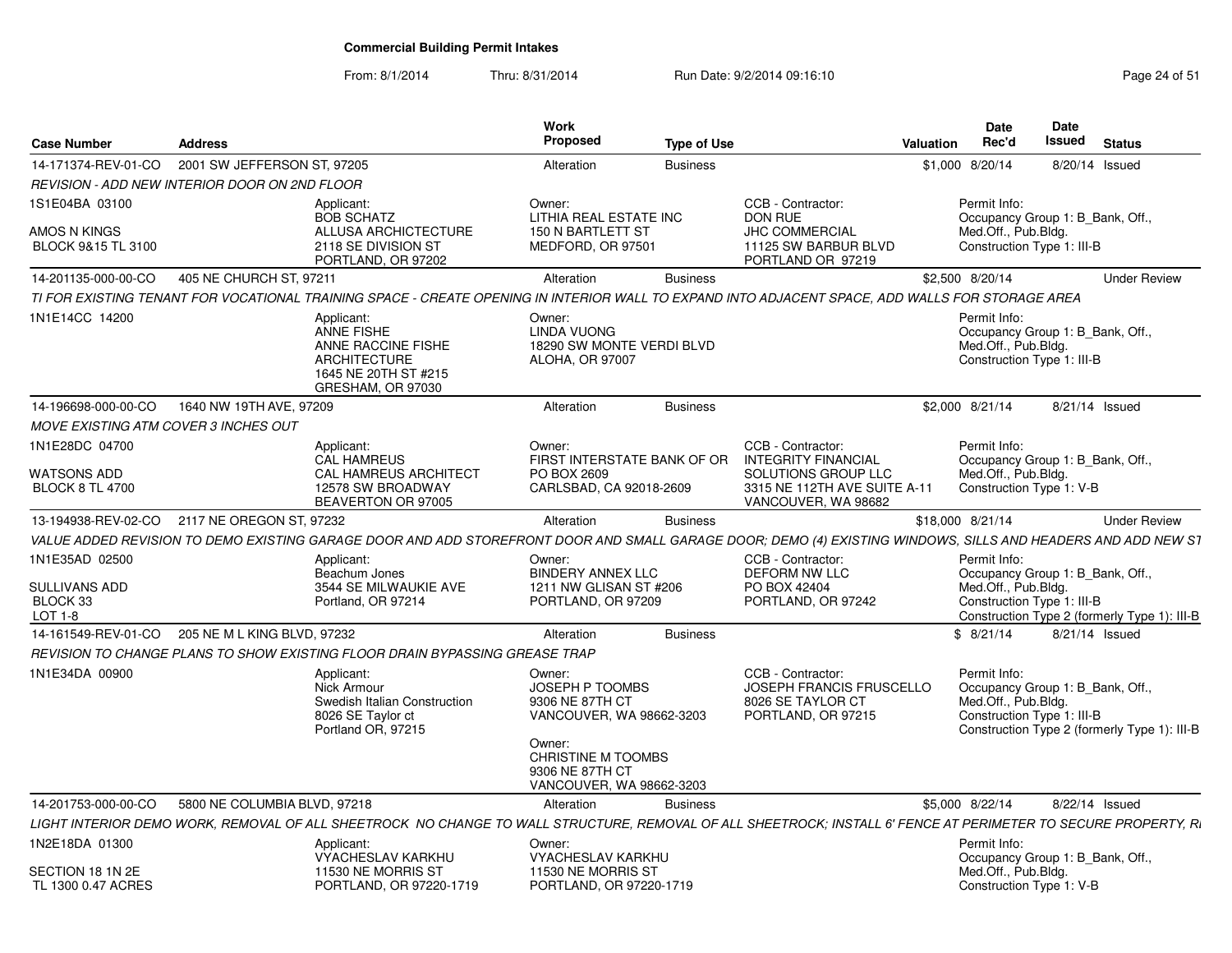| <b>Case Number</b>                          | <b>Address</b>                                |                                                                                                                                                                | <b>Work</b><br>Proposed                                                            | <b>Type of Use</b> |                                                                                          | <b>Valuation</b> | <b>Date</b><br>Rec'd                                                                                  | <b>Date</b><br><b>Issued</b> | <b>Status</b>                                |
|---------------------------------------------|-----------------------------------------------|----------------------------------------------------------------------------------------------------------------------------------------------------------------|------------------------------------------------------------------------------------|--------------------|------------------------------------------------------------------------------------------|------------------|-------------------------------------------------------------------------------------------------------|------------------------------|----------------------------------------------|
| 14-171374-REV-01-CO                         | 2001 SW JEFFERSON ST, 97205                   |                                                                                                                                                                | Alteration                                                                         | <b>Business</b>    |                                                                                          |                  | \$1,000 8/20/14                                                                                       |                              | 8/20/14 Issued                               |
|                                             | REVISION - ADD NEW INTERIOR DOOR ON 2ND FLOOR |                                                                                                                                                                |                                                                                    |                    |                                                                                          |                  |                                                                                                       |                              |                                              |
| 1S1E04BA 03100                              |                                               | Applicant:<br><b>BOB SCHATZ</b>                                                                                                                                | Owner:<br>LITHIA REAL ESTATE INC                                                   |                    | CCB - Contractor:<br><b>DON RUE</b>                                                      |                  | Permit Info:<br>Occupancy Group 1: B Bank, Off.,                                                      |                              |                                              |
| AMOS N KINGS<br>BLOCK 9&15 TL 3100          |                                               | ALLUSA ARCHICTECTURE<br>2118 SE DIVISION ST<br>PORTLAND, OR 97202                                                                                              | 150 N BARTLETT ST<br>MEDFORD, OR 97501                                             |                    | JHC COMMERCIAL<br>11125 SW BARBUR BLVD<br>PORTLAND OR 97219                              |                  | Med.Off., Pub.Bldg.<br>Construction Type 1: III-B                                                     |                              |                                              |
| 14-201135-000-00-CO                         | 405 NE CHURCH ST, 97211                       |                                                                                                                                                                | Alteration                                                                         | <b>Business</b>    |                                                                                          |                  | \$2,500 8/20/14                                                                                       |                              | <b>Under Review</b>                          |
|                                             |                                               | TI FOR EXISTING TENANT FOR VOCATIONAL TRAINING SPACE - CREATE OPENING IN INTERIOR WALL TO EXPAND INTO ADJACENT SPACE, ADD WALLS FOR STORAGE AREA               |                                                                                    |                    |                                                                                          |                  |                                                                                                       |                              |                                              |
| 1N1E14CC 14200                              |                                               | Applicant:<br><b>ANNE FISHE</b><br>ANNE RACCINE FISHE<br><b>ARCHITECTURE</b><br>1645 NE 20TH ST #215<br>GRESHAM, OR 97030                                      | Owner:<br>LINDA VUONG<br>18290 SW MONTE VERDI BLVD<br><b>ALOHA, OR 97007</b>       |                    |                                                                                          |                  | Permit Info:<br>Occupancy Group 1: B Bank, Off.,<br>Med.Off., Pub.Bldg.<br>Construction Type 1: III-B |                              |                                              |
| 14-196698-000-00-CO                         | 1640 NW 19TH AVE, 97209                       |                                                                                                                                                                | Alteration                                                                         | <b>Business</b>    |                                                                                          |                  | \$2,000 8/21/14                                                                                       |                              | 8/21/14 Issued                               |
| <b>MOVE EXISTING ATM COVER 3 INCHES OUT</b> |                                               |                                                                                                                                                                |                                                                                    |                    |                                                                                          |                  |                                                                                                       |                              |                                              |
| 1N1E28DC 04700                              |                                               | Applicant:<br><b>CAL HAMREUS</b>                                                                                                                               | Owner:<br>FIRST INTERSTATE BANK OF OR                                              |                    | CCB - Contractor:<br><b>INTEGRITY FINANCIAL</b>                                          |                  | Permit Info:<br>Occupancy Group 1: B Bank, Off.,                                                      |                              |                                              |
| WATSONS ADD<br><b>BLOCK 8 TL 4700</b>       |                                               | CAL HAMREUS ARCHITECT<br>12578 SW BROADWAY<br>BEAVERTON OR 97005                                                                                               | PO BOX 2609<br>CARLSBAD, CA 92018-2609                                             |                    | SOLUTIONS GROUP LLC<br>3315 NE 112TH AVE SUITE A-11<br>VANCOUVER, WA 98682               |                  | Med.Off., Pub.Bldg.<br>Construction Type 1: V-B                                                       |                              |                                              |
| 13-194938-REV-02-CO                         | 2117 NE OREGON ST. 97232                      |                                                                                                                                                                | Alteration                                                                         | <b>Business</b>    |                                                                                          | \$18,000 8/21/14 |                                                                                                       |                              | <b>Under Review</b>                          |
|                                             |                                               | VALUE ADDED REVISION TO DEMO EXISTING GARAGE DOOR AND ADD STOREFRONT DOOR AND SMALL GARAGE DOOR; DEMO (4) EXISTING WINDOWS, SILLS AND HEADERS AND ADD NEW S1   |                                                                                    |                    |                                                                                          |                  |                                                                                                       |                              |                                              |
| 1N1E35AD 02500                              |                                               | Applicant:                                                                                                                                                     | Owner:<br><b>BINDERY ANNEX LLC</b>                                                 |                    | CCB - Contractor:<br><b>DEFORM NW LLC</b>                                                |                  | Permit Info:                                                                                          |                              |                                              |
| <b>SULLIVANS ADD</b><br>BLOCK 33<br>LOT 1-8 |                                               | Beachum Jones<br>3544 SE MILWAUKIE AVE<br>Portland, OR 97214                                                                                                   | 1211 NW GLISAN ST #206<br>PORTLAND, OR 97209                                       |                    | PO BOX 42404<br>PORTLAND, OR 97242                                                       |                  | Occupancy Group 1: B_Bank, Off.,<br>Med.Off., Pub.Bldg.<br>Construction Type 1: III-B                 |                              | Construction Type 2 (formerly Type 1): III-B |
| 14-161549-REV-01-CO                         | 205 NE M L KING BLVD, 97232                   |                                                                                                                                                                | Alteration                                                                         | <b>Business</b>    |                                                                                          |                  | \$8/21/14                                                                                             |                              | 8/21/14 Issued                               |
|                                             |                                               | REVISION TO CHANGE PLANS TO SHOW EXISTING FLOOR DRAIN BYPASSING GREASE TRAP                                                                                    |                                                                                    |                    |                                                                                          |                  |                                                                                                       |                              |                                              |
| 1N1E34DA 00900                              |                                               | Applicant:<br>Nick Armour<br>Swedish Italian Construction<br>8026 SE Taylor ct<br>Portland OR, 97215                                                           | Owner:<br>JOSEPH P TOOMBS<br>9306 NE 87TH CT<br>VANCOUVER, WA 98662-3203           |                    | CCB - Contractor:<br>JOSEPH FRANCIS FRUSCELLO<br>8026 SE TAYLOR CT<br>PORTLAND, OR 97215 |                  | Permit Info:<br>Occupancy Group 1: B_Bank, Off.,<br>Med.Off., Pub.Bldg.<br>Construction Type 1: III-B |                              | Construction Type 2 (formerly Type 1): III-B |
|                                             |                                               |                                                                                                                                                                | Owner:<br><b>CHRISTINE M TOOMBS</b><br>9306 NE 87TH CT<br>VANCOUVER, WA 98662-3203 |                    |                                                                                          |                  |                                                                                                       |                              |                                              |
| 14-201753-000-00-CO                         | 5800 NE COLUMBIA BLVD, 97218                  |                                                                                                                                                                | Alteration                                                                         | <b>Business</b>    |                                                                                          |                  | \$5,000 8/22/14                                                                                       |                              | 8/22/14 Issued                               |
|                                             |                                               | LIGHT INTERIOR DEMO WORK. REMOVAL OF ALL SHEETROCK NO CHANGE TO WALL STRUCTURE. REMOVAL OF ALL SHEETROCK: INSTALL 6' FENCE AT PERIMETER TO SECURE PROPERTY. R. |                                                                                    |                    |                                                                                          |                  |                                                                                                       |                              |                                              |
| 1N2E18DA 01300                              |                                               | Applicant:<br><b>VYACHESLAV KARKHU</b>                                                                                                                         | Owner:<br>VYACHESLAV KARKHU                                                        |                    |                                                                                          |                  | Permit Info:<br>Occupancy Group 1: B Bank, Off.,                                                      |                              |                                              |
| SECTION 18 1N 2E<br>TL 1300 0.47 ACRES      |                                               | 11530 NE MORRIS ST<br>PORTLAND, OR 97220-1719                                                                                                                  | 11530 NE MORRIS ST<br>PORTLAND, OR 97220-1719                                      |                    |                                                                                          |                  | Med.Off., Pub.Bldg.<br>Construction Type 1: V-B                                                       |                              |                                              |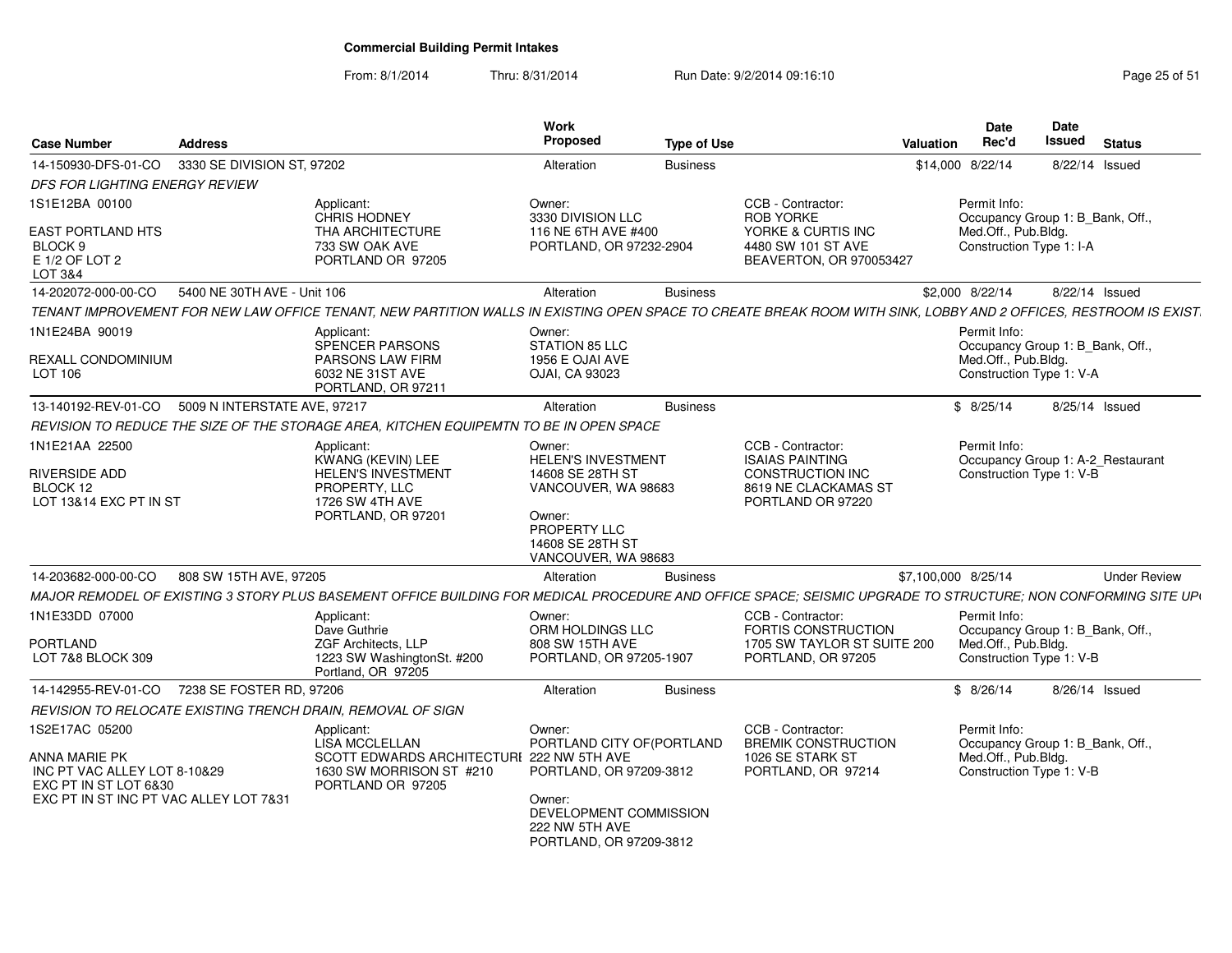### From: 8/1/2014Thru: 8/31/2014 Run Date: 9/2/2014 09:16:10 Run Date: 9/2/2014 09:16:10

| <b>Case Number</b>                                                                       | <b>Address</b>               |                                                                                                                                                                  | <b>Work</b><br>Proposed                                                       | <b>Type of Use</b> |                                                                                           | <b>Valuation</b>    | Date<br>Rec'd                                                                                       | Date<br><b>Issued</b> | <b>Status</b>       |
|------------------------------------------------------------------------------------------|------------------------------|------------------------------------------------------------------------------------------------------------------------------------------------------------------|-------------------------------------------------------------------------------|--------------------|-------------------------------------------------------------------------------------------|---------------------|-----------------------------------------------------------------------------------------------------|-----------------------|---------------------|
| 14-150930-DFS-01-CO                                                                      | 3330 SE DIVISION ST, 97202   |                                                                                                                                                                  | Alteration                                                                    | <b>Business</b>    |                                                                                           | \$14,000 8/22/14    |                                                                                                     |                       | 8/22/14 Issued      |
| DFS FOR LIGHTING ENERGY REVIEW                                                           |                              |                                                                                                                                                                  |                                                                               |                    |                                                                                           |                     |                                                                                                     |                       |                     |
| 1S1E12BA 00100                                                                           |                              | Applicant:<br>CHRIS HODNEY                                                                                                                                       | Owner:<br>3330 DIVISION LLC                                                   |                    | CCB - Contractor:<br><b>ROB YORKE</b>                                                     |                     | Permit Info:<br>Occupancy Group 1: B Bank, Off.,                                                    |                       |                     |
| <b>EAST PORTLAND HTS</b><br>BLOCK <sub>9</sub><br>E 1/2 OF LOT 2<br><b>LOT 3&amp;4</b>   |                              | THA ARCHITECTURE<br>733 SW OAK AVE<br>PORTLAND OR 97205                                                                                                          | 116 NE 6TH AVE #400<br>PORTLAND, OR 97232-2904                                |                    | YORKE & CURTIS INC<br>4480 SW 101 ST AVE<br>BEAVERTON, OR 970053427                       |                     | Med.Off., Pub.Bldg.<br>Construction Type 1: I-A                                                     |                       |                     |
| 14-202072-000-00-CO                                                                      | 5400 NE 30TH AVE - Unit 106  |                                                                                                                                                                  | Alteration                                                                    | <b>Business</b>    |                                                                                           |                     | \$2,000 8/22/14                                                                                     |                       | 8/22/14 Issued      |
|                                                                                          |                              | TENANT IMPROVEMENT FOR NEW LAW OFFICE TENANT, NEW PARTITION WALLS IN EXISTING OPEN SPACE TO CREATE BREAK ROOM WITH SINK, LOBBY AND 2 OFFICES, RESTROOM IS EXIST. |                                                                               |                    |                                                                                           |                     |                                                                                                     |                       |                     |
| 1N1E24BA 90019                                                                           |                              | Applicant:<br>SPENCER PARSONS                                                                                                                                    | Owner:<br>STATION 85 LLC                                                      |                    |                                                                                           |                     | Permit Info:<br>Occupancy Group 1: B_Bank, Off.,                                                    |                       |                     |
| REXALL CONDOMINIUM<br>LOT 106                                                            |                              | <b>PARSONS LAW FIRM</b><br>6032 NE 31ST AVE<br>PORTLAND, OR 97211                                                                                                | 1956 E OJAI AVE<br>OJAI, CA 93023                                             |                    |                                                                                           |                     | Med.Off., Pub.Bldg.<br>Construction Type 1: V-A                                                     |                       |                     |
| 13-140192-REV-01-CO                                                                      | 5009 N INTERSTATE AVE, 97217 |                                                                                                                                                                  | Alteration                                                                    | <b>Business</b>    |                                                                                           |                     | \$8/25/14                                                                                           |                       | 8/25/14 Issued      |
|                                                                                          |                              | REVISION TO REDUCE THE SIZE OF THE STORAGE AREA, KITCHEN EQUIPEMTN TO BE IN OPEN SPACE                                                                           |                                                                               |                    |                                                                                           |                     |                                                                                                     |                       |                     |
| 1N1E21AA 22500                                                                           |                              | Applicant:<br>KWANG (KEVIN) LEE                                                                                                                                  | Owner:<br><b>HELEN'S INVESTMENT</b>                                           |                    | CCB - Contractor:<br><b>ISAIAS PAINTING</b>                                               |                     | Permit Info:<br>Occupancy Group 1: A-2_Restaurant                                                   |                       |                     |
| RIVERSIDE ADD<br>BLOCK 12<br>LOT 13&14 EXC PT IN ST                                      |                              | <b>HELEN'S INVESTMENT</b><br>PROPERTY, LLC<br>1726 SW 4TH AVE                                                                                                    | 14608 SE 28TH ST<br>VANCOUVER, WA 98683                                       |                    | CONSTRUCTION INC<br>8619 NE CLACKAMAS ST<br>PORTLAND OR 97220                             |                     | Construction Type 1: V-B                                                                            |                       |                     |
|                                                                                          |                              | PORTLAND, OR 97201                                                                                                                                               | Owner:<br>PROPERTY LLC<br>14608 SE 28TH ST<br>VANCOUVER, WA 98683             |                    |                                                                                           |                     |                                                                                                     |                       |                     |
| 14-203682-000-00-CO                                                                      | 808 SW 15TH AVE, 97205       |                                                                                                                                                                  | Alteration                                                                    | <b>Business</b>    |                                                                                           | \$7,100,000 8/25/14 |                                                                                                     |                       | <b>Under Review</b> |
|                                                                                          |                              | MAJOR REMODEL OF EXISTING 3 STORY PLUS BASEMENT OFFICE BUILDING FOR MEDICAL PROCEDURE AND OFFICE SPACE: SEISMIC UPGRADE TO STRUCTURE: NON CONFORMING SITE UP\    |                                                                               |                    |                                                                                           |                     |                                                                                                     |                       |                     |
| 1N1E33DD 07000                                                                           |                              | Applicant:<br>Dave Guthrie                                                                                                                                       | Owner:<br>ORM HOLDINGS LLC                                                    |                    | CCB - Contractor:<br>FORTIS CONSTRUCTION                                                  |                     | Permit Info:<br>Occupancy Group 1: B Bank, Off.,                                                    |                       |                     |
| PORTLAND<br>LOT 7&8 BLOCK 309                                                            |                              | ZGF Architects, LLP<br>1223 SW WashingtonSt. #200<br>Portland, OR 97205                                                                                          | 808 SW 15TH AVE<br>PORTLAND, OR 97205-1907                                    |                    | 1705 SW TAYLOR ST SUITE 200<br>PORTLAND, OR 97205                                         |                     | Med.Off., Pub.Bldg.<br>Construction Type 1: V-B                                                     |                       |                     |
| 14-142955-REV-01-CO                                                                      | 7238 SE FOSTER RD, 97206     |                                                                                                                                                                  | Alteration                                                                    | <b>Business</b>    |                                                                                           |                     | \$8/26/14                                                                                           |                       | 8/26/14 Issued      |
|                                                                                          |                              | REVISION TO RELOCATE EXISTING TRENCH DRAIN, REMOVAL OF SIGN                                                                                                      |                                                                               |                    |                                                                                           |                     |                                                                                                     |                       |                     |
| 1S2E17AC 05200<br>ANNA MARIE PK<br>INC PT VAC ALLEY LOT 8-10&29<br>EXC PT IN ST LOT 6&30 |                              | Applicant:<br>LISA MCCLELLAN<br>SCOTT EDWARDS ARCHITECTURI 222 NW 5TH AVE<br>1630 SW MORRISON ST #210<br>PORTLAND OR 97205                                       | Owner:<br>PORTLAND CITY OF (PORTLAND<br>PORTLAND, OR 97209-3812               |                    | CCB - Contractor:<br><b>BREMIK CONSTRUCTION</b><br>1026 SE STARK ST<br>PORTLAND, OR 97214 |                     | Permit Info:<br>Occupancy Group 1: B_Bank, Off.,<br>Med.Off., Pub.Bldg.<br>Construction Type 1: V-B |                       |                     |
| EXC PT IN ST INC PT VAC ALLEY LOT 7&31                                                   |                              |                                                                                                                                                                  | Owner:<br>DEVELOPMENT COMMISSION<br>222 NW 5TH AVE<br>PORTLAND, OR 97209-3812 |                    |                                                                                           |                     |                                                                                                     |                       |                     |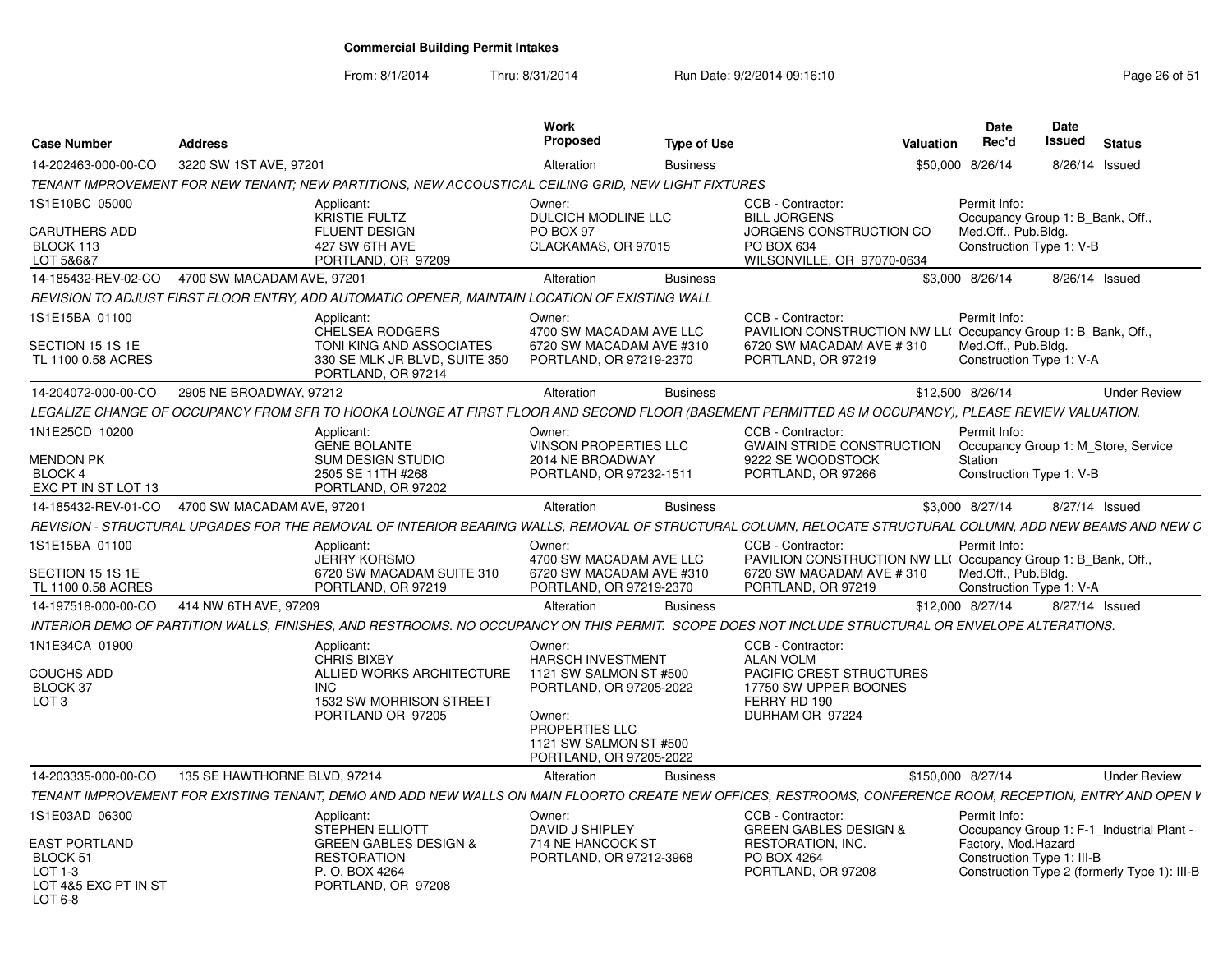From: 8/1/2014

| <b>Case Number</b>                                       | <b>Address</b>                                                                                                                                             | Work<br>Proposed<br><b>Type of Use</b>                                                   | <b>Valuation</b>                                                                                                                    | <b>Date</b><br>Rec'd                                            | Date<br>Issued<br><b>Status</b>              |
|----------------------------------------------------------|------------------------------------------------------------------------------------------------------------------------------------------------------------|------------------------------------------------------------------------------------------|-------------------------------------------------------------------------------------------------------------------------------------|-----------------------------------------------------------------|----------------------------------------------|
| 14-202463-000-00-CO                                      | 3220 SW 1ST AVE, 97201                                                                                                                                     | Alteration<br><b>Business</b>                                                            |                                                                                                                                     | \$50,000 8/26/14                                                | 8/26/14 Issued                               |
|                                                          | TENANT IMPROVEMENT FOR NEW TENANT: NEW PARTITIONS, NEW ACCOUSTICAL CEILING GRID, NEW LIGHT FIXTURES                                                        |                                                                                          |                                                                                                                                     |                                                                 |                                              |
| 1S1E10BC 05000                                           | Applicant:<br><b>KRISTIE FULTZ</b>                                                                                                                         | Owner:<br><b>DULCICH MODLINE LLC</b>                                                     | CCB - Contractor:<br><b>BILL JORGENS</b>                                                                                            | Permit Info:                                                    | Occupancy Group 1: B_Bank, Off.,             |
| <b>CARUTHERS ADD</b><br>BLOCK 113                        | <b>FLUENT DESIGN</b><br>427 SW 6TH AVE                                                                                                                     | PO BOX 97<br>CLACKAMAS, OR 97015                                                         | JORGENS CONSTRUCTION CO<br>PO BOX 634                                                                                               | Med.Off., Pub.Bldg.<br>Construction Type 1: V-B                 |                                              |
| LOT 5&6&7<br>14-185432-REV-02-CO                         | PORTLAND, OR 97209<br>4700 SW MACADAM AVE, 97201                                                                                                           |                                                                                          | WILSONVILLE, OR 97070-0634                                                                                                          |                                                                 |                                              |
|                                                          |                                                                                                                                                            | Alteration<br><b>Business</b>                                                            |                                                                                                                                     | \$3,000 8/26/14                                                 | 8/26/14 Issued                               |
|                                                          | REVISION TO ADJUST FIRST FLOOR ENTRY, ADD AUTOMATIC OPENER, MAINTAIN LOCATION OF EXISTING WALL                                                             |                                                                                          |                                                                                                                                     |                                                                 |                                              |
| 1S1E15BA 01100<br>SECTION 15 1S 1E<br>TL 1100 0.58 ACRES | Applicant:<br><b>CHELSEA RODGERS</b><br>TONI KING AND ASSOCIATES<br>330 SE MLK JR BLVD, SUITE 350<br>PORTLAND, OR 97214                                    | Owner:<br>4700 SW MACADAM AVE LLC<br>6720 SW MACADAM AVE #310<br>PORTLAND, OR 97219-2370 | CCB - Contractor:<br>PAVILION CONSTRUCTION NW LL(Occupancy Group 1: B Bank, Off.,<br>6720 SW MACADAM AVE #310<br>PORTLAND, OR 97219 | Permit Info:<br>Med.Off., Pub.Bldg.<br>Construction Type 1: V-A |                                              |
| 14-204072-000-00-CO                                      | 2905 NE BROADWAY, 97212                                                                                                                                    | Alteration<br><b>Business</b>                                                            |                                                                                                                                     | \$12,500 8/26/14                                                | <b>Under Review</b>                          |
|                                                          | LEGALIZE CHANGE OF OCCUPANCY FROM SFR TO HOOKA LOUNGE AT FIRST FLOOR AND SECOND FLOOR (BASEMENT PERMITTED AS M OCCUPANCY), PLEASE REVIEW VALUATION.        |                                                                                          |                                                                                                                                     |                                                                 |                                              |
| 1N1E25CD 10200                                           | Applicant:<br><b>GENE BOLANTE</b>                                                                                                                          | Owner:<br><b>VINSON PROPERTIES LLC</b>                                                   | CCB - Contractor:<br><b>GWAIN STRIDE CONSTRUCTION</b>                                                                               | Permit Info:                                                    | Occupancy Group 1: M Store, Service          |
| MENDON PK                                                | SUM DESIGN STUDIO                                                                                                                                          | 2014 NE BROADWAY                                                                         | 9222 SE WOODSTOCK                                                                                                                   | Station                                                         |                                              |
| <b>BLOCK 4</b><br>EXC PT IN ST LOT 13                    | 2505 SE 11TH #268<br>PORTLAND, OR 97202                                                                                                                    | PORTLAND, OR 97232-1511                                                                  | PORTLAND, OR 97266                                                                                                                  | Construction Type 1: V-B                                        |                                              |
| 14-185432-REV-01-CO                                      | 4700 SW MACADAM AVE, 97201                                                                                                                                 | Alteration<br><b>Business</b>                                                            |                                                                                                                                     | \$3,000 8/27/14                                                 | 8/27/14 Issued                               |
|                                                          | REVISION - STRUCTURAL UPGADES FOR THE REMOVAL OF INTERIOR BEARING WALLS, REMOVAL OF STRUCTURAL COLUMN, RELOCATE STRUCTURAL COLUMN, ADD NEW BEAMS AND NEW C |                                                                                          |                                                                                                                                     |                                                                 |                                              |
| 1S1E15BA 01100                                           | Applicant:                                                                                                                                                 | Owner:                                                                                   | CCB - Contractor:                                                                                                                   | Permit Info:                                                    |                                              |
|                                                          | <b>JERRY KORSMO</b>                                                                                                                                        | 4700 SW MACADAM AVE LLC                                                                  | PAVILION CONSTRUCTION NW LL(Occupancy Group 1: B_Bank, Off.,                                                                        |                                                                 |                                              |
| SECTION 15 1S 1E<br>TL 1100 0.58 ACRES                   | 6720 SW MACADAM SUITE 310<br>PORTLAND, OR 97219                                                                                                            | 6720 SW MACADAM AVE #310<br>PORTLAND, OR 97219-2370                                      | 6720 SW MACADAM AVE #310<br>PORTLAND, OR 97219                                                                                      | Med.Off., Pub.Bldg.<br>Construction Type 1: V-A                 |                                              |
| 14-197518-000-00-CO                                      | 414 NW 6TH AVE, 97209                                                                                                                                      | Alteration<br><b>Business</b>                                                            |                                                                                                                                     | \$12,000 8/27/14                                                | 8/27/14 Issued                               |
|                                                          | INTERIOR DEMO OF PARTITION WALLS, FINISHES, AND RESTROOMS. NO OCCUPANCY ON THIS PERMIT. SCOPE DOES NOT INCLUDE STRUCTURAL OR ENVELOPE ALTERATIONS.         |                                                                                          |                                                                                                                                     |                                                                 |                                              |
| 1N1E34CA 01900                                           | Applicant:                                                                                                                                                 | Owner:                                                                                   | CCB - Contractor:                                                                                                                   |                                                                 |                                              |
|                                                          | <b>CHRIS BIXBY</b>                                                                                                                                         | <b>HARSCH INVESTMENT</b>                                                                 | <b>ALAN VOLM</b>                                                                                                                    |                                                                 |                                              |
| <b>COUCHS ADD</b>                                        | ALLIED WORKS ARCHITECTURE                                                                                                                                  | 1121 SW SALMON ST #500                                                                   | PACIFIC CREST STRUCTURES                                                                                                            |                                                                 |                                              |
| BLOCK 37                                                 | INC.                                                                                                                                                       | PORTLAND, OR 97205-2022                                                                  | 17750 SW UPPER BOONES                                                                                                               |                                                                 |                                              |
| LOT <sub>3</sub>                                         | 1532 SW MORRISON STREET<br>PORTLAND OR 97205                                                                                                               | Owner:                                                                                   | FERRY RD 190<br>DURHAM OR 97224                                                                                                     |                                                                 |                                              |
|                                                          |                                                                                                                                                            | PROPERTIES LLC<br>1121 SW SALMON ST #500<br>PORTLAND, OR 97205-2022                      |                                                                                                                                     |                                                                 |                                              |
| 14-203335-000-00-CO                                      | 135 SE HAWTHORNE BLVD, 97214                                                                                                                               | Alteration<br><b>Business</b>                                                            |                                                                                                                                     | \$150,000 8/27/14                                               | <b>Under Review</b>                          |
|                                                          | TENANT IMPROVEMENT FOR EXISTING TENANT, DEMO AND ADD NEW WALLS ON MAIN FLOORTO CREATE NEW OFFICES, RESTROOMS, CONFERENCE ROOM, RECEPTION, ENTRY AND OPEN V |                                                                                          |                                                                                                                                     |                                                                 |                                              |
| 1S1E03AD 06300                                           | Applicant:<br>STEPHEN ELLIOTT                                                                                                                              | Owner:<br>DAVID J SHIPLEY                                                                | CCB - Contractor:<br><b>GREEN GABLES DESIGN &amp;</b>                                                                               | Permit Info:                                                    | Occupancy Group 1: F-1_Industrial Plant -    |
| <b>EAST PORTLAND</b><br>BLOCK 51<br>LOT 1-3              | <b>GREEN GABLES DESIGN &amp;</b><br><b>RESTORATION</b><br>P. O. BOX 4264                                                                                   | 714 NE HANCOCK ST<br>PORTLAND, OR 97212-3968                                             | RESTORATION, INC.<br>PO BOX 4264<br>PORTLAND, OR 97208                                                                              | Factory, Mod.Hazard<br>Construction Type 1: III-B               | Construction Type 2 (formerly Type 1): III-B |
| LOT 4&5 EXC PT IN ST<br>LOT 6-8                          | PORTLAND, OR 97208                                                                                                                                         |                                                                                          |                                                                                                                                     |                                                                 |                                              |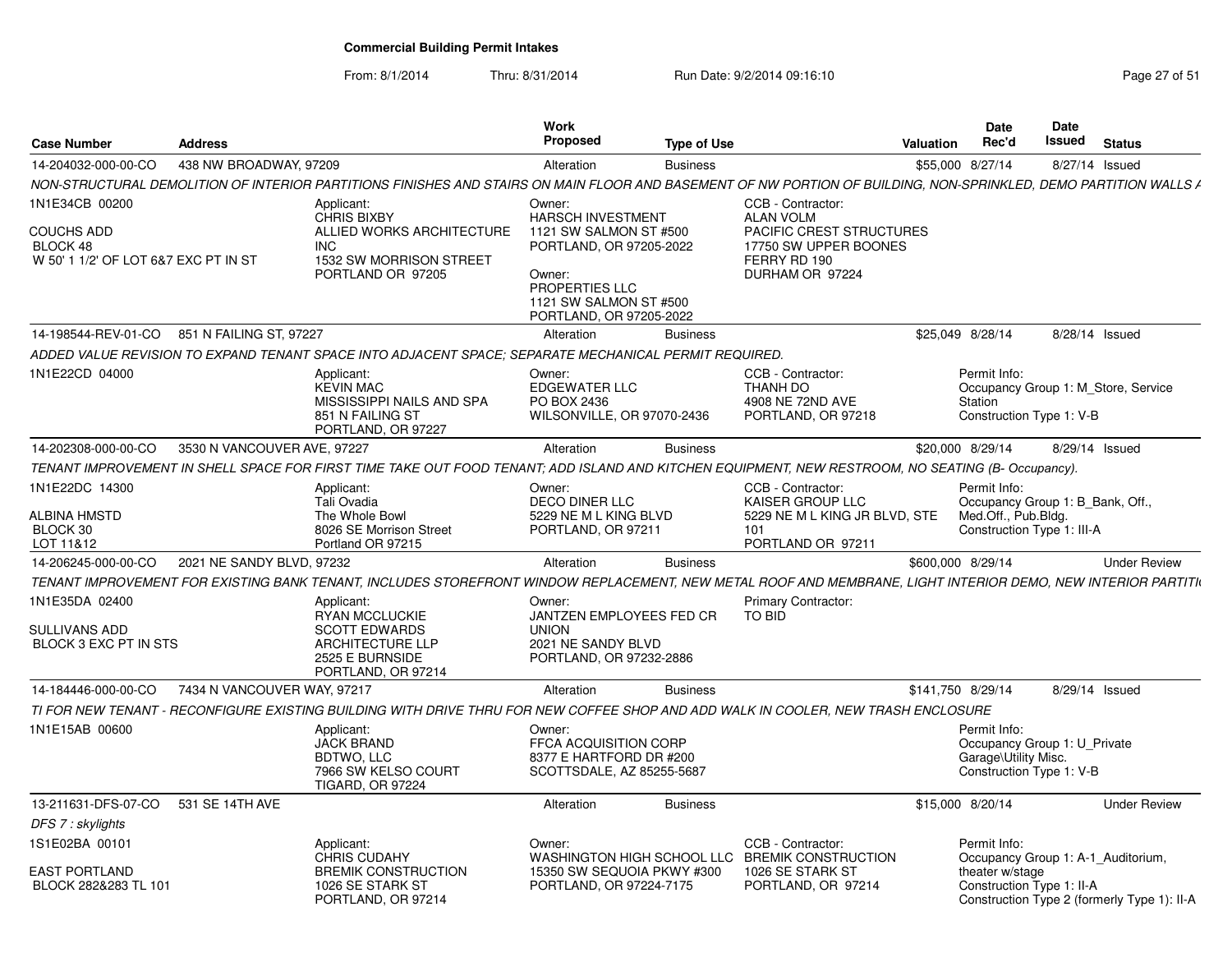From: 8/1/2014

| <b>Case Number</b>                                                                      | <b>Address</b>              |                                                                                                                                                                  | Work<br><b>Proposed</b>                                                                             | <b>Type of Use</b> |                                                                                                                               | Valuation         | <b>Date</b><br>Rec'd                                                                             | <b>Date</b><br>Issued | <b>Status</b>                               |
|-----------------------------------------------------------------------------------------|-----------------------------|------------------------------------------------------------------------------------------------------------------------------------------------------------------|-----------------------------------------------------------------------------------------------------|--------------------|-------------------------------------------------------------------------------------------------------------------------------|-------------------|--------------------------------------------------------------------------------------------------|-----------------------|---------------------------------------------|
| 14-204032-000-00-CO                                                                     | 438 NW BROADWAY, 97209      |                                                                                                                                                                  | Alteration                                                                                          | <b>Business</b>    |                                                                                                                               | \$55,000 8/27/14  |                                                                                                  |                       | 8/27/14 Issued                              |
|                                                                                         |                             | NON-STRUCTURAL DEMOLITION OF INTERIOR PARTITIONS FINISHES AND STAIRS ON MAIN FLOOR AND BASEMENT OF NW PORTION OF BUILDING, NON-SPRINKLED, DEMO PARTITION WALLS A |                                                                                                     |                    |                                                                                                                               |                   |                                                                                                  |                       |                                             |
| 1N1E34CB 00200<br><b>COUCHS ADD</b><br>BLOCK 48<br>W 50' 1 1/2' OF LOT 6&7 EXC PT IN ST |                             | Applicant:<br>CHRIS BIXBY<br>ALLIED WORKS ARCHITECTURE<br>INC<br>1532 SW MORRISON STREET<br>PORTLAND OR 97205                                                    | Owner:<br><b>HARSCH INVESTMENT</b><br>1121 SW SALMON ST #500<br>PORTLAND, OR 97205-2022<br>Owner:   |                    | CCB - Contractor:<br><b>ALAN VOLM</b><br>PACIFIC CREST STRUCTURES<br>17750 SW UPPER BOONES<br>FERRY RD 190<br>DURHAM OR 97224 |                   |                                                                                                  |                       |                                             |
|                                                                                         |                             |                                                                                                                                                                  | PROPERTIES LLC<br>1121 SW SALMON ST #500<br>PORTLAND, OR 97205-2022                                 |                    |                                                                                                                               |                   |                                                                                                  |                       |                                             |
| 14-198544-REV-01-CO                                                                     | 851 N FAILING ST. 97227     |                                                                                                                                                                  | Alteration                                                                                          | <b>Business</b>    |                                                                                                                               | \$25.049 8/28/14  |                                                                                                  |                       | 8/28/14 Issued                              |
|                                                                                         |                             | ADDED VALUE REVISION TO EXPAND TENANT SPACE INTO ADJACENT SPACE: SEPARATE MECHANICAL PERMIT REQUIRED.                                                            |                                                                                                     |                    |                                                                                                                               |                   |                                                                                                  |                       |                                             |
| 1N1E22CD 04000                                                                          |                             | Applicant:<br><b>KEVIN MAC</b><br>MISSISSIPPI NAILS AND SPA<br>851 N FAILING ST<br>PORTLAND, OR 97227                                                            | Owner:<br><b>EDGEWATER LLC</b><br>PO BOX 2436<br>WILSONVILLE, OR 97070-2436                         |                    | CCB - Contractor:<br>THANH DO<br>4908 NE 72ND AVE<br>PORTLAND, OR 97218                                                       |                   | Permit Info:<br>Station<br>Construction Type 1: V-B                                              |                       | Occupancy Group 1: M Store, Service         |
| 14-202308-000-00-CO                                                                     | 3530 N VANCOUVER AVE, 97227 |                                                                                                                                                                  | Alteration                                                                                          | <b>Business</b>    |                                                                                                                               | \$20,000 8/29/14  |                                                                                                  |                       | 8/29/14 Issued                              |
|                                                                                         |                             | TENANT IMPROVEMENT IN SHELL SPACE FOR FIRST TIME TAKE OUT FOOD TENANT; ADD ISLAND AND KITCHEN EQUIPMENT, NEW RESTROOM, NO SEATING (B- Occupancy).                |                                                                                                     |                    |                                                                                                                               |                   |                                                                                                  |                       |                                             |
| 1N1E22DC 14300                                                                          |                             | Applicant:<br>Tali Ovadia                                                                                                                                        | Owner:<br>DECO DINER LLC                                                                            |                    | CCB - Contractor:<br><b>KAISER GROUP LLC</b>                                                                                  |                   | Permit Info:<br>Occupancy Group 1: B_Bank, Off.,                                                 |                       |                                             |
| ALBINA HMSTD<br>BLOCK 30<br>LOT 11&12                                                   |                             | The Whole Bowl<br>8026 SE Morrison Street<br>Portland OR 97215                                                                                                   | 5229 NE M L KING BLVD<br>PORTLAND, OR 97211                                                         |                    | 5229 NE M L KING JR BLVD. STE<br>101<br>PORTLAND OR 97211                                                                     |                   | Med.Off., Pub.Bldg.<br>Construction Type 1: III-A                                                |                       |                                             |
| 14-206245-000-00-CO                                                                     | 2021 NE SANDY BLVD, 97232   |                                                                                                                                                                  | Alteration                                                                                          | <b>Business</b>    |                                                                                                                               | \$600,000 8/29/14 |                                                                                                  |                       | <b>Under Review</b>                         |
|                                                                                         |                             | TENANT IMPROVEMENT FOR EXISTING BANK TENANT, INCLUDES STOREFRONT WINDOW REPLACEMENT, NEW METAL ROOF AND MEMBRANE, LIGHT INTERIOR DEMO, NEW INTERIOR PARTITI      |                                                                                                     |                    |                                                                                                                               |                   |                                                                                                  |                       |                                             |
| 1N1E35DA 02400<br><b>SULLIVANS ADD</b><br>BLOCK 3 EXC PT IN STS                         |                             | Applicant<br><b>RYAN MCCLUCKIE</b><br><b>SCOTT EDWARDS</b><br><b>ARCHITECTURE LLP</b><br>2525 E BURNSIDE<br>PORTLAND, OR 97214                                   | Owner:<br>JANTZEN EMPLOYEES FED CR<br><b>UNION</b><br>2021 NE SANDY BLVD<br>PORTLAND, OR 97232-2886 |                    | <b>Primary Contractor:</b><br>TO BID                                                                                          |                   |                                                                                                  |                       |                                             |
| 14-184446-000-00-CO                                                                     | 7434 N VANCOUVER WAY, 97217 |                                                                                                                                                                  | Alteration                                                                                          | <b>Business</b>    |                                                                                                                               | \$141,750 8/29/14 |                                                                                                  |                       | 8/29/14 Issued                              |
|                                                                                         |                             | TI FOR NEW TENANT - RECONFIGURE EXISTING BUILDING WITH DRIVE THRU FOR NEW COFFEE SHOP AND ADD WALK IN COOLER, NEW TRASH ENCLOSURE                                |                                                                                                     |                    |                                                                                                                               |                   |                                                                                                  |                       |                                             |
| 1N1E15AB 00600                                                                          |                             | Applicant:<br><b>JACK BRAND</b><br>BDTWO, LLC<br>7966 SW KELSO COURT<br><b>TIGARD, OR 97224</b>                                                                  | Owner:<br>FFCA ACQUISITION CORP<br>8377 E HARTFORD DR #200<br>SCOTTSDALE, AZ 85255-5687             |                    |                                                                                                                               |                   | Permit Info:<br>Occupancy Group 1: U Private<br>Garage\Utility Misc.<br>Construction Type 1: V-B |                       |                                             |
| 13-211631-DFS-07-CO 531 SE 14TH AVE                                                     |                             |                                                                                                                                                                  | Alteration                                                                                          | <b>Business</b>    |                                                                                                                               | \$15,000 8/20/14  |                                                                                                  |                       | <b>Under Review</b>                         |
| DFS 7 : skylights                                                                       |                             |                                                                                                                                                                  |                                                                                                     |                    |                                                                                                                               |                   |                                                                                                  |                       |                                             |
| 1S1E02BA 00101                                                                          |                             | Applicant:<br><b>CHRIS CUDAHY</b>                                                                                                                                | Owner:<br>WASHINGTON HIGH SCHOOL LLC                                                                |                    | CCB - Contractor:<br><b>BREMIK CONSTRUCTION</b>                                                                               |                   | Permit Info:                                                                                     |                       | Occupancy Group 1: A-1 Auditorium,          |
| EAST PORTLAND<br>BLOCK 282&283 TL 101                                                   |                             | <b>BREMIK CONSTRUCTION</b><br>1026 SE STARK ST<br>PORTLAND, OR 97214                                                                                             | 15350 SW SEQUOIA PKWY #300<br>PORTLAND, OR 97224-7175                                               |                    | 1026 SE STARK ST<br>PORTLAND, OR 97214                                                                                        |                   | theater w/stage<br>Construction Type 1: II-A                                                     |                       | Construction Type 2 (formerly Type 1): II-A |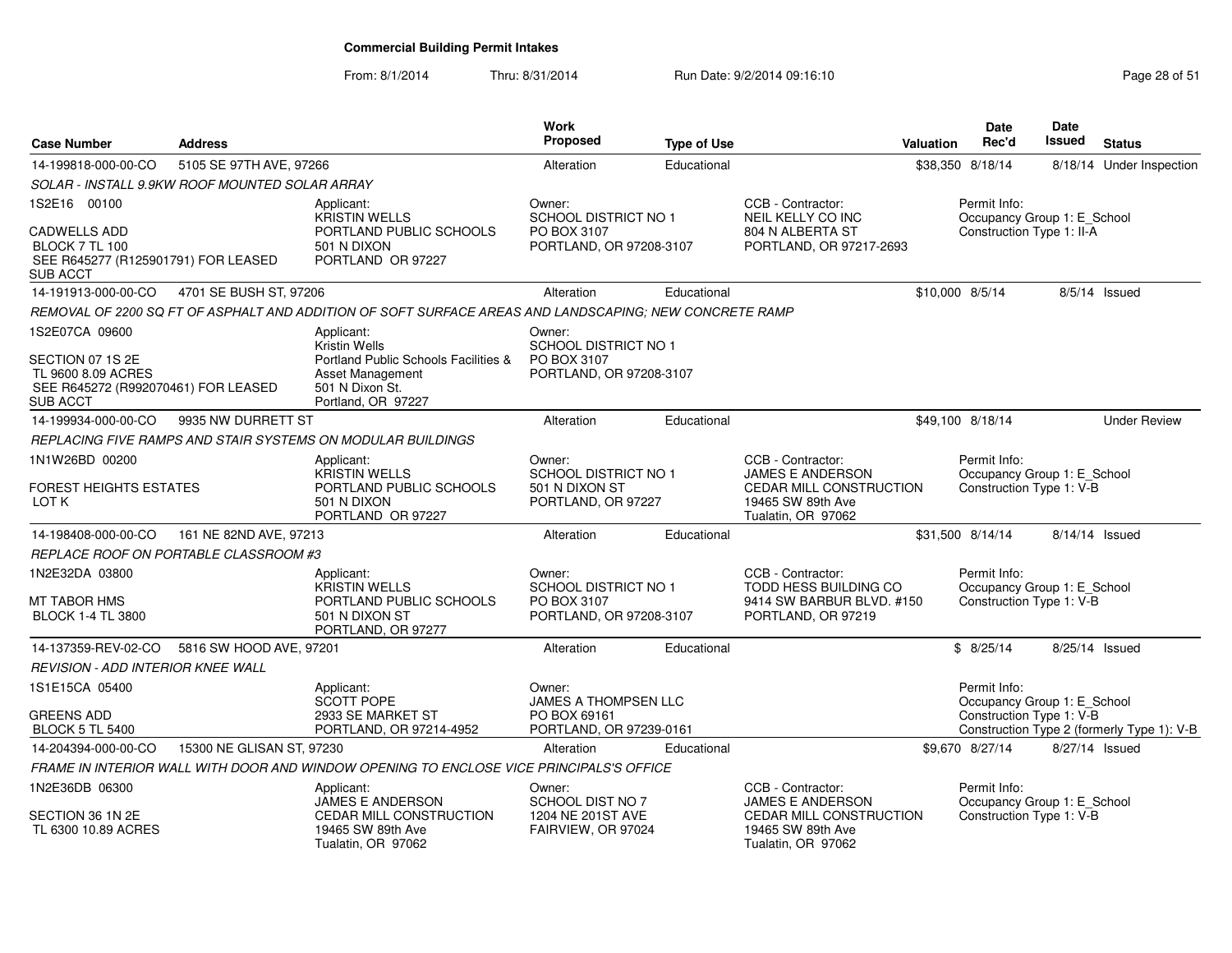| <b>Case Number</b>                                                                               | <b>Address</b>                                 |                                                                                                          | <b>Work</b><br><b>Proposed</b>          | <b>Type of Use</b> |                                                                    | Valuation       | <b>Date</b><br>Rec'd                        | <b>Date</b><br><b>Issued</b> | <b>Status</b>                              |
|--------------------------------------------------------------------------------------------------|------------------------------------------------|----------------------------------------------------------------------------------------------------------|-----------------------------------------|--------------------|--------------------------------------------------------------------|-----------------|---------------------------------------------|------------------------------|--------------------------------------------|
| 14-199818-000-00-CO                                                                              | 5105 SE 97TH AVE, 97266                        |                                                                                                          | Alteration                              | Educational        |                                                                    |                 | \$38,350 8/18/14                            |                              | 8/18/14 Under Inspection                   |
|                                                                                                  | SOLAR - INSTALL 9.9KW ROOF MOUNTED SOLAR ARRAY |                                                                                                          |                                         |                    |                                                                    |                 |                                             |                              |                                            |
| 1S2E16 00100                                                                                     |                                                | Applicant:<br><b>KRISTIN WELLS</b>                                                                       | Owner:<br><b>SCHOOL DISTRICT NO 1</b>   |                    | CCB - Contractor:<br><b>NEIL KELLY CO INC</b>                      |                 | Permit Info:<br>Occupancy Group 1: E_School |                              |                                            |
| <b>CADWELLS ADD</b><br>BLOCK 7 TL 100<br>SEE R645277 (R125901791) FOR LEASED<br>SUB ACCT         |                                                | PORTLAND PUBLIC SCHOOLS<br>501 N DIXON<br>PORTLAND OR 97227                                              | PO BOX 3107<br>PORTLAND, OR 97208-3107  |                    | 804 N ALBERTA ST<br>PORTLAND, OR 97217-2693                        |                 | Construction Type 1: II-A                   |                              |                                            |
| 14-191913-000-00-CO                                                                              | 4701 SE BUSH ST, 97206                         |                                                                                                          | Alteration                              | Educational        |                                                                    | \$10,000 8/5/14 |                                             |                              | 8/5/14 Issued                              |
|                                                                                                  |                                                | REMOVAL OF 2200 SQ FT OF ASPHALT AND ADDITION OF SOFT SURFACE AREAS AND LANDSCAPING; NEW CONCRETE RAMP   |                                         |                    |                                                                    |                 |                                             |                              |                                            |
| 1S2E07CA 09600                                                                                   |                                                | Applicant:<br>Kristin Wells                                                                              | Owner:<br><b>SCHOOL DISTRICT NO 1</b>   |                    |                                                                    |                 |                                             |                              |                                            |
| SECTION 07 1S 2E<br>TL 9600 8.09 ACRES<br>SEE R645272 (R992070461) FOR LEASED<br><b>SUB ACCT</b> |                                                | Portland Public Schools Facilities &<br><b>Asset Management</b><br>501 N Dixon St.<br>Portland, OR 97227 | PO BOX 3107<br>PORTLAND, OR 97208-3107  |                    |                                                                    |                 |                                             |                              |                                            |
| 14-199934-000-00-CO                                                                              | 9935 NW DURRETT ST                             |                                                                                                          | Alteration                              | Educational        |                                                                    |                 | \$49,100 8/18/14                            |                              | <b>Under Review</b>                        |
|                                                                                                  |                                                | REPLACING FIVE RAMPS AND STAIR SYSTEMS ON MODULAR BUILDINGS                                              |                                         |                    |                                                                    |                 |                                             |                              |                                            |
| 1N1W26BD 00200                                                                                   |                                                | Applicant:<br><b>KRISTIN WELLS</b>                                                                       | Owner:<br><b>SCHOOL DISTRICT NO 1</b>   |                    | CCB - Contractor:<br><b>JAMES E ANDERSON</b>                       |                 | Permit Info:<br>Occupancy Group 1: E_School |                              |                                            |
| <b>FOREST HEIGHTS ESTATES</b><br>LOT K                                                           |                                                | PORTLAND PUBLIC SCHOOLS<br>501 N DIXON<br>PORTLAND OR 97227                                              | 501 N DIXON ST<br>PORTLAND, OR 97227    |                    | CEDAR MILL CONSTRUCTION<br>19465 SW 89th Ave<br>Tualatin, OR 97062 |                 | Construction Type 1: V-B                    |                              |                                            |
| 14-198408-000-00-CO                                                                              | 161 NE 82ND AVE, 97213                         |                                                                                                          | Alteration                              | Educational        |                                                                    |                 | \$31,500 8/14/14                            | 8/14/14 Issued               |                                            |
|                                                                                                  | REPLACE ROOF ON PORTABLE CLASSROOM #3          |                                                                                                          |                                         |                    |                                                                    |                 |                                             |                              |                                            |
| 1N2E32DA 03800                                                                                   |                                                | Applicant:<br>KRISTIN WELLS                                                                              | Owner:<br>SCHOOL DISTRICT NO 1          |                    | CCB - Contractor:<br>TODD HESS BUILDING CO                         |                 | Permit Info:<br>Occupancy Group 1: E_School |                              |                                            |
| MT TABOR HMS<br><b>BLOCK 1-4 TL 3800</b>                                                         |                                                | PORTLAND PUBLIC SCHOOLS<br>501 N DIXON ST<br>PORTLAND, OR 97277                                          | PO BOX 3107<br>PORTLAND, OR 97208-3107  |                    | 9414 SW BARBUR BLVD, #150<br>PORTLAND, OR 97219                    |                 | Construction Type 1: V-B                    |                              |                                            |
| 14-137359-REV-02-CO                                                                              | 5816 SW HOOD AVE, 97201                        |                                                                                                          | Alteration                              | Educational        |                                                                    |                 | \$8/25/14                                   | 8/25/14 Issued               |                                            |
| <b>REVISION - ADD INTERIOR KNEE WALL</b>                                                         |                                                |                                                                                                          |                                         |                    |                                                                    |                 |                                             |                              |                                            |
| 1S1E15CA 05400                                                                                   |                                                | Applicant:<br><b>SCOTT POPE</b>                                                                          | Owner:<br><b>JAMES A THOMPSEN LLC</b>   |                    |                                                                    |                 | Permit Info:<br>Occupancy Group 1: E_School |                              |                                            |
| <b>GREENS ADD</b><br><b>BLOCK 5 TL 5400</b>                                                      |                                                | 2933 SE MARKET ST<br>PORTLAND, OR 97214-4952                                                             | PO BOX 69161<br>PORTLAND, OR 97239-0161 |                    |                                                                    |                 | Construction Type 1: V-B                    |                              | Construction Type 2 (formerly Type 1): V-B |
| 14-204394-000-00-CO                                                                              | 15300 NE GLISAN ST, 97230                      |                                                                                                          | Alteration                              | Educational        |                                                                    |                 | \$9.670 8/27/14                             | 8/27/14 Issued               |                                            |
|                                                                                                  |                                                | FRAME IN INTERIOR WALL WITH DOOR AND WINDOW OPENING TO ENCLOSE VICE PRINCIPALS'S OFFICE                  |                                         |                    |                                                                    |                 |                                             |                              |                                            |
| 1N2E36DB 06300                                                                                   |                                                | Applicant:<br>JAMES E ANDERSON                                                                           | Owner:<br>SCHOOL DIST NO 7              |                    | CCB - Contractor:<br><b>JAMES E ANDERSON</b>                       |                 | Permit Info:<br>Occupancy Group 1: E_School |                              |                                            |
| SECTION 36 1N 2E<br>TL 6300 10.89 ACRES                                                          |                                                | <b>CEDAR MILL CONSTRUCTION</b><br>19465 SW 89th Ave<br>Tualatin, OR 97062                                | 1204 NE 201ST AVE<br>FAIRVIEW, OR 97024 |                    | CEDAR MILL CONSTRUCTION<br>19465 SW 89th Ave<br>Tualatin, OR 97062 |                 | Construction Type 1: V-B                    |                              |                                            |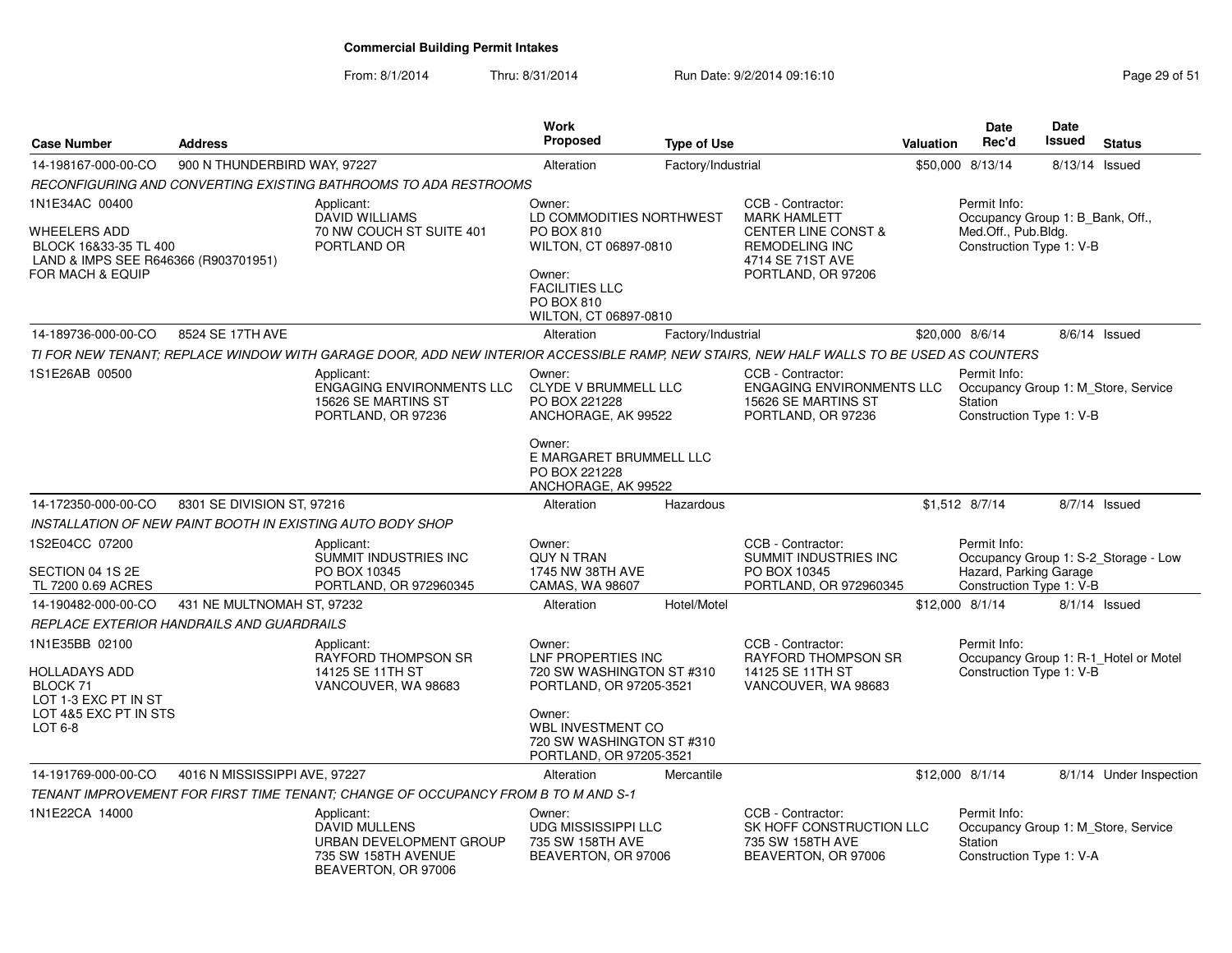| <b>Case Number</b>                                                                                                                    | <b>Address</b>                |                                                                                                                                         | <b>Work</b><br>Proposed                                                                                                                                                     | <b>Type of Use</b> |                                                                                                                                               | <b>Valuation</b> | <b>Date</b><br>Rec'd                                                                                | <b>Date</b><br><b>Issued</b> | <b>Status</b>                         |
|---------------------------------------------------------------------------------------------------------------------------------------|-------------------------------|-----------------------------------------------------------------------------------------------------------------------------------------|-----------------------------------------------------------------------------------------------------------------------------------------------------------------------------|--------------------|-----------------------------------------------------------------------------------------------------------------------------------------------|------------------|-----------------------------------------------------------------------------------------------------|------------------------------|---------------------------------------|
| 14-198167-000-00-CO                                                                                                                   | 900 N THUNDERBIRD WAY, 97227  |                                                                                                                                         | Alteration                                                                                                                                                                  | Factory/Industrial |                                                                                                                                               |                  | \$50,000 8/13/14                                                                                    | 8/13/14                      | Issued                                |
|                                                                                                                                       |                               | RECONFIGURING AND CONVERTING EXISTING BATHROOMS TO ADA RESTROOMS                                                                        |                                                                                                                                                                             |                    |                                                                                                                                               |                  |                                                                                                     |                              |                                       |
| 1N1E34AC 00400<br><b>WHEELERS ADD</b><br>BLOCK 16&33-35 TL 400<br>LAND & IMPS SEE R646366 (R903701951)<br><b>FOR MACH &amp; EQUIP</b> |                               | Applicant:<br><b>DAVID WILLIAMS</b><br>70 NW COUCH ST SUITE 401<br>PORTLAND OR                                                          | Owner:<br>LD COMMODITIES NORTHWEST<br>PO BOX 810<br>WILTON, CT 06897-0810<br>Owner:<br><b>FACILITIES LLC</b><br><b>PO BOX 810</b><br>WILTON, CT 06897-0810                  |                    | CCB - Contractor:<br><b>MARK HAMLETT</b><br><b>CENTER LINE CONST &amp;</b><br><b>REMODELING INC</b><br>4714 SE 71ST AVE<br>PORTLAND, OR 97206 |                  | Permit Info:<br>Occupancy Group 1: B Bank, Off.,<br>Med.Off., Pub.Bldg.<br>Construction Type 1: V-B |                              |                                       |
| 14-189736-000-00-CO                                                                                                                   | 8524 SE 17TH AVE              |                                                                                                                                         | Alteration                                                                                                                                                                  | Factory/Industrial |                                                                                                                                               |                  | \$20,000 8/6/14                                                                                     |                              | 8/6/14 Issued                         |
|                                                                                                                                       |                               | TI FOR NEW TENANT; REPLACE WINDOW WITH GARAGE DOOR, ADD NEW INTERIOR ACCESSIBLE RAMP, NEW STAIRS, NEW HALF WALLS TO BE USED AS COUNTERS |                                                                                                                                                                             |                    |                                                                                                                                               |                  |                                                                                                     |                              |                                       |
| 1S1E26AB 00500                                                                                                                        |                               | Applicant:<br>ENGAGING ENVIRONMENTS LLC<br>15626 SE MARTINS ST<br>PORTLAND, OR 97236                                                    | Owner:<br><b>CLYDE V BRUMMELL LLC</b><br>PO BOX 221228<br>ANCHORAGE, AK 99522<br>Owner:<br>E MARGARET BRUMMELL LLC<br>PO BOX 221228                                         |                    | CCB - Contractor:<br><b>ENGAGING ENVIRONMENTS LLC</b><br>15626 SE MARTINS ST<br>PORTLAND, OR 97236                                            |                  | Permit Info:<br>Station<br>Construction Type 1: V-B                                                 |                              | Occupancy Group 1: M Store, Service   |
|                                                                                                                                       |                               |                                                                                                                                         | ANCHORAGE, AK 99522                                                                                                                                                         |                    |                                                                                                                                               |                  |                                                                                                     |                              |                                       |
| 14-172350-000-00-CO                                                                                                                   | 8301 SE DIVISION ST, 97216    |                                                                                                                                         | Alteration                                                                                                                                                                  | Hazardous          |                                                                                                                                               |                  | \$1,512 8/7/14                                                                                      |                              | 8/7/14 Issued                         |
|                                                                                                                                       |                               | INSTALLATION OF NEW PAINT BOOTH IN EXISTING AUTO BODY SHOP                                                                              |                                                                                                                                                                             |                    |                                                                                                                                               |                  |                                                                                                     |                              |                                       |
| 1S2E04CC 07200<br>SECTION 04 1S 2E<br>TL 7200 0.69 ACRES                                                                              |                               | Applicant:<br>SUMMIT INDUSTRIES INC<br>PO BOX 10345<br>PORTLAND, OR 972960345                                                           | Owner:<br><b>QUY N TRAN</b><br>1745 NW 38TH AVE<br>CAMAS, WA 98607                                                                                                          |                    | CCB - Contractor:<br>SUMMIT INDUSTRIES INC<br>PO BOX 10345<br>PORTLAND, OR 972960345                                                          |                  | Permit Info:<br>Hazard, Parking Garage<br>Construction Type 1: V-B                                  |                              | Occupancy Group 1: S-2_Storage - Low  |
| 14-190482-000-00-CO                                                                                                                   | 431 NE MULTNOMAH ST, 97232    |                                                                                                                                         | Alteration                                                                                                                                                                  | Hotel/Motel        |                                                                                                                                               |                  | \$12,000 8/1/14                                                                                     |                              | $8/1/14$ Issued                       |
| <i>REPLACE EXTERIOR HANDRAILS AND GUARDRAILS</i>                                                                                      |                               |                                                                                                                                         |                                                                                                                                                                             |                    |                                                                                                                                               |                  |                                                                                                     |                              |                                       |
| 1N1E35BB 02100<br>HOLLADAYS ADD<br>BLOCK 71<br>LOT 1-3 EXC PT IN ST<br>LOT 4&5 EXC PT IN STS<br>LOT 6-8                               |                               | Applicant:<br><b>RAYFORD THOMPSON SR</b><br>14125 SE 11TH ST<br>VANCOUVER, WA 98683                                                     | Owner:<br>LNF PROPERTIES INC<br>720 SW WASHINGTON ST #310<br>PORTLAND, OR 97205-3521<br>Owner:<br>WBL INVESTMENT CO<br>720 SW WASHINGTON ST #310<br>PORTLAND, OR 97205-3521 |                    | CCB - Contractor:<br><b>RAYFORD THOMPSON SR</b><br>14125 SE 11TH ST<br>VANCOUVER, WA 98683                                                    |                  | Permit Info:<br>Construction Type 1: V-B                                                            |                              | Occupancy Group 1: R-1_Hotel or Motel |
| 14-191769-000-00-CO                                                                                                                   | 4016 N MISSISSIPPI AVE, 97227 |                                                                                                                                         | Alteration                                                                                                                                                                  | Mercantile         |                                                                                                                                               |                  | \$12,000 8/1/14                                                                                     |                              | 8/1/14 Under Inspection               |
|                                                                                                                                       |                               | TENANT IMPROVEMENT FOR FIRST TIME TENANT; CHANGE OF OCCUPANCY FROM B TO M AND S-1                                                       |                                                                                                                                                                             |                    |                                                                                                                                               |                  |                                                                                                     |                              |                                       |
| 1N1E22CA 14000                                                                                                                        |                               | Applicant:<br>DAVID MULLENS<br>URBAN DEVELOPMENT GROUP<br>735 SW 158TH AVENUE<br>BEAVERTON, OR 97006                                    | Owner:<br><b>UDG MISSISSIPPI LLC</b><br>735 SW 158TH AVE<br>BEAVERTON, OR 97006                                                                                             |                    | CCB - Contractor:<br>SK HOFF CONSTRUCTION LLC<br>735 SW 158TH AVE<br>BEAVERTON, OR 97006                                                      |                  | Permit Info:<br>Station<br>Construction Type 1: V-A                                                 |                              | Occupancy Group 1: M Store, Service   |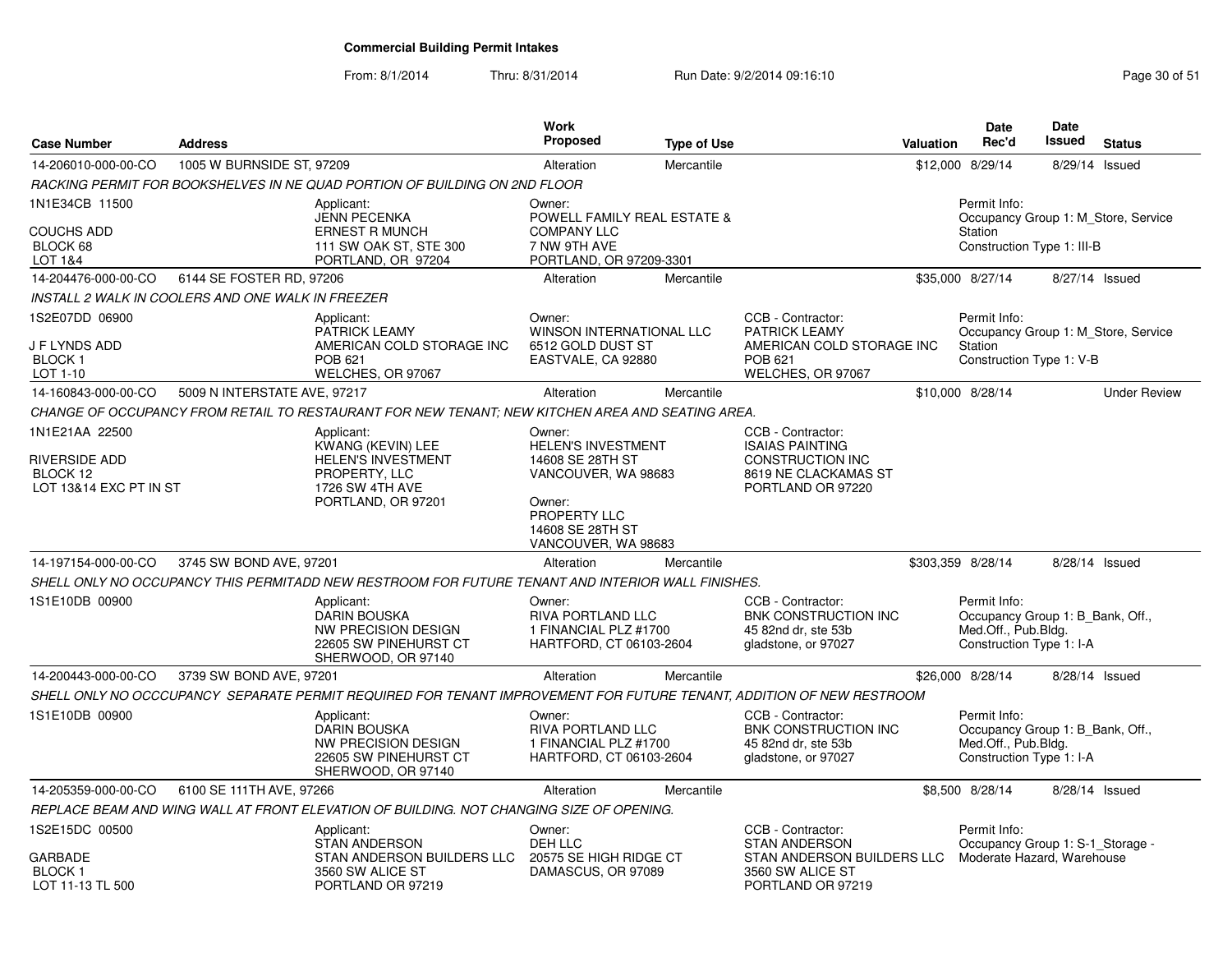| <b>Case Number</b>                                                           | <b>Address</b>               |                                                                                                                               | Work<br><b>Proposed</b>                                                                                                                      | <b>Type of Use</b> |                                                                                                                     | Valuation | Date<br>Rec'd                                                                                       | Date<br><b>Issued</b> | <b>Status</b>                       |
|------------------------------------------------------------------------------|------------------------------|-------------------------------------------------------------------------------------------------------------------------------|----------------------------------------------------------------------------------------------------------------------------------------------|--------------------|---------------------------------------------------------------------------------------------------------------------|-----------|-----------------------------------------------------------------------------------------------------|-----------------------|-------------------------------------|
| 14-206010-000-00-CO                                                          | 1005 W BURNSIDE ST, 97209    |                                                                                                                               | Alteration                                                                                                                                   | Mercantile         |                                                                                                                     |           | \$12,000 8/29/14                                                                                    | 8/29/14               | Issued                              |
|                                                                              |                              | RACKING PERMIT FOR BOOKSHELVES IN NE QUAD PORTION OF BUILDING ON 2ND FLOOR                                                    |                                                                                                                                              |                    |                                                                                                                     |           |                                                                                                     |                       |                                     |
| 1N1E34CB 11500<br>COUCHS ADD<br>BLOCK 68<br>LOT 1&4                          |                              | Applicant:<br><b>JENN PECENKA</b><br><b>ERNEST R MUNCH</b><br>111 SW OAK ST, STE 300<br>PORTLAND, OR 97204                    | Owner:<br>POWELL FAMILY REAL ESTATE &<br><b>COMPANY LLC</b><br>7 NW 9TH AVE<br>PORTLAND, OR 97209-3301                                       |                    |                                                                                                                     |           | Permit Info:<br>Station<br>Construction Type 1: III-B                                               |                       | Occupancy Group 1: M Store, Service |
| 14-204476-000-00-CO                                                          | 6144 SE FOSTER RD, 97206     |                                                                                                                               | Alteration                                                                                                                                   | Mercantile         |                                                                                                                     |           | \$35,000 8/27/14                                                                                    | 8/27/14 Issued        |                                     |
| INSTALL 2 WALK IN COOLERS AND ONE WALK IN FREEZER                            |                              |                                                                                                                               |                                                                                                                                              |                    |                                                                                                                     |           |                                                                                                     |                       |                                     |
| 1S2E07DD 06900<br>J F LYNDS ADD<br>BLOCK 1<br>LOT 1-10                       |                              | Applicant:<br><b>PATRICK LEAMY</b><br>AMERICAN COLD STORAGE INC<br>POB 621<br>WELCHES, OR 97067                               | Owner:<br><b>WINSON INTERNATIONAL LLC</b><br>6512 GOLD DUST ST<br>EASTVALE, CA 92880                                                         |                    | CCB - Contractor:<br><b>PATRICK LEAMY</b><br>AMERICAN COLD STORAGE INC<br><b>POB 621</b><br>WELCHES, OR 97067       |           | Permit Info:<br>Station<br>Construction Type 1: V-B                                                 |                       | Occupancy Group 1: M Store, Service |
| 14-160843-000-00-CO                                                          | 5009 N INTERSTATE AVE, 97217 |                                                                                                                               | Alteration                                                                                                                                   | Mercantile         |                                                                                                                     |           | \$10,000 8/28/14                                                                                    |                       | <b>Under Review</b>                 |
|                                                                              |                              | CHANGE OF OCCUPANCY FROM RETAIL TO RESTAURANT FOR NEW TENANT; NEW KITCHEN AREA AND SEATING AREA.                              |                                                                                                                                              |                    |                                                                                                                     |           |                                                                                                     |                       |                                     |
| 1N1E21AA 22500<br><b>RIVERSIDE ADD</b><br>BLOCK 12<br>LOT 13&14 EXC PT IN ST |                              | Applicant:<br>KWANG (KEVIN) LEE<br><b>HELEN'S INVESTMENT</b><br>PROPERTY, LLC<br><b>1726 SW 4TH AVE</b><br>PORTLAND, OR 97201 | Owner:<br>HELEN'S INVESTMENT<br>14608 SE 28TH ST<br>VANCOUVER, WA 98683<br>Owner:<br>PROPERTY LLC<br>14608 SE 28TH ST<br>VANCOUVER, WA 98683 |                    | CCB - Contractor:<br><b>ISAIAS PAINTING</b><br><b>CONSTRUCTION INC</b><br>8619 NE CLACKAMAS ST<br>PORTLAND OR 97220 |           |                                                                                                     |                       |                                     |
| 14-197154-000-00-CO                                                          | 3745 SW BOND AVE, 97201      |                                                                                                                               | Alteration                                                                                                                                   | Mercantile         |                                                                                                                     |           | \$303,359 8/28/14                                                                                   | 8/28/14 Issued        |                                     |
|                                                                              |                              | SHELL ONLY NO OCCUPANCY THIS PERMITADD NEW RESTROOM FOR FUTURE TENANT AND INTERIOR WALL FINISHES.                             |                                                                                                                                              |                    |                                                                                                                     |           |                                                                                                     |                       |                                     |
| 1S1E10DB 00900                                                               |                              | Applicant:<br><b>DARIN BOUSKA</b><br><b>NW PRECISION DESIGN</b><br>22605 SW PINEHURST CT<br>SHERWOOD, OR 97140                | Owner:<br><b>RIVA PORTLAND LLC</b><br>1 FINANCIAL PLZ #1700<br>HARTFORD, CT 06103-2604                                                       |                    | CCB - Contractor:<br>BNK CONSTRUCTION INC<br>45 82nd dr. ste 53b<br>gladstone, or 97027                             |           | Permit Info:<br>Occupancy Group 1: B_Bank, Off.,<br>Med.Off., Pub.Bldg.<br>Construction Type 1: I-A |                       |                                     |
| 14-200443-000-00-CO                                                          | 3739 SW BOND AVE, 97201      |                                                                                                                               | Alteration                                                                                                                                   | Mercantile         |                                                                                                                     |           | \$26,000 8/28/14                                                                                    | 8/28/14 Issued        |                                     |
|                                                                              |                              | SHELL ONLY NO OCCCUPANCY  SEPARATE PERMIT REQUIRED FOR TENANT IMPROVEMENT FOR FUTURE TENANT. ADDITION OF NEW RESTROOM         |                                                                                                                                              |                    |                                                                                                                     |           |                                                                                                     |                       |                                     |
| 1S1E10DB 00900                                                               |                              | Applicant:<br><b>DARIN BOUSKA</b><br>NW PRECISION DESIGN<br>22605 SW PINEHURST CT<br>SHERWOOD, OR 97140                       | Owner:<br>RIVA PORTLAND LLC<br>1 FINANCIAL PLZ #1700<br>HARTFORD, CT 06103-2604                                                              |                    | CCB - Contractor:<br>BNK CONSTRUCTION INC<br>45 82nd dr, ste 53b<br>gladstone, or 97027                             |           | Permit Info:<br>Occupancy Group 1: B Bank, Off.,<br>Med.Off., Pub.Bldg.<br>Construction Type 1: I-A |                       |                                     |
| 14-205359-000-00-CO                                                          | 6100 SE 111TH AVE, 97266     |                                                                                                                               | Alteration                                                                                                                                   | Mercantile         |                                                                                                                     |           | \$8,500 8/28/14                                                                                     | 8/28/14 Issued        |                                     |
|                                                                              |                              | REPLACE BEAM AND WING WALL AT FRONT ELEVATION OF BUILDING. NOT CHANGING SIZE OF OPENING.                                      |                                                                                                                                              |                    |                                                                                                                     |           |                                                                                                     |                       |                                     |
| 1S2E15DC 00500<br>GARBADE<br>BLOCK 1<br>LOT 11-13 TL 500                     |                              | Applicant:<br>STAN ANDERSON<br>STAN ANDERSON BUILDERS LLC<br>3560 SW ALICE ST<br>PORTLAND OR 97219                            | Owner:<br>DEH LLC<br>20575 SE HIGH RIDGE CT<br>DAMASCUS, OR 97089                                                                            |                    | CCB - Contractor:<br><b>STAN ANDERSON</b><br>STAN ANDERSON BUILDERS LLC<br>3560 SW ALICE ST<br>PORTLAND OR 97219    |           | Permit Info:<br>Occupancy Group 1: S-1_Storage -<br>Moderate Hazard, Warehouse                      |                       |                                     |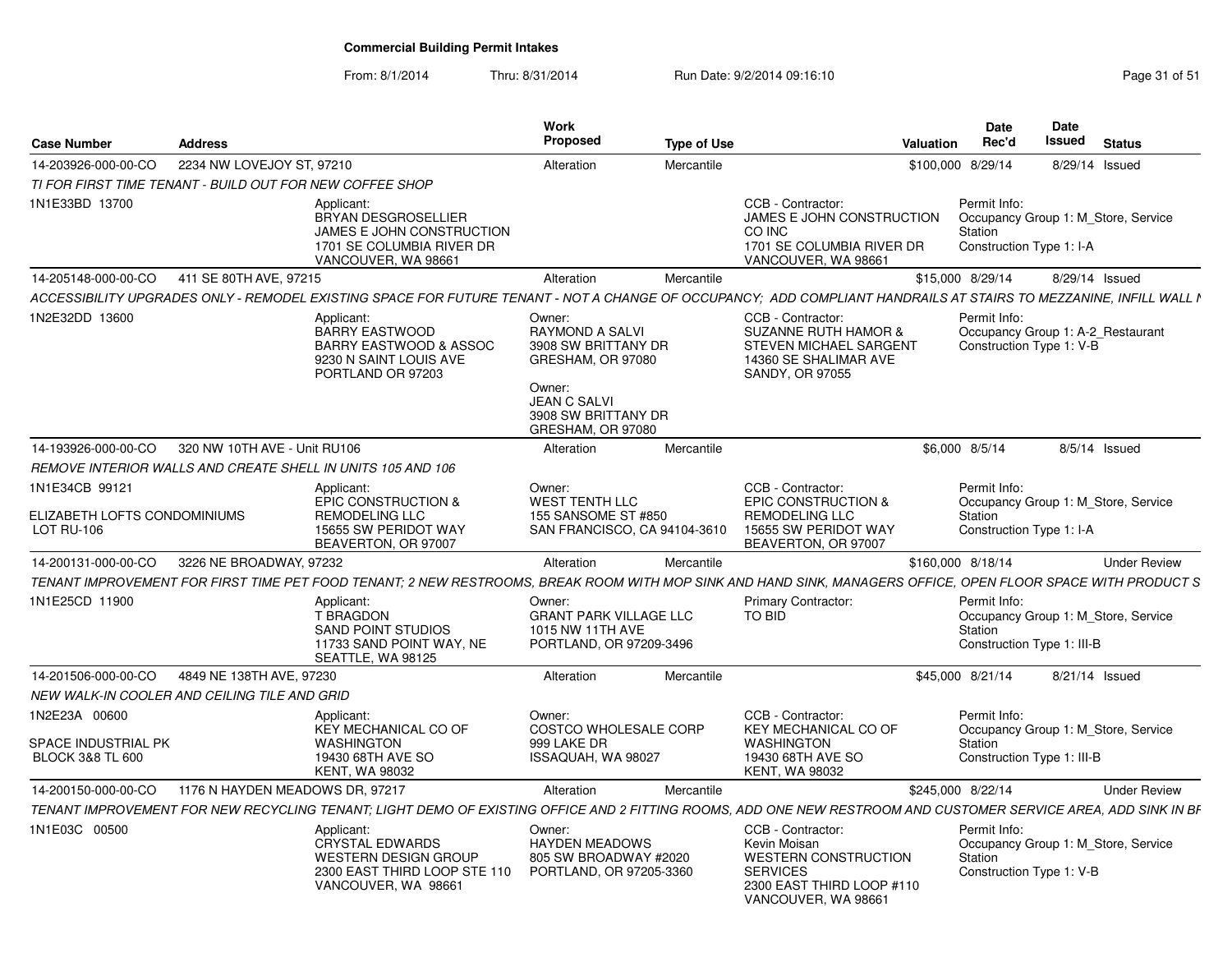| <b>Case Number</b>                                                  | <b>Address</b>                                           |                                                                                                                                                                   | Work<br>Proposed                                                                                                                                   | <b>Type of Use</b>                                                                                                                      | Valuation                 | Date<br>Rec'd                                                                                | Date<br>Issued | <b>Status</b>       |
|---------------------------------------------------------------------|----------------------------------------------------------|-------------------------------------------------------------------------------------------------------------------------------------------------------------------|----------------------------------------------------------------------------------------------------------------------------------------------------|-----------------------------------------------------------------------------------------------------------------------------------------|---------------------------|----------------------------------------------------------------------------------------------|----------------|---------------------|
| 14-203926-000-00-CO                                                 | 2234 NW LOVEJOY ST, 97210                                |                                                                                                                                                                   | Alteration                                                                                                                                         | Mercantile                                                                                                                              |                           | \$100,000 8/29/14                                                                            | 8/29/14 Issued |                     |
|                                                                     | TI FOR FIRST TIME TENANT - BUILD OUT FOR NEW COFFEE SHOP |                                                                                                                                                                   |                                                                                                                                                    |                                                                                                                                         |                           |                                                                                              |                |                     |
| 1N1E33BD 13700                                                      |                                                          | Applicant:<br>BRYAN DESGROSELLIER<br>JAMES E JOHN CONSTRUCTION<br>1701 SE COLUMBIA RIVER DR<br>VANCOUVER, WA 98661                                                |                                                                                                                                                    | CCB - Contractor:<br>CO INC<br>1701 SE COLUMBIA RIVER DR<br>VANCOUVER, WA 98661                                                         | JAMES E JOHN CONSTRUCTION | Permit Info:<br>Occupancy Group 1: M_Store, Service<br>Station<br>Construction Type 1: I-A   |                |                     |
|                                                                     | 14-205148-000-00-CO 411 SE 80TH AVE, 97215               |                                                                                                                                                                   | Alteration                                                                                                                                         | Mercantile                                                                                                                              |                           | \$15,000 8/29/14                                                                             | 8/29/14 Issued |                     |
|                                                                     |                                                          | ACCESSIBILITY UPGRADES ONLY - REMODEL EXISTING SPACE FOR FUTURE TENANT - NOT A CHANGE OF OCCUPANCY; ADD COMPLIANT HANDRAILS AT STAIRS TO MEZZANINE, INFILL WALL I |                                                                                                                                                    |                                                                                                                                         |                           |                                                                                              |                |                     |
| 1N2E32DD 13600                                                      |                                                          | Applicant:<br>BARRY EASTWOOD<br><b>BARRY EASTWOOD &amp; ASSOC</b><br>9230 N SAINT LOUIS AVE<br>PORTLAND OR 97203                                                  | Owner:<br><b>RAYMOND A SALVI</b><br>3908 SW BRITTANY DR<br>GRESHAM, OR 97080<br>Owner:<br>JEAN C SALVI<br>3908 SW BRITTANY DR<br>GRESHAM, OR 97080 | CCB - Contractor:<br><b>SUZANNE RUTH HAMOR &amp;</b><br>STEVEN MICHAEL SARGENT<br>14360 SE SHALIMAR AVE<br>SANDY, OR 97055              |                           | Permit Info:<br>Occupancy Group 1: A-2 Restaurant<br>Construction Type 1: V-B                |                |                     |
| 14-193926-000-00-CO                                                 | 320 NW 10TH AVE - Unit RU106                             |                                                                                                                                                                   | Alteration                                                                                                                                         | Mercantile                                                                                                                              |                           | \$6,000 8/5/14                                                                               | 8/5/14 Issued  |                     |
|                                                                     |                                                          | REMOVE INTERIOR WALLS AND CREATE SHELL IN UNITS 105 AND 106                                                                                                       |                                                                                                                                                    |                                                                                                                                         |                           |                                                                                              |                |                     |
| 1N1E34CB 99121<br>ELIZABETH LOFTS CONDOMINIUMS<br><b>LOT RU-106</b> |                                                          | Applicant:<br>EPIC CONSTRUCTION &<br><b>REMODELING LLC</b><br>15655 SW PERIDOT WAY<br>BEAVERTON, OR 97007                                                         | Owner:<br><b>WEST TENTH LLC</b><br>155 SANSOME ST #850<br>SAN FRANCISCO, CA 94104-3610                                                             | CCB - Contractor:<br><b>EPIC CONSTRUCTION &amp;</b><br>REMODELING LLC<br>15655 SW PERIDOT WAY<br>BEAVERTON, OR 97007                    |                           | Permit Info:<br>Occupancy Group 1: M Store, Service<br>Station<br>Construction Type 1: I-A   |                |                     |
| 14-200131-000-00-CO                                                 | 3226 NE BROADWAY, 97232                                  |                                                                                                                                                                   | Alteration                                                                                                                                         | Mercantile                                                                                                                              |                           | \$160,000 8/18/14                                                                            |                | <b>Under Review</b> |
|                                                                     |                                                          | TENANT IMPROVEMENT FOR FIRST TIME PET FOOD TENANT; 2 NEW RESTROOMS, BREAK ROOM WITH MOP SINK AND HAND SINK, MANAGERS OFFICE, OPEN FLOOR SPACE WITH PRODUCT S      |                                                                                                                                                    |                                                                                                                                         |                           |                                                                                              |                |                     |
| 1N1E25CD 11900                                                      |                                                          | Applicant:<br><b>T BRAGDON</b><br><b>SAND POINT STUDIOS</b><br>11733 SAND POINT WAY, NE<br>SEATTLE, WA 98125                                                      | Owner:<br><b>GRANT PARK VILLAGE LLC</b><br>1015 NW 11TH AVE<br>PORTLAND, OR 97209-3496                                                             | Primary Contractor:<br>TO BID                                                                                                           |                           | Permit Info:<br>Occupancy Group 1: M_Store, Service<br>Station<br>Construction Type 1: III-B |                |                     |
| 14-201506-000-00-CO                                                 | 4849 NE 138TH AVE, 97230                                 |                                                                                                                                                                   | Alteration                                                                                                                                         | Mercantile                                                                                                                              |                           | \$45,000 8/21/14                                                                             | 8/21/14 Issued |                     |
|                                                                     | NEW WALK-IN COOLER AND CEILING TILE AND GRID             |                                                                                                                                                                   |                                                                                                                                                    |                                                                                                                                         |                           |                                                                                              |                |                     |
| 1N2E23A 00600<br>SPACE INDUSTRIAL PK<br><b>BLOCK 3&amp;8 TL 600</b> |                                                          | Applicant:<br>KEY MECHANICAL CO OF<br><b>WASHINGTON</b><br>19430 68TH AVE SO<br><b>KENT. WA 98032</b>                                                             | Owner:<br>COSTCO WHOLESALE CORP<br>999 LAKE DR<br>ISSAQUAH, WA 98027                                                                               | CCB - Contractor:<br>KEY MECHANICAL CO OF<br><b>WASHINGTON</b><br>19430 68TH AVE SO<br><b>KENT. WA 98032</b>                            |                           | Permit Info:<br>Occupancy Group 1: M_Store, Service<br>Station<br>Construction Type 1: III-B |                |                     |
| 14-200150-000-00-CO                                                 | 1176 N HAYDEN MEADOWS DR, 97217                          |                                                                                                                                                                   | Alteration                                                                                                                                         | Mercantile                                                                                                                              |                           | \$245,000 8/22/14                                                                            |                | <b>Under Review</b> |
|                                                                     |                                                          | TENANT IMPROVEMENT FOR NEW RECYCLING TENANT; LIGHT DEMO OF EXISTING OFFICE AND 2 FITTING ROOMS, ADD ONE NEW RESTROOM AND CUSTOMER SERVICE AREA, ADD SINK IN BF    |                                                                                                                                                    |                                                                                                                                         |                           |                                                                                              |                |                     |
| 1N1E03C 00500                                                       |                                                          | Applicant:<br><b>CRYSTAL EDWARDS</b><br><b>WESTERN DESIGN GROUP</b><br>2300 EAST THIRD LOOP STE 110<br>VANCOUVER, WA 98661                                        | Owner:<br><b>HAYDEN MEADOWS</b><br>805 SW BROADWAY #2020<br>PORTLAND, OR 97205-3360                                                                | CCB - Contractor:<br>Kevin Moisan<br><b>WESTERN CONSTRUCTION</b><br><b>SERVICES</b><br>2300 EAST THIRD LOOP #110<br>VANCOUVER, WA 98661 |                           | Permit Info:<br>Occupancy Group 1: M_Store, Service<br>Station<br>Construction Type 1: V-B   |                |                     |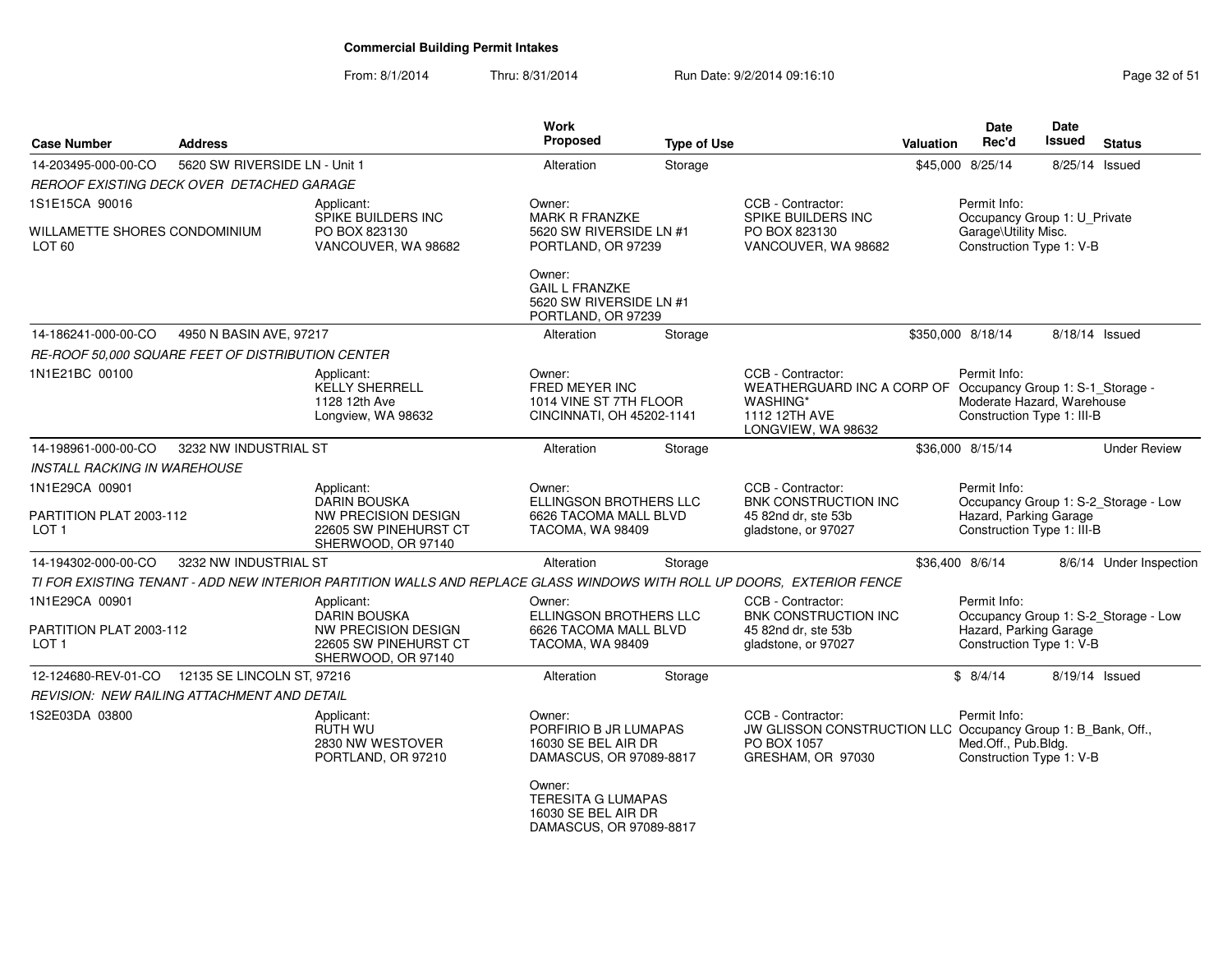| <b>Case Number</b>                                            | <b>Address</b>                                    |                                                                                                                        | <b>Work</b><br>Proposed                                                               | <b>Type of Use</b> |                                                                                                                                     | <b>Valuation</b> | <b>Date</b><br>Rec'd                                                     | <b>Date</b><br><b>Issued</b> | <b>Status</b>                        |
|---------------------------------------------------------------|---------------------------------------------------|------------------------------------------------------------------------------------------------------------------------|---------------------------------------------------------------------------------------|--------------------|-------------------------------------------------------------------------------------------------------------------------------------|------------------|--------------------------------------------------------------------------|------------------------------|--------------------------------------|
| 14-203495-000-00-CO                                           | 5620 SW RIVERSIDE LN - Unit 1                     |                                                                                                                        | Alteration                                                                            | Storage            |                                                                                                                                     |                  | \$45,000 8/25/14                                                         |                              | 8/25/14 Issued                       |
|                                                               | REROOF EXISTING DECK OVER DETACHED GARAGE         |                                                                                                                        |                                                                                       |                    |                                                                                                                                     |                  |                                                                          |                              |                                      |
| 1S1E15CA 90016                                                |                                                   | Applicant:<br>SPIKE BUILDERS INC                                                                                       | Owner:<br><b>MARK R FRANZKE</b>                                                       |                    | CCB - Contractor:<br>SPIKE BUILDERS INC                                                                                             |                  | Permit Info:<br>Occupancy Group 1: U_Private                             |                              |                                      |
| WILLAMETTE SHORES CONDOMINIUM<br>LOT <sub>60</sub>            |                                                   | PO BOX 823130<br>VANCOUVER, WA 98682                                                                                   | 5620 SW RIVERSIDE LN #1<br>PORTLAND, OR 97239                                         |                    | PO BOX 823130<br>VANCOUVER, WA 98682                                                                                                |                  | Garage\Utility Misc.<br>Construction Type 1: V-B                         |                              |                                      |
|                                                               |                                                   |                                                                                                                        | Owner:<br><b>GAIL L FRANZKE</b><br>5620 SW RIVERSIDE LN #1<br>PORTLAND, OR 97239      |                    |                                                                                                                                     |                  |                                                                          |                              |                                      |
| 14-186241-000-00-CO                                           | 4950 N BASIN AVE, 97217                           |                                                                                                                        | Alteration                                                                            | Storage            |                                                                                                                                     |                  | \$350,000 8/18/14                                                        |                              | 8/18/14 Issued                       |
|                                                               | RE-ROOF 50,000 SQUARE FEET OF DISTRIBUTION CENTER |                                                                                                                        |                                                                                       |                    |                                                                                                                                     |                  |                                                                          |                              |                                      |
| 1N1E21BC 00100                                                |                                                   | Applicant:<br><b>KELLY SHERRELL</b><br>1128 12th Ave<br>Longview, WA 98632                                             | Owner:<br>FRED MEYER INC<br>1014 VINE ST 7TH FLOOR<br>CINCINNATI, OH 45202-1141       |                    | CCB - Contractor:<br>WEATHERGUARD INC A CORP OF Occupancy Group 1: S-1_Storage -<br>WASHING*<br>1112 12TH AVE<br>LONGVIEW, WA 98632 |                  | Permit Info:<br>Moderate Hazard, Warehouse<br>Construction Type 1: III-B |                              |                                      |
| 14-198961-000-00-CO                                           | 3232 NW INDUSTRIAL ST                             |                                                                                                                        | Alteration                                                                            | Storage            |                                                                                                                                     |                  | \$36,000 8/15/14                                                         |                              | <b>Under Review</b>                  |
| <b>INSTALL RACKING IN WAREHOUSE</b>                           |                                                   |                                                                                                                        |                                                                                       |                    |                                                                                                                                     |                  |                                                                          |                              |                                      |
| 1N1E29CA 00901<br>PARTITION PLAT 2003-112<br>LOT <sub>1</sub> |                                                   | Applicant:<br><b>DARIN BOUSKA</b><br>NW PRECISION DESIGN<br>22605 SW PINEHURST CT<br>SHERWOOD, OR 97140                | Owner:<br>ELLINGSON BROTHERS LLC<br>6626 TACOMA MALL BLVD<br>TACOMA, WA 98409         |                    | CCB - Contractor:<br>BNK CONSTRUCTION INC<br>45 82nd dr, ste 53b<br>gladstone, or 97027                                             |                  | Permit Info:<br>Hazard, Parking Garage<br>Construction Type 1: III-B     |                              | Occupancy Group 1: S-2_Storage - Low |
| 14-194302-000-00-CO                                           | 3232 NW INDUSTRIAL ST                             |                                                                                                                        | Alteration                                                                            | Storage            |                                                                                                                                     |                  | \$36,400 8/6/14                                                          |                              | 8/6/14 Under Inspection              |
|                                                               |                                                   | TI FOR EXISTING TENANT - ADD NEW INTERIOR PARTITION WALLS AND REPLACE GLASS WINDOWS WITH ROLL UP DOORS, EXTERIOR FENCE |                                                                                       |                    |                                                                                                                                     |                  |                                                                          |                              |                                      |
| 1N1E29CA 00901<br>PARTITION PLAT 2003-112<br>LOT 1            |                                                   | Applicant:<br><b>DARIN BOUSKA</b><br>NW PRECISION DESIGN<br>22605 SW PINEHURST CT<br>SHERWOOD, OR 97140                | Owner:<br>ELLINGSON BROTHERS LLC<br>6626 TACOMA MALL BLVD<br>TACOMA, WA 98409         |                    | CCB - Contractor:<br><b>BNK CONSTRUCTION INC</b><br>45 82nd dr. ste 53b<br>gladstone, or 97027                                      |                  | Permit Info:<br>Hazard, Parking Garage<br>Construction Type 1: V-B       |                              | Occupancy Group 1: S-2_Storage - Low |
| 12-124680-REV-01-CO                                           | 12135 SE LINCOLN ST, 97216                        |                                                                                                                        | Alteration                                                                            | Storage            |                                                                                                                                     |                  | \$8/4/14                                                                 |                              | 8/19/14 Issued                       |
|                                                               | REVISION: NEW RAILING ATTACHMENT AND DETAIL       |                                                                                                                        |                                                                                       |                    |                                                                                                                                     |                  |                                                                          |                              |                                      |
| 1S2E03DA 03800                                                |                                                   | Applicant:<br>RUTH WU<br>2830 NW WESTOVER<br>PORTLAND, OR 97210                                                        | Owner:<br>PORFIRIO B JR LUMAPAS<br>16030 SE BEL AIR DR<br>DAMASCUS, OR 97089-8817     |                    | CCB - Contractor:<br>JW GLISSON CONSTRUCTION LLC Occupancy Group 1: B_Bank, Off.,<br>PO BOX 1057<br>GRESHAM, OR 97030               |                  | Permit Info:<br>Med.Off., Pub.Bldg.<br>Construction Type 1: V-B          |                              |                                      |
|                                                               |                                                   |                                                                                                                        | Owner:<br><b>TERESITA G LUMAPAS</b><br>16030 SE BEL AIR DR<br>DAMASCUS, OR 97089-8817 |                    |                                                                                                                                     |                  |                                                                          |                              |                                      |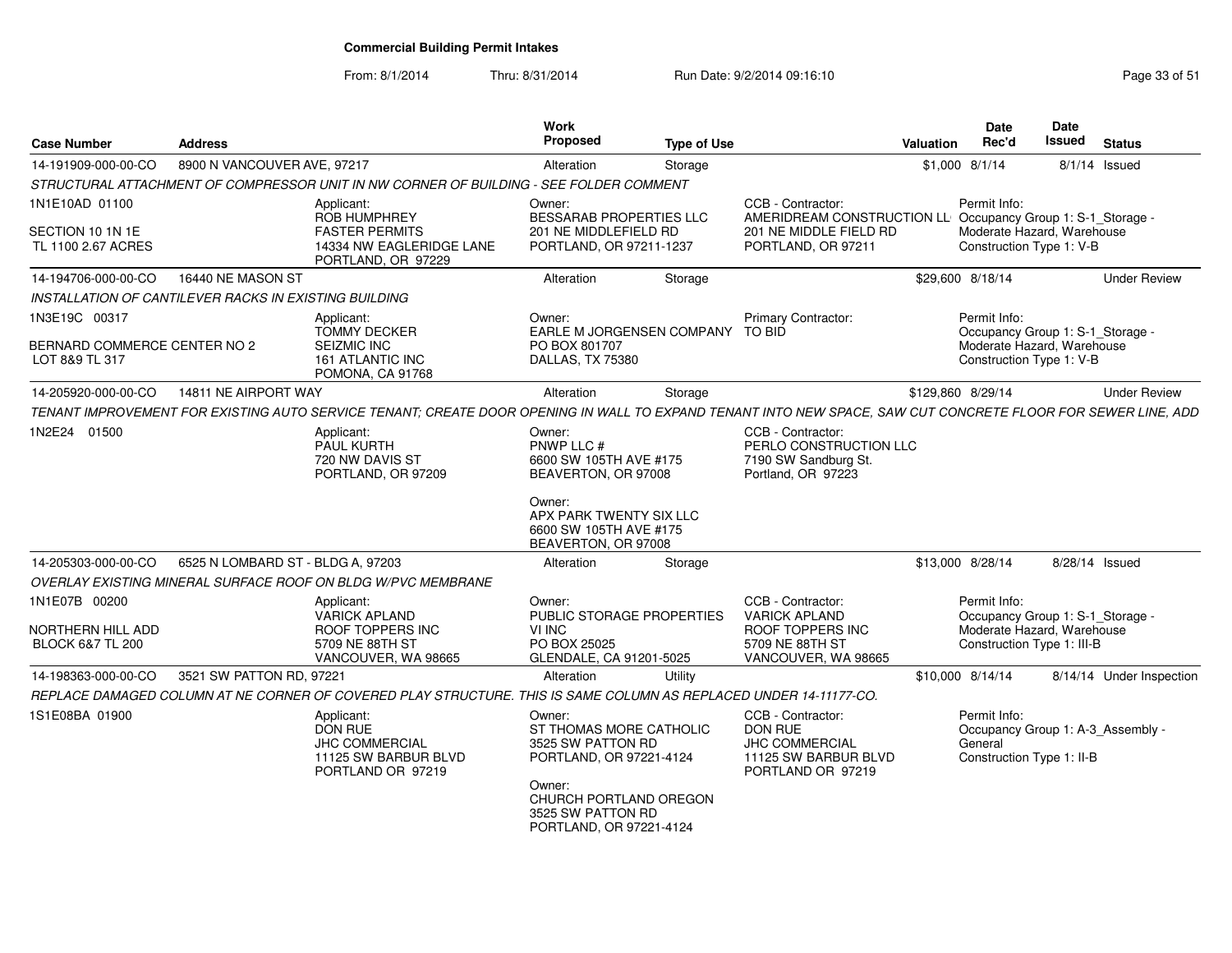From: 8/1/2014

| <b>Case Number</b>                            | <b>Address</b>                                        |                                                                                                                                                              | <b>Work</b><br><b>Proposed</b>                                                                                        | <b>Type of Use</b> |                                                                                                    | <b>Valuation</b> | <b>Date</b><br>Rec'd                                                                      | <b>Date</b><br><b>Issued</b> | <b>Status</b>            |
|-----------------------------------------------|-------------------------------------------------------|--------------------------------------------------------------------------------------------------------------------------------------------------------------|-----------------------------------------------------------------------------------------------------------------------|--------------------|----------------------------------------------------------------------------------------------------|------------------|-------------------------------------------------------------------------------------------|------------------------------|--------------------------|
| 14-191909-000-00-CO                           | 8900 N VANCOUVER AVE, 97217                           |                                                                                                                                                              | Alteration                                                                                                            | Storage            |                                                                                                    |                  | $$1,000$ $8/1/14$                                                                         |                              | 8/1/14 Issued            |
|                                               |                                                       | STRUCTURAL ATTACHMENT OF COMPRESSOR UNIT IN NW CORNER OF BUILDING - SEE FOLDER COMMENT                                                                       |                                                                                                                       |                    |                                                                                                    |                  |                                                                                           |                              |                          |
| 1N1E10AD 01100                                |                                                       | Applicant:<br><b>ROB HUMPHREY</b>                                                                                                                            | Owner:<br>BESSARAB PROPERTIES LLC                                                                                     |                    | CCB - Contractor:<br>AMERIDREAM CONSTRUCTION LL                                                    |                  | Permit Info:<br>Occupancy Group 1: S-1_Storage -                                          |                              |                          |
| SECTION 10 1N 1E<br>TL 1100 2.67 ACRES        |                                                       | <b>FASTER PERMITS</b><br>14334 NW EAGLERIDGE LANE<br>PORTLAND, OR 97229                                                                                      | 201 NE MIDDLEFIELD RD<br>PORTLAND, OR 97211-1237                                                                      |                    | 201 NE MIDDLE FIELD RD<br>PORTLAND, OR 97211                                                       |                  | Moderate Hazard, Warehouse<br>Construction Type 1: V-B                                    |                              |                          |
| 14-194706-000-00-CO                           | 16440 NE MASON ST                                     |                                                                                                                                                              | Alteration                                                                                                            | Storage            |                                                                                                    |                  | \$29,600 8/18/14                                                                          |                              | <b>Under Review</b>      |
|                                               | INSTALLATION OF CANTILEVER RACKS IN EXISTING BUILDING |                                                                                                                                                              |                                                                                                                       |                    |                                                                                                    |                  |                                                                                           |                              |                          |
| 1N3E19C 00317<br>BERNARD COMMERCE CENTER NO 2 |                                                       | Applicant:<br><b>TOMMY DECKER</b><br>SEIZMIC INC                                                                                                             | Owner:<br>EARLE M JORGENSEN COMPANY<br>PO BOX 801707                                                                  |                    | <b>Primary Contractor:</b><br>TO BID                                                               |                  | Permit Info:<br>Occupancy Group 1: S-1 Storage -<br>Moderate Hazard, Warehouse            |                              |                          |
| LOT 8&9 TL 317                                |                                                       | 161 ATLANTIC INC<br>POMONA, CA 91768                                                                                                                         | DALLAS, TX 75380                                                                                                      |                    |                                                                                                    |                  | Construction Type 1: V-B                                                                  |                              |                          |
| 14-205920-000-00-CO                           | 14811 NE AIRPORT WAY                                  |                                                                                                                                                              | Alteration                                                                                                            | Storage            |                                                                                                    |                  | \$129,860 8/29/14                                                                         |                              | <b>Under Review</b>      |
|                                               |                                                       | TENANT IMPROVEMENT FOR EXISTING AUTO SERVICE TENANT: CREATE DOOR OPENING IN WALL TO EXPAND TENANT INTO NEW SPACE, SAW CUT CONCRETE FLOOR FOR SEWER LINE, ADD |                                                                                                                       |                    |                                                                                                    |                  |                                                                                           |                              |                          |
| 1N2E24 01500                                  |                                                       | Applicant:<br>PAUL KURTH<br>720 NW DAVIS ST<br>PORTLAND, OR 97209                                                                                            | Owner:<br>PNWP LLC #<br>6600 SW 105TH AVE #175<br>BEAVERTON, OR 97008                                                 |                    | CCB - Contractor:<br>PERLO CONSTRUCTION LLC<br>7190 SW Sandburg St.<br>Portland, OR 97223          |                  |                                                                                           |                              |                          |
|                                               |                                                       |                                                                                                                                                              | Owner:<br>APX PARK TWENTY SIX LLC<br>6600 SW 105TH AVE #175<br>BEAVERTON, OR 97008                                    |                    |                                                                                                    |                  |                                                                                           |                              |                          |
| 14-205303-000-00-CO                           | 6525 N LOMBARD ST - BLDG A, 97203                     |                                                                                                                                                              | Alteration                                                                                                            | Storage            |                                                                                                    |                  | \$13,000 8/28/14                                                                          |                              | 8/28/14 Issued           |
|                                               |                                                       | OVERLAY EXISTING MINERAL SURFACE ROOF ON BLDG W/PVC MEMBRANE                                                                                                 |                                                                                                                       |                    |                                                                                                    |                  |                                                                                           |                              |                          |
| 1N1E07B 00200<br>NORTHERN HILL ADD            |                                                       | Applicant:<br><b>VARICK APLAND</b><br>ROOF TOPPERS INC                                                                                                       | Owner:<br>PUBLIC STORAGE PROPERTIES<br>VI INC                                                                         |                    | CCB - Contractor:<br><b>VARICK APLAND</b><br>ROOF TOPPERS INC                                      |                  | Permit Info:<br>Occupancy Group 1: S-1_Storage -<br>Moderate Hazard, Warehouse            |                              |                          |
| <b>BLOCK 6&amp;7 TL 200</b>                   |                                                       | 5709 NE 88TH ST<br>VANCOUVER, WA 98665                                                                                                                       | PO BOX 25025<br>GLENDALE, CA 91201-5025                                                                               |                    | 5709 NE 88TH ST<br>VANCOUVER, WA 98665                                                             |                  | Construction Type 1: III-B                                                                |                              |                          |
| 14-198363-000-00-CO                           | 3521 SW PATTON RD, 97221                              |                                                                                                                                                              | Alteration                                                                                                            | Utility            |                                                                                                    |                  | \$10,000 8/14/14                                                                          |                              | 8/14/14 Under Inspection |
|                                               |                                                       | REPLACE DAMAGED COLUMN AT NE CORNER OF COVERED PLAY STRUCTURE. THIS IS SAME COLUMN AS REPLACED UNDER 14-11177-CO.                                            |                                                                                                                       |                    |                                                                                                    |                  |                                                                                           |                              |                          |
| 1S1E08BA 01900                                |                                                       | Applicant:<br><b>DON RUE</b><br><b>JHC COMMERCIAL</b><br>11125 SW BARBUR BLVD<br>PORTLAND OR 97219                                                           | Owner:<br>ST THOMAS MORE CATHOLIC<br>3525 SW PATTON RD<br>PORTLAND, OR 97221-4124<br>Owner:<br>CHURCH PORTLAND OREGON |                    | CCB - Contractor:<br>DON RUE<br><b>JHC COMMERCIAL</b><br>11125 SW BARBUR BLVD<br>PORTLAND OR 97219 |                  | Permit Info:<br>Occupancy Group 1: A-3_Assembly -<br>General<br>Construction Type 1: II-B |                              |                          |
|                                               |                                                       |                                                                                                                                                              | 3525 SW PATTON RD<br>PORTLAND, OR 97221-4124                                                                          |                    |                                                                                                    |                  |                                                                                           |                              |                          |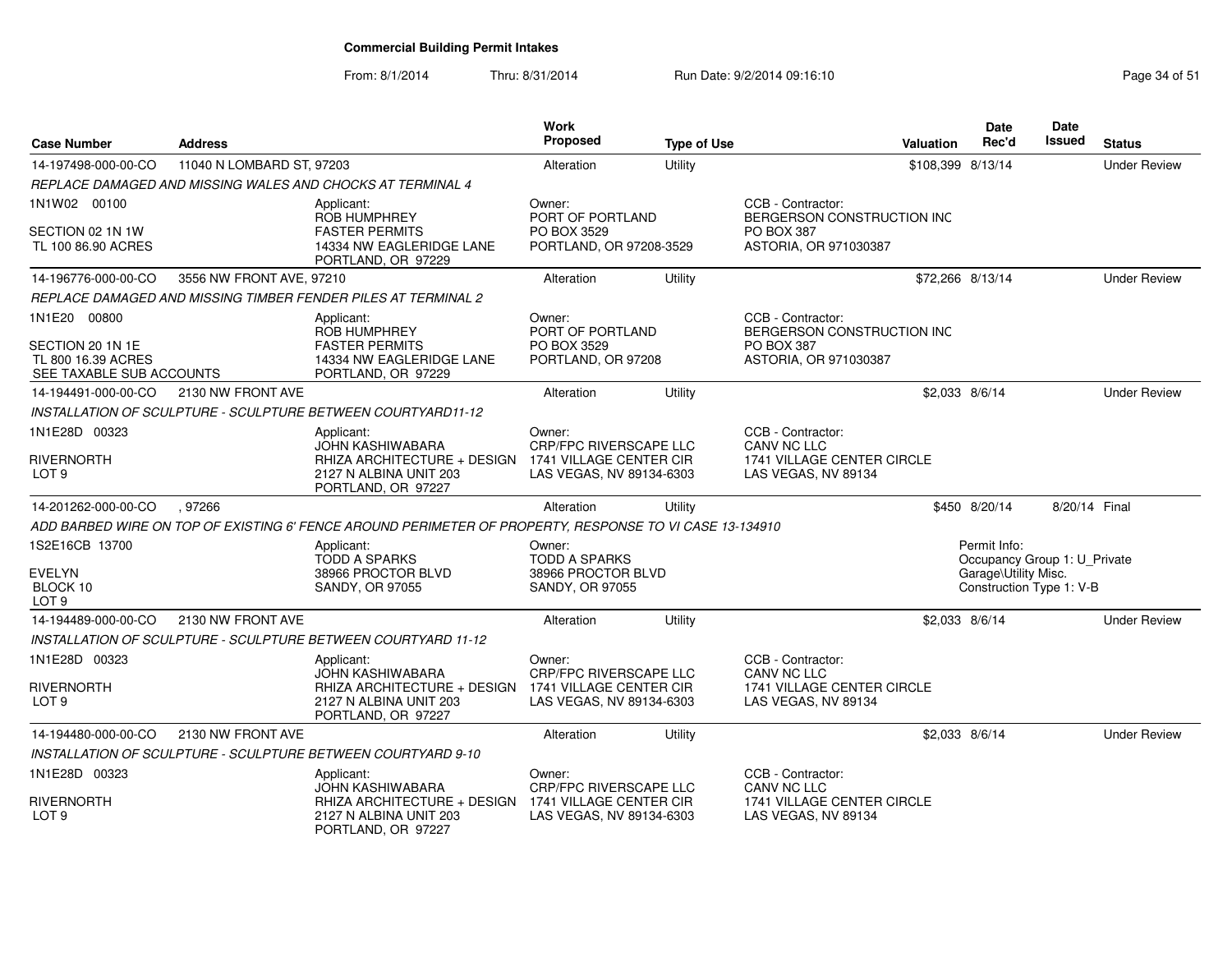| <b>Case Number</b>                                                                 | <b>Address</b>            |                                                                                                              | Work<br>Proposed                                                | <b>Type of Use</b> |                                                                                               | Valuation         | <b>Date</b><br>Rec'd                             | <b>Date</b><br>Issued | <b>Status</b>       |
|------------------------------------------------------------------------------------|---------------------------|--------------------------------------------------------------------------------------------------------------|-----------------------------------------------------------------|--------------------|-----------------------------------------------------------------------------------------------|-------------------|--------------------------------------------------|-----------------------|---------------------|
| 14-197498-000-00-CO                                                                | 11040 N LOMBARD ST, 97203 |                                                                                                              | Alteration                                                      | Utility            |                                                                                               | \$108,399 8/13/14 |                                                  |                       | <b>Under Review</b> |
|                                                                                    |                           | REPLACE DAMAGED AND MISSING WALES AND CHOCKS AT TERMINAL 4                                                   |                                                                 |                    |                                                                                               |                   |                                                  |                       |                     |
| 1N1W02 00100                                                                       |                           | Applicant:<br>ROB HUMPHREY                                                                                   | Owner:<br>PORT OF PORTLAND                                      |                    | CCB - Contractor:<br>BERGERSON CONSTRUCTION INC                                               |                   |                                                  |                       |                     |
| SECTION 02 1N 1W<br>TL 100 86.90 ACRES                                             |                           | <b>FASTER PERMITS</b><br>14334 NW EAGLERIDGE LANE<br>PORTLAND, OR 97229                                      | PO BOX 3529<br>PORTLAND, OR 97208-3529                          |                    | PO BOX 387<br>ASTORIA, OR 971030387                                                           |                   |                                                  |                       |                     |
| 14-196776-000-00-CO                                                                | 3556 NW FRONT AVE, 97210  |                                                                                                              | Alteration                                                      | Utility            |                                                                                               | \$72,266 8/13/14  |                                                  |                       | <b>Under Review</b> |
|                                                                                    |                           | REPLACE DAMAGED AND MISSING TIMBER FENDER PILES AT TERMINAL 2                                                |                                                                 |                    |                                                                                               |                   |                                                  |                       |                     |
| 1N1E20 00800<br>SECTION 20 1N 1E<br>TL 800 16.39 ACRES<br>SEE TAXABLE SUB ACCOUNTS |                           | Applicant:<br><b>ROB HUMPHREY</b><br><b>FASTER PERMITS</b><br>14334 NW EAGLERIDGE LANE<br>PORTLAND, OR 97229 | Owner:<br>PORT OF PORTLAND<br>PO BOX 3529<br>PORTLAND, OR 97208 |                    | CCB - Contractor:<br>BERGERSON CONSTRUCTION INC<br><b>PO BOX 387</b><br>ASTORIA, OR 971030387 |                   |                                                  |                       |                     |
| 14-194491-000-00-CO                                                                | 2130 NW FRONT AVE         |                                                                                                              | Alteration                                                      | Utility            |                                                                                               |                   | \$2,033 8/6/14                                   |                       | <b>Under Review</b> |
|                                                                                    |                           | INSTALLATION OF SCULPTURE - SCULPTURE BETWEEN COURTYARD11-12                                                 |                                                                 |                    |                                                                                               |                   |                                                  |                       |                     |
| 1N1E28D 00323                                                                      |                           | Applicant:<br><b>JOHN KASHIWABARA</b>                                                                        | Owner:<br>CRP/FPC RIVERSCAPE LLC                                |                    | CCB - Contractor:<br>CANV NC LLC                                                              |                   |                                                  |                       |                     |
| RIVERNORTH<br>LOT <sub>9</sub>                                                     |                           | RHIZA ARCHITECTURE + DESIGN<br>2127 N ALBINA UNIT 203<br>PORTLAND, OR 97227                                  | 1741 VILLAGE CENTER CIR<br>LAS VEGAS, NV 89134-6303             |                    | 1741 VILLAGE CENTER CIRCLE<br>LAS VEGAS, NV 89134                                             |                   |                                                  |                       |                     |
| 14-201262-000-00-CO                                                                | .97266                    |                                                                                                              | Alteration                                                      | Utility            |                                                                                               |                   | \$450 8/20/14                                    | 8/20/14 Final         |                     |
|                                                                                    |                           | ADD BARBED WIRE ON TOP OF EXISTING 6' FENCE AROUND PERIMETER OF PROPERTY, RESPONSE TO VI CASE 13-134910      |                                                                 |                    |                                                                                               |                   |                                                  |                       |                     |
| 1S2E16CB 13700                                                                     |                           | Applicant:<br><b>TODD A SPARKS</b>                                                                           | Owner:<br><b>TODD A SPARKS</b>                                  |                    |                                                                                               |                   | Permit Info:<br>Occupancy Group 1: U_Private     |                       |                     |
| EVELYN<br>BLOCK 10<br>LOT <sub>9</sub>                                             |                           | 38966 PROCTOR BLVD<br><b>SANDY, OR 97055</b>                                                                 | 38966 PROCTOR BLVD<br><b>SANDY, OR 97055</b>                    |                    |                                                                                               |                   | Garage\Utility Misc.<br>Construction Type 1: V-B |                       |                     |
| 14-194489-000-00-CO                                                                | 2130 NW FRONT AVE         |                                                                                                              | Alteration                                                      | Utility            |                                                                                               | \$2,033 8/6/14    |                                                  |                       | <b>Under Review</b> |
|                                                                                    |                           | INSTALLATION OF SCULPTURE - SCULPTURE BETWEEN COURTYARD 11-12                                                |                                                                 |                    |                                                                                               |                   |                                                  |                       |                     |
| 1N1E28D 00323                                                                      |                           | Applicant:<br><b>JOHN KASHIWABARA</b>                                                                        | Owner:<br><b>CRP/FPC RIVERSCAPE LLC</b>                         |                    | CCB - Contractor:<br><b>CANV NC LLC</b>                                                       |                   |                                                  |                       |                     |
| RIVERNORTH<br>LOT <sub>9</sub>                                                     |                           | RHIZA ARCHITECTURE + DESIGN<br>2127 N ALBINA UNIT 203<br>PORTLAND, OR 97227                                  | 1741 VILLAGE CENTER CIR<br>LAS VEGAS, NV 89134-6303             |                    | 1741 VILLAGE CENTER CIRCLE<br>LAS VEGAS, NV 89134                                             |                   |                                                  |                       |                     |
| 14-194480-000-00-CO                                                                | 2130 NW FRONT AVE         |                                                                                                              | Alteration                                                      | Utility            |                                                                                               | \$2,033 8/6/14    |                                                  |                       | <b>Under Review</b> |
|                                                                                    |                           | INSTALLATION OF SCULPTURE - SCULPTURE BETWEEN COURTYARD 9-10                                                 |                                                                 |                    |                                                                                               |                   |                                                  |                       |                     |
| 1N1E28D 00323                                                                      |                           | Applicant:<br><b>JOHN KASHIWABARA</b>                                                                        | Owner:<br><b>CRP/FPC RIVERSCAPE LLC</b>                         |                    | CCB - Contractor:<br><b>CANV NC LLC</b>                                                       |                   |                                                  |                       |                     |
| RIVERNORTH<br>LOT <sub>9</sub>                                                     |                           | RHIZA ARCHITECTURE + DESIGN<br>2127 N ALBINA UNIT 203<br>PORTLAND, OR 97227                                  | 1741 VILLAGE CENTER CIR<br>LAS VEGAS, NV 89134-6303             |                    | 1741 VILLAGE CENTER CIRCLE<br>LAS VEGAS, NV 89134                                             |                   |                                                  |                       |                     |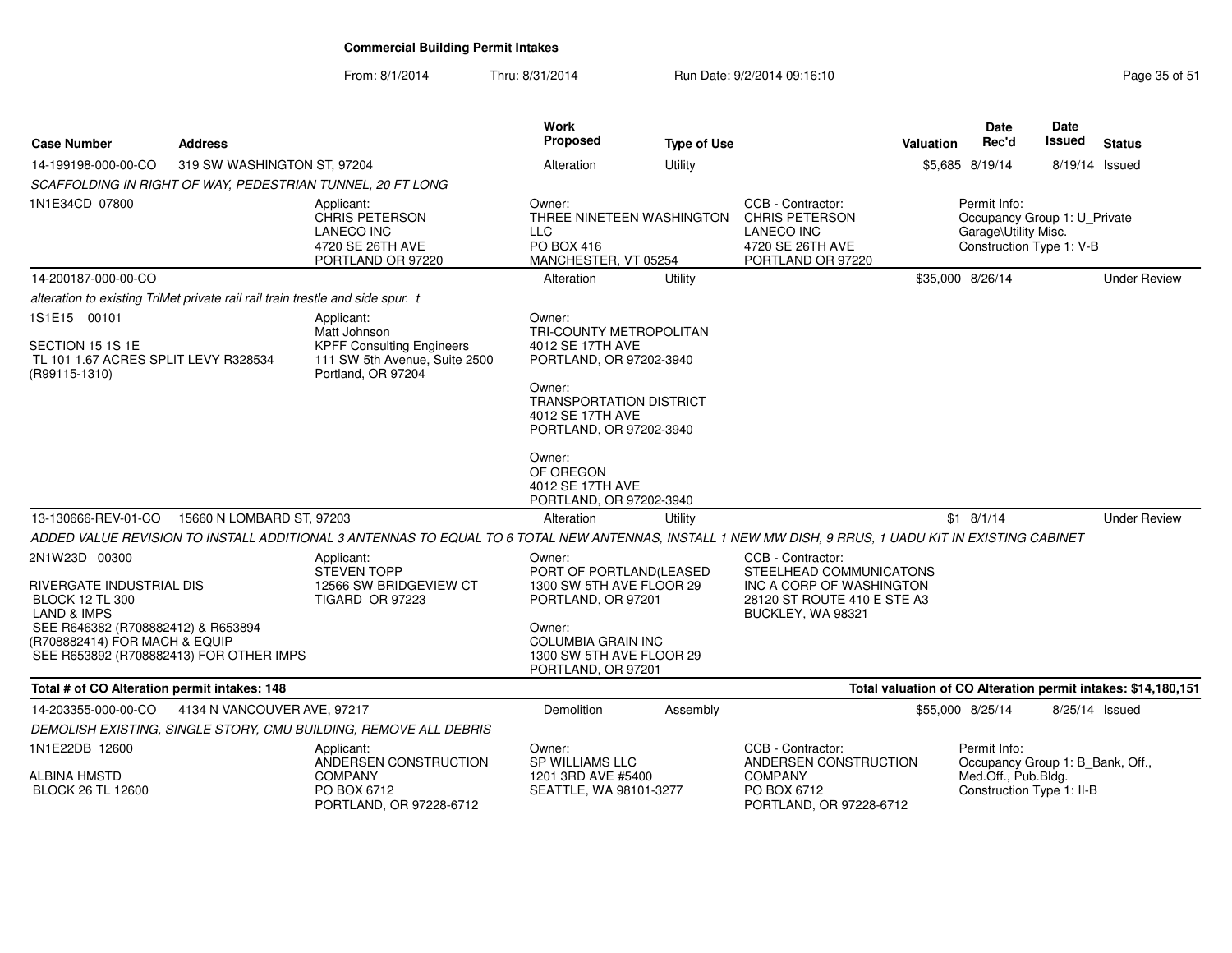| <b>Case Number</b>                                                                                             | <b>Address</b>              |                                                                                                                                                       | <b>Work</b><br><b>Proposed</b>                                                          | <b>Type of Use</b> |                                                                                                          | Valuation | Date<br>Rec'd                                                                                    | <b>Date</b><br>Issued | <b>Status</b>                                                 |
|----------------------------------------------------------------------------------------------------------------|-----------------------------|-------------------------------------------------------------------------------------------------------------------------------------------------------|-----------------------------------------------------------------------------------------|--------------------|----------------------------------------------------------------------------------------------------------|-----------|--------------------------------------------------------------------------------------------------|-----------------------|---------------------------------------------------------------|
| 14-199198-000-00-CO                                                                                            | 319 SW WASHINGTON ST, 97204 |                                                                                                                                                       | Alteration                                                                              | Utility            |                                                                                                          |           | \$5,685 8/19/14                                                                                  | 8/19/14 Issued        |                                                               |
|                                                                                                                |                             | SCAFFOLDING IN RIGHT OF WAY, PEDESTRIAN TUNNEL, 20 FT LONG                                                                                            |                                                                                         |                    |                                                                                                          |           |                                                                                                  |                       |                                                               |
| 1N1E34CD 07800                                                                                                 |                             | Applicant:<br><b>CHRIS PETERSON</b><br><b>LANECO INC</b><br>4720 SE 26TH AVE<br>PORTLAND OR 97220                                                     | Owner:<br>THREE NINETEEN WASHINGTON<br><b>LLC</b><br>PO BOX 416<br>MANCHESTER, VT 05254 |                    | CCB - Contractor:<br><b>CHRIS PETERSON</b><br><b>LANECO INC</b><br>4720 SE 26TH AVE<br>PORTLAND OR 97220 |           | Permit Info:<br>Occupancy Group 1: U_Private<br>Garage\Utility Misc.<br>Construction Type 1: V-B |                       |                                                               |
| 14-200187-000-00-CO                                                                                            |                             |                                                                                                                                                       | Alteration                                                                              | Utility            |                                                                                                          |           | \$35,000 8/26/14                                                                                 |                       | <b>Under Review</b>                                           |
| alteration to existing TriMet private rail rail train trestle and side spur. t                                 |                             |                                                                                                                                                       |                                                                                         |                    |                                                                                                          |           |                                                                                                  |                       |                                                               |
| 1S1E15 00101                                                                                                   |                             | Applicant:                                                                                                                                            | Owner:                                                                                  |                    |                                                                                                          |           |                                                                                                  |                       |                                                               |
| SECTION 15 1S 1E                                                                                               |                             | Matt Johnson<br><b>KPFF Consulting Engineers</b>                                                                                                      | TRI-COUNTY METROPOLITAN<br>4012 SE 17TH AVE                                             |                    |                                                                                                          |           |                                                                                                  |                       |                                                               |
| TL 101 1.67 ACRES SPLIT LEVY R328534<br>(R99115-1310)                                                          |                             | 111 SW 5th Avenue, Suite 2500<br>Portland, OR 97204                                                                                                   | PORTLAND, OR 97202-3940                                                                 |                    |                                                                                                          |           |                                                                                                  |                       |                                                               |
|                                                                                                                |                             |                                                                                                                                                       | Owner:<br><b>TRANSPORTATION DISTRICT</b><br>4012 SE 17TH AVE<br>PORTLAND, OR 97202-3940 |                    |                                                                                                          |           |                                                                                                  |                       |                                                               |
|                                                                                                                |                             |                                                                                                                                                       | Owner:<br>OF OREGON<br>4012 SE 17TH AVE<br>PORTLAND, OR 97202-3940                      |                    |                                                                                                          |           |                                                                                                  |                       |                                                               |
| 13-130666-REV-01-CO                                                                                            | 15660 N LOMBARD ST, 97203   |                                                                                                                                                       | Alteration                                                                              | Utility            |                                                                                                          |           | $$1$ 8/1/14                                                                                      |                       | <b>Under Review</b>                                           |
|                                                                                                                |                             | ADDED VALUE REVISION TO INSTALL ADDITIONAL 3 ANTENNAS TO EQUAL TO 6 TOTAL NEW ANTENNAS, INSTALL 1 NEW MW DISH, 9 RRUS, 1 UADU KIT IN EXISTING CABINET |                                                                                         |                    |                                                                                                          |           |                                                                                                  |                       |                                                               |
| 2N1W23D 00300                                                                                                  |                             | Applicant:                                                                                                                                            | Owner:                                                                                  |                    | CCB - Contractor:                                                                                        |           |                                                                                                  |                       |                                                               |
| RIVERGATE INDUSTRIAL DIS<br><b>BLOCK 12 TL 300</b><br>LAND & IMPS                                              |                             | <b>STEVEN TOPP</b><br>12566 SW BRIDGEVIEW CT<br><b>TIGARD OR 97223</b>                                                                                | PORT OF PORTLAND(LEASED<br>1300 SW 5TH AVE FLOOR 29<br>PORTLAND, OR 97201               |                    | STEELHEAD COMMUNICATONS<br>INC A CORP OF WASHINGTON<br>28120 ST ROUTE 410 E STE A3<br>BUCKLEY, WA 98321  |           |                                                                                                  |                       |                                                               |
| SEE R646382 (R708882412) & R653894<br>(R708882414) FOR MACH & EQUIP<br>SEE R653892 (R708882413) FOR OTHER IMPS |                             |                                                                                                                                                       | Owner:<br><b>COLUMBIA GRAIN INC</b><br>1300 SW 5TH AVE FLOOR 29<br>PORTLAND, OR 97201   |                    |                                                                                                          |           |                                                                                                  |                       |                                                               |
| Total # of CO Alteration permit intakes: 148                                                                   |                             |                                                                                                                                                       |                                                                                         |                    |                                                                                                          |           |                                                                                                  |                       | Total valuation of CO Alteration permit intakes: \$14,180,151 |
| 14-203355-000-00-CO                                                                                            | 4134 N VANCOUVER AVE, 97217 |                                                                                                                                                       | Demolition                                                                              | Assembly           |                                                                                                          |           | \$55,000 8/25/14                                                                                 | 8/25/14 Issued        |                                                               |
|                                                                                                                |                             | DEMOLISH EXISTING, SINGLE STORY, CMU BUILDING, REMOVE ALL DEBRIS                                                                                      |                                                                                         |                    |                                                                                                          |           |                                                                                                  |                       |                                                               |
| 1N1E22DB 12600                                                                                                 |                             | Applicant:<br>ANDERSEN CONSTRUCTION                                                                                                                   | Owner:<br><b>SP WILLIAMS LLC</b>                                                        |                    | CCB - Contractor:<br>ANDERSEN CONSTRUCTION                                                               |           | Permit Info:<br>Occupancy Group 1: B_Bank, Off.,                                                 |                       |                                                               |
| <b>ALBINA HMSTD</b><br><b>BLOCK 26 TL 12600</b>                                                                |                             | <b>COMPANY</b><br>PO BOX 6712<br>PORTLAND, OR 97228-6712                                                                                              | 1201 3RD AVE #5400<br>SEATTLE, WA 98101-3277                                            |                    | <b>COMPANY</b><br>PO BOX 6712<br>PORTLAND, OR 97228-6712                                                 |           | Med.Off., Pub.Bldg.<br>Construction Type 1: II-B                                                 |                       |                                                               |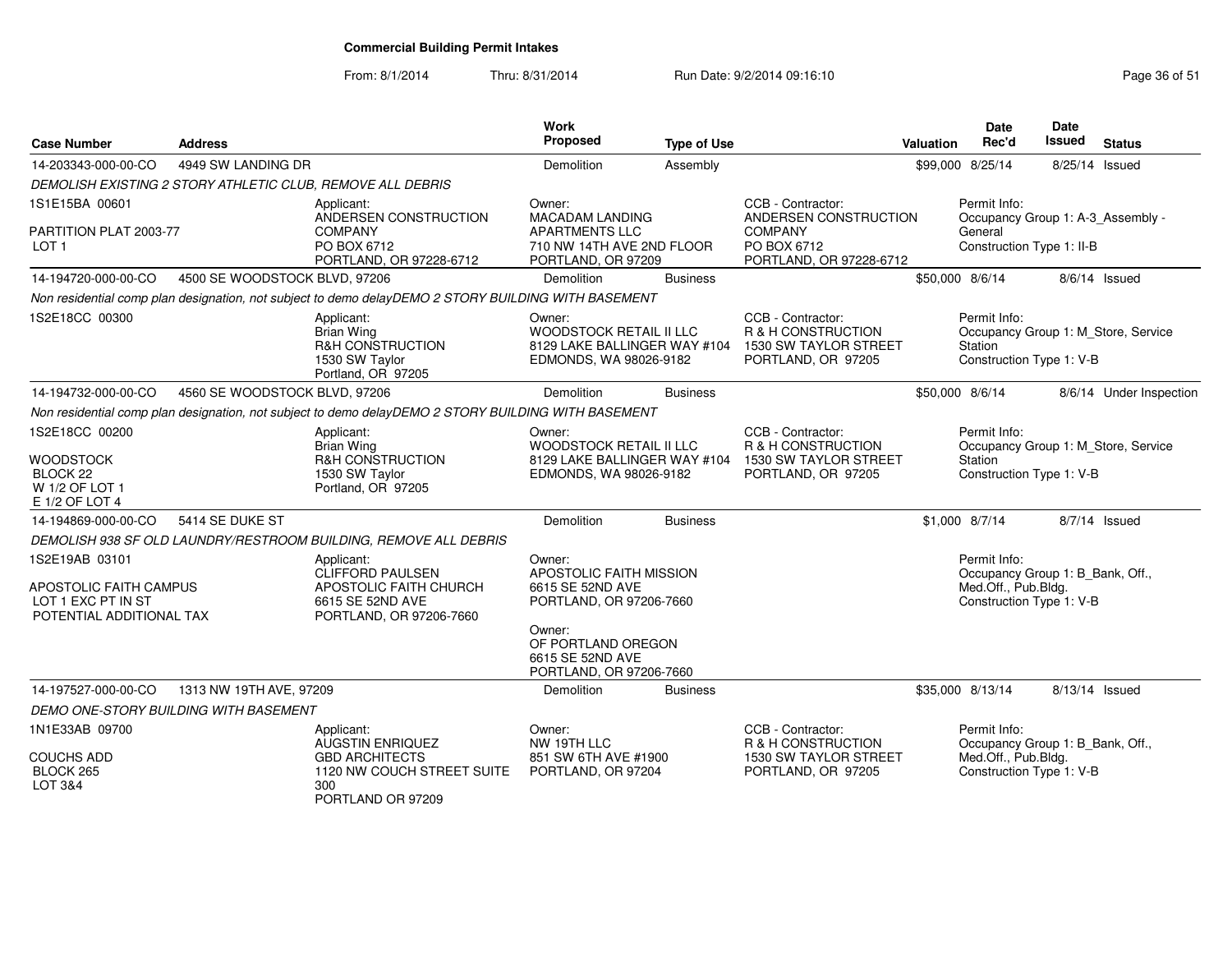| <b>Case Number</b>                                                                         | <b>Address</b>                |                                                                                                                | <b>Work</b><br>Proposed                                                          | <b>Type of Use</b> |                                                                                                                     | Valuation                           | <b>Date</b><br>Rec'd                                                                                | Date<br>Issued | <b>Status</b>                       |
|--------------------------------------------------------------------------------------------|-------------------------------|----------------------------------------------------------------------------------------------------------------|----------------------------------------------------------------------------------|--------------------|---------------------------------------------------------------------------------------------------------------------|-------------------------------------|-----------------------------------------------------------------------------------------------------|----------------|-------------------------------------|
| 14-203343-000-00-CO                                                                        | 4949 SW LANDING DR            |                                                                                                                | Demolition                                                                       | Assembly           |                                                                                                                     |                                     | \$99,000 8/25/14                                                                                    | 8/25/14 Issued |                                     |
|                                                                                            |                               | DEMOLISH EXISTING 2 STORY ATHLETIC CLUB, REMOVE ALL DEBRIS                                                     |                                                                                  |                    |                                                                                                                     |                                     |                                                                                                     |                |                                     |
| 1S1E15BA 00601                                                                             |                               | Applicant:<br>ANDERSEN CONSTRUCTION                                                                            | CCB - Contractor:<br>Owner:<br><b>MACADAM LANDING</b><br>ANDERSEN CONSTRUCTION   |                    |                                                                                                                     |                                     | Permit Info:<br>Occupancy Group 1: A-3_Assembly -                                                   |                |                                     |
| PARTITION PLAT 2003-77<br>LOT <sub>1</sub>                                                 |                               | <b>COMPANY</b><br>PO BOX 6712<br>PORTLAND, OR 97228-6712                                                       | <b>APARTMENTS LLC</b><br>710 NW 14TH AVE 2ND FLOOR<br>PORTLAND, OR 97209         |                    | <b>COMPANY</b><br>PO BOX 6712<br>PORTLAND, OR 97228-6712                                                            |                                     | General<br>Construction Type 1: II-B                                                                |                |                                     |
| 14-194720-000-00-CO                                                                        | 4500 SE WOODSTOCK BLVD, 97206 |                                                                                                                | Demolition                                                                       | <b>Business</b>    |                                                                                                                     |                                     | \$50,000 8/6/14                                                                                     |                | 8/6/14 Issued                       |
|                                                                                            |                               | Non residential comp plan designation, not subject to demo delayDEMO 2 STORY BUILDING WITH BASEMENT            |                                                                                  |                    |                                                                                                                     |                                     |                                                                                                     |                |                                     |
| 1S2E18CC 00300                                                                             |                               | Applicant:<br><b>Brian Wing</b><br>R&H CONSTRUCTION<br>1530 SW Taylor<br>Portland, OR 97205                    | Owner:<br>WOODSTOCK RETAIL II LLC<br>EDMONDS, WA 98026-9182                      |                    | CCB - Contractor:<br>R & H CONSTRUCTION<br>8129 LAKE BALLINGER WAY #104 1530 SW TAYLOR STREET<br>PORTLAND, OR 97205 |                                     | Permit Info:<br>Station<br>Construction Type 1: V-B                                                 |                | Occupancy Group 1: M_Store, Service |
| 14-194732-000-00-CO                                                                        | 4560 SE WOODSTOCK BLVD, 97206 |                                                                                                                | Demolition                                                                       | <b>Business</b>    |                                                                                                                     |                                     | \$50,000 8/6/14                                                                                     |                | 8/6/14 Under Inspection             |
|                                                                                            |                               | Non residential comp plan designation, not subject to demo delayDEMO 2 STORY BUILDING WITH BASEMENT            |                                                                                  |                    |                                                                                                                     |                                     |                                                                                                     |                |                                     |
| 1S2E18CC 00200                                                                             |                               | Applicant:<br><b>Brian Wing</b>                                                                                | Owner:<br>WOODSTOCK RETAIL II LLC                                                |                    | CCB - Contractor:<br>R & H CONSTRUCTION                                                                             |                                     | Permit Info:                                                                                        |                | Occupancy Group 1: M_Store, Service |
| <b>WOODSTOCK</b><br>BLOCK <sub>22</sub><br>W 1/2 OF LOT 1<br>E 1/2 OF LOT 4                |                               | R&H CONSTRUCTION<br>1530 SW Taylor<br>Portland, OR 97205                                                       | 8129 LAKE BALLINGER WAY #104<br>EDMONDS, WA 98026-9182                           |                    | 1530 SW TAYLOR STREET<br>PORTLAND, OR 97205                                                                         | Station<br>Construction Type 1: V-B |                                                                                                     |                |                                     |
| 14-194869-000-00-CO                                                                        | 5414 SE DUKE ST               |                                                                                                                | Demolition                                                                       | <b>Business</b>    |                                                                                                                     |                                     | \$1,000 8/7/14                                                                                      |                | $8/7/14$ Issued                     |
|                                                                                            |                               | DEMOLISH 938 SF OLD LAUNDRY/RESTROOM BUILDING, REMOVE ALL DEBRIS                                               |                                                                                  |                    |                                                                                                                     |                                     |                                                                                                     |                |                                     |
| 1S2E19AB 03101<br>APOSTOLIC FAITH CAMPUS<br>LOT 1 EXC PT IN ST<br>POTENTIAL ADDITIONAL TAX |                               | Applicant:<br><b>CLIFFORD PAULSEN</b><br>APOSTOLIC FAITH CHURCH<br>6615 SE 52ND AVE<br>PORTLAND, OR 97206-7660 | Owner:<br>APOSTOLIC FAITH MISSION<br>6615 SE 52ND AVE<br>PORTLAND, OR 97206-7660 |                    |                                                                                                                     |                                     | Permit Info:<br>Occupancy Group 1: B_Bank, Off.,<br>Med.Off., Pub.Bldg.<br>Construction Type 1: V-B |                |                                     |
|                                                                                            |                               |                                                                                                                | Owner:<br>OF PORTLAND OREGON<br>6615 SE 52ND AVE<br>PORTLAND, OR 97206-7660      |                    |                                                                                                                     |                                     |                                                                                                     |                |                                     |
| 14-197527-000-00-CO                                                                        | 1313 NW 19TH AVE, 97209       |                                                                                                                | Demolition                                                                       | <b>Business</b>    |                                                                                                                     |                                     | \$35,000 8/13/14                                                                                    | 8/13/14 Issued |                                     |
| DEMO ONE-STORY BUILDING WITH BASEMENT                                                      |                               |                                                                                                                |                                                                                  |                    |                                                                                                                     |                                     |                                                                                                     |                |                                     |
| 1N1E33AB 09700                                                                             |                               | Applicant:<br><b>AUGSTIN ENRIQUEZ</b>                                                                          | Owner:<br>NW 19TH LLC                                                            |                    | CCB - Contractor:<br>R & H CONSTRUCTION                                                                             |                                     | Permit Info:<br>Occupancy Group 1: B Bank, Off.,                                                    |                |                                     |
| <b>COUCHS ADD</b><br>BLOCK 265<br>LOT 3&4                                                  |                               | <b>GBD ARCHITECTS</b><br>1120 NW COUCH STREET SUITE<br>300<br>PORTLAND OR 97209                                | 851 SW 6TH AVE #1900<br>PORTLAND, OR 97204                                       |                    | 1530 SW TAYLOR STREET<br>PORTLAND, OR 97205                                                                         |                                     | Med.Off., Pub.Bldg.<br>Construction Type 1: V-B                                                     |                |                                     |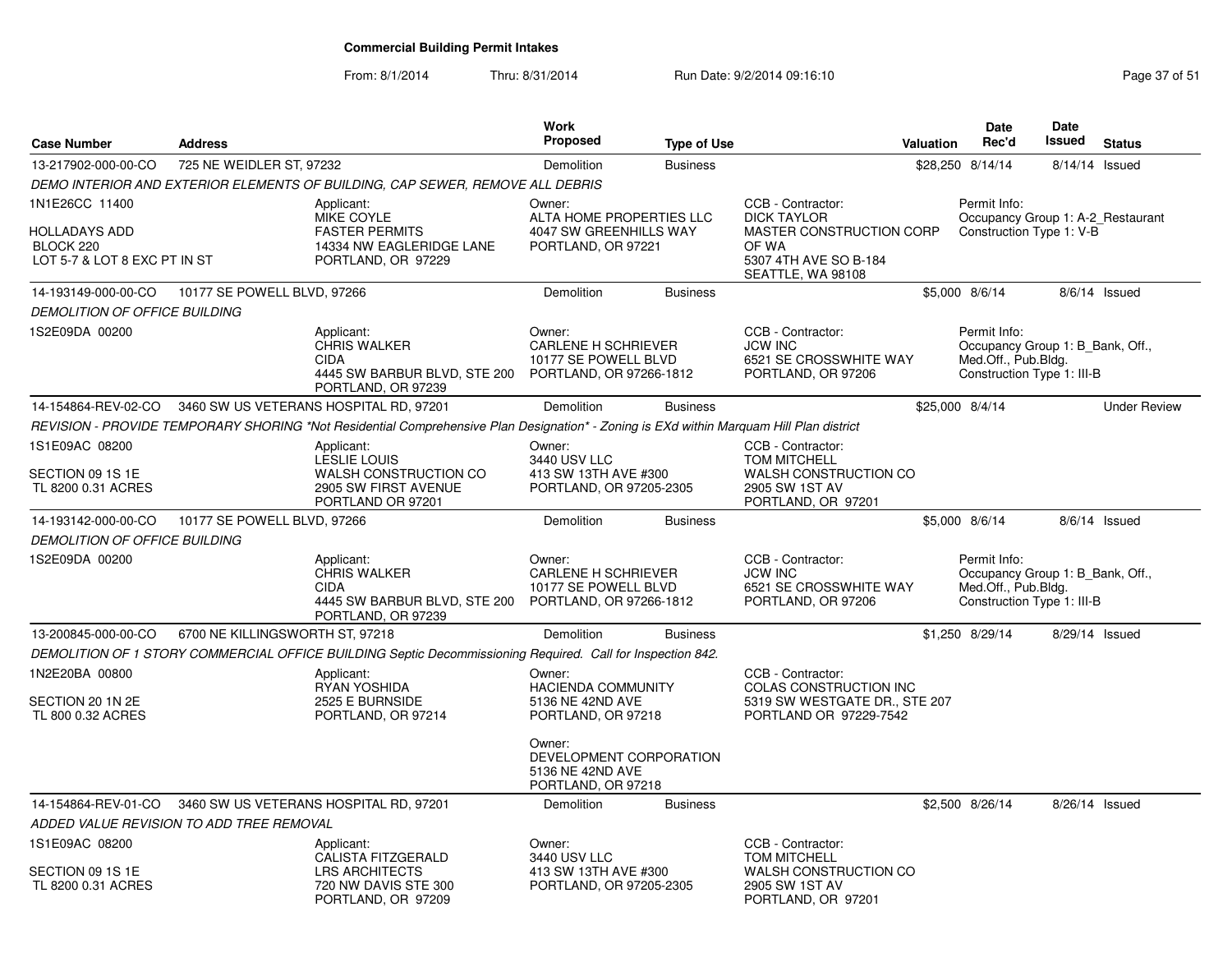From: 8/1/2014

| <b>Case Number</b>                                                           | <b>Address</b>                           |                                                                                                                                         | Work<br><b>Proposed</b>                                                                 | <b>Type of Use</b> |                                                                                                                            | Valuation        | <b>Date</b><br>Rec'd                                                                                  | <b>Date</b><br><b>Issued</b> | <b>Status</b>       |
|------------------------------------------------------------------------------|------------------------------------------|-----------------------------------------------------------------------------------------------------------------------------------------|-----------------------------------------------------------------------------------------|--------------------|----------------------------------------------------------------------------------------------------------------------------|------------------|-------------------------------------------------------------------------------------------------------|------------------------------|---------------------|
| 13-217902-000-00-CO                                                          | 725 NE WEIDLER ST, 97232                 |                                                                                                                                         | Demolition                                                                              | <b>Business</b>    |                                                                                                                            | \$28,250 8/14/14 |                                                                                                       | 8/14/14 Issued               |                     |
|                                                                              |                                          | DEMO INTERIOR AND EXTERIOR ELEMENTS OF BUILDING, CAP SEWER, REMOVE ALL DEBRIS                                                           |                                                                                         |                    |                                                                                                                            |                  |                                                                                                       |                              |                     |
| 1N1E26CC 11400<br>HOLLADAYS ADD<br>BLOCK 220<br>LOT 5-7 & LOT 8 EXC PT IN ST |                                          | Applicant:<br>MIKE COYLE<br><b>FASTER PERMITS</b><br>14334 NW EAGLERIDGE LANE<br>PORTLAND, OR 97229                                     | Owner:<br>ALTA HOME PROPERTIES LLC<br>4047 SW GREENHILLS WAY<br>PORTLAND, OR 97221      |                    | CCB - Contractor:<br><b>DICK TAYLOR</b><br>MASTER CONSTRUCTION CORP<br>OF WA<br>5307 4TH AVE SO B-184<br>SEATTLE, WA 98108 |                  | Permit Info:<br>Occupancy Group 1: A-2_Restaurant<br>Construction Type 1: V-B                         |                              |                     |
| 14-193149-000-00-CO                                                          | 10177 SE POWELL BLVD, 97266              |                                                                                                                                         | Demolition                                                                              | <b>Business</b>    |                                                                                                                            |                  | \$5,000 8/6/14                                                                                        |                              | 8/6/14 Issued       |
| DEMOLITION OF OFFICE BUILDING                                                |                                          |                                                                                                                                         |                                                                                         |                    |                                                                                                                            |                  |                                                                                                       |                              |                     |
| 1S2E09DA 00200                                                               |                                          | Applicant:<br><b>CHRIS WALKER</b><br><b>CIDA</b><br>4445 SW BARBUR BLVD, STE 200<br>PORTLAND, OR 97239                                  | Owner:<br><b>CARLENE H SCHRIEVER</b><br>10177 SE POWELL BLVD<br>PORTLAND, OR 97266-1812 |                    | CCB - Contractor:<br><b>JCW INC</b><br>6521 SE CROSSWHITE WAY<br>PORTLAND, OR 97206                                        |                  | Permit Info:<br>Occupancy Group 1: B Bank, Off.,<br>Med.Off., Pub.Bldg.<br>Construction Type 1: III-B |                              |                     |
| 14-154864-REV-02-CO                                                          |                                          | 3460 SW US VETERANS HOSPITAL RD, 97201                                                                                                  | Demolition                                                                              | <b>Business</b>    |                                                                                                                            | \$25,000 8/4/14  |                                                                                                       |                              | <b>Under Review</b> |
|                                                                              |                                          | REVISION - PROVIDE TEMPORARY SHORING *Not Residential Comprehensive Plan Designation* - Zoning is EXd within Marquam Hill Plan district |                                                                                         |                    |                                                                                                                            |                  |                                                                                                       |                              |                     |
| 1S1E09AC 08200                                                               |                                          | Applicant:                                                                                                                              | Owner:                                                                                  |                    | CCB - Contractor:                                                                                                          |                  |                                                                                                       |                              |                     |
| SECTION 09 1S 1E<br>TL 8200 0.31 ACRES                                       |                                          | LESLIE LOUIS<br>WALSH CONSTRUCTION CO<br>2905 SW FIRST AVENUE<br>PORTLAND OR 97201                                                      | 3440 USV LLC<br>413 SW 13TH AVE #300<br>PORTLAND, OR 97205-2305                         |                    | <b>TOM MITCHELL</b><br>WALSH CONSTRUCTION CO<br>2905 SW 1ST AV<br>PORTLAND, OR 97201                                       |                  |                                                                                                       |                              |                     |
| 14-193142-000-00-CO                                                          | 10177 SE POWELL BLVD, 97266              |                                                                                                                                         | Demolition                                                                              | <b>Business</b>    |                                                                                                                            |                  | \$5,000 8/6/14                                                                                        |                              | 8/6/14 Issued       |
| <i>DEMOLITION OF OFFICE BUILDING</i>                                         |                                          |                                                                                                                                         |                                                                                         |                    |                                                                                                                            |                  |                                                                                                       |                              |                     |
| 1S2E09DA 00200                                                               |                                          | Applicant:<br><b>CHRIS WALKER</b><br><b>CIDA</b><br>4445 SW BARBUR BLVD, STE 200<br>PORTLAND, OR 97239                                  | Owner:<br><b>CARLENE H SCHRIEVER</b><br>10177 SE POWELL BLVD<br>PORTLAND, OR 97266-1812 |                    | CCB - Contractor:<br><b>JCW INC</b><br>6521 SE CROSSWHITE WAY<br>PORTLAND, OR 97206                                        |                  | Permit Info:<br>Occupancy Group 1: B_Bank, Off.,<br>Med.Off., Pub.Bldg.<br>Construction Type 1: III-B |                              |                     |
| 13-200845-000-00-CO                                                          | 6700 NE KILLINGSWORTH ST, 97218          |                                                                                                                                         | Demolition                                                                              | <b>Business</b>    |                                                                                                                            |                  | \$1,250 8/29/14                                                                                       | 8/29/14 Issued               |                     |
|                                                                              |                                          | DEMOLITION OF 1 STORY COMMERCIAL OFFICE BUILDING Septic Decommissioning Required. Call for Inspection 842.                              |                                                                                         |                    |                                                                                                                            |                  |                                                                                                       |                              |                     |
| 1N2E20BA 00800<br>SECTION 20 1N 2E<br>TL 800 0.32 ACRES                      |                                          | Applicant:<br>RYAN YOSHIDA<br>2525 E BURNSIDE<br>PORTLAND, OR 97214                                                                     | Owner:<br><b>HACIENDA COMMUNITY</b><br>5136 NE 42ND AVE<br>PORTLAND, OR 97218           |                    | CCB - Contractor:<br>COLAS CONSTRUCTION INC<br>5319 SW WESTGATE DR., STE 207<br>PORTLAND OR 97229-7542                     |                  |                                                                                                       |                              |                     |
|                                                                              |                                          |                                                                                                                                         | Owner:<br>DEVELOPMENT CORPORATION<br>5136 NE 42ND AVE<br>PORTLAND, OR 97218             |                    |                                                                                                                            |                  |                                                                                                       |                              |                     |
|                                                                              |                                          | 14-154864-REV-01-CO 3460 SW US VETERANS HOSPITAL RD, 97201                                                                              | Demolition                                                                              | <b>Business</b>    |                                                                                                                            |                  | \$2,500 8/26/14                                                                                       | 8/26/14 Issued               |                     |
|                                                                              | ADDED VALUE REVISION TO ADD TREE REMOVAL |                                                                                                                                         |                                                                                         |                    |                                                                                                                            |                  |                                                                                                       |                              |                     |
| 1S1E09AC 08200                                                               |                                          | Applicant:                                                                                                                              | Owner:                                                                                  |                    | CCB - Contractor:                                                                                                          |                  |                                                                                                       |                              |                     |
| SECTION 09 1S 1E<br>TL 8200 0.31 ACRES                                       |                                          | CALISTA FITZGERALD<br><b>LRS ARCHITECTS</b><br>720 NW DAVIS STE 300<br>PORTLAND, OR 97209                                               | 3440 USV LLC<br>413 SW 13TH AVE #300<br>PORTLAND, OR 97205-2305                         |                    | <b>TOM MITCHELL</b><br>WALSH CONSTRUCTION CO<br>2905 SW 1ST AV<br>PORTLAND, OR 97201                                       |                  |                                                                                                       |                              |                     |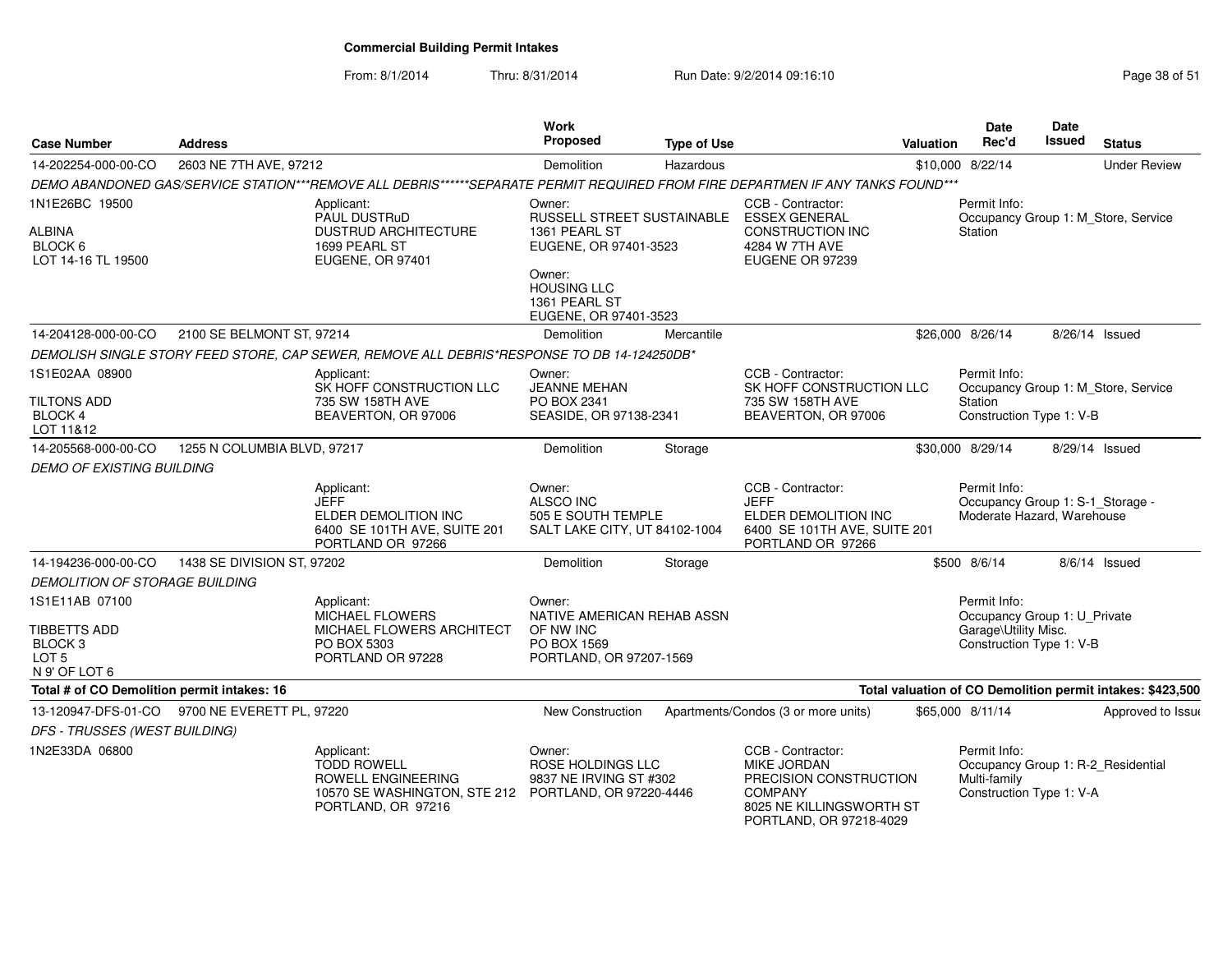From: 8/1/2014

| <b>Case Number</b>                                                                        | <b>Address</b>              |                                                                                                                                      | Work<br>Proposed                                                                             | <b>Type of Use</b> |                                                                                                                                     | Valuation | <b>Date</b><br>Rec'd                                                                             | <b>Date</b><br><b>Issued</b> | <b>Status</b>                                              |
|-------------------------------------------------------------------------------------------|-----------------------------|--------------------------------------------------------------------------------------------------------------------------------------|----------------------------------------------------------------------------------------------|--------------------|-------------------------------------------------------------------------------------------------------------------------------------|-----------|--------------------------------------------------------------------------------------------------|------------------------------|------------------------------------------------------------|
| 14-202254-000-00-CO                                                                       | 2603 NE 7TH AVE, 97212      |                                                                                                                                      | Demolition                                                                                   | Hazardous          |                                                                                                                                     |           | \$10,000 8/22/14                                                                                 |                              | <b>Under Review</b>                                        |
|                                                                                           |                             | DEMO ABANDONED GAS/SERVICE STATION***REMOVE ALL DEBRIS******SEPARATE PERMIT REQUIRED FROM FIRE DEPARTMEN IF ANY TANKS FOUND***       |                                                                                              |                    |                                                                                                                                     |           |                                                                                                  |                              |                                                            |
| 1N1E26BC 19500<br>ALBINA<br>BLOCK 6<br>LOT 14-16 TL 19500                                 |                             | Applicant:<br>PAUL DUSTRuD<br><b>DUSTRUD ARCHITECTURE</b><br>1699 PEARL ST<br>EUGENE, OR 97401                                       | Owner:<br>RUSSELL STREET SUSTAINABLE ESSEX GENERAL<br>1361 PEARL ST<br>EUGENE, OR 97401-3523 |                    | CCB - Contractor:<br>CONSTRUCTION INC<br>4284 W 7TH AVE<br>EUGENE OR 97239                                                          |           | Permit Info:<br>Station                                                                          |                              | Occupancy Group 1: M_Store, Service                        |
|                                                                                           |                             |                                                                                                                                      | Owner:<br><b>HOUSING LLC</b><br>1361 PEARL ST<br>EUGENE, OR 97401-3523                       |                    |                                                                                                                                     |           |                                                                                                  |                              |                                                            |
| 14-204128-000-00-CO                                                                       | 2100 SE BELMONT ST, 97214   |                                                                                                                                      | Demolition                                                                                   | Mercantile         |                                                                                                                                     |           | \$26,000 8/26/14                                                                                 |                              | 8/26/14 Issued                                             |
|                                                                                           |                             | DEMOLISH SINGLE STORY FEED STORE, CAP SEWER, REMOVE ALL DEBRIS*RESPONSE TO DB 14-124250DB*                                           |                                                                                              |                    |                                                                                                                                     |           |                                                                                                  |                              |                                                            |
| 1S1E02AA 08900<br><b>TILTONS ADD</b><br>BLOCK 4<br>LOT 11&12                              |                             | Applicant:<br>SK HOFF CONSTRUCTION LLC<br>735 SW 158TH AVE<br>BEAVERTON, OR 97006                                                    | Owner:<br><b>JEANNE MEHAN</b><br>PO BOX 2341<br>SEASIDE, OR 97138-2341                       |                    | CCB - Contractor:<br>SK HOFF CONSTRUCTION LLC<br>735 SW 158TH AVE<br>BEAVERTON, OR 97006                                            |           | Permit Info:<br>Station<br>Construction Type 1: V-B                                              |                              | Occupancy Group 1: M Store, Service                        |
| 14-205568-000-00-CO                                                                       | 1255 N COLUMBIA BLVD, 97217 |                                                                                                                                      | Demolition                                                                                   | Storage            |                                                                                                                                     |           | \$30,000 8/29/14                                                                                 |                              | 8/29/14 Issued                                             |
| <b>DEMO OF EXISTING BUILDING</b>                                                          |                             |                                                                                                                                      |                                                                                              |                    |                                                                                                                                     |           |                                                                                                  |                              |                                                            |
|                                                                                           |                             | Applicant:<br><b>JEFF</b><br>ELDER DEMOLITION INC<br>6400 SE 101TH AVE, SUITE 201<br>PORTLAND OR 97266                               | Owner:<br>ALSCO INC<br>505 E SOUTH TEMPLE<br>SALT LAKE CITY, UT 84102-1004                   |                    | CCB - Contractor:<br><b>JEFF</b><br>ELDER DEMOLITION INC<br>6400 SE 101TH AVE, SUITE 201<br>PORTLAND OR 97266                       |           | Permit Info:<br>Occupancy Group 1: S-1_Storage -<br>Moderate Hazard, Warehouse                   |                              |                                                            |
| 14-194236-000-00-CO                                                                       | 1438 SE DIVISION ST, 97202  |                                                                                                                                      | Demolition                                                                                   | Storage            |                                                                                                                                     |           | \$500 8/6/14                                                                                     |                              | 8/6/14 Issued                                              |
| <b>DEMOLITION OF STORAGE BUILDING</b>                                                     |                             |                                                                                                                                      |                                                                                              |                    |                                                                                                                                     |           |                                                                                                  |                              |                                                            |
| 1S1E11AB 07100<br>TIBBETTS ADD<br>BLOCK <sub>3</sub><br>LOT <sub>5</sub><br>N 9' OF LOT 6 |                             | Applicant:<br>MICHAEL FLOWERS<br>MICHAEL FLOWERS ARCHITECT<br>PO BOX 5303<br>PORTLAND OR 97228                                       | Owner:<br>NATIVE AMERICAN REHAB ASSN<br>OF NW INC<br>PO BOX 1569<br>PORTLAND, OR 97207-1569  |                    |                                                                                                                                     |           | Permit Info:<br>Occupancy Group 1: U_Private<br>Garage\Utility Misc.<br>Construction Type 1: V-B |                              |                                                            |
| Total # of CO Demolition permit intakes: 16                                               |                             |                                                                                                                                      |                                                                                              |                    |                                                                                                                                     |           |                                                                                                  |                              | Total valuation of CO Demolition permit intakes: \$423,500 |
| 13-120947-DFS-01-CO 9700 NE EVERETT PL, 97220                                             |                             |                                                                                                                                      | New Construction                                                                             |                    | Apartments/Condos (3 or more units)                                                                                                 |           | \$65,000 8/11/14                                                                                 |                              | Approved to Issue                                          |
| DFS - TRUSSES (WEST BUILDING)                                                             |                             |                                                                                                                                      |                                                                                              |                    |                                                                                                                                     |           |                                                                                                  |                              |                                                            |
| 1N2E33DA 06800                                                                            |                             | Applicant:<br><b>TODD ROWELL</b><br>ROWELL ENGINEERING<br>10570 SE WASHINGTON, STE 212 PORTLAND, OR 97220-4446<br>PORTLAND, OR 97216 | Owner:<br>ROSE HOLDINGS LLC<br>9837 NE IRVING ST #302                                        |                    | CCB - Contractor:<br>MIKE JORDAN<br>PRECISION CONSTRUCTION<br><b>COMPANY</b><br>8025 NE KILLINGSWORTH ST<br>PORTLAND, OR 97218-4029 |           | Permit Info:<br>Occupancy Group 1: R-2_Residential<br>Multi-family<br>Construction Type 1: V-A   |                              |                                                            |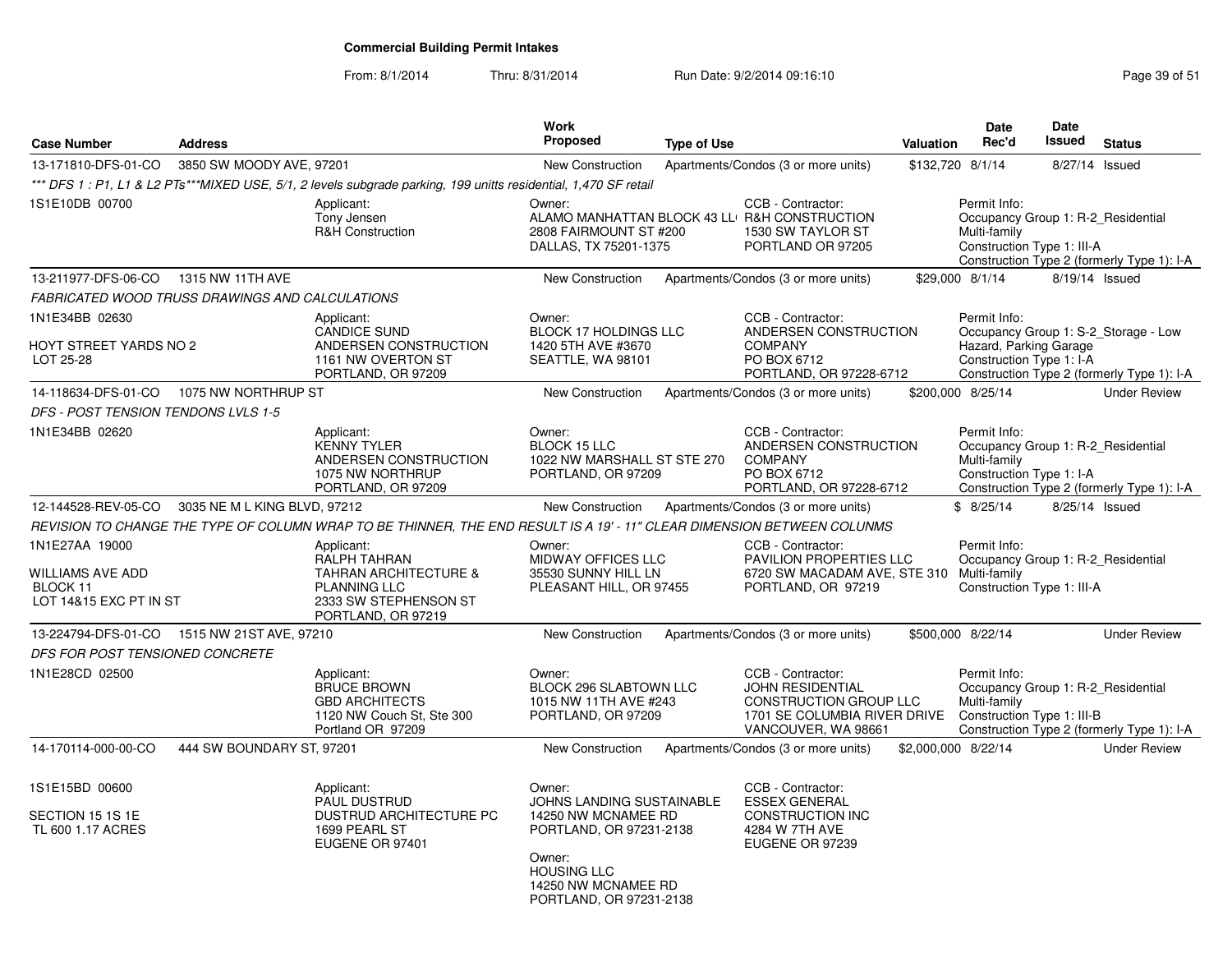| <b>Case Number</b>                                                       | <b>Address</b>               |                                                                                                                                             | <b>Work</b><br><b>Proposed</b>                                                                                                                                                 | <b>Type of Use</b> |                                                                                                                               | Valuation           | <b>Date</b><br>Rec'd                                                                             | <b>Date</b><br>Issued | <b>Status</b>                                                                      |
|--------------------------------------------------------------------------|------------------------------|---------------------------------------------------------------------------------------------------------------------------------------------|--------------------------------------------------------------------------------------------------------------------------------------------------------------------------------|--------------------|-------------------------------------------------------------------------------------------------------------------------------|---------------------|--------------------------------------------------------------------------------------------------|-----------------------|------------------------------------------------------------------------------------|
|                                                                          |                              |                                                                                                                                             |                                                                                                                                                                                |                    |                                                                                                                               |                     |                                                                                                  |                       |                                                                                    |
| 13-171810-DFS-01-CO                                                      | 3850 SW MOODY AVE, 97201     | *** DFS 1: P1, L1 & L2 PTs***MIXED USE, 5/1, 2 levels subgrade parking, 199 unitts residential, 1,470 SF retail                             | New Construction                                                                                                                                                               |                    | Apartments/Condos (3 or more units)                                                                                           |                     | \$132,720 8/1/14                                                                                 | 8/27/14 Issued        |                                                                                    |
| 1S1E10DB 00700                                                           |                              | Applicant:<br>Tony Jensen<br><b>R&amp;H Construction</b>                                                                                    | Owner:<br>2808 FAIRMOUNT ST #200<br>DALLAS, TX 75201-1375                                                                                                                      |                    | CCB - Contractor:<br>ALAMO MANHATTAN BLOCK 43 LL R&H CONSTRUCTION<br>1530 SW TAYLOR ST<br>PORTLAND OR 97205                   |                     | Permit Info:<br>Occupancy Group 1: R-2_Residential<br>Multi-family<br>Construction Type 1: III-A |                       | Construction Type 2 (formerly Type 1): I-A                                         |
| 13-211977-DFS-06-CO                                                      | 1315 NW 11TH AVE             |                                                                                                                                             | <b>New Construction</b>                                                                                                                                                        |                    | Apartments/Condos (3 or more units)                                                                                           |                     | \$29,000 8/1/14                                                                                  | 8/19/14 Issued        |                                                                                    |
| FABRICATED WOOD TRUSS DRAWINGS AND CALCULATIONS                          |                              |                                                                                                                                             |                                                                                                                                                                                |                    |                                                                                                                               |                     |                                                                                                  |                       |                                                                                    |
| 1N1E34BB 02630<br>HOYT STREET YARDS NO 2<br>LOT 25-28                    |                              | Applicant:<br><b>CANDICE SUND</b><br>ANDERSEN CONSTRUCTION<br>1161 NW OVERTON ST<br>PORTLAND, OR 97209                                      | Owner:<br><b>BLOCK 17 HOLDINGS LLC</b><br>1420 5TH AVE #3670<br>SEATTLE, WA 98101                                                                                              |                    | CCB - Contractor:<br>ANDERSEN CONSTRUCTION<br><b>COMPANY</b><br>PO BOX 6712<br>PORTLAND, OR 97228-6712                        |                     | Permit Info:<br>Hazard, Parking Garage<br>Construction Type 1: I-A                               |                       | Occupancy Group 1: S-2_Storage - Low<br>Construction Type 2 (formerly Type 1): I-A |
| 14-118634-DFS-01-CO                                                      | 1075 NW NORTHRUP ST          |                                                                                                                                             | New Construction                                                                                                                                                               |                    | Apartments/Condos (3 or more units)                                                                                           |                     | \$200,000 8/25/14                                                                                |                       | <b>Under Review</b>                                                                |
| DFS - POST TENSION TENDONS LVLS 1-5                                      |                              |                                                                                                                                             |                                                                                                                                                                                |                    |                                                                                                                               |                     |                                                                                                  |                       |                                                                                    |
| 1N1E34BB 02620                                                           |                              | Applicant:<br><b>KENNY TYLER</b><br>ANDERSEN CONSTRUCTION<br>1075 NW NORTHRUP<br>PORTLAND, OR 97209                                         | Owner:<br><b>BLOCK 15 LLC</b><br>1022 NW MARSHALL ST STE 270<br>PORTLAND, OR 97209                                                                                             |                    | CCB - Contractor:<br>ANDERSEN CONSTRUCTION<br><b>COMPANY</b><br>PO BOX 6712<br>PORTLAND, OR 97228-6712                        |                     | Permit Info:<br>Occupancy Group 1: R-2_Residential<br>Multi-family<br>Construction Type 1: I-A   |                       | Construction Type 2 (formerly Type 1): I-A                                         |
| 12-144528-REV-05-CO                                                      | 3035 NE M L KING BLVD, 97212 |                                                                                                                                             | <b>New Construction</b>                                                                                                                                                        |                    | Apartments/Condos (3 or more units)                                                                                           |                     | \$8/25/14                                                                                        | 8/25/14 Issued        |                                                                                    |
|                                                                          |                              | REVISION TO CHANGE THE TYPE OF COLUMN WRAP TO BE THINNER, THE END RESULT IS A 19' - 11" CLEAR DIMENSION BETWEEN COLUNMS                     |                                                                                                                                                                                |                    |                                                                                                                               |                     |                                                                                                  |                       |                                                                                    |
| 1N1E27AA 19000<br>WILLIAMS AVE ADD<br>BLOCK 11<br>LOT 14&15 EXC PT IN ST |                              | Applicant:<br><b>RALPH TAHRAN</b><br><b>TAHRAN ARCHITECTURE &amp;</b><br><b>PLANNING LLC</b><br>2333 SW STEPHENSON ST<br>PORTLAND, OR 97219 | Owner:<br><b>MIDWAY OFFICES LLC</b><br>35530 SUNNY HILL LN<br>PLEASANT HILL, OR 97455                                                                                          |                    | CCB - Contractor:<br><b>PAVILION PROPERTIES LLC</b><br>6720 SW MACADAM AVE, STE 310 Multi-family<br>PORTLAND, OR 97219        |                     | Permit Info:<br>Occupancy Group 1: R-2 Residential<br>Construction Type 1: III-A                 |                       |                                                                                    |
| 13-224794-DFS-01-CO                                                      | 1515 NW 21ST AVE, 97210      |                                                                                                                                             | <b>New Construction</b>                                                                                                                                                        |                    | Apartments/Condos (3 or more units)                                                                                           |                     | \$500,000 8/22/14                                                                                |                       | <b>Under Review</b>                                                                |
| DFS FOR POST TENSIONED CONCRETE                                          |                              |                                                                                                                                             |                                                                                                                                                                                |                    |                                                                                                                               |                     |                                                                                                  |                       |                                                                                    |
| 1N1E28CD 02500                                                           |                              | Applicant:<br><b>BRUCE BROWN</b><br><b>GBD ARCHITECTS</b><br>1120 NW Couch St, Ste 300<br>Portland OR 97209                                 | Owner:<br><b>BLOCK 296 SLABTOWN LLC</b><br>1015 NW 11TH AVE #243<br>PORTLAND, OR 97209                                                                                         |                    | CCB - Contractor:<br><b>JOHN RESIDENTIAL</b><br>CONSTRUCTION GROUP LLC<br>1701 SE COLUMBIA RIVER DRIVE<br>VANCOUVER, WA 98661 |                     | Permit Info:<br>Occupancy Group 1: R-2_Residential<br>Multi-family<br>Construction Type 1: III-B |                       | Construction Type 2 (formerly Type 1): I-A                                         |
| 14-170114-000-00-CO                                                      | 444 SW BOUNDARY ST, 97201    |                                                                                                                                             | <b>New Construction</b>                                                                                                                                                        |                    | Apartments/Condos (3 or more units)                                                                                           | \$2,000,000 8/22/14 |                                                                                                  |                       | <b>Under Review</b>                                                                |
| 1S1E15BD 00600<br>SECTION 15 1S 1E<br>TL 600 1.17 ACRES                  |                              | Applicant:<br><b>PAUL DUSTRUD</b><br>DUSTRUD ARCHITECTURE PC<br>1699 PEARL ST<br>EUGENE OR 97401                                            | Owner:<br><b>JOHNS LANDING SUSTAINABLE</b><br>14250 NW MCNAMEE RD<br>PORTLAND, OR 97231-2138<br>Owner:<br><b>HOUSING LLC</b><br>14250 NW MCNAMEE RD<br>PORTLAND, OR 97231-2138 |                    | CCB - Contractor:<br><b>ESSEX GENERAL</b><br>CONSTRUCTION INC<br>4284 W 7TH AVE<br>EUGENE OR 97239                            |                     |                                                                                                  |                       |                                                                                    |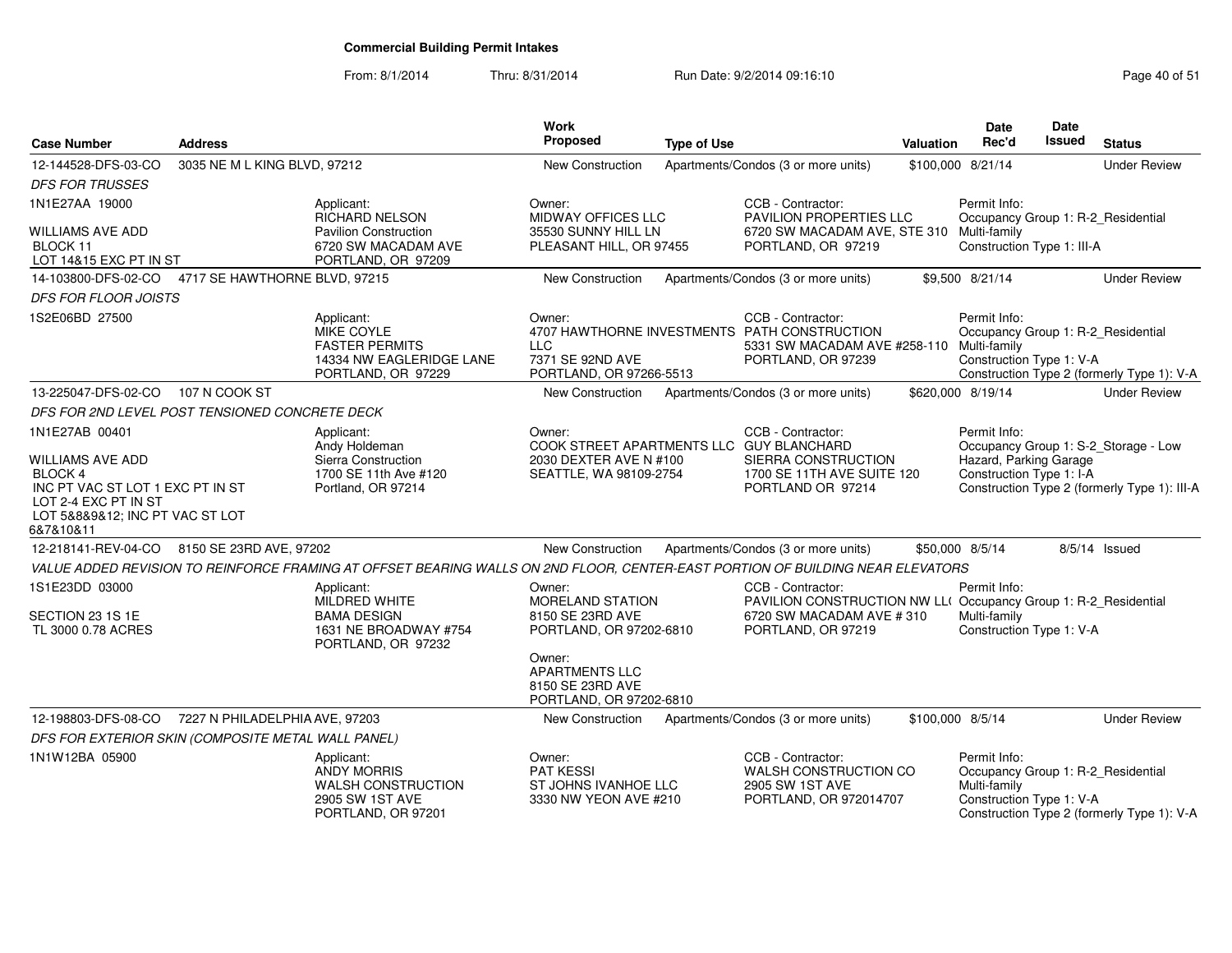| <b>Case Number</b>                                                                                                                             | <b>Address</b>                 |                                                                                                                                | Work<br><b>Proposed</b>                                                          | <b>Type of Use</b> |                                                                                                                                       | Valuation        | <b>Date</b><br>Rec'd                                                                           | Date<br>Issued | <b>Status</b>                                |
|------------------------------------------------------------------------------------------------------------------------------------------------|--------------------------------|--------------------------------------------------------------------------------------------------------------------------------|----------------------------------------------------------------------------------|--------------------|---------------------------------------------------------------------------------------------------------------------------------------|------------------|------------------------------------------------------------------------------------------------|----------------|----------------------------------------------|
| 12-144528-DFS-03-CO                                                                                                                            | 3035 NE M L KING BLVD, 97212   |                                                                                                                                | New Construction                                                                 |                    | Apartments/Condos (3 or more units)                                                                                                   |                  | \$100,000 8/21/14                                                                              |                | <b>Under Review</b>                          |
| <b>DFS FOR TRUSSES</b>                                                                                                                         |                                |                                                                                                                                |                                                                                  |                    |                                                                                                                                       |                  |                                                                                                |                |                                              |
| 1N1E27AA 19000                                                                                                                                 |                                | Applicant:<br>RICHARD NELSON                                                                                                   | Owner:<br><b>MIDWAY OFFICES LLC</b>                                              |                    | CCB - Contractor:<br>PAVILION PROPERTIES LLC                                                                                          |                  | Permit Info:<br>Occupancy Group 1: R-2_Residential                                             |                |                                              |
| <b>WILLIAMS AVE ADD</b><br>BLOCK 11<br>LOT 14&15 EXC PT IN ST                                                                                  |                                | <b>Pavilion Construction</b><br>6720 SW MACADAM AVE<br>PORTLAND, OR 97209                                                      | 35530 SUNNY HILL LN<br>PLEASANT HILL, OR 97455                                   |                    | 6720 SW MACADAM AVE, STE 310 Multi-family<br>PORTLAND, OR 97219                                                                       |                  | Construction Type 1: III-A                                                                     |                |                                              |
| 14-103800-DFS-02-CO  4717 SE HAWTHORNE BLVD, 97215                                                                                             |                                |                                                                                                                                | New Construction                                                                 |                    | Apartments/Condos (3 or more units)                                                                                                   |                  | \$9,500 8/21/14                                                                                |                | <b>Under Review</b>                          |
| <b>DFS FOR FLOOR JOISTS</b>                                                                                                                    |                                |                                                                                                                                |                                                                                  |                    |                                                                                                                                       |                  |                                                                                                |                |                                              |
| 1S2E06BD 27500                                                                                                                                 |                                | Applicant:<br>MIKE COYLE<br><b>FASTER PERMITS</b><br>14334 NW EAGLERIDGE LANE<br>PORTLAND, OR 97229                            | Owner:<br><b>LLC</b><br>7371 SE 92ND AVE<br>PORTLAND, OR 97266-5513              |                    | CCB - Contractor:<br>4707 HAWTHORNE INVESTMENTS PATH CONSTRUCTION<br>5331 SW MACADAM AVE #258-110 Multi-family<br>PORTLAND, OR 97239  |                  | Permit Info:<br>Occupancy Group 1: R-2_Residential<br>Construction Type 1: V-A                 |                | Construction Type 2 (formerly Type 1): V-A   |
| 13-225047-DFS-02-CO                                                                                                                            | 107 N COOK ST                  |                                                                                                                                | New Construction                                                                 |                    | Apartments/Condos (3 or more units)                                                                                                   |                  | \$620,000 8/19/14                                                                              |                | <b>Under Review</b>                          |
| DFS FOR 2ND LEVEL POST TENSIONED CONCRETE DECK                                                                                                 |                                |                                                                                                                                |                                                                                  |                    |                                                                                                                                       |                  |                                                                                                |                |                                              |
| 1N1E27AB 00401                                                                                                                                 |                                | Applicant:<br>Andy Holdeman                                                                                                    | Owner:<br>COOK STREET APARTMENTS LLC GUY BLANCHARD                               |                    | CCB - Contractor:                                                                                                                     |                  | Permit Info:                                                                                   |                | Occupancy Group 1: S-2_Storage - Low         |
| <b>WILLIAMS AVE ADD</b><br>BLOCK 4<br>INC PT VAC ST LOT 1 EXC PT IN ST<br>LOT 2-4 EXC PT IN ST<br>LOT 5&8&9&12; INC PT VAC ST LOT<br>6&7&10&11 |                                | Sierra Construction<br>1700 SE 11th Ave #120<br>Portland, OR 97214                                                             | 2030 DEXTER AVE N #100<br>SEATTLE, WA 98109-2754                                 |                    | SIERRA CONSTRUCTION<br>1700 SE 11TH AVE SUITE 120<br>PORTLAND OR 97214                                                                |                  | Hazard, Parking Garage<br>Construction Type 1: I-A                                             |                | Construction Type 2 (formerly Type 1): III-A |
| 12-218141-REV-04-CO                                                                                                                            | 8150 SE 23RD AVE, 97202        |                                                                                                                                | New Construction                                                                 |                    | Apartments/Condos (3 or more units)                                                                                                   |                  | \$50,000 8/5/14                                                                                |                | $8/5/14$ Issued                              |
|                                                                                                                                                |                                | VALUE ADDED REVISION TO REINFORCE FRAMING AT OFFSET BEARING WALLS ON 2ND FLOOR, CENTER-EAST PORTION OF BUILDING NEAR ELEVATORS |                                                                                  |                    |                                                                                                                                       |                  |                                                                                                |                |                                              |
| 1S1E23DD 03000<br>SECTION 23 1S 1E<br>TL 3000 0.78 ACRES                                                                                       |                                | Applicant:<br><b>MILDRED WHITE</b><br><b>BAMA DESIGN</b><br>1631 NE BROADWAY #754<br>PORTLAND, OR 97232                        | Owner:<br><b>MORELAND STATION</b><br>8150 SE 23RD AVE<br>PORTLAND, OR 97202-6810 |                    | CCB - Contractor:<br>PAVILION CONSTRUCTION NW LL(Occupancy Group 1: R-2_Residential<br>6720 SW MACADAM AVE #310<br>PORTLAND, OR 97219 |                  | Permit Info:<br>Multi-family<br>Construction Type 1: V-A                                       |                |                                              |
|                                                                                                                                                |                                |                                                                                                                                | Owner:<br><b>APARTMENTS LLC</b><br>8150 SE 23RD AVE<br>PORTLAND, OR 97202-6810   |                    |                                                                                                                                       |                  |                                                                                                |                |                                              |
| 12-198803-DFS-08-CO                                                                                                                            | 7227 N PHILADELPHIA AVE, 97203 |                                                                                                                                | New Construction                                                                 |                    | Apartments/Condos (3 or more units)                                                                                                   | \$100,000 8/5/14 |                                                                                                |                | <b>Under Review</b>                          |
| DFS FOR EXTERIOR SKIN (COMPOSITE METAL WALL PANEL)                                                                                             |                                |                                                                                                                                |                                                                                  |                    |                                                                                                                                       |                  |                                                                                                |                |                                              |
| 1N1W12BA 05900                                                                                                                                 |                                | Applicant:<br><b>ANDY MORRIS</b><br><b>WALSH CONSTRUCTION</b><br>2905 SW 1ST AVE<br>PORTLAND, OR 97201                         | Owner:<br><b>PAT KESSI</b><br>ST JOHNS IVANHOE LLC<br>3330 NW YEON AVE #210      |                    | CCB - Contractor:<br>WALSH CONSTRUCTION CO<br>2905 SW 1ST AVE<br>PORTLAND, OR 972014707                                               |                  | Permit Info:<br>Occupancy Group 1: R-2_Residential<br>Multi-family<br>Construction Type 1: V-A |                | Construction Type 2 (formerly Type 1): V-A   |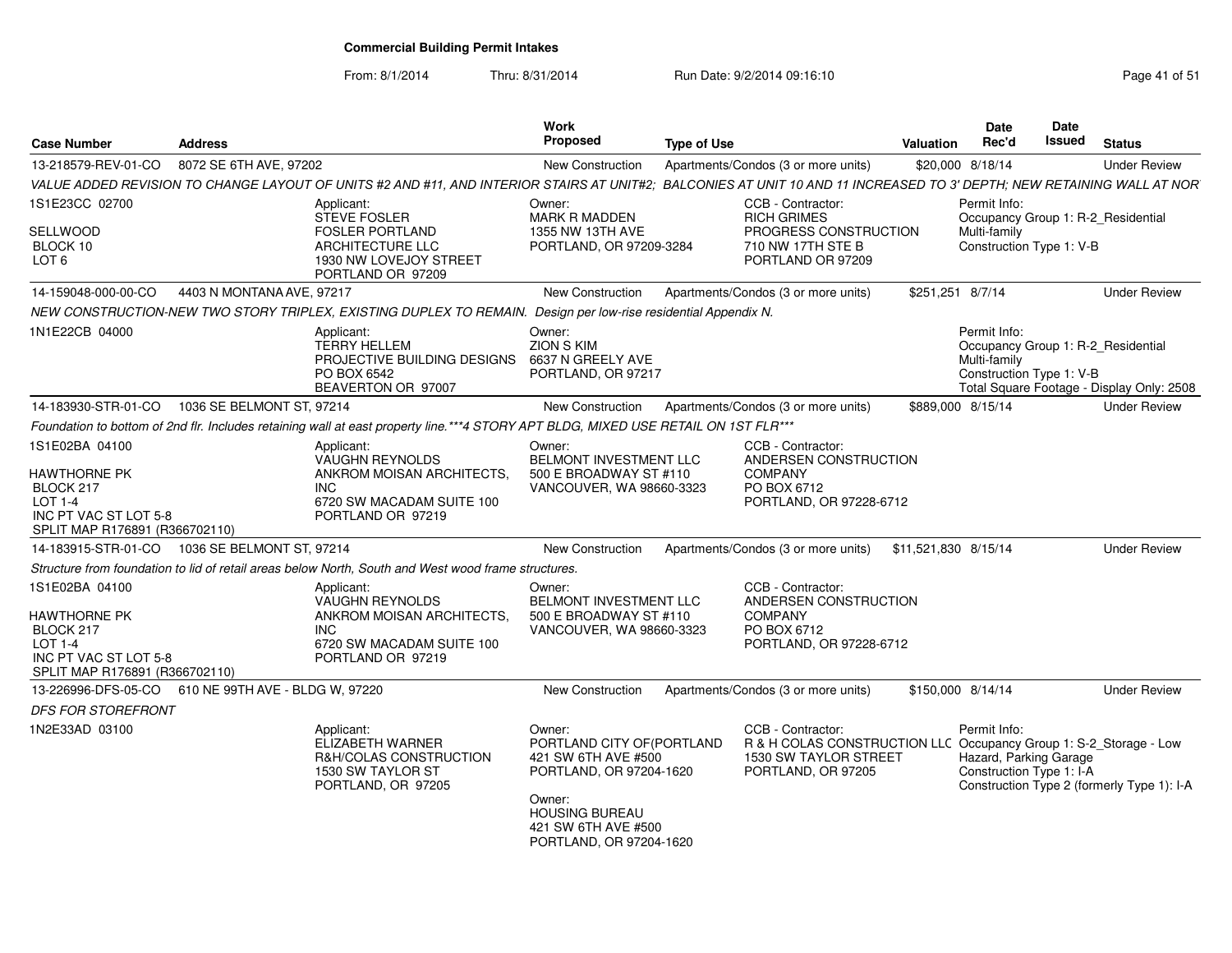| Case Number                                                                                                              | <b>Address</b>                                          |                                                                                                                                                                        | Work<br><b>Proposed</b>                                                                                                                                                     | <b>Type of Use</b> |                                                                                                                    | Valuation            | Date<br>Rec'd                                                      | <b>Date</b><br>Issued | <b>Status</b>                                                                      |
|--------------------------------------------------------------------------------------------------------------------------|---------------------------------------------------------|------------------------------------------------------------------------------------------------------------------------------------------------------------------------|-----------------------------------------------------------------------------------------------------------------------------------------------------------------------------|--------------------|--------------------------------------------------------------------------------------------------------------------|----------------------|--------------------------------------------------------------------|-----------------------|------------------------------------------------------------------------------------|
| 13-218579-REV-01-CO                                                                                                      | 8072 SE 6TH AVE, 97202                                  |                                                                                                                                                                        | New Construction                                                                                                                                                            |                    | Apartments/Condos (3 or more units)                                                                                |                      | \$20,000 8/18/14                                                   |                       | <b>Under Review</b>                                                                |
|                                                                                                                          |                                                         | VALUE ADDED REVISION TO CHANGE LAYOUT OF UNITS #2 AND #11. AND INTERIOR STAIRS AT UNIT#2: BALCONIES AT UNIT 10 AND 11 INCREASED TO 3' DEPTH: NEW RETAINING WALL AT NOR |                                                                                                                                                                             |                    |                                                                                                                    |                      |                                                                    |                       |                                                                                    |
| 1S1E23CC 02700<br>SELLWOOD<br>BLOCK 10<br>LOT <sub>6</sub>                                                               |                                                         | Applicant:<br>STEVE FOSLER<br><b>FOSLER PORTLAND</b><br><b>ARCHITECTURE LLC</b><br>1930 NW LOVEJOY STREET<br>PORTLAND OR 97209                                         | Owner:<br><b>MARK R MADDEN</b><br>1355 NW 13TH AVE<br>PORTLAND, OR 97209-3284                                                                                               |                    | CCB - Contractor:<br><b>RICH GRIMES</b><br>PROGRESS CONSTRUCTION<br>710 NW 17TH STE B<br>PORTLAND OR 97209         |                      | Permit Info:<br>Multi-family<br>Construction Type 1: V-B           |                       | Occupancy Group 1: R-2 Residential                                                 |
| 14-159048-000-00-CO                                                                                                      | 4403 N MONTANA AVE, 97217                               |                                                                                                                                                                        | New Construction                                                                                                                                                            |                    | Apartments/Condos (3 or more units)                                                                                | \$251,251 8/7/14     |                                                                    |                       | <b>Under Review</b>                                                                |
|                                                                                                                          |                                                         | NEW CONSTRUCTION-NEW TWO STORY TRIPLEX, EXISTING DUPLEX TO REMAIN. Design per low-rise residential Appendix N.                                                         |                                                                                                                                                                             |                    |                                                                                                                    |                      |                                                                    |                       |                                                                                    |
| 1N1E22CB 04000                                                                                                           |                                                         | Applicant:<br><b>TERRY HELLEM</b><br>PROJECTIVE BUILDING DESIGNS<br>PO BOX 6542<br>BEAVERTON OR 97007                                                                  | Owner:<br>ZION S KIM<br>6637 N GREELY AVE<br>PORTLAND, OR 97217                                                                                                             |                    |                                                                                                                    |                      | Permit Info:<br>Multi-family<br>Construction Type 1: V-B           |                       | Occupancy Group 1: R-2_Residential<br>Total Square Footage - Display Only: 2508    |
|                                                                                                                          | 14-183930-STR-01-CO 1036 SE BELMONT ST. 97214           |                                                                                                                                                                        | New Construction                                                                                                                                                            |                    | Apartments/Condos (3 or more units)                                                                                | \$889,000 8/15/14    |                                                                    |                       | <b>Under Review</b>                                                                |
|                                                                                                                          |                                                         | Foundation to bottom of 2nd flr. Includes retaining wall at east property line.***4 STORY APT BLDG, MIXED USE RETAIL ON 1ST FLR***                                     |                                                                                                                                                                             |                    |                                                                                                                    |                      |                                                                    |                       |                                                                                    |
| 1S1E02BA 04100<br>HAWTHORNE PK<br>BLOCK 217<br>LOT 1-4<br>INC PT VAC ST LOT 5-8<br>SPLIT MAP R176891 (R366702110)        |                                                         | Applicant:<br><b>VAUGHN REYNOLDS</b><br>ANKROM MOISAN ARCHITECTS,<br><b>INC</b><br>6720 SW MACADAM SUITE 100<br>PORTLAND OR 97219                                      | Owner:<br>BELMONT INVESTMENT LLC<br>500 E BROADWAY ST #110<br>VANCOUVER, WA 98660-3323                                                                                      |                    | CCB - Contractor:<br>ANDERSEN CONSTRUCTION<br>COMPANY<br>PO BOX 6712<br>PORTLAND, OR 97228-6712                    |                      |                                                                    |                       |                                                                                    |
|                                                                                                                          | 14-183915-STR-01-CO  1036 SE BELMONT ST. 97214          |                                                                                                                                                                        | <b>New Construction</b>                                                                                                                                                     |                    | Apartments/Condos (3 or more units)                                                                                | \$11,521,830 8/15/14 |                                                                    |                       | <b>Under Review</b>                                                                |
|                                                                                                                          |                                                         | Structure from foundation to lid of retail areas below North, South and West wood frame structures.                                                                    |                                                                                                                                                                             |                    |                                                                                                                    |                      |                                                                    |                       |                                                                                    |
| 1S1E02BA 04100<br><b>HAWTHORNE PK</b><br>BLOCK 217<br>LOT 1-4<br>INC PT VAC ST LOT 5-8<br>SPLIT MAP R176891 (R366702110) |                                                         | Applicant:<br><b>VAUGHN REYNOLDS</b><br>ANKROM MOISAN ARCHITECTS.<br><b>INC</b><br>6720 SW MACADAM SUITE 100<br>PORTLAND OR 97219                                      | Owner:<br><b>BELMONT INVESTMENT LLC</b><br>500 E BROADWAY ST #110<br>VANCOUVER, WA 98660-3323                                                                               |                    | CCB - Contractor:<br>ANDERSEN CONSTRUCTION<br><b>COMPANY</b><br>PO BOX 6712<br>PORTLAND, OR 97228-6712             |                      |                                                                    |                       |                                                                                    |
|                                                                                                                          | 13-226996-DFS-05-CO   610 NE   99TH AVE - BLDG W, 97220 |                                                                                                                                                                        | New Construction                                                                                                                                                            |                    | Apartments/Condos (3 or more units)                                                                                | \$150,000 8/14/14    |                                                                    |                       | <b>Under Review</b>                                                                |
| <b>DFS FOR STOREFRONT</b>                                                                                                |                                                         |                                                                                                                                                                        |                                                                                                                                                                             |                    |                                                                                                                    |                      |                                                                    |                       |                                                                                    |
| 1N2E33AD 03100                                                                                                           |                                                         | Applicant:<br>ELIZABETH WARNER<br>R&H/COLAS CONSTRUCTION<br>1530 SW TAYLOR ST<br>PORTLAND, OR 97205                                                                    | Owner:<br>PORTLAND CITY OF (PORTLAND<br>421 SW 6TH AVE #500<br>PORTLAND, OR 97204-1620<br>Owner:<br><b>HOUSING BUREAU</b><br>421 SW 6TH AVE #500<br>PORTLAND, OR 97204-1620 |                    | CCB - Contractor:<br><b>R &amp; H COLAS CONSTRUCTION LLC</b><br><b>1530 SW TAYLOR STREET</b><br>PORTLAND, OR 97205 |                      | Permit Info:<br>Hazard, Parking Garage<br>Construction Type 1: I-A |                       | Occupancy Group 1: S-2_Storage - Low<br>Construction Type 2 (formerly Type 1): I-A |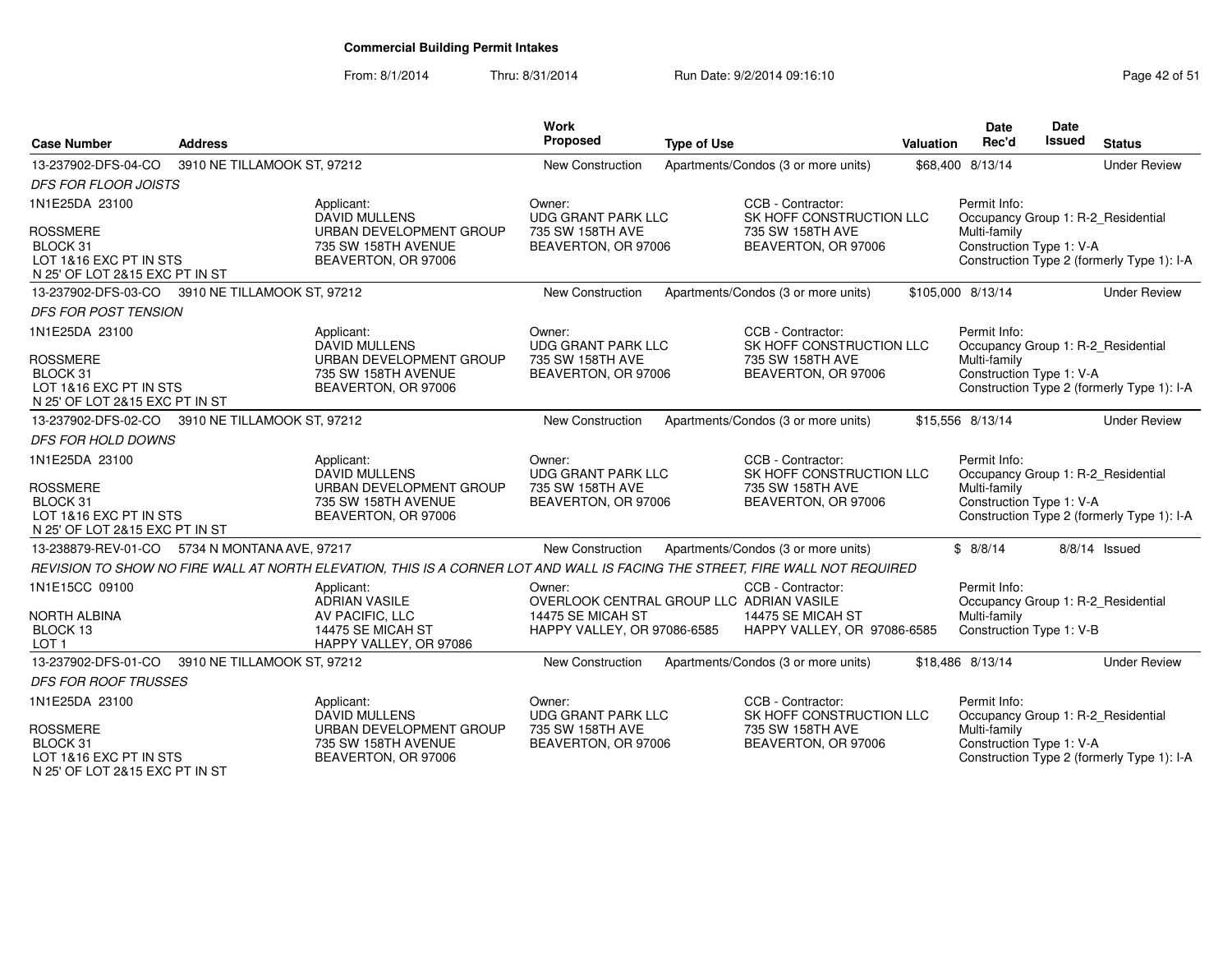N 25' OF LOT 2&15 EXC PT IN ST

From: 8/1/2014Thru: 8/31/2014 Run Date: 9/2/2014 09:16:10 Run Date: 9/2/2014 09:16:10

| <b>Case Number</b>                                                                                        | <b>Address</b>              |                                                                                                                              | <b>Work</b><br>Proposed                                                                                | <b>Type of Use</b> |                                                                                          | Valuation | <b>Date</b><br>Rec'd                                     | Date<br>Issued | <b>Status</b>                                                                    |
|-----------------------------------------------------------------------------------------------------------|-----------------------------|------------------------------------------------------------------------------------------------------------------------------|--------------------------------------------------------------------------------------------------------|--------------------|------------------------------------------------------------------------------------------|-----------|----------------------------------------------------------|----------------|----------------------------------------------------------------------------------|
| 13-237902-DFS-04-CO                                                                                       | 3910 NE TILLAMOOK ST, 97212 |                                                                                                                              | New Construction                                                                                       |                    | Apartments/Condos (3 or more units)                                                      |           | \$68,400 8/13/14                                         |                | <b>Under Review</b>                                                              |
| <b>DFS FOR FLOOR JOISTS</b>                                                                               |                             |                                                                                                                              |                                                                                                        |                    |                                                                                          |           |                                                          |                |                                                                                  |
| 1N1E25DA 23100                                                                                            |                             | Applicant:<br><b>DAVID MULLENS</b>                                                                                           | Owner:<br><b>UDG GRANT PARK LLC</b>                                                                    |                    | CCB - Contractor:<br>SK HOFF CONSTRUCTION LLC                                            |           | Permit Info:                                             |                | Occupancy Group 1: R-2_Residential                                               |
| <b>ROSSMERE</b><br>BLOCK 31<br>LOT 1&16 EXC PT IN STS<br>N 25' OF LOT 2&15 EXC PT IN ST                   |                             | URBAN DEVELOPMENT GROUP<br>735 SW 158TH AVENUE<br>BEAVERTON, OR 97006                                                        | 735 SW 158TH AVE<br>BEAVERTON, OR 97006                                                                |                    | 735 SW 158TH AVE<br>BEAVERTON, OR 97006                                                  |           | Multi-family<br>Construction Type 1: V-A                 |                | Construction Type 2 (formerly Type 1): I-A                                       |
| 13-237902-DFS-03-CO 3910 NE TILLAMOOK ST, 97212                                                           |                             |                                                                                                                              | <b>New Construction</b>                                                                                |                    | Apartments/Condos (3 or more units)                                                      |           | \$105,000 8/13/14                                        |                | <b>Under Review</b>                                                              |
| <b>DFS FOR POST TENSION</b>                                                                               |                             |                                                                                                                              |                                                                                                        |                    |                                                                                          |           |                                                          |                |                                                                                  |
| 1N1E25DA 23100                                                                                            |                             | Applicant:                                                                                                                   | Owner:                                                                                                 |                    | CCB - Contractor:                                                                        |           | Permit Info:                                             |                |                                                                                  |
| <b>ROSSMERE</b><br>BLOCK 31<br>LOT 1&16 EXC PT IN STS<br>N 25' OF LOT 2&15 EXC PT IN ST                   |                             | <b>DAVID MULLENS</b><br>URBAN DEVELOPMENT GROUP<br>735 SW 158TH AVENUE<br>BEAVERTON, OR 97006                                | <b>UDG GRANT PARK LLC</b><br>735 SW 158TH AVE<br>BEAVERTON, OR 97006                                   |                    | SK HOFF CONSTRUCTION LLC<br>735 SW 158TH AVE<br>BEAVERTON, OR 97006                      |           | Multi-family<br>Construction Type 1: V-A                 |                | Occupancy Group 1: R-2_Residential<br>Construction Type 2 (formerly Type 1): I-A |
| 13-237902-DFS-02-CO 3910 NE TILLAMOOK ST, 97212                                                           |                             |                                                                                                                              | <b>New Construction</b>                                                                                |                    | Apartments/Condos (3 or more units)                                                      |           | \$15,556 8/13/14                                         |                | <b>Under Review</b>                                                              |
| DFS FOR HOLD DOWNS                                                                                        |                             |                                                                                                                              |                                                                                                        |                    |                                                                                          |           |                                                          |                |                                                                                  |
| 1N1E25DA 23100<br><b>ROSSMERE</b><br>BLOCK 31<br>LOT 1&16 EXC PT IN STS<br>N 25' OF LOT 2&15 EXC PT IN ST |                             | Applicant:<br><b>DAVID MULLENS</b><br>URBAN DEVELOPMENT GROUP<br>735 SW 158TH AVENUE<br>BEAVERTON, OR 97006                  | Owner:<br><b>UDG GRANT PARK LLC</b><br>735 SW 158TH AVE<br>BEAVERTON, OR 97006                         |                    | CCB - Contractor:<br>SK HOFF CONSTRUCTION LLC<br>735 SW 158TH AVE<br>BEAVERTON, OR 97006 |           | Permit Info:<br>Multi-family<br>Construction Type 1: V-A |                | Occupancy Group 1: R-2_Residential<br>Construction Type 2 (formerly Type 1): I-A |
| 13-238879-REV-01-CO 5734 N MONTANA AVE, 97217                                                             |                             |                                                                                                                              | New Construction                                                                                       |                    | Apartments/Condos (3 or more units)                                                      |           | \$8/8/14                                                 |                | 8/8/14 Issued                                                                    |
|                                                                                                           |                             | REVISION TO SHOW NO FIRE WALL AT NORTH ELEVATION, THIS IS A CORNER LOT AND WALL IS FACING THE STREET, FIRE WALL NOT REQUIRED |                                                                                                        |                    |                                                                                          |           |                                                          |                |                                                                                  |
| 1N1E15CC 09100<br><b>NORTH ALBINA</b><br>BLOCK 13<br>LOT <sub>1</sub>                                     |                             | Applicant:<br><b>ADRIAN VASILE</b><br>AV PACIFIC, LLC<br>14475 SE MICAH ST<br>HAPPY VALLEY, OR 97086                         | Owner:<br>OVERLOOK CENTRAL GROUP LLC ADRIAN VASILE<br>14475 SE MICAH ST<br>HAPPY VALLEY, OR 97086-6585 |                    | CCB - Contractor:<br>14475 SE MICAH ST<br>HAPPY VALLEY, OR 97086-6585                    |           | Permit Info:<br>Multi-family<br>Construction Type 1: V-B |                | Occupancy Group 1: R-2_Residential                                               |
| 13-237902-DFS-01-CO                                                                                       | 3910 NE TILLAMOOK ST, 97212 |                                                                                                                              | New Construction                                                                                       |                    | Apartments/Condos (3 or more units)                                                      |           | \$18,486 8/13/14                                         |                | <b>Under Review</b>                                                              |
| <b>DFS FOR ROOF TRUSSES</b>                                                                               |                             |                                                                                                                              |                                                                                                        |                    |                                                                                          |           |                                                          |                |                                                                                  |
| 1N1E25DA 23100                                                                                            |                             | Applicant:<br><b>DAVID MULLENS</b>                                                                                           | Owner:<br><b>UDG GRANT PARK LLC</b>                                                                    |                    | CCB - Contractor:<br>SK HOFF CONSTRUCTION LLC                                            |           | Permit Info:                                             |                | Occupancy Group 1: R-2_Residential                                               |
| <b>ROSSMERE</b><br>BLOCK 31<br>LOT 1&16 EXC PT IN STS                                                     |                             | URBAN DEVELOPMENT GROUP<br>735 SW 158TH AVENUE<br>BEAVERTON, OR 97006                                                        | 735 SW 158TH AVE<br>BEAVERTON, OR 97006                                                                |                    | 735 SW 158TH AVE<br>BEAVERTON, OR 97006                                                  |           | Multi-family<br>Construction Type 1: V-A                 |                | Construction Type 2 (formerly Type 1): I-A                                       |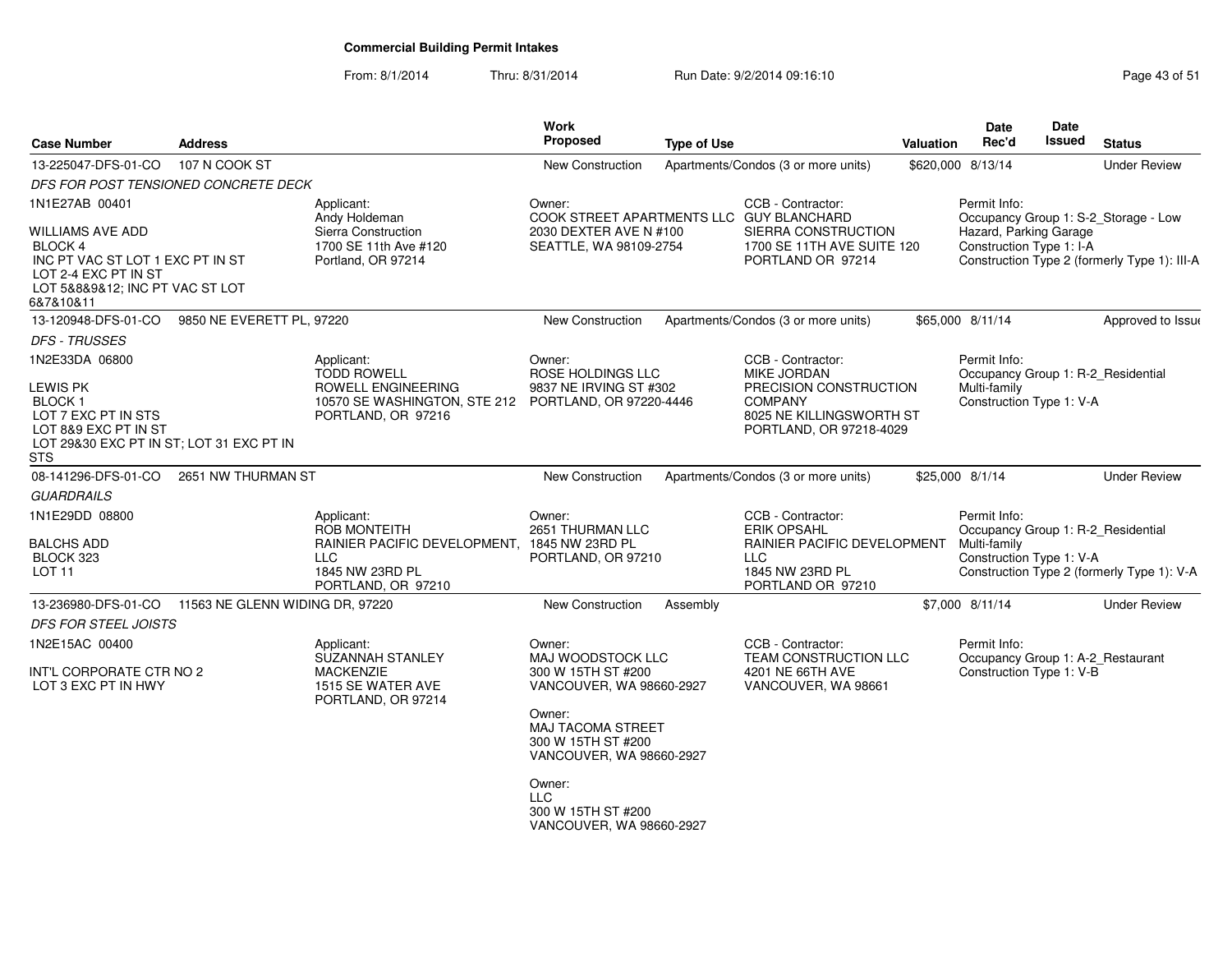| <b>Case Number</b>                                                                                                                      | <b>Address</b>                  |                                                                                                  | Work<br>Proposed                                                                                    | <b>Type of Use</b> |                                                                                                 | <b>Valuation</b> | <b>Date</b><br>Rec'd                                                                           | <b>Date</b><br>Issued    | <b>Status</b>                                |
|-----------------------------------------------------------------------------------------------------------------------------------------|---------------------------------|--------------------------------------------------------------------------------------------------|-----------------------------------------------------------------------------------------------------|--------------------|-------------------------------------------------------------------------------------------------|------------------|------------------------------------------------------------------------------------------------|--------------------------|----------------------------------------------|
| 13-225047-DFS-01-CO                                                                                                                     | 107 N COOK ST                   |                                                                                                  | <b>New Construction</b>                                                                             |                    | Apartments/Condos (3 or more units)                                                             |                  | \$620,000 8/13/14                                                                              |                          | <b>Under Review</b>                          |
| DFS FOR POST TENSIONED CONCRETE DECK                                                                                                    |                                 |                                                                                                  |                                                                                                     |                    |                                                                                                 |                  |                                                                                                |                          |                                              |
| 1N1E27AB 00401                                                                                                                          |                                 | Applicant:<br>Andy Holdeman                                                                      | Owner:<br>COOK STREET APARTMENTS LLC GUY BLANCHARD                                                  |                    | CCB - Contractor:                                                                               |                  | Permit Info:                                                                                   |                          | Occupancy Group 1: S-2_Storage - Low         |
| WILLIAMS AVE ADD<br>BLOCK 4<br>INC PT VAC ST LOT 1 EXC PT IN ST<br>LOT 2-4 EXC PT IN ST<br>LOT 5&8&9&12; INC PT VAC ST LOT<br>6&7&10&11 |                                 | Sierra Construction<br>1700 SE 11th Ave #120<br>Portland, OR 97214                               | 2030 DEXTER AVE N #100<br>SEATTLE, WA 98109-2754                                                    |                    | SIERRA CONSTRUCTION<br>1700 SE 11TH AVE SUITE 120<br>PORTLAND OR 97214                          |                  | Hazard, Parking Garage<br>Construction Type 1: I-A                                             |                          | Construction Type 2 (formerly Type 1): III-A |
| 13-120948-DFS-01-CO                                                                                                                     | 9850 NE EVERETT PL, 97220       |                                                                                                  | New Construction                                                                                    |                    | Apartments/Condos (3 or more units)                                                             |                  | \$65,000 8/11/14                                                                               |                          | Approved to Issue                            |
| <b>DFS - TRUSSES</b>                                                                                                                    |                                 |                                                                                                  |                                                                                                     |                    |                                                                                                 |                  |                                                                                                |                          |                                              |
| 1N2E33DA 06800                                                                                                                          |                                 | Applicant:<br><b>TODD ROWELL</b>                                                                 | Owner:<br>ROSE HOLDINGS LLC                                                                         |                    | CCB - Contractor:<br>MIKE JORDAN                                                                |                  | Permit Info:<br>Occupancy Group 1: R-2_Residential                                             |                          |                                              |
| LEWIS PK<br>BLOCK 1<br>LOT 7 EXC PT IN STS<br>LOT 8&9 EXC PT IN ST<br>LOT 29&30 EXC PT IN ST; LOT 31 EXC PT IN<br><b>STS</b>            |                                 | ROWELL ENGINEERING<br>10570 SE WASHINGTON, STE 212 PORTLAND, OR 97220-4446<br>PORTLAND, OR 97216 | 9837 NE IRVING ST #302                                                                              |                    | PRECISION CONSTRUCTION<br><b>COMPANY</b><br>8025 NE KILLINGSWORTH ST<br>PORTLAND, OR 97218-4029 |                  | Multi-family                                                                                   | Construction Type 1: V-A |                                              |
| 08-141296-DFS-01-CO                                                                                                                     | 2651 NW THURMAN ST              |                                                                                                  | New Construction                                                                                    |                    | Apartments/Condos (3 or more units)                                                             |                  | \$25,000 8/1/14                                                                                |                          | <b>Under Review</b>                          |
| <b>GUARDRAILS</b>                                                                                                                       |                                 |                                                                                                  |                                                                                                     |                    |                                                                                                 |                  |                                                                                                |                          |                                              |
| 1N1E29DD 08800<br><b>BALCHS ADD</b><br>BLOCK 323                                                                                        |                                 | Applicant:<br><b>ROB MONTEITH</b><br>RAINIER PACIFIC DEVELOPMENT,<br>LLC                         | Owner:<br>2651 THURMAN LLC<br>1845 NW 23RD PL<br>PORTLAND, OR 97210                                 |                    | CCB - Contractor:<br><b>ERIK OPSAHL</b><br>RAINIER PACIFIC DEVELOPMENT<br><b>LLC</b>            |                  | Permit Info:<br>Occupancy Group 1: R-2_Residential<br>Multi-family<br>Construction Type 1: V-A |                          |                                              |
| LOT <sub>11</sub>                                                                                                                       |                                 | 1845 NW 23RD PL<br>PORTLAND, OR 97210                                                            |                                                                                                     |                    | 1845 NW 23RD PL<br>PORTLAND OR 97210                                                            |                  |                                                                                                |                          | Construction Type 2 (formerly Type 1): V-A   |
| 13-236980-DFS-01-CO                                                                                                                     | 11563 NE GLENN WIDING DR, 97220 |                                                                                                  | <b>New Construction</b>                                                                             | Assembly           |                                                                                                 |                  | \$7,000 8/11/14                                                                                |                          | <b>Under Review</b>                          |
| <b>DFS FOR STEEL JOISTS</b>                                                                                                             |                                 |                                                                                                  |                                                                                                     |                    |                                                                                                 |                  |                                                                                                |                          |                                              |
| 1N2E15AC 00400                                                                                                                          |                                 | Applicant:<br>SUZANNAH STANLEY                                                                   | Owner:<br>MAJ WOODSTOCK LLC                                                                         |                    | CCB - Contractor:<br>TEAM CONSTRUCTION LLC                                                      |                  | Permit Info:<br>Occupancy Group 1: A-2_Restaurant                                              |                          |                                              |
| INT'L CORPORATE CTR NO 2<br>LOT 3 EXC PT IN HWY                                                                                         |                                 | <b>MACKENZIE</b><br>1515 SE WATER AVE<br>PORTLAND, OR 97214                                      | 300 W 15TH ST #200<br>VANCOUVER, WA 98660-2927<br>Owner:<br>MAJ TACOMA STREET<br>300 W 15TH ST #200 |                    | 4201 NE 66TH AVE<br>VANCOUVER, WA 98661                                                         |                  | Construction Type 1: V-B                                                                       |                          |                                              |
|                                                                                                                                         |                                 |                                                                                                  | VANCOUVER, WA 98660-2927<br>Owner:<br><b>LLC</b><br>300 W 15TH ST #200<br>VANCOUVER, WA 98660-2927  |                    |                                                                                                 |                  |                                                                                                |                          |                                              |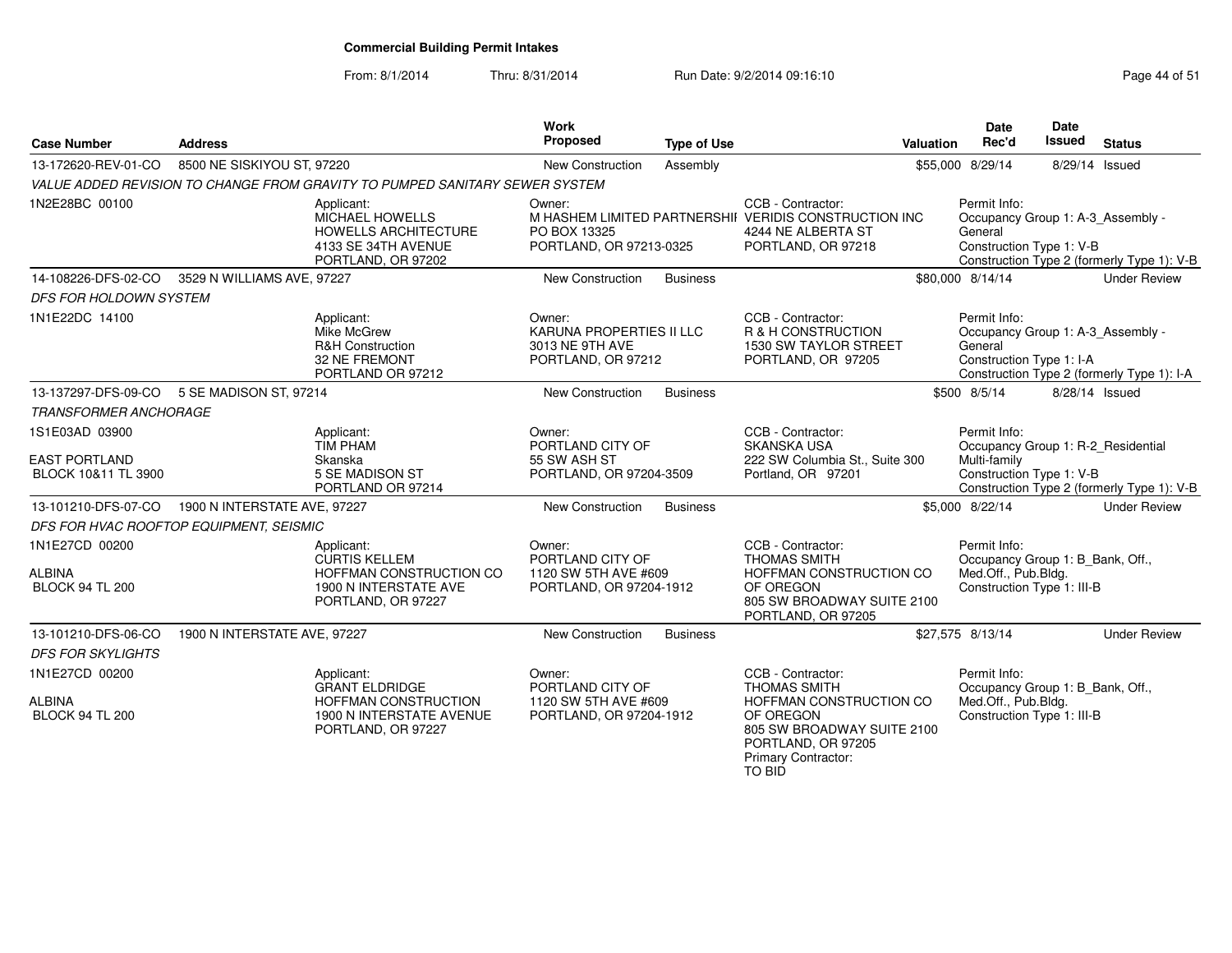From: 8/1/2014

| <b>Case Number</b>                                            | <b>Address</b>               |                                                                                                       | <b>Work</b><br>Proposed                                                       | <b>Type of Use</b> |                                                                                                                                                  | <b>Valuation</b> | <b>Date</b><br>Rec'd                                                                                  | Date<br><b>Issued</b> | <b>Status</b>                              |
|---------------------------------------------------------------|------------------------------|-------------------------------------------------------------------------------------------------------|-------------------------------------------------------------------------------|--------------------|--------------------------------------------------------------------------------------------------------------------------------------------------|------------------|-------------------------------------------------------------------------------------------------------|-----------------------|--------------------------------------------|
| 13-172620-REV-01-CO                                           | 8500 NE SISKIYOU ST, 97220   |                                                                                                       | New Construction                                                              | Assembly           |                                                                                                                                                  |                  | \$55,000 8/29/14                                                                                      |                       | 8/29/14 Issued                             |
|                                                               |                              | VALUE ADDED REVISION TO CHANGE FROM GRAVITY TO PUMPED SANITARY SEWER SYSTEM                           |                                                                               |                    |                                                                                                                                                  |                  |                                                                                                       |                       |                                            |
| 1N2E28BC 00100                                                |                              | Applicant:<br>MICHAEL HOWELLS<br>HOWELLS ARCHITECTURE<br>4133 SE 34TH AVENUE<br>PORTLAND, OR 97202    | Owner:<br>PO BOX 13325<br>PORTLAND, OR 97213-0325                             |                    | CCB - Contractor:<br>M HASHEM LIMITED PARTNERSHII VERIDIS CONSTRUCTION INC<br>4244 NE ALBERTA ST<br>PORTLAND, OR 97218                           |                  | Permit Info:<br>Occupancy Group 1: A-3_Assembly -<br>General<br>Construction Type 1: V-B              |                       | Construction Type 2 (formerly Type 1): V-B |
| 14-108226-DFS-02-CO                                           | 3529 N WILLIAMS AVE, 97227   |                                                                                                       | <b>New Construction</b>                                                       | <b>Business</b>    |                                                                                                                                                  |                  | \$80,000 8/14/14                                                                                      |                       | <b>Under Review</b>                        |
| <b>DFS FOR HOLDOWN SYSTEM</b>                                 |                              |                                                                                                       |                                                                               |                    |                                                                                                                                                  |                  |                                                                                                       |                       |                                            |
| 1N1E22DC 14100                                                |                              | Applicant:<br>Mike McGrew<br><b>R&amp;H Construction</b><br>32 NE FREMONT<br>PORTLAND OR 97212        | Owner:<br>KARUNA PROPERTIES II LLC<br>3013 NE 9TH AVE<br>PORTLAND, OR 97212   |                    | CCB - Contractor:<br><b>R &amp; H CONSTRUCTION</b><br>1530 SW TAYLOR STREET<br>PORTLAND, OR 97205                                                |                  | Permit Info:<br>Occupancy Group 1: A-3_Assembly -<br>General<br>Construction Type 1: I-A              |                       | Construction Type 2 (formerly Type 1): I-A |
| 13-137297-DFS-09-CO                                           | 5 SE MADISON ST, 97214       |                                                                                                       | New Construction                                                              | <b>Business</b>    |                                                                                                                                                  |                  | \$500 8/5/14                                                                                          |                       | 8/28/14 Issued                             |
| <b>TRANSFORMER ANCHORAGE</b>                                  |                              |                                                                                                       |                                                                               |                    |                                                                                                                                                  |                  |                                                                                                       |                       |                                            |
| 1S1E03AD 03900<br><b>EAST PORTLAND</b><br>BLOCK 10&11 TL 3900 |                              | Applicant:<br><b>TIM PHAM</b><br>Skanska<br>5 SE MADISON ST<br>PORTLAND OR 97214                      | Owner:<br>PORTLAND CITY OF<br>55 SW ASH ST<br>PORTLAND, OR 97204-3509         |                    | CCB - Contractor:<br><b>SKANSKA USA</b><br>222 SW Columbia St., Suite 300<br>Portland, OR 97201                                                  |                  | Permit Info:<br>Occupancy Group 1: R-2 Residential<br>Multi-family<br>Construction Type 1: V-B        |                       | Construction Type 2 (formerly Type 1): V-B |
| 13-101210-DFS-07-CO                                           | 1900 N INTERSTATE AVE, 97227 |                                                                                                       | <b>New Construction</b>                                                       | <b>Business</b>    |                                                                                                                                                  |                  | \$5,000 8/22/14                                                                                       |                       | <b>Under Review</b>                        |
| DFS FOR HVAC ROOFTOP EQUIPMENT, SEISMIC                       |                              |                                                                                                       |                                                                               |                    |                                                                                                                                                  |                  |                                                                                                       |                       |                                            |
| 1N1E27CD 00200<br><b>ALBINA</b><br><b>BLOCK 94 TL 200</b>     |                              | Applicant:<br>CURTIS KELLEM<br>HOFFMAN CONSTRUCTION CO<br>1900 N INTERSTATE AVE<br>PORTLAND, OR 97227 | Owner:<br>PORTLAND CITY OF<br>1120 SW 5TH AVE #609<br>PORTLAND, OR 97204-1912 |                    | CCB - Contractor:<br><b>THOMAS SMITH</b><br>HOFFMAN CONSTRUCTION CO<br>OF OREGON<br>805 SW BROADWAY SUITE 2100<br>PORTLAND, OR 97205             |                  | Permit Info:<br>Occupancy Group 1: B_Bank, Off.,<br>Med.Off., Pub.Bldg.<br>Construction Type 1: III-B |                       |                                            |
| 13-101210-DFS-06-CO                                           | 1900 N INTERSTATE AVE, 97227 |                                                                                                       | New Construction                                                              | <b>Business</b>    |                                                                                                                                                  |                  | \$27,575 8/13/14                                                                                      |                       | <b>Under Review</b>                        |
| <b>DFS FOR SKYLIGHTS</b>                                      |                              |                                                                                                       |                                                                               |                    |                                                                                                                                                  |                  |                                                                                                       |                       |                                            |
| 1N1E27CD 00200                                                |                              | Applicant:                                                                                            | Owner:                                                                        |                    | CCB - Contractor:                                                                                                                                |                  | Permit Info:                                                                                          |                       |                                            |
| <b>ALBINA</b><br><b>BLOCK 94 TL 200</b>                       |                              | <b>GRANT ELDRIDGE</b><br>HOFFMAN CONSTRUCTION<br>1900 N INTERSTATE AVENUE<br>PORTLAND, OR 97227       | PORTLAND CITY OF<br>1120 SW 5TH AVE #609<br>PORTLAND, OR 97204-1912           |                    | <b>THOMAS SMITH</b><br>HOFFMAN CONSTRUCTION CO<br>OF OREGON<br>805 SW BROADWAY SUITE 2100<br>PORTLAND, OR 97205<br>Primary Contractor:<br>TO BID |                  | Occupancy Group 1: B_Bank, Off.,<br>Med.Off., Pub.Bldg.<br>Construction Type 1: III-B                 |                       |                                            |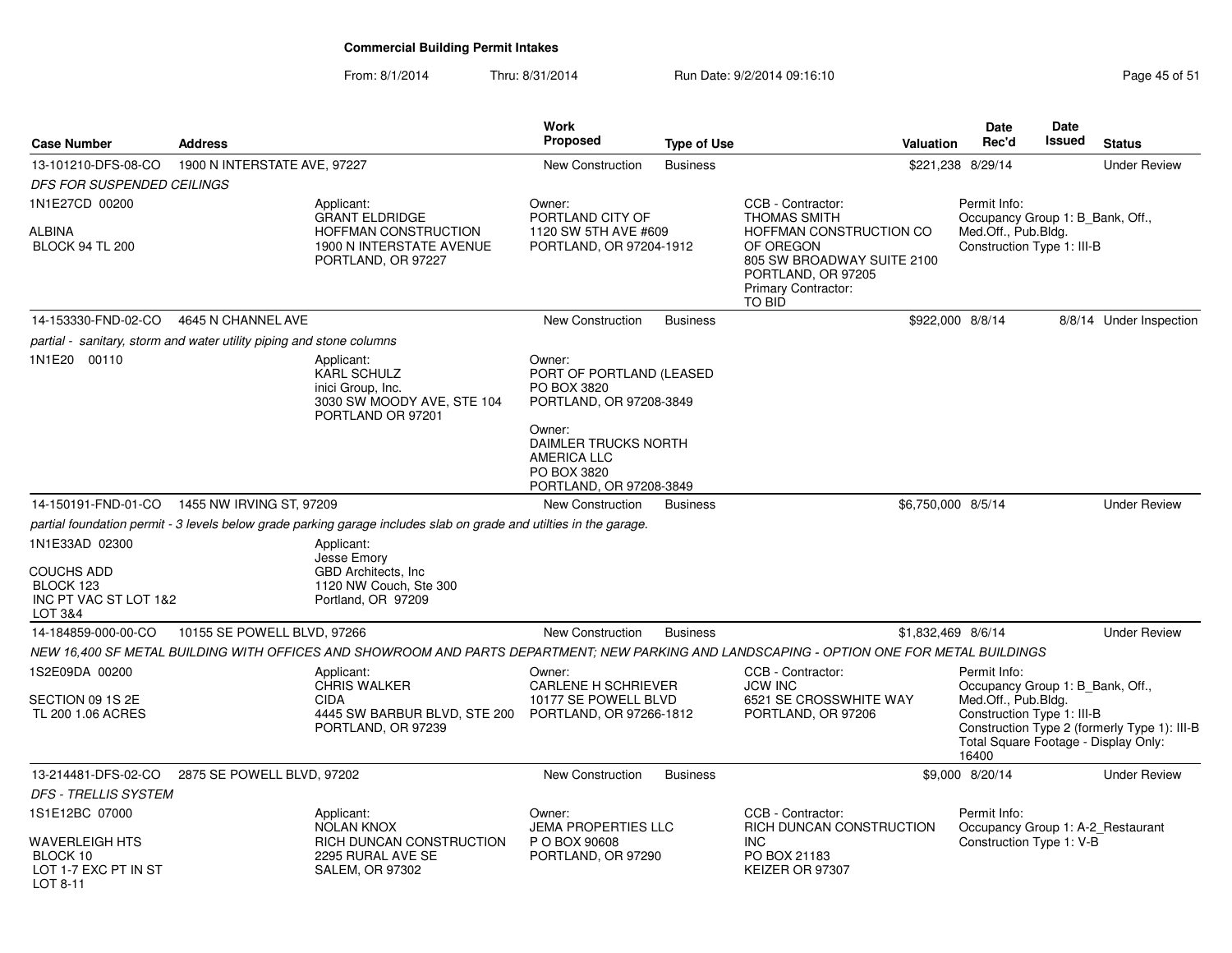| <b>Case Number</b>                                                   | <b>Address</b>               |                                                                                                                                           | Work<br>Proposed                                                                                      | <b>Type of Use</b> |                                                                                                       | <b>Valuation</b>   | Date<br>Rec'd                                                                                                                          | <b>Date</b><br>Issued | <b>Status</b>                                |
|----------------------------------------------------------------------|------------------------------|-------------------------------------------------------------------------------------------------------------------------------------------|-------------------------------------------------------------------------------------------------------|--------------------|-------------------------------------------------------------------------------------------------------|--------------------|----------------------------------------------------------------------------------------------------------------------------------------|-----------------------|----------------------------------------------|
| 13-101210-DFS-08-CO                                                  | 1900 N INTERSTATE AVE, 97227 |                                                                                                                                           | New Construction                                                                                      | <b>Business</b>    |                                                                                                       | \$221,238 8/29/14  |                                                                                                                                        |                       | <b>Under Review</b>                          |
| DFS FOR SUSPENDED CEILINGS                                           |                              |                                                                                                                                           |                                                                                                       |                    |                                                                                                       |                    |                                                                                                                                        |                       |                                              |
| 1N1E27CD 00200<br>ALBINA                                             |                              | Applicant:<br><b>GRANT ELDRIDGE</b><br>HOFFMAN CONSTRUCTION                                                                               | Owner:<br>PORTLAND CITY OF<br>1120 SW 5TH AVE #609                                                    |                    | CCB - Contractor:<br><b>THOMAS SMITH</b><br>HOFFMAN CONSTRUCTION CO                                   |                    | Permit Info:<br>Occupancy Group 1: B_Bank, Off.,<br>Med.Off., Pub.Bldg.                                                                |                       |                                              |
| <b>BLOCK 94 TL 200</b>                                               |                              | 1900 N INTERSTATE AVENUE<br>PORTLAND, OR 97227                                                                                            | PORTLAND, OR 97204-1912                                                                               |                    | OF OREGON<br>805 SW BROADWAY SUITE 2100<br>PORTLAND, OR 97205<br><b>Primary Contractor:</b><br>TO BID |                    | Construction Type 1: III-B                                                                                                             |                       |                                              |
| 14-153330-FND-02-CO                                                  | 4645 N CHANNEL AVE           |                                                                                                                                           | <b>New Construction</b>                                                                               | <b>Business</b>    |                                                                                                       | \$922,000 8/8/14   |                                                                                                                                        |                       | 8/8/14 Under Inspection                      |
| partial - sanitary, storm and water utility piping and stone columns |                              |                                                                                                                                           |                                                                                                       |                    |                                                                                                       |                    |                                                                                                                                        |                       |                                              |
| 1N1E20 00110                                                         |                              | Applicant:<br><b>KARL SCHULZ</b><br>inici Group, Inc.<br>3030 SW MOODY AVE, STE 104<br>PORTLAND OR 97201                                  | Owner:<br>PORT OF PORTLAND (LEASED<br>PO BOX 3820<br>PORTLAND, OR 97208-3849                          |                    |                                                                                                       |                    |                                                                                                                                        |                       |                                              |
|                                                                      |                              |                                                                                                                                           | Owner:<br><b>DAIMLER TRUCKS NORTH</b><br><b>AMERICA LLC</b><br>PO BOX 3820<br>PORTLAND, OR 97208-3849 |                    |                                                                                                       |                    |                                                                                                                                        |                       |                                              |
| 14-150191-FND-01-CO  1455 NW IRVING ST, 97209                        |                              |                                                                                                                                           | <b>New Construction</b>                                                                               | <b>Business</b>    |                                                                                                       | \$6,750,000 8/5/14 |                                                                                                                                        |                       | <b>Under Review</b>                          |
|                                                                      |                              | partial foundation permit - 3 levels below grade parking garage includes slab on grade and utilties in the garage.                        |                                                                                                       |                    |                                                                                                       |                    |                                                                                                                                        |                       |                                              |
| 1N1E33AD 02300                                                       |                              | Applicant:                                                                                                                                |                                                                                                       |                    |                                                                                                       |                    |                                                                                                                                        |                       |                                              |
| COUCHS ADD<br>BLOCK 123<br>INC PT VAC ST LOT 1&2<br>LOT 3&4          |                              | Jesse Emory<br><b>GBD Architects. Inc.</b><br>1120 NW Couch, Ste 300<br>Portland, OR 97209                                                |                                                                                                       |                    |                                                                                                       |                    |                                                                                                                                        |                       |                                              |
| 14-184859-000-00-CO                                                  | 10155 SE POWELL BLVD, 97266  |                                                                                                                                           | <b>New Construction</b>                                                                               | <b>Business</b>    |                                                                                                       | \$1,832,469 8/6/14 |                                                                                                                                        |                       | <b>Under Review</b>                          |
|                                                                      |                              | NEW 16,400 SF METAL BUILDING WITH OFFICES AND SHOWROOM AND PARTS DEPARTMENT: NEW PARKING AND LANDSCAPING - OPTION ONE FOR METAL BUILDINGS |                                                                                                       |                    |                                                                                                       |                    |                                                                                                                                        |                       |                                              |
| 1S2E09DA 00200                                                       |                              | Applicant:                                                                                                                                | Owner:                                                                                                |                    | CCB - Contractor:                                                                                     |                    | Permit Info:                                                                                                                           |                       |                                              |
| SECTION 09 1S 2E<br>TL 200 1.06 ACRES                                |                              | <b>CHRIS WALKER</b><br><b>CIDA</b><br>4445 SW BARBUR BLVD, STE 200<br>PORTLAND, OR 97239                                                  | <b>CARLENE H SCHRIEVER</b><br>10177 SE POWELL BLVD<br>PORTLAND, OR 97266-1812                         |                    | <b>JCW INC</b><br>6521 SE CROSSWHITE WAY<br>PORTLAND, OR 97206                                        |                    | Occupancy Group 1: B_Bank, Off.,<br>Med.Off., Pub.Bldg.<br>Construction Type 1: III-B<br>Total Square Footage - Display Only:<br>16400 |                       | Construction Type 2 (formerly Type 1): III-B |
| 13-214481-DFS-02-CO                                                  | 2875 SE POWELL BLVD, 97202   |                                                                                                                                           | New Construction                                                                                      | <b>Business</b>    |                                                                                                       |                    | \$9,000 8/20/14                                                                                                                        |                       | <b>Under Review</b>                          |
| <b>DFS - TRELLIS SYSTEM</b>                                          |                              |                                                                                                                                           |                                                                                                       |                    |                                                                                                       |                    |                                                                                                                                        |                       |                                              |
| 1S1E12BC 07000                                                       |                              | Applicant:<br><b>NOLAN KNOX</b>                                                                                                           | Owner:<br><b>JEMA PROPERTIES LLC</b>                                                                  |                    | CCB - Contractor:<br>RICH DUNCAN CONSTRUCTION                                                         |                    | Permit Info:<br>Occupancy Group 1: A-2_Restaurant                                                                                      |                       |                                              |
| WAVERLEIGH HTS<br>BLOCK 10<br>LOT 1-7 EXC PT IN ST<br>LOT 8-11       |                              | RICH DUNCAN CONSTRUCTION<br>2295 RURAL AVE SE<br><b>SALEM, OR 97302</b>                                                                   | P O BOX 90608<br>PORTLAND, OR 97290                                                                   |                    | INC<br>PO BOX 21183<br>KEIZER OR 97307                                                                |                    | Construction Type 1: V-B                                                                                                               |                       |                                              |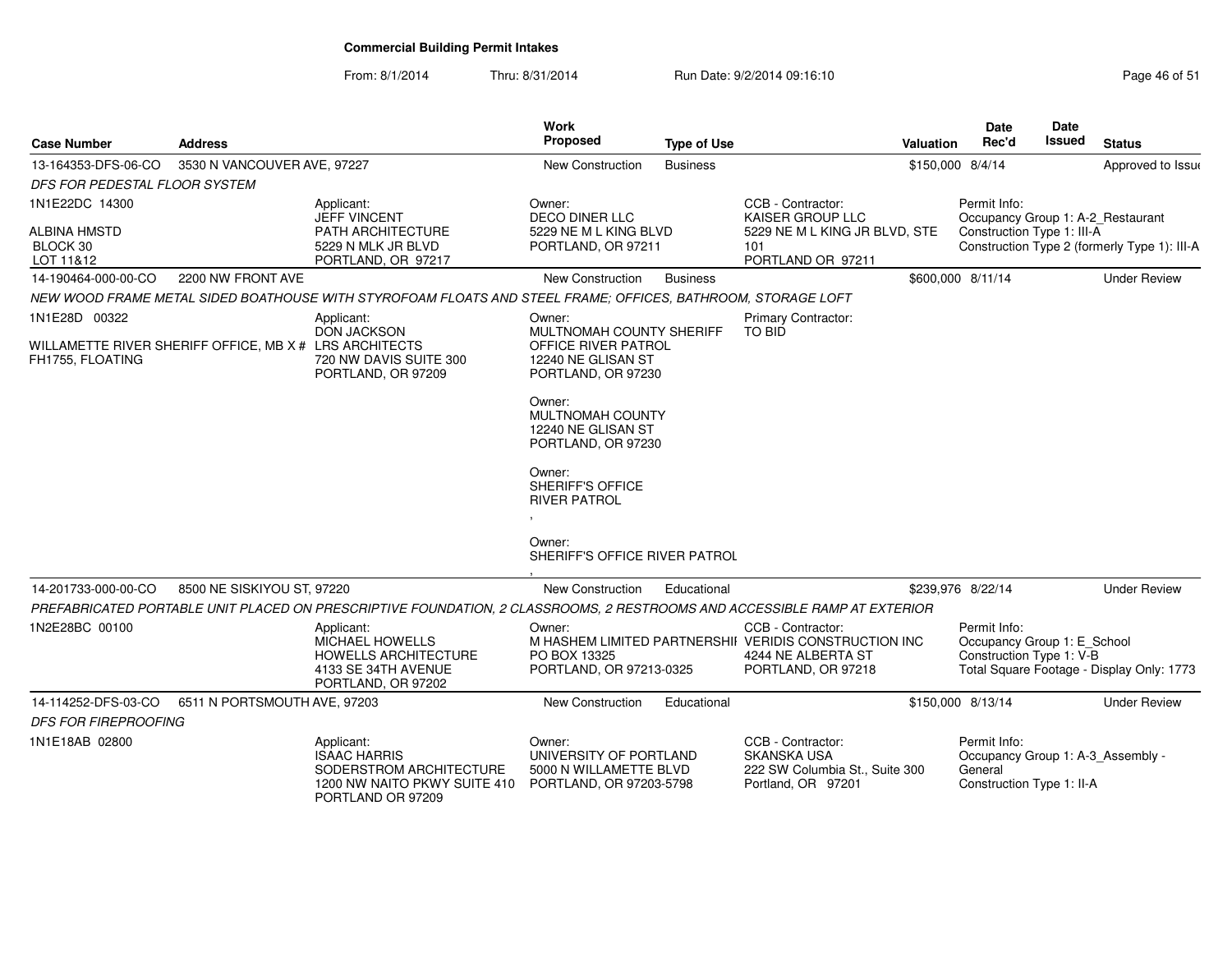| <b>Case Number</b>                                                                          | <b>Address</b>               |                                                                                                                          | <b>Work</b><br>Proposed                                                                                                                                                                                                                                                         | <b>Type of Use</b> |                                                                                                                        | <b>Valuation</b> | <b>Date</b><br>Rec'd                                                                      | <b>Date</b><br>Issued | <b>Status</b>                                |
|---------------------------------------------------------------------------------------------|------------------------------|--------------------------------------------------------------------------------------------------------------------------|---------------------------------------------------------------------------------------------------------------------------------------------------------------------------------------------------------------------------------------------------------------------------------|--------------------|------------------------------------------------------------------------------------------------------------------------|------------------|-------------------------------------------------------------------------------------------|-----------------------|----------------------------------------------|
| 13-164353-DFS-06-CO                                                                         | 3530 N VANCOUVER AVE, 97227  |                                                                                                                          | New Construction                                                                                                                                                                                                                                                                | <b>Business</b>    |                                                                                                                        | \$150,000 8/4/14 |                                                                                           |                       | Approved to Issue                            |
| DFS FOR PEDESTAL FLOOR SYSTEM                                                               |                              |                                                                                                                          |                                                                                                                                                                                                                                                                                 |                    |                                                                                                                        |                  |                                                                                           |                       |                                              |
| 1N1E22DC 14300<br><b>ALBINA HMSTD</b><br>BLOCK 30<br>LOT 11&12                              |                              | Applicant:<br><b>JEFF VINCENT</b><br>PATH ARCHITECTURE<br>5229 N MLK JR BLVD<br>PORTLAND, OR 97217                       | Owner:<br>DECO DINER LLC<br>5229 NE M L KING BLVD<br>PORTLAND, OR 97211                                                                                                                                                                                                         |                    | CCB - Contractor:<br>KAISER GROUP LLC<br>5229 NE M L KING JR BLVD, STE<br>101<br>PORTLAND OR 97211                     |                  | Permit Info:<br>Occupancy Group 1: A-2_Restaurant<br>Construction Type 1: III-A           |                       | Construction Type 2 (formerly Type 1): III-A |
| 14-190464-000-00-CO                                                                         | 2200 NW FRONT AVE            |                                                                                                                          | New Construction                                                                                                                                                                                                                                                                | <b>Business</b>    |                                                                                                                        |                  | \$600,000 8/11/14                                                                         |                       | <b>Under Review</b>                          |
|                                                                                             |                              | NEW WOOD FRAME METAL SIDED BOATHOUSE WITH STYROFOAM FLOATS AND STEEL FRAME; OFFICES, BATHROOM, STORAGE LOFT              |                                                                                                                                                                                                                                                                                 |                    |                                                                                                                        |                  |                                                                                           |                       |                                              |
| 1N1E28D 00322<br>WILLAMETTE RIVER SHERIFF OFFICE, MB X # LRS ARCHITECTS<br>FH1755, FLOATING |                              | Applicant:<br><b>DON JACKSON</b><br>720 NW DAVIS SUITE 300<br>PORTLAND, OR 97209                                         | Owner:<br>MULTNOMAH COUNTY SHERIFF<br>OFFICE RIVER PATROL<br>12240 NE GLISAN ST<br>PORTLAND, OR 97230<br>Owner:<br>MULTNOMAH COUNTY<br>12240 NE GLISAN ST<br>PORTLAND, OR 97230<br>Owner:<br>SHERIFF'S OFFICE<br><b>RIVER PATROL</b><br>Owner:<br>SHERIFF'S OFFICE RIVER PATROL |                    | Primary Contractor:<br>TO BID                                                                                          |                  |                                                                                           |                       |                                              |
| 14-201733-000-00-CO                                                                         | 8500 NE SISKIYOU ST, 97220   |                                                                                                                          | New Construction                                                                                                                                                                                                                                                                | Educational        |                                                                                                                        |                  | \$239,976 8/22/14                                                                         |                       | <b>Under Review</b>                          |
|                                                                                             |                              | PREFABRICATED PORTABLE UNIT PLACED ON PRESCRIPTIVE FOUNDATION, 2 CLASSROOMS, 2 RESTROOMS AND ACCESSIBLE RAMP AT EXTERIOR |                                                                                                                                                                                                                                                                                 |                    |                                                                                                                        |                  |                                                                                           |                       |                                              |
| 1N2E28BC 00100                                                                              |                              | Applicant:<br><b>MICHAEL HOWELLS</b><br><b>HOWELLS ARCHITECTURE</b><br>4133 SE 34TH AVENUE<br>PORTLAND, OR 97202         | Owner:<br>PO BOX 13325<br>PORTLAND, OR 97213-0325                                                                                                                                                                                                                               |                    | CCB - Contractor:<br>M HASHEM LIMITED PARTNERSHII VERIDIS CONSTRUCTION INC<br>4244 NE ALBERTA ST<br>PORTLAND, OR 97218 |                  | Permit Info:<br>Occupancy Group 1: E_School<br>Construction Type 1: V-B                   |                       | Total Square Footage - Display Only: 1773    |
| 14-114252-DFS-03-CO                                                                         | 6511 N PORTSMOUTH AVE, 97203 |                                                                                                                          | New Construction                                                                                                                                                                                                                                                                | Educational        |                                                                                                                        |                  | \$150,000 8/13/14                                                                         |                       | <b>Under Review</b>                          |
| <b>DFS FOR FIREPROOFING</b>                                                                 |                              |                                                                                                                          |                                                                                                                                                                                                                                                                                 |                    |                                                                                                                        |                  |                                                                                           |                       |                                              |
| 1N1E18AB 02800                                                                              |                              | Applicant:<br><b>ISAAC HARRIS</b><br>SODERSTROM ARCHITECTURE<br>1200 NW NAITO PKWY SUITE 410<br>PORTLAND OR 97209        | Owner:<br>UNIVERSITY OF PORTLAND<br>5000 N WILLAMETTE BLVD<br>PORTLAND, OR 97203-5798                                                                                                                                                                                           |                    | CCB - Contractor:<br><b>SKANSKA USA</b><br>222 SW Columbia St., Suite 300<br>Portland, OR 97201                        |                  | Permit Info:<br>Occupancy Group 1: A-3 Assembly -<br>General<br>Construction Type 1: II-A |                       |                                              |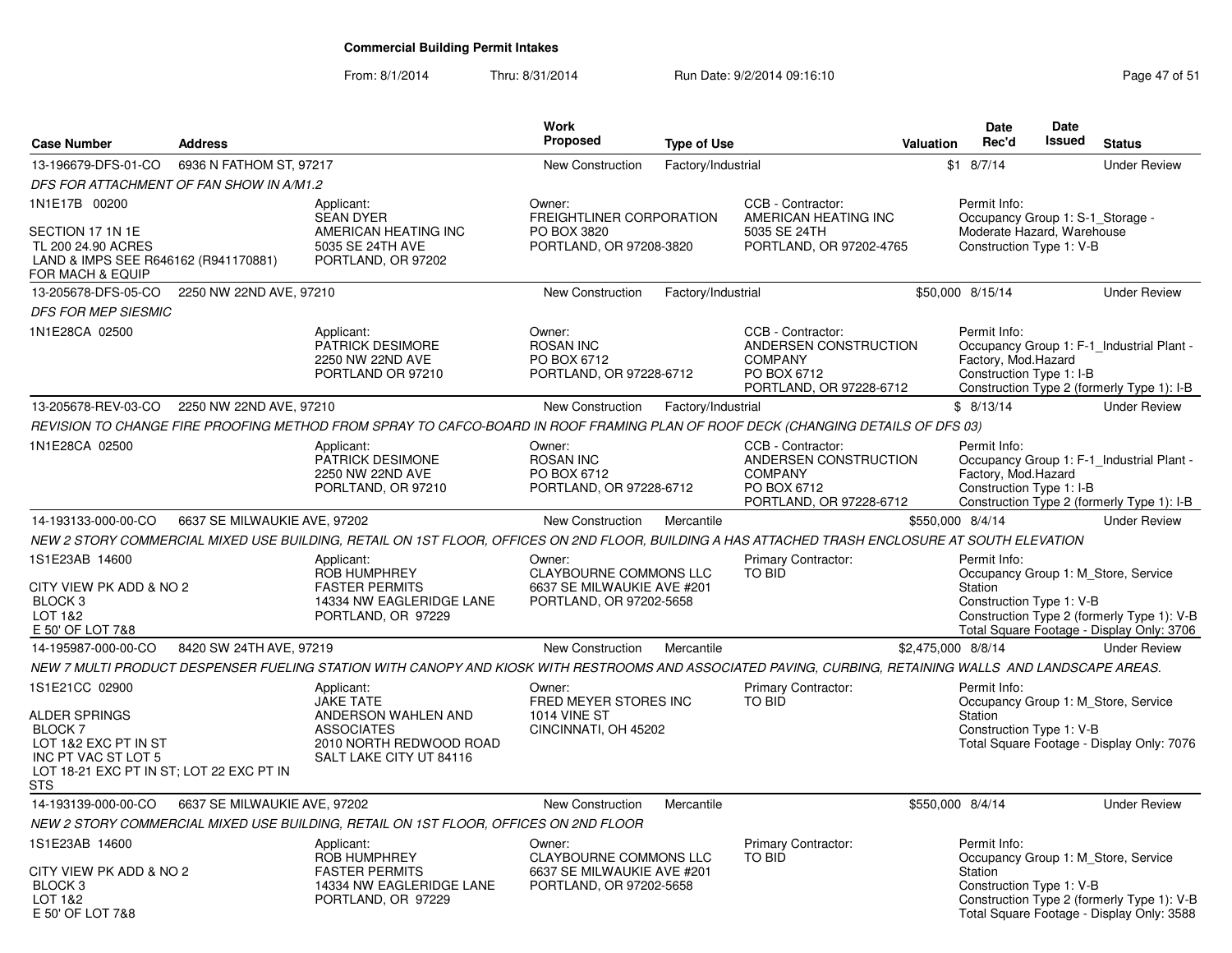| <b>Case Number</b>                                                                                                                                  | <b>Address</b>               |                                                                                                                                                         | Work<br>Proposed                                                                                 | <b>Type of Use</b> |                                                                                                        | <b>Valuation</b>   | Date<br>Rec'd                                                                                              | <b>Date</b><br><b>Issued</b> | <b>Status</b>                                                                                                                  |
|-----------------------------------------------------------------------------------------------------------------------------------------------------|------------------------------|---------------------------------------------------------------------------------------------------------------------------------------------------------|--------------------------------------------------------------------------------------------------|--------------------|--------------------------------------------------------------------------------------------------------|--------------------|------------------------------------------------------------------------------------------------------------|------------------------------|--------------------------------------------------------------------------------------------------------------------------------|
| 13-196679-DFS-01-CO                                                                                                                                 | 6936 N FATHOM ST, 97217      |                                                                                                                                                         | <b>New Construction</b>                                                                          | Factory/Industrial |                                                                                                        |                    | $$1$ 8/7/14                                                                                                |                              | <b>Under Review</b>                                                                                                            |
| DFS FOR ATTACHMENT OF FAN SHOW IN A/M1.2                                                                                                            |                              |                                                                                                                                                         |                                                                                                  |                    |                                                                                                        |                    |                                                                                                            |                              |                                                                                                                                |
| 1N1E17B 00200<br>SECTION 17 1N 1E<br>TL 200 24.90 ACRES<br>LAND & IMPS SEE R646162 (R941170881)<br>FOR MACH & EQUIP                                 |                              | Applicant:<br><b>SEAN DYER</b><br>AMERICAN HEATING INC<br>5035 SE 24TH AVE<br>PORTLAND, OR 97202                                                        | Owner:<br>FREIGHTLINER CORPORATION<br>PO BOX 3820<br>PORTLAND, OR 97208-3820                     |                    | CCB - Contractor:<br>AMERICAN HEATING INC<br>5035 SE 24TH<br>PORTLAND, OR 97202-4765                   |                    | Permit Info:<br>Occupancy Group 1: S-1_Storage -<br>Moderate Hazard, Warehouse<br>Construction Type 1: V-B |                              |                                                                                                                                |
| 13-205678-DFS-05-CO                                                                                                                                 | 2250 NW 22ND AVE, 97210      |                                                                                                                                                         | <b>New Construction</b>                                                                          | Factory/Industrial |                                                                                                        | \$50,000 8/15/14   |                                                                                                            |                              | <b>Under Review</b>                                                                                                            |
| <b>DFS FOR MEP SIESMIC</b>                                                                                                                          |                              |                                                                                                                                                         |                                                                                                  |                    |                                                                                                        |                    |                                                                                                            |                              |                                                                                                                                |
| 1N1E28CA 02500                                                                                                                                      |                              | Applicant:<br>PATRICK DESIMORE<br>2250 NW 22ND AVE<br>PORTLAND OR 97210                                                                                 | Owner:<br><b>ROSAN INC</b><br>PO BOX 6712<br>PORTLAND, OR 97228-6712                             |                    | CCB - Contractor:<br>ANDERSEN CONSTRUCTION<br><b>COMPANY</b><br>PO BOX 6712<br>PORTLAND, OR 97228-6712 |                    | Permit Info:<br>Factory, Mod.Hazard<br>Construction Type 1: I-B                                            |                              | Occupancy Group 1: F-1 Industrial Plant -<br>Construction Type 2 (formerly Type 1): I-B                                        |
| 13-205678-REV-03-CO                                                                                                                                 | 2250 NW 22ND AVE, 97210      |                                                                                                                                                         | New Construction                                                                                 | Factory/Industrial |                                                                                                        |                    | \$8/13/14                                                                                                  |                              | <b>Under Review</b>                                                                                                            |
|                                                                                                                                                     |                              | REVISION TO CHANGE FIRE PROOFING METHOD FROM SPRAY TO CAFCO-BOARD IN ROOF FRAMING PLAN OF ROOF DECK (CHANGING DETAILS OF DFS 03)                        |                                                                                                  |                    |                                                                                                        |                    |                                                                                                            |                              |                                                                                                                                |
| 1N1E28CA 02500                                                                                                                                      |                              | Applicant:<br>PATRICK DESIMONE<br>2250 NW 22ND AVE<br>PORLTAND, OR 97210                                                                                | Owner:<br><b>ROSAN INC</b><br>PO BOX 6712<br>PORTLAND, OR 97228-6712                             |                    | CCB - Contractor:<br>ANDERSEN CONSTRUCTION<br><b>COMPANY</b><br>PO BOX 6712<br>PORTLAND, OR 97228-6712 |                    | Permit Info:<br>Factory, Mod.Hazard<br>Construction Type 1: I-B                                            |                              | Occupancy Group 1: F-1 Industrial Plant -<br>Construction Type 2 (formerly Type 1): I-B                                        |
| 14-193133-000-00-CO                                                                                                                                 | 6637 SE MILWAUKIE AVE, 97202 |                                                                                                                                                         | New Construction                                                                                 | Mercantile         |                                                                                                        | \$550,000 8/4/14   |                                                                                                            |                              | <b>Under Review</b>                                                                                                            |
|                                                                                                                                                     |                              | NEW 2 STORY COMMERCIAL MIXED USE BUILDING, RETAIL ON 1ST FLOOR, OFFICES ON 2ND FLOOR, BUILDING A HAS ATTACHED TRASH ENCLOSURE AT SOUTH ELEVATION        |                                                                                                  |                    |                                                                                                        |                    |                                                                                                            |                              |                                                                                                                                |
| 1S1E23AB 14600<br>CITY VIEW PK ADD & NO 2<br>BLOCK <sub>3</sub><br>LOT 1&2<br>E 50' OF LOT 7&8                                                      |                              | Applicant:<br><b>ROB HUMPHREY</b><br><b>FASTER PERMITS</b><br>14334 NW EAGLERIDGE LANE<br>PORTLAND, OR 97229                                            | Owner:<br><b>CLAYBOURNE COMMONS LLC</b><br>6637 SE MILWAUKIE AVE #201<br>PORTLAND, OR 97202-5658 |                    | <b>Primary Contractor:</b><br>TO BID                                                                   |                    | Permit Info:<br><b>Station</b><br>Construction Type 1: V-B                                                 |                              | Occupancy Group 1: M_Store, Service<br>Construction Type 2 (formerly Type 1): V-B<br>Total Square Footage - Display Only: 3706 |
| 14-195987-000-00-CO                                                                                                                                 | 8420 SW 24TH AVE, 97219      |                                                                                                                                                         | <b>New Construction</b>                                                                          | Mercantile         |                                                                                                        | \$2,475,000 8/8/14 |                                                                                                            |                              | <b>Under Review</b>                                                                                                            |
|                                                                                                                                                     |                              | NEW 7 MULTI PRODUCT DESPENSER FUELING STATION WITH CANOPY AND KIOSK WITH RESTROOMS AND ASSOCIATED PAVING, CURBING, RETAINING WALLS AND LANDSCAPE AREAS. |                                                                                                  |                    |                                                                                                        |                    |                                                                                                            |                              |                                                                                                                                |
| 1S1E21CC 02900<br>ALDER SPRINGS<br>BLOCK 7<br>LOT 1&2 EXC PT IN ST<br>INC PT VAC ST LOT 5<br>LOT 18-21 EXC PT IN ST; LOT 22 EXC PT IN<br><b>STS</b> |                              | Applicant:<br><b>JAKE TATE</b><br>ANDERSON WAHLEN AND<br><b>ASSOCIATES</b><br>2010 NORTH REDWOOD ROAD<br>SALT LAKE CITY UT 84116                        | Owner:<br>FRED MEYER STORES INC<br><b>1014 VINE ST</b><br>CINCINNATI, OH 45202                   |                    | Primary Contractor:<br><b>TO BID</b>                                                                   |                    | Permit Info:<br>Station<br>Construction Type 1: V-B                                                        |                              | Occupancy Group 1: M_Store, Service<br>Total Square Footage - Display Only: 7076                                               |
| 14-193139-000-00-CO                                                                                                                                 | 6637 SE MILWAUKIE AVE, 97202 |                                                                                                                                                         | <b>New Construction</b>                                                                          | Mercantile         |                                                                                                        | \$550,000 8/4/14   |                                                                                                            |                              | <b>Under Review</b>                                                                                                            |
|                                                                                                                                                     |                              | NEW 2 STORY COMMERCIAL MIXED USE BUILDING, RETAIL ON 1ST FLOOR, OFFICES ON 2ND FLOOR                                                                    |                                                                                                  |                    |                                                                                                        |                    |                                                                                                            |                              |                                                                                                                                |
| 1S1E23AB 14600<br>CITY VIEW PK ADD & NO 2<br>BLOCK <sub>3</sub><br>LOT 1&2<br>E 50' OF LOT 7&8                                                      |                              | Applicant:<br><b>ROB HUMPHREY</b><br><b>FASTER PERMITS</b><br>14334 NW EAGLERIDGE LANE<br>PORTLAND, OR 97229                                            | Owner:<br><b>CLAYBOURNE COMMONS LLC</b><br>6637 SE MILWAUKIE AVE #201<br>PORTLAND, OR 97202-5658 |                    | Primary Contractor:<br>TO BID                                                                          |                    | Permit Info:<br>Station<br>Construction Type 1: V-B                                                        |                              | Occupancy Group 1: M_Store, Service<br>Construction Type 2 (formerly Type 1): V-B<br>Total Square Footage - Display Only: 3588 |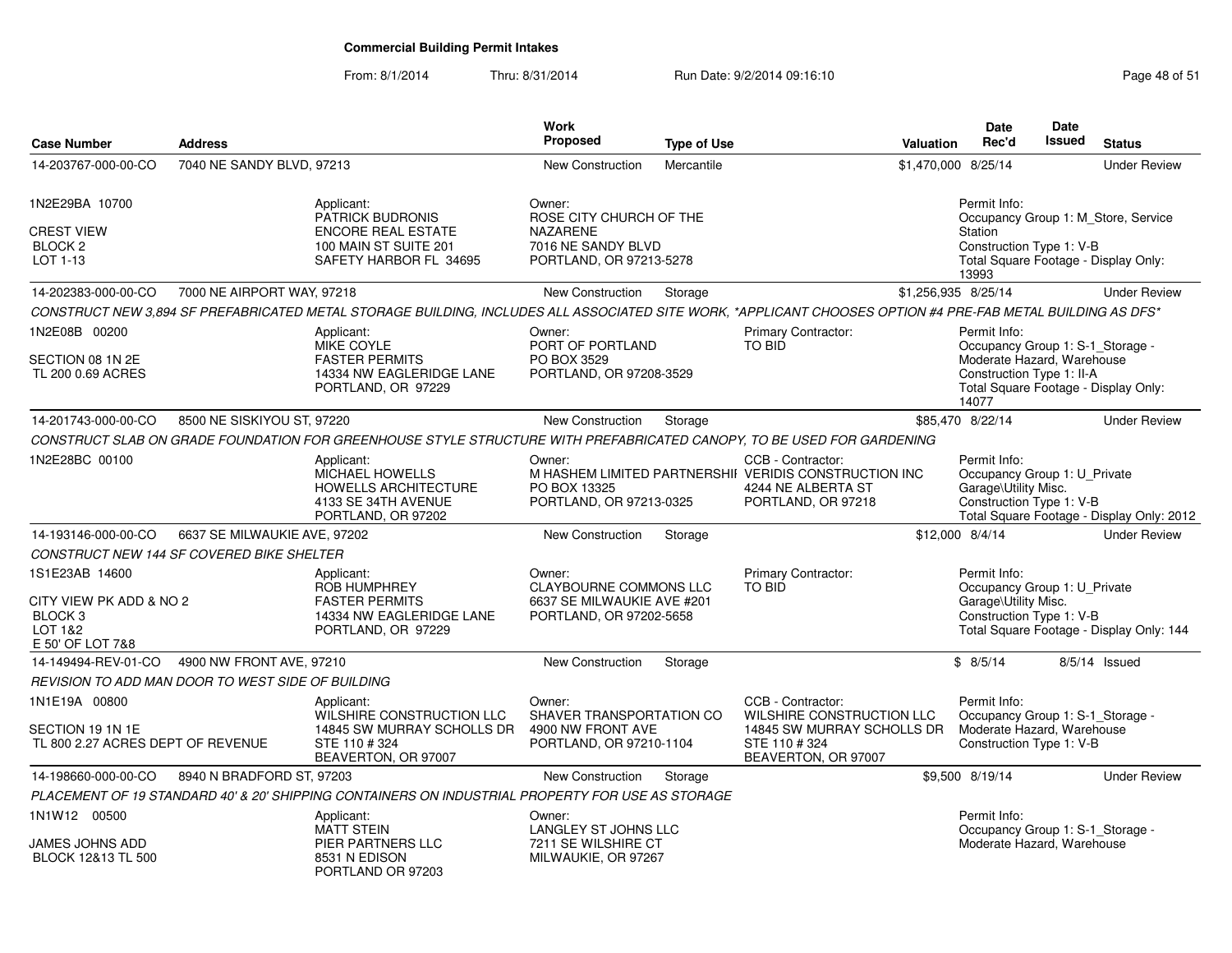| <b>Case Number</b>                                                                             | <b>Address</b>               |                                                                                                                                                             | Work<br>Proposed                                                                                 | <b>Type of Use</b> |                                                                                                                        | Valuation           | <b>Date</b><br>Rec'd                                                                                 | Date<br><b>Issued</b> | <b>Status</b>                             |
|------------------------------------------------------------------------------------------------|------------------------------|-------------------------------------------------------------------------------------------------------------------------------------------------------------|--------------------------------------------------------------------------------------------------|--------------------|------------------------------------------------------------------------------------------------------------------------|---------------------|------------------------------------------------------------------------------------------------------|-----------------------|-------------------------------------------|
| 14-203767-000-00-CO                                                                            | 7040 NE SANDY BLVD, 97213    |                                                                                                                                                             | New Construction                                                                                 | Mercantile         |                                                                                                                        | \$1,470,000 8/25/14 |                                                                                                      |                       | <b>Under Review</b>                       |
| 1N2E29BA 10700                                                                                 |                              | Applicant:<br><b>PATRICK BUDRONIS</b>                                                                                                                       | Owner:<br>ROSE CITY CHURCH OF THE                                                                |                    |                                                                                                                        |                     | Permit Info:                                                                                         |                       | Occupancy Group 1: M_Store, Service       |
| <b>CREST VIEW</b><br>BLOCK <sub>2</sub><br>LOT 1-13                                            |                              | <b>ENCORE REAL ESTATE</b><br>100 MAIN ST SUITE 201<br>SAFETY HARBOR FL 34695                                                                                | <b>NAZARENE</b><br>7016 NE SANDY BLVD<br>PORTLAND, OR 97213-5278                                 |                    |                                                                                                                        |                     | Station<br>Construction Type 1: V-B<br>13993                                                         |                       | Total Square Footage - Display Only:      |
| 14-202383-000-00-CO                                                                            | 7000 NE AIRPORT WAY, 97218   |                                                                                                                                                             | New Construction                                                                                 | Storage            |                                                                                                                        | \$1,256,935 8/25/14 |                                                                                                      |                       | <b>Under Review</b>                       |
|                                                                                                |                              | CONSTRUCT NEW 3,894 SF PREFABRICATED METAL STORAGE BUILDING, INCLUDES ALL ASSOCIATED SITE WORK, *APPLICANT CHOOSES OPTION #4 PRE-FAB METAL BUILDING AS DFS* |                                                                                                  |                    |                                                                                                                        |                     |                                                                                                      |                       |                                           |
| 1N2E08B 00200                                                                                  |                              | Applicant:                                                                                                                                                  | Owner:                                                                                           |                    | Primary Contractor:                                                                                                    |                     | Permit Info:                                                                                         |                       |                                           |
| SECTION 08 1N 2E<br>TL 200 0.69 ACRES                                                          |                              | <b>MIKE COYLE</b><br><b>FASTER PERMITS</b><br>14334 NW EAGLERIDGE LANE<br>PORTLAND, OR 97229                                                                | PORT OF PORTLAND<br>PO BOX 3529<br>PORTLAND, OR 97208-3529                                       |                    | <b>TO BID</b>                                                                                                          |                     | Occupancy Group 1: S-1_Storage -<br>Moderate Hazard, Warehouse<br>Construction Type 1: II-A<br>14077 |                       | Total Square Footage - Display Only:      |
| 14-201743-000-00-CO                                                                            | 8500 NE SISKIYOU ST, 97220   |                                                                                                                                                             | New Construction                                                                                 | Storage            |                                                                                                                        |                     | \$85,470 8/22/14                                                                                     |                       | <b>Under Review</b>                       |
|                                                                                                |                              | CONSTRUCT SLAB ON GRADE FOUNDATION FOR GREENHOUSE STYLE STRUCTURE WITH PREFABRICATED CANOPY, TO BE USED FOR GARDENING                                       |                                                                                                  |                    |                                                                                                                        |                     |                                                                                                      |                       |                                           |
| 1N2E28BC 00100                                                                                 |                              | Applicant:<br>MICHAEL HOWELLS<br><b>HOWELLS ARCHITECTURE</b><br>4133 SE 34TH AVENUE<br>PORTLAND, OR 97202                                                   | Owner:<br>PO BOX 13325<br>PORTLAND, OR 97213-0325                                                |                    | CCB - Contractor:<br>M HASHEM LIMITED PARTNERSHII VERIDIS CONSTRUCTION INC<br>4244 NE ALBERTA ST<br>PORTLAND, OR 97218 |                     | Permit Info:<br>Occupancy Group 1: U_Private<br>Garage\Utility Misc.<br>Construction Type 1: V-B     |                       | Total Square Footage - Display Only: 2012 |
| 14-193146-000-00-CO                                                                            | 6637 SE MILWAUKIE AVE, 97202 |                                                                                                                                                             | <b>New Construction</b>                                                                          | Storage            |                                                                                                                        | \$12,000 8/4/14     |                                                                                                      |                       | <b>Under Review</b>                       |
| CONSTRUCT NEW 144 SF COVERED BIKE SHELTER                                                      |                              |                                                                                                                                                             |                                                                                                  |                    |                                                                                                                        |                     |                                                                                                      |                       |                                           |
| 1S1E23AB 14600<br>CITY VIEW PK ADD & NO 2<br>BLOCK <sub>3</sub><br>LOT 1&2<br>E 50' OF LOT 7&8 |                              | Applicant:<br><b>ROB HUMPHREY</b><br><b>FASTER PERMITS</b><br>14334 NW EAGLERIDGE LANE<br>PORTLAND, OR 97229                                                | Owner:<br><b>CLAYBOURNE COMMONS LLC</b><br>6637 SE MILWAUKIE AVE #201<br>PORTLAND, OR 97202-5658 |                    | Primary Contractor:<br><b>TO BID</b>                                                                                   |                     | Permit Info:<br>Occupancy Group 1: U_Private<br>Garage\Utility Misc.<br>Construction Type 1: V-B     |                       | Total Square Footage - Display Only: 144  |
| 14-149494-REV-01-CO                                                                            | 4900 NW FRONT AVE, 97210     |                                                                                                                                                             | <b>New Construction</b>                                                                          | Storage            |                                                                                                                        |                     | \$8/5/14                                                                                             |                       | $8/5/14$ Issued                           |
| REVISION TO ADD MAN DOOR TO WEST SIDE OF BUILDING                                              |                              |                                                                                                                                                             |                                                                                                  |                    |                                                                                                                        |                     |                                                                                                      |                       |                                           |
| 1N1E19A 00800                                                                                  |                              | Applicant:                                                                                                                                                  | Owner:                                                                                           |                    | CCB - Contractor:                                                                                                      |                     | Permit Info:                                                                                         |                       |                                           |
| SECTION 19 1N 1E<br>TL 800 2.27 ACRES DEPT OF REVENUE                                          |                              | WILSHIRE CONSTRUCTION LLC<br>14845 SW MURRAY SCHOLLS DR<br>STE 110 #324<br>BEAVERTON, OR 97007                                                              | SHAVER TRANSPORTATION CO<br>4900 NW FRONT AVE<br>PORTLAND, OR 97210-1104                         |                    | WILSHIRE CONSTRUCTION LLC<br>14845 SW MURRAY SCHOLLS DR<br>STE 110 #324<br>BEAVERTON, OR 97007                         |                     | Occupancy Group 1: S-1_Storage -<br>Moderate Hazard, Warehouse<br>Construction Type 1: V-B           |                       |                                           |
| 14-198660-000-00-CO                                                                            | 8940 N BRADFORD ST, 97203    |                                                                                                                                                             | New Construction                                                                                 | Storage            |                                                                                                                        |                     | \$9,500 8/19/14                                                                                      |                       | <b>Under Review</b>                       |
|                                                                                                |                              | PLACEMENT OF 19 STANDARD 40' & 20' SHIPPING CONTAINERS ON INDUSTRIAL PROPERTY FOR USE AS STORAGE                                                            |                                                                                                  |                    |                                                                                                                        |                     |                                                                                                      |                       |                                           |
| 1N1W12 00500<br>JAMES JOHNS ADD<br>BLOCK 12&13 TL 500                                          |                              | Applicant:<br><b>MATT STEIN</b><br>PIER PARTNERS LLC<br>8531 N EDISON<br>PORTLAND OR 97203                                                                  | Owner:<br>LANGLEY ST JOHNS LLC<br>7211 SE WILSHIRE CT<br>MILWAUKIE, OR 97267                     |                    |                                                                                                                        |                     | Permit Info:<br>Occupancy Group 1: S-1_Storage -<br>Moderate Hazard, Warehouse                       |                       |                                           |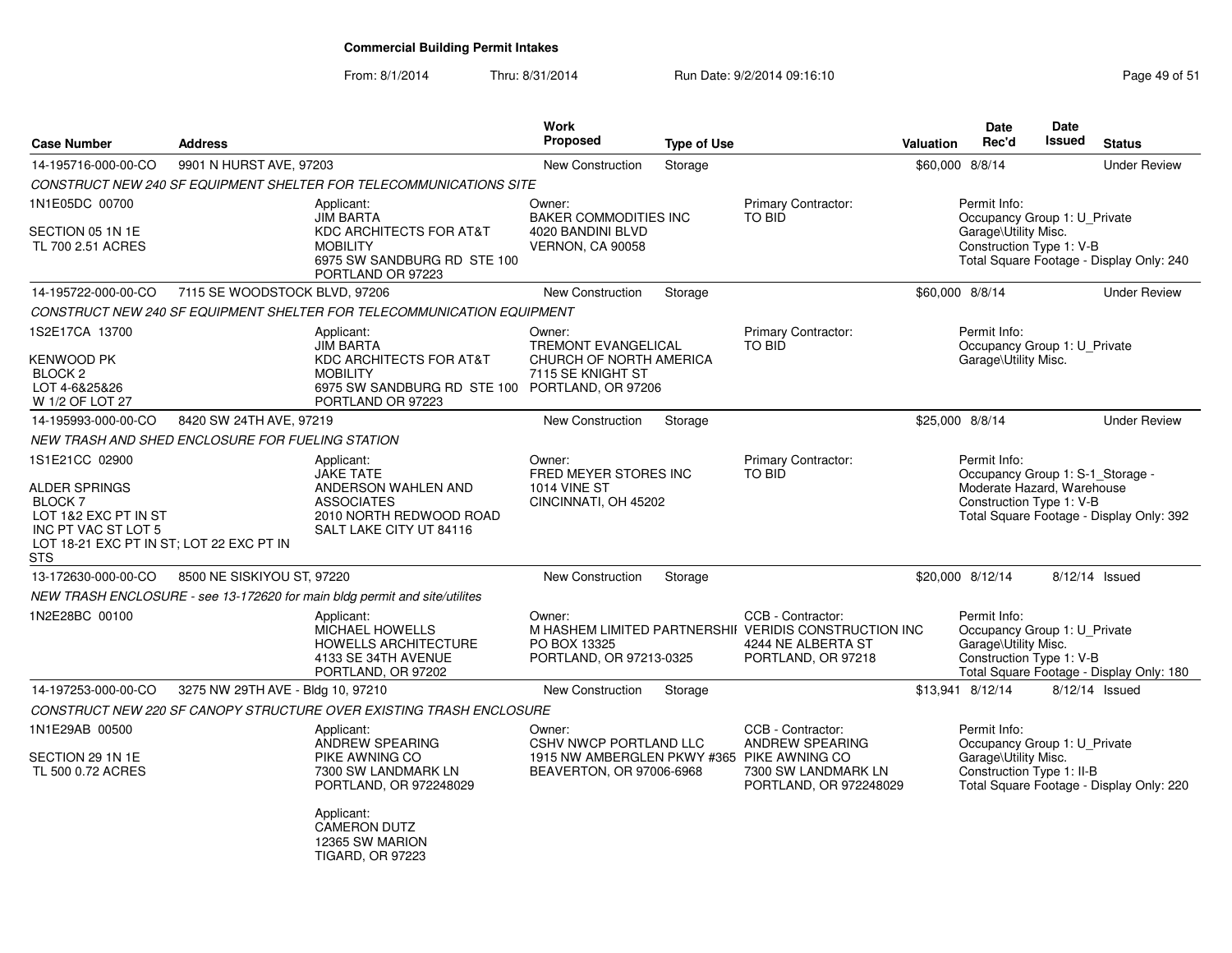| <b>Case Number</b>                                                                                                                                      | <b>Address</b>                                                                                                                                                                                               |                                                                                                                                  | Work<br><b>Proposed</b>                                                        | <b>Type of Use</b>                                                                                                           |                                                                                                                        | Valuation       | <b>Date</b><br>Rec'd                                                                                                                                   | Date<br><b>Issued</b> | <b>Status</b>                            |
|---------------------------------------------------------------------------------------------------------------------------------------------------------|--------------------------------------------------------------------------------------------------------------------------------------------------------------------------------------------------------------|----------------------------------------------------------------------------------------------------------------------------------|--------------------------------------------------------------------------------|------------------------------------------------------------------------------------------------------------------------------|------------------------------------------------------------------------------------------------------------------------|-----------------|--------------------------------------------------------------------------------------------------------------------------------------------------------|-----------------------|------------------------------------------|
| 14-195716-000-00-CO                                                                                                                                     | 9901 N HURST AVE, 97203                                                                                                                                                                                      |                                                                                                                                  | <b>New Construction</b>                                                        | Storage                                                                                                                      |                                                                                                                        | \$60,000 8/8/14 |                                                                                                                                                        |                       | <b>Under Review</b>                      |
|                                                                                                                                                         |                                                                                                                                                                                                              | CONSTRUCT NEW 240 SF EQUIPMENT SHELTER FOR TELECOMMUNICATIONS SITE                                                               |                                                                                |                                                                                                                              |                                                                                                                        |                 |                                                                                                                                                        |                       |                                          |
| 1N1E05DC 00700                                                                                                                                          | Applicant:                                                                                                                                                                                                   | Owner:                                                                                                                           |                                                                                | <b>Primary Contractor:</b>                                                                                                   |                                                                                                                        | Permit Info:    |                                                                                                                                                        |                       |                                          |
| SECTION 05 1N 1E<br>TL 700 2.51 ACRES                                                                                                                   | TO BID<br><b>JIM BARTA</b><br><b>BAKER COMMODITIES INC</b><br>KDC ARCHITECTS FOR AT&T<br>4020 BANDINI BLVD<br><b>MOBILITY</b><br><b>VERNON, CA 90058</b><br>6975 SW SANDBURG RD STE 100<br>PORTLAND OR 97223 |                                                                                                                                  |                                                                                | Occupancy Group 1: U_Private<br>Garage\Utility Misc.<br>Construction Type 1: V-B<br>Total Square Footage - Display Only: 240 |                                                                                                                        |                 |                                                                                                                                                        |                       |                                          |
| 14-195722-000-00-CO                                                                                                                                     | 7115 SE WOODSTOCK BLVD, 97206                                                                                                                                                                                |                                                                                                                                  | <b>New Construction</b>                                                        | Storage                                                                                                                      |                                                                                                                        | \$60,000 8/8/14 |                                                                                                                                                        |                       | <b>Under Review</b>                      |
|                                                                                                                                                         |                                                                                                                                                                                                              | CONSTRUCT NEW 240 SF EQUIPMENT SHELTER FOR TELECOMMUNICATION EQUIPMENT                                                           |                                                                                |                                                                                                                              |                                                                                                                        |                 |                                                                                                                                                        |                       |                                          |
| 1S2E17CA 13700<br>KENWOOD PK                                                                                                                            |                                                                                                                                                                                                              | Applicant:<br><b>JIM BARTA</b><br>KDC ARCHITECTS FOR AT&T                                                                        | Owner:<br><b>TREMONT EVANGELICAL</b><br>CHURCH OF NORTH AMERICA                |                                                                                                                              | Primary Contractor:<br><b>TO BID</b>                                                                                   |                 | Permit Info:<br>Occupancy Group 1: U_Private<br>Garage\Utility Misc.                                                                                   |                       |                                          |
| <b>BLOCK 2</b><br>LOT 4-6&25&26<br>W 1/2 OF LOT 27                                                                                                      |                                                                                                                                                                                                              | <b>MOBILITY</b><br>6975 SW SANDBURG RD STE 100 PORTLAND, OR 97206<br>PORTLAND OR 97223                                           | 7115 SE KNIGHT ST                                                              |                                                                                                                              |                                                                                                                        |                 |                                                                                                                                                        |                       |                                          |
| 14-195993-000-00-CO                                                                                                                                     | 8420 SW 24TH AVE, 97219                                                                                                                                                                                      |                                                                                                                                  | <b>New Construction</b>                                                        | Storage                                                                                                                      |                                                                                                                        | \$25,000 8/8/14 |                                                                                                                                                        |                       | <b>Under Review</b>                      |
| NEW TRASH AND SHED ENCLOSURE FOR FUELING STATION                                                                                                        |                                                                                                                                                                                                              |                                                                                                                                  |                                                                                |                                                                                                                              |                                                                                                                        |                 |                                                                                                                                                        |                       |                                          |
| 1S1E21CC 02900<br>ALDER SPRINGS<br>BLOCK <sub>7</sub><br>LOT 1&2 EXC PT IN ST<br>INC PT VAC ST LOT 5<br>LOT 18-21 EXC PT IN ST; LOT 22 EXC PT IN<br>STS |                                                                                                                                                                                                              | Applicant:<br><b>JAKE TATE</b><br>ANDERSON WAHLEN AND<br><b>ASSOCIATES</b><br>2010 NORTH REDWOOD ROAD<br>SALT LAKE CITY UT 84116 | Owner:<br>FRED MEYER STORES INC<br><b>1014 VINE ST</b><br>CINCINNATI, OH 45202 |                                                                                                                              | <b>Primary Contractor:</b><br>TO BID                                                                                   |                 | Permit Info:<br>Occupancy Group 1: S-1_Storage -<br>Moderate Hazard, Warehouse<br>Construction Type 1: V-B<br>Total Square Footage - Display Only: 392 |                       |                                          |
| 13-172630-000-00-CO                                                                                                                                     | 8500 NE SISKIYOU ST, 97220                                                                                                                                                                                   |                                                                                                                                  | <b>New Construction</b>                                                        | Storage                                                                                                                      |                                                                                                                        |                 | \$20,000 8/12/14                                                                                                                                       |                       | 8/12/14 Issued                           |
|                                                                                                                                                         |                                                                                                                                                                                                              | NEW TRASH ENCLOSURE - see 13-172620 for main bldg permit and site/utilites                                                       |                                                                                |                                                                                                                              |                                                                                                                        |                 |                                                                                                                                                        |                       |                                          |
| 1N2E28BC 00100                                                                                                                                          |                                                                                                                                                                                                              | Applicant:<br><b>MICHAEL HOWELLS</b><br><b>HOWELLS ARCHITECTURE</b><br>4133 SE 34TH AVENUE<br>PORTLAND, OR 97202                 | Owner:<br>PO BOX 13325<br>PORTLAND, OR 97213-0325                              |                                                                                                                              | CCB - Contractor:<br>M HASHEM LIMITED PARTNERSHII VERIDIS CONSTRUCTION INC<br>4244 NE ALBERTA ST<br>PORTLAND, OR 97218 |                 | Permit Info:<br>Occupancy Group 1: U Private<br>Garage\Utility Misc.<br>Construction Type 1: V-B                                                       |                       | Total Square Footage - Display Only: 180 |
| 14-197253-000-00-CO                                                                                                                                     | 3275 NW 29TH AVE - Bldg 10, 97210                                                                                                                                                                            |                                                                                                                                  | <b>New Construction</b>                                                        | Storage                                                                                                                      |                                                                                                                        |                 | \$13.941 8/12/14                                                                                                                                       |                       | 8/12/14 Issued                           |
|                                                                                                                                                         |                                                                                                                                                                                                              | CONSTRUCT NEW 220 SF CANOPY STRUCTURE OVER EXISTING TRASH ENCLOSURE                                                              |                                                                                |                                                                                                                              |                                                                                                                        |                 |                                                                                                                                                        |                       |                                          |
| 1N1E29AB 00500                                                                                                                                          |                                                                                                                                                                                                              | Applicant:<br>ANDREW SPEARING                                                                                                    | Owner:<br>CSHV NWCP PORTLAND LLC                                               |                                                                                                                              | CCB - Contractor:<br>ANDREW SPEARING                                                                                   |                 | Permit Info:<br>Occupancy Group 1: U_Private                                                                                                           |                       |                                          |
| SECTION 29 1N 1E<br>TL 500 0.72 ACRES                                                                                                                   |                                                                                                                                                                                                              | PIKE AWNING CO<br>7300 SW LANDMARK LN<br>PORTLAND, OR 972248029                                                                  | 1915 NW AMBERGLEN PKWY #365 PIKE AWNING CO<br>BEAVERTON, OR 97006-6968         |                                                                                                                              | 7300 SW LANDMARK LN<br>PORTLAND, OR 972248029                                                                          |                 | Garage\Utility Misc.<br>Construction Type 1: II-B                                                                                                      |                       | Total Square Footage - Display Only: 220 |
|                                                                                                                                                         |                                                                                                                                                                                                              | Applicant:<br><b>CAMERON DUTZ</b><br>12365 SW MARION<br><b>TIGARD, OR 97223</b>                                                  |                                                                                |                                                                                                                              |                                                                                                                        |                 |                                                                                                                                                        |                       |                                          |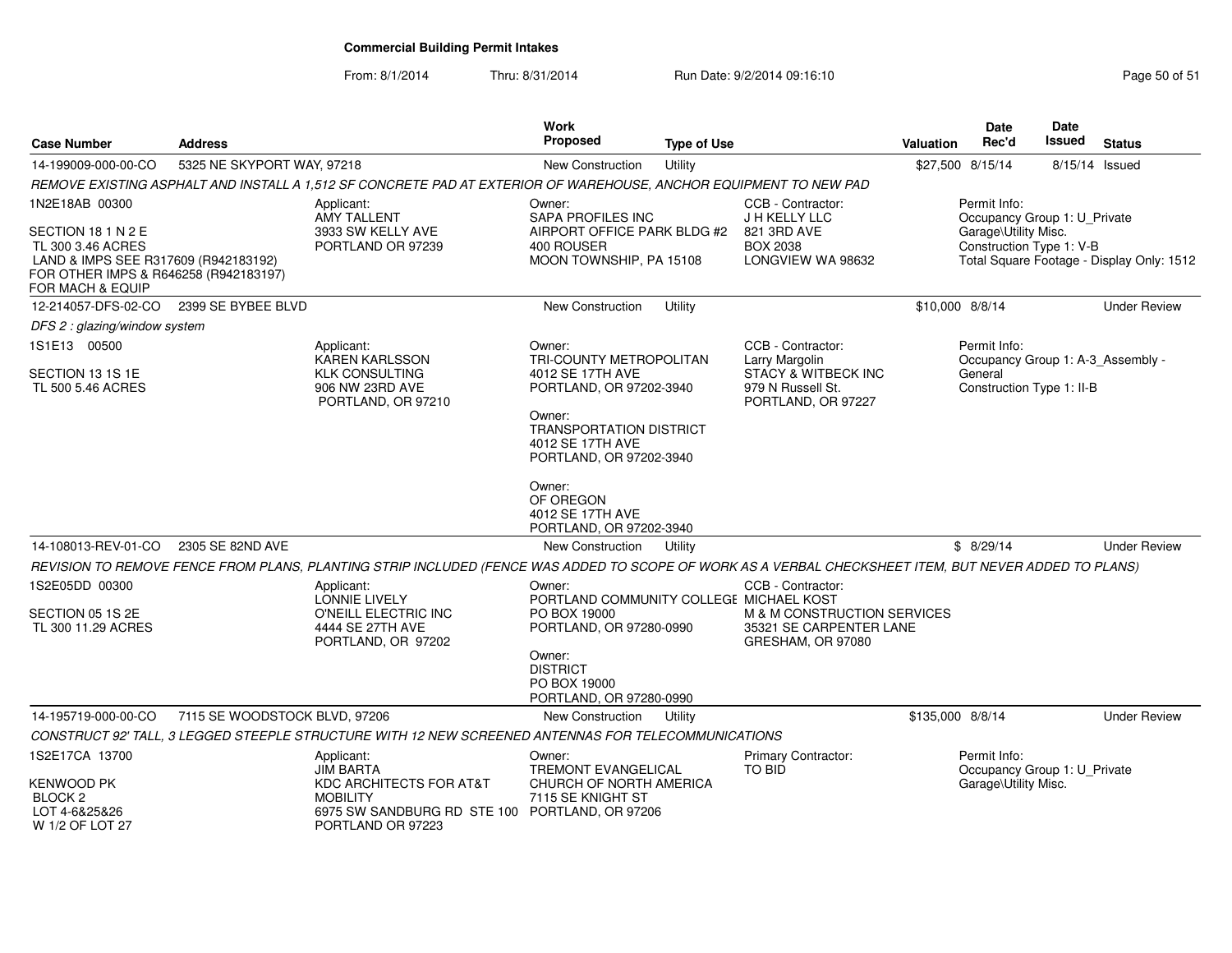From: 8/1/2014

| <b>Case Number</b>                                                                                                                           | <b>Address</b>                |                                                                                                                                                       | Work<br><b>Proposed</b>                                                                 | <b>Type of Use</b> |                                                                | <b>Valuation</b>                                                                              | <b>Date</b><br>Rec'd                         | <b>Date</b><br><b>Issued</b> | <b>Status</b>                     |
|----------------------------------------------------------------------------------------------------------------------------------------------|-------------------------------|-------------------------------------------------------------------------------------------------------------------------------------------------------|-----------------------------------------------------------------------------------------|--------------------|----------------------------------------------------------------|-----------------------------------------------------------------------------------------------|----------------------------------------------|------------------------------|-----------------------------------|
| 14-199009-000-00-CO                                                                                                                          | 5325 NE SKYPORT WAY, 97218    |                                                                                                                                                       | <b>New Construction</b>                                                                 | Utility            |                                                                |                                                                                               | \$27,500 8/15/14                             |                              | 8/15/14 Issued                    |
|                                                                                                                                              |                               | REMOVE EXISTING ASPHALT AND INSTALL A 1,512 SF CONCRETE PAD AT EXTERIOR OF WAREHOUSE, ANCHOR EQUIPMENT TO NEW PAD                                     |                                                                                         |                    |                                                                |                                                                                               |                                              |                              |                                   |
| 1N2E18AB 00300                                                                                                                               |                               | Applicant:<br><b>AMY TALLENT</b>                                                                                                                      | CCB - Contractor:<br>Owner:<br><b>SAPA PROFILES INC</b><br>J H KELLY LLC                |                    |                                                                |                                                                                               | Permit Info:<br>Occupancy Group 1: U_Private |                              |                                   |
| SECTION 18 1 N 2 E<br>TL 300 3.46 ACRES<br>LAND & IMPS SEE R317609 (R942183192)<br>FOR OTHER IMPS & R646258 (R942183197)<br>FOR MACH & EQUIP |                               | 3933 SW KELLY AVE<br>PORTLAND OR 97239                                                                                                                | AIRPORT OFFICE PARK BLDG #2<br>400 ROUSER<br>MOON TOWNSHIP, PA 15108                    |                    | 821 3RD AVE<br><b>BOX 2038</b><br>LONGVIEW WA 98632            | Garage\Utility Misc.<br>Construction Type 1: V-B<br>Total Square Footage - Display Only: 1512 |                                              |                              |                                   |
| 12-214057-DFS-02-CO                                                                                                                          | 2399 SE BYBEE BLVD            |                                                                                                                                                       | <b>New Construction</b>                                                                 | Utility            |                                                                | \$10,000 8/8/14                                                                               |                                              |                              | <b>Under Review</b>               |
| DFS 2 : glazing/window system                                                                                                                |                               |                                                                                                                                                       |                                                                                         |                    |                                                                |                                                                                               |                                              |                              |                                   |
| 1S1E13 00500                                                                                                                                 |                               | Applicant:<br><b>KAREN KARLSSON</b>                                                                                                                   | Owner:<br>TRI-COUNTY METROPOLITAN                                                       |                    | CCB - Contractor:<br>Larry Margolin                            |                                                                                               | Permit Info:                                 |                              | Occupancy Group 1: A-3_Assembly - |
| SECTION 13 1S 1E<br>TL 500 5.46 ACRES                                                                                                        |                               | <b>KLK CONSULTING</b><br>906 NW 23RD AVE<br>PORTLAND, OR 97210                                                                                        | 4012 SE 17TH AVE<br>PORTLAND, OR 97202-3940                                             |                    | STACY & WITBECK INC<br>979 N Russell St.<br>PORTLAND, OR 97227 | General                                                                                       |                                              | Construction Type 1: II-B    |                                   |
|                                                                                                                                              |                               |                                                                                                                                                       | Owner:<br><b>TRANSPORTATION DISTRICT</b><br>4012 SE 17TH AVE<br>PORTLAND, OR 97202-3940 |                    |                                                                |                                                                                               |                                              |                              |                                   |
|                                                                                                                                              |                               |                                                                                                                                                       | Owner:<br>OF OREGON<br>4012 SE 17TH AVE<br>PORTLAND, OR 97202-3940                      |                    |                                                                |                                                                                               |                                              |                              |                                   |
| 14-108013-REV-01-CO                                                                                                                          | 2305 SE 82ND AVE              |                                                                                                                                                       | New Construction                                                                        | Utility            |                                                                |                                                                                               | \$8/29/14                                    |                              | <b>Under Review</b>               |
|                                                                                                                                              |                               | REVISION TO REMOVE FENCE FROM PLANS, PLANTING STRIP INCLUDED (FENCE WAS ADDED TO SCOPE OF WORK AS A VERBAL CHECKSHEET ITEM, BUT NEVER ADDED TO PLANS) |                                                                                         |                    |                                                                |                                                                                               |                                              |                              |                                   |
| 1S2E05DD 00300                                                                                                                               |                               | Applicant:                                                                                                                                            | Owner:                                                                                  |                    | CCB - Contractor:                                              |                                                                                               |                                              |                              |                                   |
| SECTION 05 1S 2E                                                                                                                             |                               | <b>LONNIE LIVELY</b><br>O'NEILL ELECTRIC INC                                                                                                          | PORTLAND COMMUNITY COLLEGE MICHAEL KOST<br>PO BOX 19000                                 |                    | M & M CONSTRUCTION SERVICES                                    |                                                                                               |                                              |                              |                                   |
| TL 300 11.29 ACRES                                                                                                                           |                               | 4444 SE 27TH AVE<br>PORTLAND, OR 97202                                                                                                                | PORTLAND, OR 97280-0990                                                                 |                    | 35321 SE CARPENTER LANE<br>GRESHAM, OR 97080                   |                                                                                               |                                              |                              |                                   |
|                                                                                                                                              |                               |                                                                                                                                                       | Owner:<br><b>DISTRICT</b><br>PO BOX 19000<br>PORTLAND, OR 97280-0990                    |                    |                                                                |                                                                                               |                                              |                              |                                   |
| 14-195719-000-00-CO                                                                                                                          | 7115 SE WOODSTOCK BLVD, 97206 |                                                                                                                                                       | New Construction                                                                        | Utility            |                                                                | \$135,000 8/8/14                                                                              |                                              |                              | <b>Under Review</b>               |
|                                                                                                                                              |                               | CONSTRUCT 92' TALL, 3 LEGGED STEEPLE STRUCTURE WITH 12 NEW SCREENED ANTENNAS FOR TELECOMMUNICATIONS                                                   |                                                                                         |                    |                                                                |                                                                                               |                                              |                              |                                   |
| 1S2E17CA 13700                                                                                                                               |                               | Applicant:<br><b>JIM BARTA</b>                                                                                                                        | Owner:<br>TREMONT EVANGELICAL                                                           |                    | Primary Contractor:<br><b>TO BID</b>                           |                                                                                               | Permit Info:<br>Occupancy Group 1: U_Private |                              |                                   |
| KENWOOD PK<br>BLOCK <sub>2</sub><br>LOT 4-6&25&26<br>W 1/2 OF LOT 27                                                                         |                               | KDC ARCHITECTS FOR AT&T<br><b>MOBILITY</b><br>6975 SW SANDBURG RD STE 100 PORTLAND, OR 97206<br>PORTLAND OR 97223                                     | CHURCH OF NORTH AMERICA<br>7115 SE KNIGHT ST                                            |                    |                                                                |                                                                                               | Garage\Utility Misc.                         |                              |                                   |